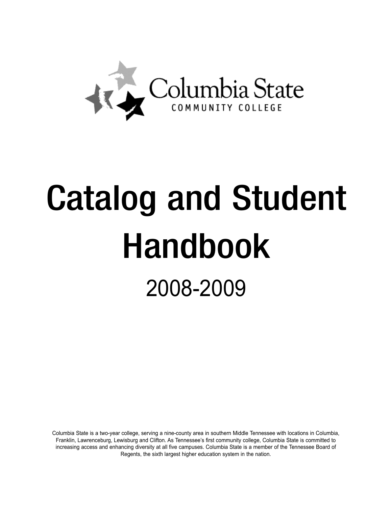

# Catalog and Student Handbook 2008-2009

Columbia State is a two-year college, serving a nine-county area in southern Middle Tennessee with locations in Columbia, Franklin, Lawrenceburg, Lewisburg and Clifton. As Tennessee's first community college, Columbia State is committed to increasing access and enhancing diversity at all five campuses. Columbia State is a member of the Tennessee Board of Regents, the sixth largest higher education system in the nation.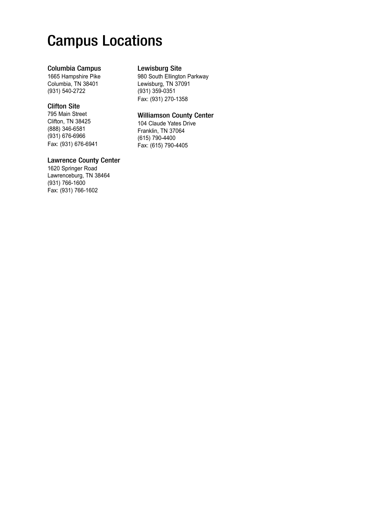# Campus Locations

### Columbia Campus

1665 Hampshire Pike Columbia, TN 38401 (931) 540-2722

### Clifton Site

795 Main Street Clifton, TN 38425 (888) 346-6581 (931) 676-6966 Fax: (931) 676-6941

### Lawrence County Center

1620 Springer Road Lawrenceburg, TN 38464 (931) 766-1600 Fax: (931) 766-1602

# Lewisburg Site

980 South Ellington Parkway Lewisburg, TN 37091 (931) 359-0351 Fax: (931) 270-1358

### Williamson County Center

104 Claude Yates Drive Franklin, TN 37064 (615) 790-4400 Fax: (615) 790-4405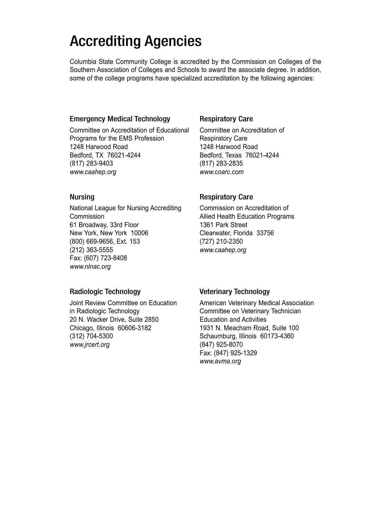# Accrediting Agencies

Columbia State Community College is accredited by the Commission on Colleges of the Southern Association of Colleges and Schools to award the associate degree. In addition, some of the college programs have specialized accreditation by the following agencies:

# Emergency Medical Technology

Committee on Accreditation of Educational Programs for the EMS Profession 1248 Harwood Road Bedford, TX 76021-4244 (817) 283-9403 www.caahep.org

# Nursing

National League for Nursing Accrediting **Commission** 61 Broadway, 33rd Floor New York, New York 10006 (800) 669-9656, Ext. 153 (212) 363-5555 Fax: (607) 723-8408 www.nlnac.org

# Respiratory Care

Committee on Accreditation of Respiratory Care 1248 Harwood Road Bedford, Texas 76021-4244 (817) 283-2835 www.coarc.com

# Respiratory Care

Commission on Accreditation of Allied Health Education Programs 1361 Park Street Clearwater, Florida 33756 (727) 210-2350 www.caahep.org

# Radiologic Technology

Joint Review Committee on Education in Radiologic Technology 20 N. Wacker Drive, Suite 2850 Chicago, Illinois 60606-3182 (312) 704-5300 www.jrcert.org

# Veterinary Technology

American Veterinary Medical Association Committee on Veterinary Technician Education and Activities 1931 N. Meacham Road, Suite 100 Schaumburg, Illinois 60173-4360 (847) 925-8070 Fax: (847) 925-1329 www.avma.org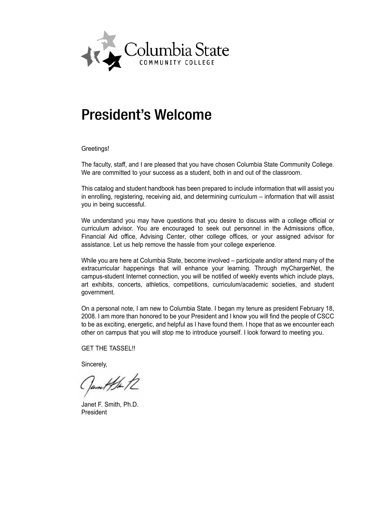

# President's Welcome

Greetings!

The faculty, staff, and I are pleased that you have chosen Columbia State Community College. We are committed to your success as a student, both in and out of the classroom.

This catalog and student handbook has been prepared to include information that will assist you in enrolling, registering, receiving aid, and determining curriculum – information that will assist you in being successful.

We understand you may have questions that you desire to discuss with a college official or curriculum advisor. You are encouraged to seek out personnel in the Admissions office, Financial Aid office, Advising Center, other college offices, or your assigned advisor for assistance. Let us help remove the hassle from your college experience.

While you are here at Columbia State, become involved – participate and/or attend many of the extracurricular happenings that will enhance your learning. Through myChargerNet, the campus-student Internet connection, you will be notified of weekly events which include plays, art exhibits, concerts, athletics, competitions, curriculum/academic societies, and student government.

On a personal note, I am new to Columbia State. I began my tenure as president February 18, 2008. I am more than honored to be your President and I know you will find the people of CSCC to be as exciting, energetic, and helpful as I have found them. I hope that as we encounter each other on campus that you will stop me to introduce yourself. I look forward to meeting you.

GET THE TASSEL!!

Sincerely,

Camil the 12

Janet F. Smith, Ph.D. President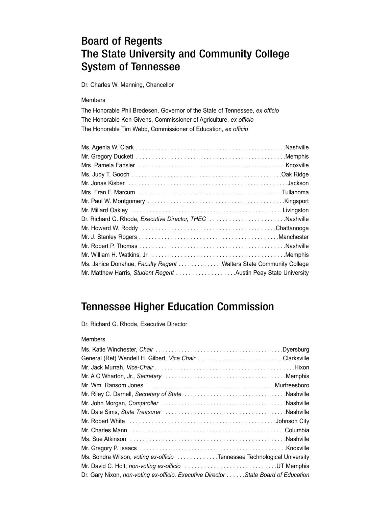# Board of Regents The State University and Community College System of Tennessee

Dr. Charles W. Manning, Chancellor

#### Members

The Honorable Phil Bredesen, Governor of the State of Tennessee, ex officio The Honorable Ken Givens, Commissioner of Agriculture, ex officio The Honorable Tim Webb, Commissioner of Education, ex officio

| Ms. Janice Donahue, Faculty Regent Walters State Community College |  |
|--------------------------------------------------------------------|--|
| Mr. Matthew Harris, Student Regent Austin Peay State University    |  |

# Tennessee Higher Education Commission

Dr. Richard G. Rhoda, Executive Director

#### Members

| Mr. Riley C. Darnell, Secretary of State Nashville                                 |  |
|------------------------------------------------------------------------------------|--|
|                                                                                    |  |
|                                                                                    |  |
|                                                                                    |  |
|                                                                                    |  |
|                                                                                    |  |
|                                                                                    |  |
| Ms. Sondra Wilson, voting ex-officio Tennessee Technological University            |  |
| Mr. David C. Holt, non-voting ex-officio UT Memphis                                |  |
| Dr. Gary Nixon, non-voting ex-officio, Executive Director State Board of Education |  |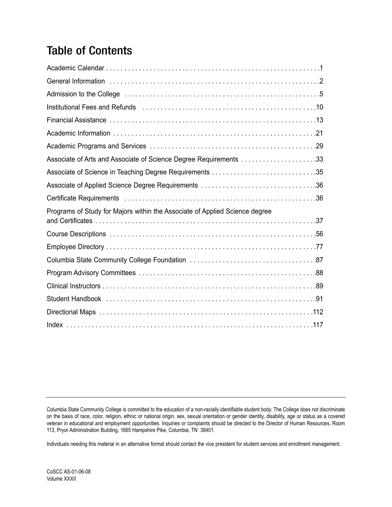# Table of Contents

| Associate of Arts and Associate of Science Degree Requirements 33           |
|-----------------------------------------------------------------------------|
|                                                                             |
|                                                                             |
|                                                                             |
| Programs of Study for Majors within the Associate of Applied Science degree |
|                                                                             |
|                                                                             |
|                                                                             |
|                                                                             |
|                                                                             |
|                                                                             |
|                                                                             |
|                                                                             |

Columbia State Community College is committed to the education of a non-racially identifiable student body. The College does not discriminate on the basis of race, color, religion, ethnic or national origin, sex, sexual orientation or gender identity, disability, age or status as a covered veteran in educational and employment opportunities. Inquiries or complaints should be directed to the Director of Human Resources, Room 113, Pryor Administration Building, 1665 Hampshire Pike, Columbia, TN 38401.

Individuals needing this material in an alternative format should contact the vice president for student services and enrollment management.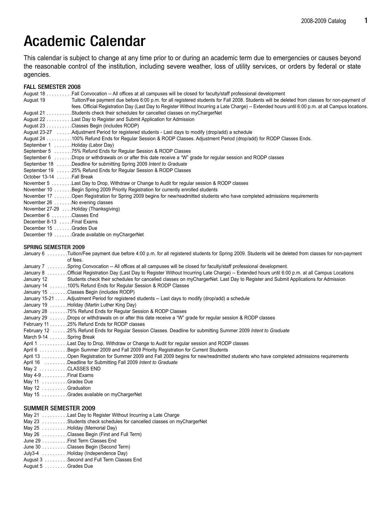# Academic Calendar

This calendar is subject to change at any time prior to or during an academic term due to emergencies or causes beyond the reasonable control of the institution, including severe weather, loss of utility services, or orders by federal or state agencies.

#### FALL SEMESTER 2008

August 18 . . . . . . . . . .Fall Convocation -- All offices at all campuses will be closed for faculty/staff professional development

- August 19 Tuition/Fee payment due before 6:00 p.m. for all registered students for Fall 2008. Students will be deleted from classes for non-payment of fees. Official Registration Day (Last Day to Register Without Incurring a Late Charge) -- Extended hours until 6:00 p.m. at all Campus locations. August 21 . . . . . . . . . Students check their schedules for cancelled classes on myChargerNet
- August 22 . . . . . . . . . .Last Day to Register and Submit Application for Admission
- August 23 . . . . . . . . . .Classes Begin (includes RODP)
- August 23-27 . . . . . .Adjustment Period for registered students Last days to modify (drop/add) a schedule
- August 24 . . . . . . . . . .100% Refund Ends for Regular Session & RODP Classes. Adjustment Period (drop/add) for RODP Classes Ends.
- September 1 . . . . . . . Holiday (Labor Day)
- September 5 . . . . . . .75% Refund Ends for Regular Session & RODP Classes
- September 6 . . . . . . .Drops or withdrawals on or after this date receive a "W" grade for regular session and RODP classes
- September 18 . . . . . . Deadline for submitting Spring 2009 Intent to Graduate
- September 19 . . . . . .25% Refund Ends for Regular Session & RODP Classes
- October 13-14 . . . . . . Fall Break
- November 5 . . . . . . . .Last Day to Drop, Withdraw or Change to Audit for regular session & RODP classes
- November 10 . . . . . . . Begin Spring 2009 Priority Registration for currently enrolled students
- November 17 . . . . . . .Open Registration for Spring 2009 begins for new/readmitted students who have completed admissions requirements
- November 26 . . . . . . . No evening classes
- November 27-29 . . . .Holiday (Thanksgiving)
- December 6 . . . . . . . Classes End
- December 8-13 . . . . . Final Exams
- December 15 . . . . . . . Grades Due
- December 19 . . . . . . . Grade available on myChargerNet

#### SPRING SEMESTER 2009

January 6 . . . . . . . . Tuition/Fee payment due before 4:00 p.m. for all registered students for Spring 2009. Students will be deleted from classes for non-payment of fees. January 7 . . . . . . . Spring Convocation -- All offices at all campuses will be closed for faculty/staff professional development. January 8 . . . . . . . Official Registration Day (Last Day to Register Without Incurring Late Charge) -- Extended hours until 6:00 p.m. at all Campus Locations January 12 Students check their schedules for cancelled classes on myChargerNet. Last Day to Register and Submit Applications for Admission January 14 . . . . . . .100% Refund Ends for Regular Session & RODP Classes January 15 . . . . . . .Classes Begin (includes RODP) January 15-21 . . . . .Adjustment Period for registered students -- Last days to modify (drop/add) a schedule January 19 . . . . . . . Holiday (Martin Luther King Day) January 28 . . . . . . .75% Refund Ends for Regular Session & RODP Classes January 29 . . . . . . . Drops or withdrawals on or after this date receive a "W" grade for regular session & RODP classes February 11 . . . . . . .25% Refund Ends for RODP classes February 12 . . . . . . 25% Refund Ends for Regular Session Classes. Deadline for submitting Summer 2009 Intent to Graduate March 9-14 . . . . . . . Spring Break April 1 . . . . . . . . . . . Last Day to Drop, Withdraw or Change to Audit for regular session and RODP classes April 6 . . . . . . . . . . Begin Summer 2009 and Fall 2009 Priority Registration for Current Students April 13 . . . . . . . . . .Open Registration for Summer 2009 and Fall 2009 begins for new/readmitted students who have completed admissions requirements April 16 . . . . . . . . . Deadline for Submitting Fall 2009 Intent to Graduate May 2 . . . . . . . . . . . CLASSES END May 4-9 . . . . . . . . . . Final Exams May 11 . . . . . . . . . . Grades Due May 12 . . . . . . . . . Graduation May 15 . . . . . . . . . . Grades available on myChargerNet

#### SUMMER SEMESTER 2009

- May 21 . . . . . . . . . Last Day to Register Without Incurring a Late Charge
- May 23 . . . . . . . . . . Students check schedules for cancelled classes on myChargerNet
- May 25 . . . . . . . . . . Holiday (Memorial Day)
- May 26 . . . . . . . . . . Classes Begin (First and Full Term)
- June 29 . . . . . . . . . .First Term Classes End
- June 30 . . . . . . . . . .Classes Begin (Second Term)
- July3-4 . . . . . . . . . . Holiday (Independence Day)
- August 3 . . . . . . . . .Second and Full Term Classes End
- August 5 . . . . . . . . .Grades Due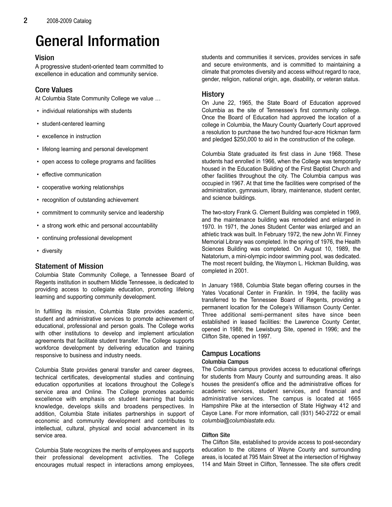# General Information

# Vision

A progressive student-oriented team committed to excellence in education and community service.

# Core Values

At Columbia State Community College we value …

- individual relationships with students
- student-centered learning
- excellence in instruction
- lifelong learning and personal development
- open access to college programs and facilities
- effective communication
- cooperative working relationships
- recognition of outstanding achievement
- commitment to community service and leadership
- a strong work ethic and personal accountability
- continuing professional development
- diversity

# Statement of Mission

Columbia State Community College, a Tennessee Board of Regents institution in southern Middle Tennessee, is dedicated to providing access to collegiate education, promoting lifelong learning and supporting community development.

In fulfilling its mission, Columbia State provides academic, student and administrative services to promote achievement of educational, professional and person goals. The College works with other institutions to develop and implement articulation agreements that facilitate student transfer. The College supports workforce development by delivering education and training responsive to business and industry needs.

Columbia State provides general transfer and career degrees, technical certificates, developmental studies and continuing education opportunities at locations throughout the College's service area and Online. The College promotes academic excellence with emphasis on student learning that builds knowledge, develops skills and broadens perspectives. In addition, Columbia State initiates partnerships in support of economic and community development and contributes to intellectual, cultural, physical and social advancement in its service area.

Columbia State recognizes the merits of employees and supports their professional development activities. The College encourages mutual respect in interactions among employees, students and communities it services, provides services in safe and secure environments, and is committed to maintaining a climate that promotes diversity and access without regard to race, gender, religion, national origin, age, disability, or veteran status.

# History

On June 22, 1965, the State Board of Education approved Columbia as the site of Tennessee's first community college. Once the Board of Education had approved the location of a college in Columbia, the Maury County Quarterly Court approved a resolution to purchase the two hundred four-acre Hickman farm and pledged \$250,000 to aid in the construction of the college.

Columbia State graduated its first class in June 1968. These students had enrolled in 1966, when the College was temporarily housed in the Education Building of the First Baptist Church and other facilities throughout the city. The Columbia campus was occupied in 1967. At that time the facilities were comprised of the administration, gymnasium, library, maintenance, student center, and science buildings.

The two-story Frank G. Clement Building was completed in 1969, and the maintenance building was remodeled and enlarged in 1970. In 1971, the Jones Student Center was enlarged and an athletic track was built. In February 1972, the new John W. Finney Memorial Library was completed. In the spring of 1976, the Health Sciences Building was completed. On August 10, 1989, the Natatorium, a mini-olympic indoor swimming pool, was dedicated. The most recent building, the Waymon L. Hickman Building, was completed in 2001.

In January 1988, Columbia State began offering courses in the Yates Vocational Center in Franklin. In 1994, the facility was transferred to the Tennessee Board of Regents, providing a permanent location for the College's Williamson County Center. Three additional semi-permanent sites have since been established in leased facilities: the Lawrence County Center, opened in 1988; the Lewisburg Site, opened in 1996; and the Clifton Site, opened in 1997.

# Campus Locations

#### Columbia Campus

The Columbia campus provides access to educational offerings for students from Maury County and surrounding areas. It also houses the president's office and the administrative offices for academic services, student services, and financial and administrative services. The campus is located at 1665 Hampshire Pike at the intersection of State Highway 412 and Cayce Lane. For more information, call (931) 540-2722 or email columbia@columbiastate.edu.

# Clifton Site

The Clifton Site, established to provide access to post-secondary education to the citizens of Wayne County and surrounding areas, is located at 795 Main Street at the intersection of Highway 114 and Main Street in Clifton, Tennessee. The site offers credit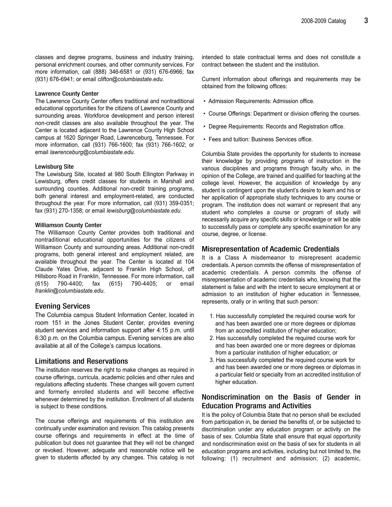classes and degree programs, business and industry training, personal enrichment courses, and other community services. For more information, call (888) 346-6581 or (931) 676-6966; fax (931) 676-6941; or email clifton@columbiastate.edu.

#### Lawrence County Center

The Lawrence County Center offers traditional and nontraditional educational opportunities for the citizens of Lawrence County and surrounding areas. Workforce development and person interest non-credit classes are also available throughout the year. The Center is located adjacent to the Lawrence County High School campus at 1620 Springer Road, Lawrenceburg, Tennessee. For more information, call (931) 766-1600; fax (931) 766-1602; or email lawrenceburg@columbiastate.edu.

#### Lewisburg Site

The Lewisburg Site, located at 980 South Ellington Parkway in Lewisburg, offers credit classes for students in Marshall and surrounding counties. Additional non-credit training programs, both general interest and employment-related, are conducted throughout the year. For more information, call (931) 359-0351; fax (931) 270-1358; or email lewisburg@columbiastate.edu.

#### Williamson County Center

The Williamson County Center provides both traditional and nontraditional educational opportunities for the citizens of Williamson County and surrounding areas. Additional non-credit programs, both general interest and employment related, are available throughout the year. The Center is located at 104 Claude Yates Drive, adjacent to Franklin High School, off Hillsboro Road in Franklin, Tennessee. For more information, call (615) 790-4400; fax (615) 790-4405; or email franklin@columbiastate.edu.

#### Evening Services

The Columbia campus Student Information Center, located in room 151 in the Jones Student Center, provides evening student services and information support after 4:15 p.m. until 6:30 p.m. on the Columbia campus. Evening services are also available at all of the College's campus locations.

#### Limitations and Reservations

The institution reserves the right to make changes as required in course offerings, curricula, academic policies and other rules and regulations affecting students. These changes will govern current and formerly enrolled students and will become effective whenever determined by the institution. Enrollment of all students is subject to these conditions.

The course offerings and requirements of this institution are continually under examination and revision. This catalog presents course offerings and requirements in effect at the time of publication but does not guarantee that they will not be changed or revoked. However, adequate and reasonable notice will be given to students affected by any changes. This catalog is not intended to state contractual terms and does not constitute a contract between the student and the institution.

Current information about offerings and requirements may be obtained from the following offices:

- Admission Requirements: Admission office.
- Course Offerings: Department or division offering the courses.
- Degree Requirements: Records and Registration office.
- Fees and tuition: Business Services office.

Columbia State provides the opportunity for students to increase their knowledge by providing programs of instruction in the various disciplines and programs through faculty who, in the opinion of the College, are trained and qualified for teaching at the college level. However, the acquisition of knowledge by any student is contingent upon the student's desire to learn and his or her application of appropriate study techniques to any course or program. The institution does not warrant or represent that any student who completes a course or program of study will necessarily acquire any specific skills or knowledge or will be able to successfully pass or complete any specific examination for any course, degree, or license.

#### Misrepresentation of Academic Credentials

It is a Class A misdemeanor to misrepresent academic credentials. A person commits the offense of misrepresentation of academic credentials. A person commits the offense of misrepresentation of academic credentials who, knowing that the statement is false and with the intent to secure employment at or admission to an institution of higher education in Tennessee, represents, orally or in writing that such person:

- 1. Has successfully completed the required course work for and has been awarded one or more degrees or diplomas from an accredited institution of higher education;
- 2. Has successfully completed the required course work for and has been awarded one or more degrees or diplomas from a particular institution of higher education; or
- 3. Has successfully completed the required course work for and has been awarded one or more degrees or diplomas in a particular field or specialty from an accredited institution of higher education.

# Nondiscrimination on the Basis of Gender in Education Programs and Activities

It is the policy of Columbia State that no person shall be excluded from participation in, be denied the benefits of, or be subjected to discrimination under any education program or activity on the basis of sex. Columbia State shall ensure that equal opportunity and nondiscrimination exist on the basis of sex for students in all education programs and activities, including but not limited to, the following: (1) recruitment and admission; (2) academic,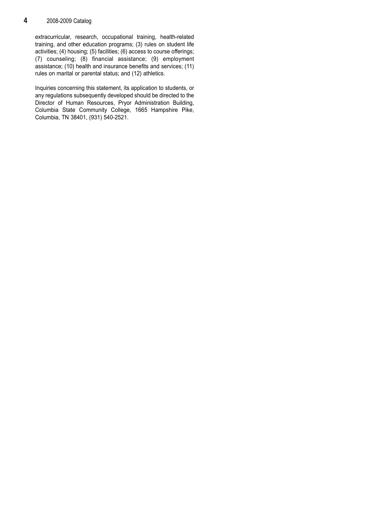# 4 2008-2009 Catalog

extracurricular, research, occupational training, health-related training, and other education programs; (3) rules on student life activities; (4) housing; (5) facilities; (6) access to course offerings; (7) counseling; (8) financial assistance; (9) employment assistance; (10) health and insurance benefits and services; (11) rules on marital or parental status; and (12) athletics.

Inquiries concerning this statement, its application to students, or any regulations subsequently developed should be directed to the Director of Human Resources, Pryor Administration Building, Columbia State Community College, 1665 Hampshire Pike, Columbia, TN 38401, (931) 540-2521.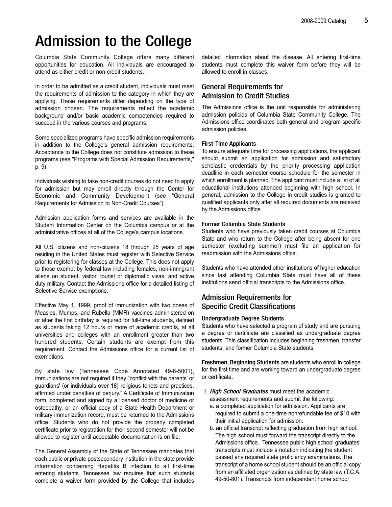# Admission to the College

Columbia State Community College offers many different opportunities for education. All individuals are encouraged to attend as either credit or non-credit students.

In order to be admitted as a credit student, individuals must meet the requirements of admission to the category in which they are applying. These requirements differ depending on the type of admission chosen. The requirements reflect the academic background and/or basic academic competencies required to succeed in the various courses and programs.

Some specialized programs have specific admission requirements in addition to the College's general admission requirements. Acceptance to the College does not constitute admission to these programs (see "Programs with Special Admission Requirements," p. 9).

Individuals wishing to take non-credit courses do not need to apply for admission but may enroll directly through the Center for Economic and Community Development (see "General Requirements for Admission to Non-Credit Courses").

Admission application forms and services are available in the Student Information Center on the Columbia campus or at the administrative offices at all of the College's campus locations.

All U.S. citizens and non-citizens 18 through 25 years of age residing in the United States must register with Selective Service prior to registering for classes at the College. This does not apply to those exempt by federal law including females, non-immigrant aliens on student, visitor, tourist or diplomatic visas, and active duty military. Contact the Admissions office for a detailed listing of Selective Service exemptions.

Effective May 1, 1999, proof of immunization with two doses of Measles, Mumps, and Rubella (MMR) vaccines administered on or after the first birthday is required for full-time students, defined as students taking 12 hours or more of academic credits, at all universities and colleges with an enrollment greater than two hundred students. Certain students are exempt from this requirement. Contact the Admissions office for a current list of exemptions.

By state law (Tennessee Code Annotated 49-6-5001), immunizations are not required if they "conflict with the parents' or guardians' (or individuals over 18) religious tenets and practices, affirmed under penalties of perjury." A Certificate of Immunization form, completed and signed by a licensed doctor of medicine or osteopathy, or an official copy of a State Health Department or military immunization record, must be returned to the Admissions office. Students who do not provide the properly completed certificate prior to registration for their second semester will not be allowed to register until acceptable documentation is on file.

The General Assembly of the State of Tennessee mandates that each public or private postsecondary institution in the state provide information concerning Hepatitis B infection to all first-time entering students. Tennessee law requires that such students complete a waiver form provided by the College that includes

detailed information about the disease. All entering first-time students must complete this waiver form before they will be allowed to enroll in classes.

# General Requirements for Admission to Credit Studies

The Admissions office is the unit responsible for administering admission policies of Columbia State Community College. The Admissions office coordinates both general and program-specific admission policies.

#### First-Time Applicants

To ensure adequate time for processing applications, the applicant should submit an application for admission and satisfactory scholastic credentials by the priority processing application deadline in each semester course schedule for the semester in which enrollment is planned. The applicant must include a list of all educational institutions attended beginning with high school. In general, admission to the College in credit studies is granted to qualified applicants only after all required documents are received by the Admissions office.

#### Former Columbia State Students

Students who have previously taken credit courses at Columbia State and who return to the College after being absent for one semester (excluding summer) must file an application for readmission with the Admissions office.

Students who have attended other institutions of higher education since last attending Columbia State must have all of these institutions send official transcripts to the Admissions office.

# Admission Requirements for Specific Credit Classifications

#### Undergraduate Degree Students

Students who have selected a program of study and are pursuing a degree or certificate are classified as undergraduate degree students. This classification includes beginning freshmen, transfer students, and former Columbia State students.

Freshmen, Beginning Students are students who enroll in college for the first time and are working toward an undergraduate degree or certificate.

- 1. High School Graduates must meet the academic assessment requirements and submit the following:
	- a. a completed application for admission. Applicants are required to submit a one-time nonrefundable fee of \$10 with their initial application for admission.
	- b. an official transcript reflecting graduation from high school. The high school must forward the transcript directly to the Admissions office. Tennessee public high school graduates' transcripts must include a notation indicating the student passed any required state proficiency examinations. The transcript of a home school student should be an official copy from an affiliated organization as defined by state law (T.C.A. 49-50-801). Transcripts from independent home school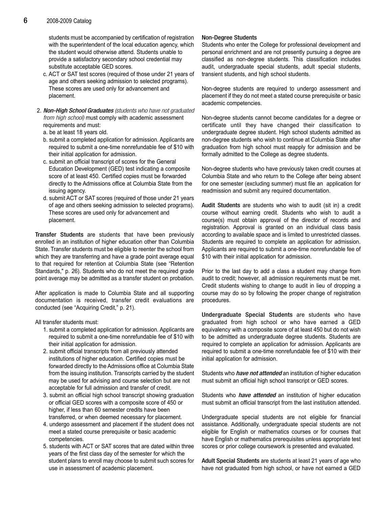students must be accompanied by certification of registration with the superintendent of the local education agency, which the student would otherwise attend. Students unable to provide a satisfactory secondary school credential may substitute acceptable GED scores.

- c. ACT or SAT test scores (required of those under 21 years of age and others seeking admission to selected programs). These scores are used only for advancement and placement.
- 2. Non-High School Graduates (students who have not graduated from high school) must comply with academic assessment requirements and must:
	- a. be at least 18 years old.
	- b. submit a completed application for admission. Applicants are required to submit a one-time nonrefundable fee of \$10 with their initial application for admission.
	- c. submit an official transcript of scores for the General Education Development (GED) test indicating a composite score of at least 450. Certified copies must be forwarded directly to the Admissions office at Columbia State from the issuing agency.
	- d. submit ACT or SAT scores (required of those under 21 years of age and others seeking admission to selected programs). These scores are used only for advancement and placement.

Transfer Students are students that have been previously enrolled in an institution of higher education other than Columbia State. Transfer students must be eligible to reenter the school from which they are transferring and have a grade point average equal to that required for retention at Columbia State (see "Retention Standards," p. 26). Students who do not meet the required grade point average may be admitted as a transfer student on probation.

After application is made to Columbia State and all supporting documentation is received, transfer credit evaluations are conducted (see "Acquiring Credit," p. 21).

All transfer students must:

- 1. submit a completed application for admission. Applicants are required to submit a one-time nonrefundable fee of \$10 with their initial application for admission.
- 2. submit official transcripts from all previously attended institutions of higher education. Certified copies must be forwarded directly to the Admissions office at Columbia State from the issuing institution. Transcripts carried by the student may be used for advising and course selection but are not acceptable for full admission and transfer of credit.
- 3. submit an official high school transcript showing graduation or official GED scores with a composite score of 450 or higher, if less than 60 semester credits have been transferred, or when deemed necessary for placement.
- 4. undergo assessment and placement if the student does not meet a stated course prerequisite or basic academic competencies.
- 5. students with ACT or SAT scores that are dated within three years of the first class day of the semester for which the student plans to enroll may choose to submit such scores for use in assessment of academic placement.

#### Non-Degree Students

Students who enter the College for professional development and personal enrichment and are not presently pursuing a degree are classified as non-degree students. This classification includes audit, undergraduate special students, adult special students, transient students, and high school students.

Non-degree students are required to undergo assessment and placement if they do not meet a stated course prerequisite or basic academic competencies.

Non-degree students cannot become candidates for a degree or certificate until they have changed their classification to undergraduate degree student. High school students admitted as non-degree students who wish to continue at Columbia State after graduation from high school must reapply for admission and be formally admitted to the College as degree students.

Non-degree students who have previously taken credit courses at Columbia State and who return to the College after being absent for one semester (excluding summer) must file an application for readmission and submit any required documentation.

Audit Students are students who wish to audit (sit in) a credit course without earning credit. Students who wish to audit a course(s) must obtain approval of the director of records and registration. Approval is granted on an individual class basis according to available space and is limited to unrestricted classes. Students are required to complete an application for admission. Applicants are required to submit a one-time nonrefundable fee of \$10 with their initial application for admission.

Prior to the last day to add a class a student may change from audit to credit; however, all admission requirements must be met. Credit students wishing to change to audit in lieu of dropping a course may do so by following the proper change of registration procedures.

Undergraduate Special Students are students who have graduated from high school or who have earned a GED equivalency with a composite score of at least 450 but do not wish to be admitted as undergraduate degree students. Students are required to complete an application for admission. Applicants are required to submit a one-time nonrefundable fee of \$10 with their initial application for admission.

Students who *have not attended* an institution of higher education must submit an official high school transcript or GED scores.

Students who *have attended* an institution of higher education must submit an official transcript from the last institution attended.

Undergraduate special students are not eligible for financial assistance. Additionally, undergraduate special students are not eligible for English or mathematics courses or for courses that have English or mathematics prerequisites unless appropriate test scores or prior college coursework is presented and evaluated.

Adult Special Students are students at least 21 years of age who have not graduated from high school, or have not earned a GED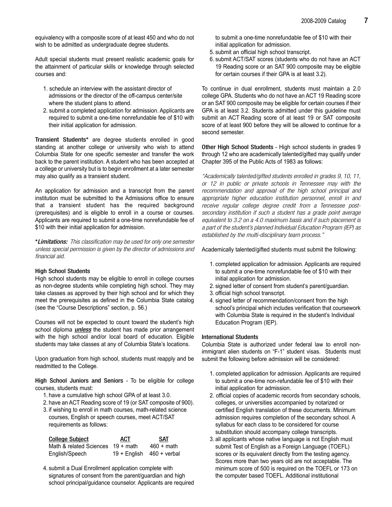equivalency with a composite score of at least 450 and who do not wish to be admitted as undergraduate degree students.

Adult special students must present realistic academic goals for the attainment of particular skills or knowledge through selected courses and:

- 1. schedule an interview with the assistant director of admissions or the director of the off-campus center/site where the student plans to attend.
- 2. submit a completed application for admission. Applicants are required to submit a one-time nonrefundable fee of \$10 with their initial application for admission.

Transient Students\* are degree students enrolled in good standing at another college or university who wish to attend Columbia State for one specific semester and transfer the work back to the parent institution. A student who has been accepted at a college or university but is to begin enrollment at a later semester may also qualify as a transient student.

An application for admission and a transcript from the parent institution must be submitted to the Admissions office to ensure that a transient student has the required background (prerequisites) and is eligible to enroll in a course or courses. Applicants are required to submit a one-time nonrefundable fee of \$10 with their initial application for admission.

\*Limitations: This classification may be used for only one semester unless special permission is given by the director of admissions and financial aid.

#### High School Students

High school students may be eligible to enroll in college courses as non-degree students while completing high school. They may take classes as approved by their high school and for which they meet the prerequisites as defined in the Columbia State catalog (see the "Course Descriptions" section, p. 56.)

Courses will not be expected to count toward the student's high school diploma *unless* the student has made prior arrangement with the high school and/or local board of education. Eligible students may take classes at any of Columbia State's locations.

Upon graduation from high school, students must reapply and be readmitted to the College.

High School Juniors and Seniors - To be eligible for college courses, students must:

- 1. have a cumulative high school GPA of at least 3.0.
- 2. have an ACT Reading score of 19 (or SAT composite of 900).
- 3. if wishing to enroll in math courses, math-related science courses, English or speech courses, meet ACT/SAT requirements as follows:

| <b>College Subject</b>                     | ACT | <b>SAT</b>                    |
|--------------------------------------------|-----|-------------------------------|
| Math & related Sciences $19 + \text{math}$ |     | $460 + \text{math}$           |
| English/Speech                             |     | $19 +$ English $460 +$ verbal |

4. submit a Dual Enrollment application complete with signatures of consent from the parent/guardian and high school principal/guidance counselor. Applicants are required to submit a one-time nonrefundable fee of \$10 with their initial application for admission.

- 5. submit an official high school transcript.
- 6. submit ACT/SAT scores (students who do not have an ACT 19 Reading score or an SAT 900 composite may be eligible for certain courses if their GPA is at least 3.2).

To continue in dual enrollment, students must maintain a 2.0 college GPA. Students who do not have an ACT 19 Reading score or an SAT 900 composite may be eligible for certain courses if their GPA is at least 3.2. Students admitted under this guideline must submit an ACT Reading score of at least 19 or SAT composite score of at least 900 before they will be allowed to continue for a second semester.

Other High School Students - High school students in grades 9 through 12 who are academically talented/gifted may qualify under Chapter 395 of the Public Acts of 1983 as follows:

"Academically talented/gifted students enrolled in grades 9, 10, 11, or 12 in public or private schools in Tennessee may with the recommendation and approval of the high school principal and appropriate higher education institution personnel, enroll in and receive regular college degree credit from a Tennessee postsecondary institution if such a student has a grade point average equivalent to 3.2 on a 4.0 maximum basis and if such placement is a part of the student's planned Individual Education Program (IEP) as established by the multi-disciplinary team process."

Academically talented/gifted students must submit the following:

- 1. completed application for admission. Applicants are required to submit a one-time nonrefundable fee of \$10 with their initial application for admission.
- 2. signed letter of consent from student's parent/guardian.
- 3. official high school transcript.
- 4. signed letter of recommendation/consent from the high school's principal which includes verification that coursework with Columbia State is required in the student's Individual Education Program (IEP).

#### International Students

Columbia State is authorized under federal law to enroll nonimmigrant alien students on "F-1" student visas. Students must submit the following before admission will be considered:

- 1. completed application for admission. Applicants are required to submit a one-time non-refundable fee of \$10 with their initial application for admission.
- 2. official copies of academic records from secondary schools, colleges, or universities accompanied by notarized or certified English translation of these documents. Minimum admission requires completion of the secondary school. A syllabus for each class to be considered for course substitution should accompany college transcripts.
- 3. all applicants whose native language is not English must submit Test of English as a Foreign Language (TOEFL) scores or its equivalent directly from the testing agency. Scores more than two years old are not acceptable. The minimum score of 500 is required on the TOEFL or 173 on the computer based TOEFL. Additional institutional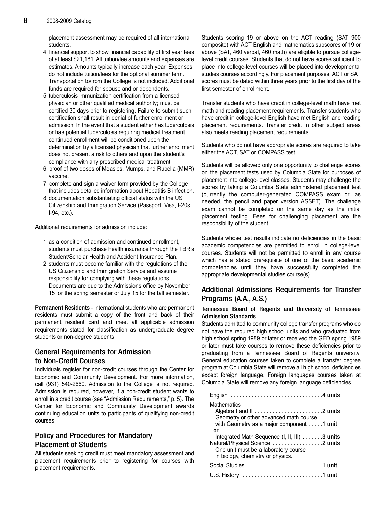placement assessment may be required of all international students.

- 4. financial support to show financial capability of first year fees of at least \$21,181. All tuition/fee amounts and expenses are estimates. Amounts typically increase each year. Expenses do not include tuition/fees for the optional summer term. Transportation to/from the College is not included. Additional funds are required for spouse and or dependents.
- 5. tuberculosis immunization certification from a licensed physician or other qualified medical authority; must be certified 30 days prior to registering. Failure to submit such certification shall result in denial of further enrollment or admission. In the event that a student either has tuberculosis or has potential tuberculosis requiring medical treatment, continued enrollment will be conditioned upon the determination by a licensed physician that further enrollment does not present a risk to others and upon the student's compliance with any prescribed medical treatment.
- 6. proof of two doses of Measles, Mumps, and Rubella (MMR) vaccine.
- 7. complete and sign a waiver form provided by the College that includes detailed information about Hepatitis B infection.
- 8. documentation substantiating official status with the US Citizenship and Immigration Service (Passport, Visa, I-20s, I-94, etc.).

Additional requirements for admission include:

- 1. as a condition of admission and continued enrollment, students must purchase health insurance through the TBR's Student/Scholar Health and Accident Insurance Plan.
- 2. students must become familiar with the regulations of the US Citizenship and Immigration Service and assume responsibility for complying with these regulations. Documents are due to the Admissions office by November 15 for the spring semester or July 15 for the fall semester.

Permanent Residents - International students who are permanent residents must submit a copy of the front and back of their permanent resident card and meet all applicable admission requirements stated for classification as undergraduate degree students or non-degree students.

# General Requirements for Admission to Non-Credit Courses

Individuals register for non-credit courses through the Center for Economic and Community Development. For more information, call (931) 540-2660. Admission to the College is not required. Admission is required, however, if a non-credit student wants to enroll in a credit course (see "Admission Requirements," p. 5). The Center for Economic and Community Development awards continuing education units to participants of qualifying non-credit courses.

# Policy and Procedures for Mandatory Placement of Students

All students seeking credit must meet mandatory assessment and placement requirements prior to registering for courses with placement requirements.

Students scoring 19 or above on the ACT reading (SAT 900 composite) with ACT English and mathematics subscores of 19 or above (SAT, 460 verbal, 460 math) are eligible to pursue collegelevel credit courses. Students that do not have scores sufficient to place into college-level courses will be placed into developmental studies courses accordingly. For placement purposes, ACT or SAT scores must be dated within three years prior to the first day of the first semester of enrollment.

Transfer students who have credit in college-level math have met math and reading placement requirements. Transfer students who have credit in college-level English have met English and reading placement requirements. Transfer credit in other subject areas also meets reading placement requirements.

Students who do not have appropriate scores are required to take either the ACT, SAT or COMPASS test.

Students will be allowed only one opportunity to challenge scores on the placement tests used by Columbia State for purposes of placement into college-level classes. Students may challenge the scores by taking a Columbia State administered placement test (currently the computer-generated COMPASS exam or, as needed, the pencil and paper version ASSET). The challenge exam cannot be completed on the same day as the initial placement testing. Fees for challenging placement are the responsibility of the student.

Students whose test results indicate no deficiencies in the basic academic competencies are permitted to enroll in college-level courses. Students will not be permitted to enroll in any course which has a stated prerequisite of one of the basic academic competencies until they have successfully completed the appropriate developmental studies course(s).

# Additional Admissions Requirements for Transfer Programs (A.A., A.S.)

#### Tennessee Board of Regents and University of Tennessee Admission Standards

Students admitted to community college transfer programs who do not have the required high school units and who graduated from high school spring 1989 or later or received the GED spring 1989 or later must take courses to remove these deficiencies prior to graduating from a Tennessee Board of Regents university. General education courses taken to complete a transfer degree program at Columbia State will remove all high school deficiencies except foreign language. Foreign languages courses taken at Columbia State will remove any foreign language deficiencies.

| <b>Mathematics</b><br>Geometry or other advanced math course<br>with Geometry as a major component 1 unit<br>or                                                |
|----------------------------------------------------------------------------------------------------------------------------------------------------------------|
| Integrated Math Sequence (I, II, III) 3 units<br>Natural/Physical Science 2 units<br>One unit must be a laboratory course<br>in biology, chemistry or physics. |
| Social Studies 1 unit                                                                                                                                          |
|                                                                                                                                                                |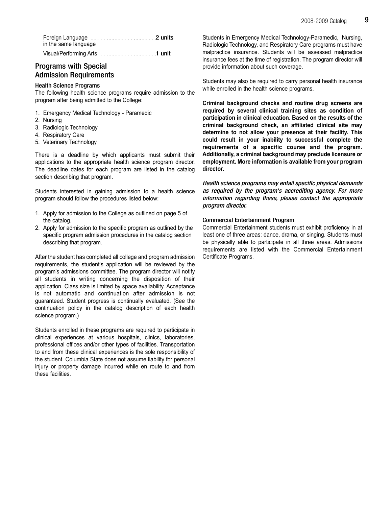Foreign Language ..........................2 units in the same language Visual/Performing Arts . . . . . . . . . . . . . . . . . . 1 unit

# Programs with Special Admission Requirements

#### Health Science Programs

The following health science programs require admission to the program after being admitted to the College:

- 1. Emergency Medical Technology Paramedic
- 2. Nursing
- 3. Radiologic Technology
- 4. Respiratory Care
- 5. Veterinary Technology

There is a deadline by which applicants must submit their applications to the appropriate health science program director. The deadline dates for each program are listed in the catalog section describing that program.

Students interested in gaining admission to a health science program should follow the procedures listed below:

- 1. Apply for admission to the College as outlined on page 5 of the catalog.
- 2. Apply for admission to the specific program as outlined by the specific program admission procedures in the catalog section describing that program.

After the student has completed all college and program admission requirements, the student's application will be reviewed by the program's admissions committee. The program director will notify all students in writing concerning the disposition of their application. Class size is limited by space availability. Acceptance is not automatic and continuation after admission is not guaranteed. Student progress is continually evaluated. (See the continuation policy in the catalog description of each health science program.)

Students enrolled in these programs are required to participate in clinical experiences at various hospitals, clinics, laboratories, professional offices and/or other types of facilities. Transportation to and from these clinical experiences is the sole responsibility of the student. Columbia State does not assume liability for personal injury or property damage incurred while en route to and from these facilities.

Students in Emergency Medical Technology-Paramedic, Nursing, Radiologic Technology, and Respiratory Care programs must have malpractice insurance. Students will be assessed malpractice insurance fees at the time of registration. The program director will provide information about such coverage.

Students may also be required to carry personal health insurance while enrolled in the health science programs.

Criminal background checks and routine drug screens are required by several clinical training sites as condition of participation in clinical education. Based on the results of the criminal background check, an affiliated clinical site may determine to not allow your presence at their facility. This could result in your inability to successful complete the requirements of a specific course and the program. Additionally, a criminal background may preclude licensure or employment. More information is available from your program director.

Health science programs may entail specific physical demands as required by the program's accrediting agency. For more information regarding these, please contact the appropriate program director.

#### Commercial Entertainment Program

Commercial Entertainment students must exhibit proficiency in at least one of three areas: dance, drama, or singing. Students must be physically able to participate in all three areas. Admissions requirements are listed with the Commercial Entertainment Certificate Programs.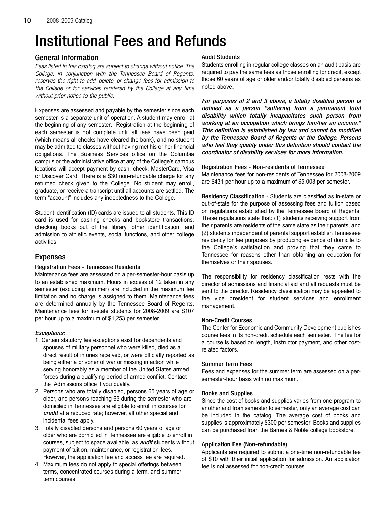# Institutional Fees and Refunds

# General Information

Fees listed in this catalog are subject to change without notice. The College, in conjunction with the Tennessee Board of Regents, reserves the right to add, delete, or change fees for admission to the College or for services rendered by the College at any time without prior notice to the public.

Expenses are assessed and payable by the semester since each semester is a separate unit of operation. A student may enroll at the beginning of any semester. Registration at the beginning of each semester is not complete until all fees have been paid (which means all checks have cleared the bank), and no student may be admitted to classes without having met his or her financial obligations. The Business Services office on the Columbia campus or the administrative office at any of the College's campus locations will accept payment by cash, check, MasterCard, Visa or Discover Card. There is a \$30 non-refundable charge for any returned check given to the College. No student may enroll, graduate, or receive a transcript until all accounts are settled. The term "account" includes any indebtedness to the College.

Student identification (ID) cards are issued to all students. This ID card is used for cashing checks and bookstore transactions, checking books out of the library, other identification, and admission to athletic events, social functions, and other college activities.

# Expenses

#### Registration Fees - Tennessee Residents

Maintenance fees are assessed on a per-semester-hour basis up to an established maximum. Hours in excess of 12 taken in any semester (excluding summer) are included in the maximum fee limitation and no charge is assigned to them. Maintenance fees are determined annually by the Tennessee Board of Regents. Maintenance fees for in-state students for 2008-2009 are \$107 per hour up to a maximum of \$1,253 per semester.

# Exceptions:

- 1. Certain statutory fee exceptions exist for dependents and spouses of military personnel who were killed, died as a direct result of injuries received, or were officially reported as being either a prisoner of war or missing in action while serving honorably as a member of the United States armed forces during a qualifying period of armed conflict. Contact the Admissions office if you qualify.
- 2. Persons who are totally disabled, persons 65 years of age or older, and persons reaching 65 during the semester who are domiciled in Tennessee are eligible to enroll in courses for credit at a reduced rate; however, all other special and incidental fees apply.
- 3. Totally disabled persons and persons 60 years of age or older who are domiciled in Tennessee are eligible to enroll in courses, subject to space available, as **audit** students without payment of tuition, maintenance, or registration fees. However, the application fee and access fee are required.
- 4. Maximum fees do not apply to special offerings between terms, concentrated courses during a term, and summer term courses.

#### Audit Students

Students enrolling in regular college classes on an audit basis are required to pay the same fees as those enrolling for credit, except those 60 years of age or older and/or totally disabled persons as noted above.

For purposes of 2 and 3 above, a totally disabled person is defined as a person "suffering from a permanent total disability which totally incapacitates such person from working at an occupation which brings him/her an income." This definition is established by law and cannot be modified by the Tennessee Board of Regents or the College. Persons who feel they qualify under this definition should contact the coordinator of disability services for more information.

#### Registration Fees - Non-residents of Tennessee

Maintenance fees for non-residents of Tennessee for 2008-2009 are \$431 per hour up to a maximum of \$5,003 per semester.

Residency Classification - Students are classified as in-state or out-of-state for the purpose of assessing fees and tuition based on regulations established by the Tennessee Board of Regents. These regulations state that: (1) students receiving support from their parents are residents of the same state as their parents, and (2) students independent of parental support establish Tennessee residency for fee purposes by producing evidence of domicile to the College's satisfaction and proving that they came to Tennessee for reasons other than obtaining an education for themselves or their spouses.

The responsibility for residency classification rests with the director of admissions and financial aid and all requests must be sent to the director. Residency classification may be appealed to the vice president for student services and enrollment management.

#### Non-Credit Courses

The Center for Economic and Community Development publishes course fees in its non-credit schedule each semester. The fee for a course is based on length, instructor payment, and other costrelated factors.

#### Summer Term Fees

Fees and expenses for the summer term are assessed on a persemester-hour basis with no maximum.

#### Books and Supplies

Since the cost of books and supplies varies from one program to another and from semester to semester, only an average cost can be included in the catalog. The average cost of books and supplies is approximately \$300 per semester. Books and supplies can be purchased from the Barnes & Noble college bookstore.

#### Application Fee (Non-refundable)

Applicants are required to submit a one-time non-refundable fee of \$10 with their initial application for admission. An application fee is not assessed for non-credit courses.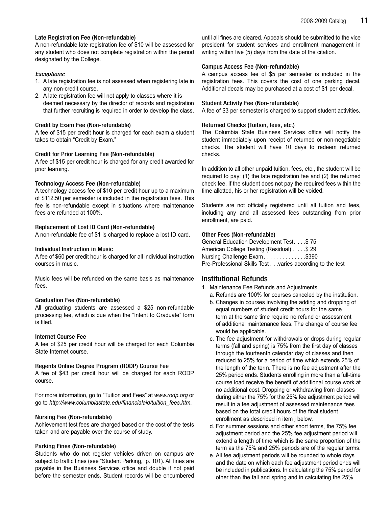#### Late Registration Fee (Non-refundable)

A non-refundable late registration fee of \$10 will be assessed for any student who does not complete registration within the period designated by the College.

#### Exceptions:

- 1. A late registration fee is not assessed when registering late in any non-credit course.
- 2. A late registration fee will not apply to classes where it is deemed necessary by the director of records and registration that further recruiting is required in order to develop the class.

#### Credit by Exam Fee (Non-refundable)

A fee of \$15 per credit hour is charged for each exam a student takes to obtain "Credit by Exam."

#### Credit for Prior Learning Fee (Non-refundable)

A fee of \$15 per credit hour is charged for any credit awarded for prior learning.

#### Technology Access Fee (Non-refundable)

A technology access fee of \$10 per credit hour up to a maximum of \$112.50 per semester is included in the registration fees. This fee is non-refundable except in situations where maintenance fees are refunded at 100%.

#### Replacement of Lost ID Card (Non-refundable)

A non-refundable fee of \$1 is charged to replace a lost ID card.

#### Individual Instruction in Music

A fee of \$60 per credit hour is charged for all individual instruction courses in music.

Music fees will be refunded on the same basis as maintenance fees.

#### Graduation Fee (Non-refundable)

All graduating students are assessed a \$25 non-refundable processing fee, which is due when the "Intent to Graduate" form is filed.

#### Internet Course Fee

A fee of \$25 per credit hour will be charged for each Columbia State Internet course.

#### Regents Online Degree Program (RODP) Course Fee

A fee of \$43 per credit hour will be charged for each RODP course.

For more information, go to "Tuition and Fees" at www.rodp.org or go to http://www.columbiastate.edu/financialaid/tuition\_fees.htm.

#### Nursing Fee (Non-refundable)

Achievement test fees are charged based on the cost of the tests taken and are payable over the course of study.

#### Parking Fines (Non-refundable)

Students who do not register vehicles driven on campus are subject to traffic fines (see "Student Parking," p. 101). All fines are payable in the Business Services office and double if not paid before the semester ends. Student records will be encumbered

until all fines are cleared. Appeals should be submitted to the vice president for student services and enrollment management in writing within five (5) days from the date of the citation.

#### Campus Access Fee (Non-refundable)

A campus access fee of \$5 per semester is included in the registration fees. This covers the cost of one parking decal. Additional decals may be purchased at a cost of \$1 per decal.

#### Student Activity Fee (Non-refundable)

A fee of \$3 per semester is charged to support student activities.

#### Returned Checks (Tuition, fees, etc.)

The Columbia State Business Services office will notify the student immediately upon receipt of returned or non-negotiable checks. The student will have 10 days to redeem returned checks.

In addition to all other unpaid tuition, fees, etc., the student will be required to pay: (1) the late registration fee and (2) the returned check fee. If the student does not pay the required fees within the time allotted, his or her registration will be voided.

Students are not officially registered until all tuition and fees, including any and all assessed fees outstanding from prior enrollment, are paid.

#### Other Fees (Non-refundable)

General Education Development Test. . . .\$ 75 American College Testing (Residual) . . . .\$ 29 Nursing Challenge Exam. . . . . . . . . . . . . \$390 Pre-Professional Skills Test. . .varies according to the test

# Institutional Refunds

- 1. Maintenance Fee Refunds and Adjustments
	- a. Refunds are 100% for courses canceled by the institution.
	- b. Changes in courses involving the adding and dropping of equal numbers of student credit hours for the same term at the same time require no refund or assessment of additional maintenance fees. The change of course fee would be applicable.
	- c. The fee adjustment for withdrawals or drops during regular terms (fall and spring) is 75% from the first day of classes through the fourteenth calendar day of classes and then reduced to 25% for a period of time which extends 25% of the length of the term. There is no fee adjustment after the 25% period ends. Students enrolling in more than a full-time course load receive the benefit of additional course work at no additional cost. Dropping or withdrawing from classes during either the 75% for the 25% fee adjustment period will result in a fee adjustment of assessed maintenance fees based on the total credit hours of the final student enrollment as described in item j below.
	- d. For summer sessions and other short terms, the 75% fee adjustment period and the 25% fee adjustment period will extend a length of time which is the same proportion of the term as the 75% and 25% periods are of the regular terms.
	- e. All fee adjustment periods will be rounded to whole days and the date on which each fee adjustment period ends will be included in publications. In calculating the 75% period for other than the fall and spring and in calculating the 25%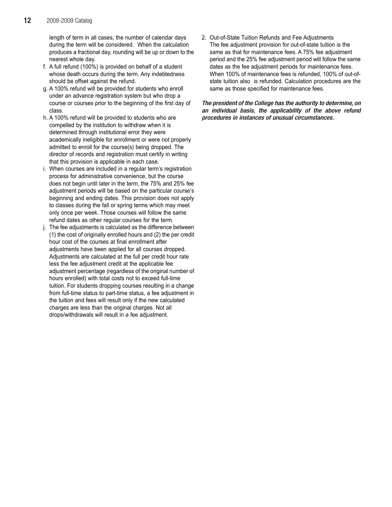length of term in all cases, the number of calendar days during the term will be considered. When the calculation produces a fractional day, rounding will be up or down to the nearest whole day.

- f. A full refund (100%) is provided on behalf of a student whose death occurs during the term. Any indebtedness should be offset against the refund.
- g. A 100% refund will be provided for students who enroll under an advance registration system but who drop a course or courses prior to the beginning of the first day of class.
- h. A 100% refund will be provided to students who are compelled by the institution to withdraw when it is determined through institutional error they were academically ineligible for enrollment or were not properly admitted to enroll for the course(s) being dropped. The director of records and registration must certify in writing that this provision is applicable in each case.
- i. When courses are included in a regular term's registration process for administrative convenience, but the course does not begin until later in the term, the 75% and 25% fee adjustment periods will be based on the particular course's beginning and ending dates. This provision does not apply to classes during the fall or spring terms which may meet only once per week. Those courses will follow the same refund dates as other regular courses for the term.
- j. The fee adjustments is calculated as the difference between (1) the cost of originally enrolled hours and (2) the per credit hour cost of the courses at final enrollment after adjustments have been applied for all courses dropped. Adjustments are calculated at the full per credit hour rate less the fee adjustment credit at the applicable fee adjustment percentage (regardless of the original number of hours enrolled) with total costs not to exceed full-time tuition. For students dropping courses resulting in a change from full-time status to part-time status, a fee adjustment in the tuition and fees will result only if the new calculated charges are less than the original charges. Not all drops/withdrawals will result in a fee adjustment.

2. Out-of-State Tuition Refunds and Fee Adjustments The fee adjustment provision for out-of-state tuition is the same as that for maintenance fees. A 75% fee adjustment period and the 25% fee adjustment period will follow the same dates as the fee adjustment periods for maintenance fees. When 100% of maintenance fees is refunded, 100% of out-ofstate tuition also is refunded. Calculation procedures are the same as those specified for maintenance fees.

The president of the College has the authority to determine, on an individual basis, the applicability of the above refund procedures in instances of unusual circumstances.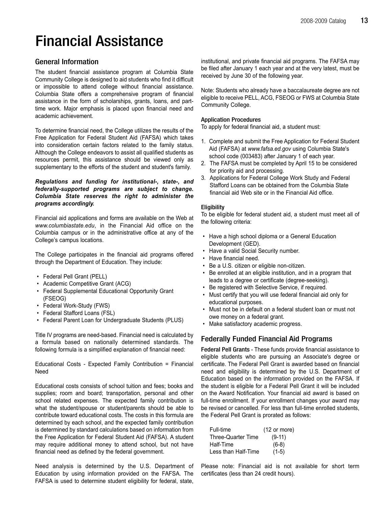# Financial Assistance

# General Information

The student financial assistance program at Columbia State Community College is designed to aid students who find it difficult or impossible to attend college without financial assistance. Columbia State offers a comprehensive program of financial assistance in the form of scholarships, grants, loans, and parttime work. Major emphasis is placed upon financial need and academic achievement.

To determine financial need, the College utilizes the results of the Free Application for Federal Student Aid (FAFSA) which takes into consideration certain factors related to the family status. Although the College endeavors to assist all qualified students as resources permit, this assistance should be viewed only as supplementary to the efforts of the student and student's family.

#### Regulations and funding for institutional-, state-, and federally-supported programs are subject to change. Columbia State reserves the right to administer the programs accordingly.

Financial aid applications and forms are available on the Web at www.columbiastate.edu, in the Financial Aid office on the Columbia campus or in the administrative office at any of the College's campus locations.

The College participates in the financial aid programs offered through the Department of Education. They include:

- Federal Pell Grant (PELL)
- Academic Competitive Grant (ACG)
- Federal Supplemental Educational Opportunity Grant (FSEOG)
- Federal Work-Study (FWS)
- Federal Stafford Loans (FSL)
- Federal Parent Loan for Undergraduate Students (PLUS)

Title IV programs are need-based. Financial need is calculated by a formula based on nationally determined standards. The following formula is a simplified explanation of financial need:

Educational Costs - Expected Family Contribution = Financial Need

Educational costs consists of school tuition and fees; books and supplies; room and board; transportation, personal and other school related expenses. The expected family contribution is what the student/spouse or student/parents should be able to contribute toward educational costs. The costs in this formula are determined by each school, and the expected family contribution is determined by standard calculations based on information from the Free Application for Federal Student Aid (FAFSA). A student may require additional money to attend school, but not have financial need as defined by the federal government.

Need analysis is determined by the U.S. Department of Education by using information provided on the FAFSA. The FAFSA is used to determine student eligibility for federal, state,

institutional, and private financial aid programs. The FAFSA may be filed after January 1 each year and at the very latest, must be received by June 30 of the following year.

Note: Students who already have a baccalaureate degree are not eligible to receive PELL, ACG, FSEOG or FWS at Columbia State Community College.

#### Application Procedures

To apply for federal financial aid, a student must:

- 1. Complete and submit the Free Application for Federal Student Aid (FAFSA) at www.fafsa.ed.gov using Columbia State's school code (003483) after January 1 of each year.
- 2. The FAFSA must be completed by April 15 to be considered for priority aid and processing.
- 3. Applications for Federal College Work Study and Federal Stafford Loans can be obtained from the Columbia State financial aid Web site or in the Financial Aid office.

#### **Eligibility**

To be eligible for federal student aid, a student must meet all of the following criteria:

- Have a high school diploma or a General Education Development (GED).
- Have a valid Social Security number.
- Have financial need.
- Be a U.S. citizen or eligible non-citizen.
- Be enrolled at an eligible institution, and in a program that leads to a degree or certificate (degree-seeking).
- Be registered with Selective Service, if required.
- Must certify that you will use federal financial aid only for educational purposes.
- Must not be in default on a federal student loan or must not owe money on a federal grant.
- Make satisfactory academic progress.

# Federally Funded Financial Aid Programs

Federal Pell Grants - These funds provide financial assistance to eligible students who are pursuing an Associate's degree or certificate. The Federal Pell Grant is awarded based on financial need and eligibility is determined by the U.S. Department of Education based on the information provided on the FAFSA. If the student is eligible for a Federal Pell Grant it will be included on the Award Notification. Your financial aid award is based on full-time enrollment. If your enrollment changes your award may be revised or cancelled. For less than full-time enrolled students, the Federal Pell Grant is prorated as follows:

| Full-time           | $(12 \text{ or more})$ |
|---------------------|------------------------|
| Three-Quarter Time  | $(9-11)$               |
| Half-Time           | $(6-8)$                |
| Less than Half-Time | $(1-5)$                |

Please note: Financial aid is not available for short term certificates (less than 24 credit hours).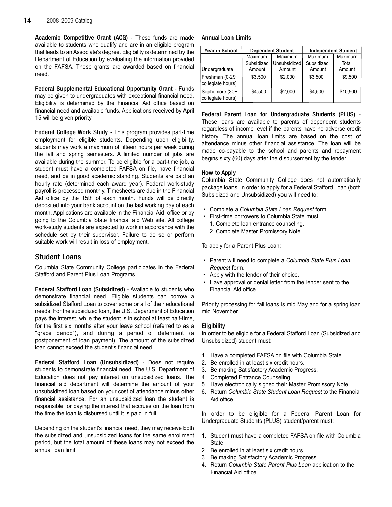Academic Competitive Grant (ACG) - These funds are made available to students who qualify and are in an eligible program that leads to an Associate's degree. Eligibility is determined by the Department of Education by evaluating the information provided on the FAFSA. These grants are awarded based on financial need.

Federal Supplemental Educational Opportunity Grant - Funds may be given to undergraduates with exceptional financial need. Eligibility is determined by the Financial Aid office based on financial need and available funds. Applications received by April 15 will be given priority.

Federal College Work Study - This program provides part-time employment for eligible students. Depending upon eligibility, students may work a maximum of fifteen hours per week during the fall and spring semesters. A limited number of jobs are available during the summer. To be eligible for a part-time job, a student must have a completed FAFSA on file, have financial need, and be in good academic standing. Students are paid an hourly rate (determined each award year). Federal work-study payroll is processed monthly. Timesheets are due in the Financial Aid office by the 15th of each month. Funds will be directly deposited into your bank account on the last working day of each month. Applications are available in the Financial Aid office or by going to the Columbia State financial aid Web site. All college work-study students are expected to work in accordance with the schedule set by their supervisor. Failure to do so or perform suitable work will result in loss of employment.

# Student Loans

Columbia State Community College participates in the Federal Stafford and Parent Plus Loan Programs.

Federal Stafford Loan (Subsidized) - Available to students who demonstrate financial need. Eligible students can borrow a subsidized Stafford Loan to cover some or all of their educational needs. For the subsidized loan, the U.S. Department of Education pays the interest, while the student is in school at least half-time, for the first six months after your leave school (referred to as a "grace period"), and during a period of deferment (a postponement of loan payment). The amount of the subsidized loan cannot exceed the student's financial need.

Federal Stafford Loan (Unsubsidized) - Does not require students to demonstrate financial need. The U.S. Department of Education does not pay interest on unsubsidized loans. The financial aid department will determine the amount of your unsubsidized loan based on your cost of attendance minus other financial assistance. For an unsubsidized loan the student is responsible for paying the interest that accrues on the loan from the time the loan is disbursed until it is paid in full.

Depending on the student's financial need, they may receive both the subsidized and unsubsidized loans for the same enrollment period, but the total amount of these loans may not exceed the annual loan limit.

#### Annual Loan Limits

| Year in School                      | <b>Dependent Student</b> |              |            | <b>Independent Student</b> |
|-------------------------------------|--------------------------|--------------|------------|----------------------------|
|                                     | Maximum                  | Maximum      | Maximum    | Maximum                    |
|                                     | Subsidized               | Unsubsidized | Subsidized | Total                      |
| Undergraduate                       | Amount                   | Amount       | Amount     | Amount                     |
| Freshman (0-29<br>collegiate hours) | \$3.500                  | \$2.000      | \$3.500    | \$9.500                    |
| Sophomore (30+<br>collegiate hours) | \$4.500                  | \$2,000      | \$4,500    | \$10,500                   |

Federal Parent Loan for Undergraduate Students (PLUS) - These loans are available to parents of dependent students regardless of income level if the parents have no adverse credit history. The annual loan limits are based on the cost of attendance minus other financial assistance. The loan will be made co-payable to the school and parents and repayment begins sixty (60) days after the disbursement by the lender.

#### How to Apply

Columbia State Community College does not automatically package loans. In order to apply for a Federal Stafford Loan (both Subsidized and Unsubsidized) you will need to:

- Complete a Columbia State Loan Request form.
- First-time borrowers to Columbia State must:
	- 1. Complete loan entrance counseling.
	- 2. Complete Master Promissory Note.

To apply for a Parent Plus Loan:

- Parent will need to complete a Columbia State Plus Loan Request form.
- Apply with the lender of their choice.
- Have approval or denial letter from the lender sent to the Financial Aid office.

Priority processing for fall loans is mid May and for a spring loan mid November.

#### **Eligibility**

In order to be eligible for a Federal Stafford Loan (Subsidized and Unsubsidized) student must:

- 1. Have a completed FAFSA on file with Columbia State.
- 2. Be enrolled in at least six credit hours.
- 3. Be making Satisfactory Academic Progress.
- 4. Completed Entrance Counseling.
- 5. Have electronically signed their Master Promissory Note.
- 6. Return Columbia State Student Loan Request to the Financial Aid office.

In order to be eligible for a Federal Parent Loan for Undergraduate Students (PLUS) student/parent must:

- 1. Student must have a completed FAFSA on file with Columbia State.
- 2. Be enrolled in at least six credit hours.
- 3. Be making Satisfactory Academic Progress.
- 4. Return Columbia State Parent Plus Loan application to the Financial Aid office.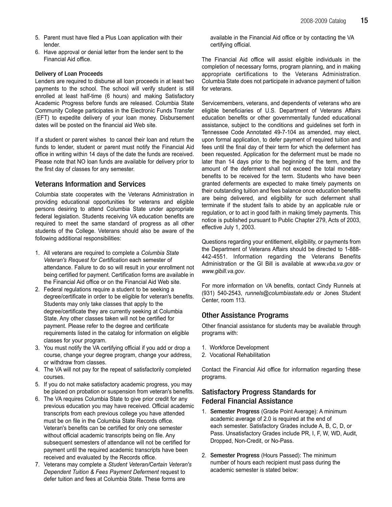- 5. Parent must have filed a Plus Loan application with their lender.
- 6. Have approval or denial letter from the lender sent to the Financial Aid office.

#### Delivery of Loan Proceeds

Lenders are required to disburse all loan proceeds in at least two payments to the school. The school will verify student is still enrolled at least half-time (6 hours) and making Satisfactory Academic Progress before funds are released. Columbia State Community College participates in the Electronic Funds Transfer (EFT) to expedite delivery of your loan money. Disbursement dates will be posted on the financial aid Web site.

If a student or parent wishes to cancel their loan and return the funds to lender, student or parent must notify the Financial Aid office in writing within 14 days of the date the funds are received. Please note that NO loan funds are available for delivery prior to the first day of classes for any semester.

### Veterans Information and Services

Columbia state cooperates with the Veterans Administration in providing educational opportunities for veterans and eligible persons desiring to attend Columbia State under appropriate federal legislation. Students receiving VA education benefits are required to meet the same standard of progress as all other students of the College. Veterans should also be aware of the following additional responsibilities:

- 1. All veterans are required to complete a Columbia State Veteran's Request for Certification each semester of attendance. Failure to do so will result in your enrollment not being certified for payment. Certification forms are available in the Financial Aid office or on the Financial Aid Web site.
- 2. Federal regulations require a student to be seeking a degree/certificate in order to be eligible for veteran's benefits. Students may only take classes that apply to the degree/certificate they are currently seeking at Columbia State. Any other classes taken will not be certified for payment. Please refer to the degree and certificate requirements listed in the catalog for information on eligible classes for your program.
- 3. You must notify the VA certifying official if you add or drop a course, change your degree program, change your address, or withdraw from classes.
- 4. The VA will not pay for the repeat of satisfactorily completed courses.
- 5. If you do not make satisfactory academic progress, you may be placed on probation or suspension from veteran's benefits.
- 6. The VA requires Columbia State to give prior credit for any previous education you may have received. Official academic transcripts from each previous college you have attended must be on file in the Columbia State Records office. Veteran's benefits can be certified for only one semester without official academic transcripts being on file. Any subsequent semesters of attendance will not be certified for payment until the required academic transcripts have been received and evaluated by the Records office.
- 7. Veterans may complete a Student Veteran/Certain Veteran's Dependent Tuition & Fees Payment Deferment request to defer tuition and fees at Columbia State. These forms are

available in the Financial Aid office or by contacting the VA certifying official.

The Financial Aid office will assist eligible individuals in the completion of necessary forms, program planning, and in making appropriate certifications to the Veterans Administration. Columbia State does not participate in advance payment of tuition for veterans.

Servicemembers, veterans, and dependents of veterans who are eligible beneficiaries of U.S. Department of Veterans Affairs education benefits or other governmentally funded educational assistance, subject to the conditions and guidelines set forth in Tennessee Code Annotated 49-7-104 as amended, may elect, upon formal application, to defer payment of required tuition and fees until the final day of their term for which the deferment has been requested. Application for the deferment must be made no later than 14 days prior to the beginning of the term, and the amount of the deferment shall not exceed the total monetary benefits to be received for the term. Students who have been granted deferments are expected to make timely payments on their outstanding tuition and fees balance once education benefits are being delivered, and eligibility for such deferment shall terminate if the student fails to abide by an applicable rule or regulation, or to act in good faith in making timely payments. This notice is published pursuant to Public Chapter 279, Acts of 2003, effective July 1, 2003.

Questions regarding your entitlement, eligibility, or payments from the Department of Veterans Affairs should be directed to 1-888- 442-4551. Information regarding the Veterans Benefits Administration or the GI Bill is available at www.vba.va.gov or www.gibill.va.gov.

For more information on VA benefits, contact Cindy Runnels at (931) 540-2543, runnels@columbiastate.edu or Jones Student Center, room 113.

#### Other Assistance Programs

Other financial assistance for students may be available through programs with:

- 1. Workforce Development
- 2. Vocational Rehabilitation

Contact the Financial Aid office for information regarding these programs.

# Satisfactory Progress Standards for Federal Financial Assistance

- 1. Semester Progress (Grade Point Average): A minimum academic average of 2.0 is required at the end of each semester. Satisfactory Grades include A, B, C, D, or Pass. Unsatisfactory Grades include PR, I, F, W, WD, Audit, Dropped, Non-Credit, or No-Pass.
- 2. Semester Progress (Hours Passed): The minimum number of hours each recipient must pass during the academic semester is stated below: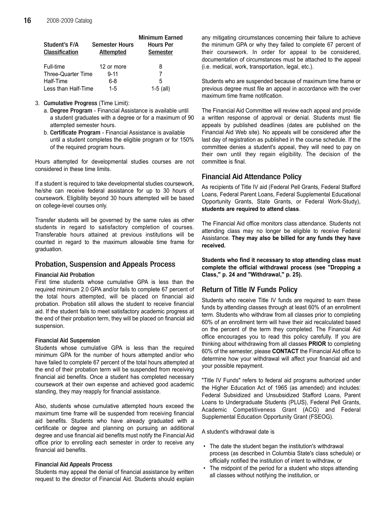| Student's F/A<br><b>Classification</b> | <b>Semester Hours</b><br><b>Attempted</b> | <b>Minimum Earned</b><br><b>Hours Per</b><br>Semester |
|----------------------------------------|-------------------------------------------|-------------------------------------------------------|
| Full-time                              | 12 or more                                | 8                                                     |
| Three-Quarter Time                     | $9 - 11$                                  |                                                       |
| Half-Time                              | 6-8                                       | 5                                                     |
| Less than Half-Time                    | $1 - 5$                                   | $1-5$ (all)                                           |

- 3. Cumulative Progress (Time Limit):
	- a. Degree Program Financial Assistance is available until a student graduates with a degree or for a maximum of 90 attempted semester hours.
	- b. Certificate Program Financial Assistance is available until a student completes the eligible program or for 150% of the required program hours.

Hours attempted for developmental studies courses are not considered in these time limits.

If a student is required to take developmental studies coursework, he/she can receive federal assistance for up to 30 hours of coursework. Eligibility beyond 30 hours attempted will be based on college-level courses only.

Transfer students will be governed by the same rules as other students in regard to satisfactory completion of courses. Transferable hours attained at previous institutions will be counted in regard to the maximum allowable time frame for graduation.

# Probation, Suspension and Appeals Process

#### Financial Aid Probation

First time students whose cumulative GPA is less than the required minimum 2.0 GPA and/or fails to complete 67 percent of the total hours attempted, will be placed on financial aid probation. Probation still allows the student to receive financial aid. If the student fails to meet satisfactory academic progress at the end of their probation term, they will be placed on financial aid suspension.

#### Financial Aid Suspension

Students whose cumulative GPA is less than the required minimum GPA for the number of hours attempted and/or who have failed to complete 67 percent of the total hours attempted at the end of their probation term will be suspended from receiving financial aid benefits. Once a student has completed necessary coursework at their own expense and achieved good academic standing, they may reapply for financial assistance.

Also, students whose cumulative attempted hours exceed the maximum time frame will be suspended from receiving financial aid benefits. Students who have already graduated with a certificate or degree and planning on pursuing an additional degree and use financial aid benefits must notify the Financial Aid office prior to enrolling each semester in order to receive any financial aid benefits.

#### Financial Aid Appeals Process

Students may appeal the denial of financial assistance by written request to the director of Financial Aid. Students should explain any mitigating circumstances concerning their failure to achieve the minimum GPA or why they failed to complete 67 percent of their coursework. In order for appeal to be considered, documentation of circumstances must be attached to the appeal (i.e. medical, work, transportation, legal, etc.).

Students who are suspended because of maximum time frame or previous degree must file an appeal in accordance with the over maximum time frame notification.

The Financial Aid Committee will review each appeal and provide a written response of approval or denial. Students must file appeals by published deadlines (dates are published on the Financial Aid Web site). No appeals will be considered after the last day of registration as published in the course schedule. If the committee denies a student's appeal, they will need to pay on their own until they regain eligibility. The decision of the committee is final.

# Financial Aid Attendance Policy

As recipients of Title IV aid (Federal Pell Grants, Federal Stafford Loans, Federal Parent Loans, Federal Supplemental Educational Opportunity Grants, State Grants, or Federal Work-Study), students are required to attend class.

The Financial Aid office monitors class attendance. Students not attending class may no longer be eligible to receive Federal Assistance. They may also be billed for any funds they have received.

Students who find it necessary to stop attending class must complete the official withdrawal process (see "Dropping a Class," p. 24 and "Withdrawal," p. 25).

# Return of Title IV Funds Policy

Students who receive Title IV funds are required to earn these funds by attending classes through at least 60% of an enrollment term. Students who withdraw from all classes prior to completing 60% of an enrollment term will have their aid recalculated based on the percent of the term they completed. The Financial Aid office encourages you to read this policy carefully. If you are thinking about withdrawing from all classes PRIOR to completing 60% of the semester, please CONTACT the Financial Aid office to determine how your withdrawal will affect your financial aid and your possible repayment.

"Title IV Funds" refers to federal aid programs authorized under the Higher Education Act of 1965 (as amended) and includes: Federal Subsidized and Unsubsidized Stafford Loans, Parent Loans to Undergraduate Students (PLUS), Federal Pell Grants, Academic Competitiveness Grant (ACG) and Federal Supplemental Education Opportunity Grant (FSEOG).

A student's withdrawal date is

- The date the student began the institution's withdrawal process (as described in Columbia State's class schedule) or officially notified the institution of intent to withdraw, or
- The midpoint of the period for a student who stops attending all classes without notifying the institution, or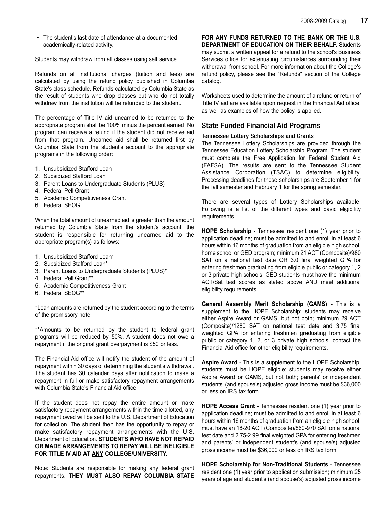• The student's last date of attendance at a documented academically-related activity.

Students may withdraw from all classes using self service.

Refunds on all institutional charges (tuition and fees) are calculated by using the refund policy published in Columbia State's class schedule. Refunds calculated by Columbia State as the result of students who drop classes but who do not totally withdraw from the institution will be refunded to the student.

The percentage of Title IV aid unearned to be returned to the appropriate program shall be 100% minus the percent earned. No program can receive a refund if the student did not receive aid from that program. Unearned aid shall be returned first by Columbia State from the student's account to the appropriate programs in the following order:

- 1. Unsubsidized Stafford Loan
- 2. Subsidized Stafford Loan
- 3. Parent Loans to Undergraduate Students (PLUS)
- 4. Federal Pell Grant
- 5. Academic Competitiveness Grant
- 6. Federal SEOG

When the total amount of unearned aid is greater than the amount returned by Columbia State from the student's account, the student is responsible for returning unearned aid to the appropriate program(s) as follows:

- 1. Unsubsidized Stafford Loan\*
- 2. Subsidized Stafford Loan\*
- 3. Parent Loans to Undergraduate Students (PLUS)\*
- 4. Federal Pell Grant\*\*
- 5. Academic Competitiveness Grant
- 6. Federal SEOG\*\*

\*Loan amounts are returned by the student according to the terms of the promissory note.

\*\*Amounts to be returned by the student to federal grant programs will be reduced by 50%. A student does not owe a repayment if the original grant overpayment is \$50 or less.

The Financial Aid office will notify the student of the amount of repayment within 30 days of determining the student's withdrawal. The student has 30 calendar days after notification to make a repayment in full or make satisfactory repayment arrangements with Columbia State's Financial Aid office.

If the student does not repay the entire amount or make satisfactory repayment arrangements within the time allotted, any repayment owed will be sent to the U.S. Department of Education for collection. The student then has the opportunity to repay or make satisfactory repayment arrangements with the U.S. Department of Education. STUDENTS WHO HAVE NOT REPAID OR MADE ARRANGEMENTS TO REPAY WILL BE INELIGIBLE FOR TITLE IV AID AT ANY COLLEGE/UNIVERSITY.

Note: Students are responsible for making any federal grant repayments. THEY MUST ALSO REPAY COLUMBIA STATE

FOR ANY FUNDS RETURNED TO THE BANK OR THE U.S. DEPARTMENT OF EDUCATION ON THEIR BEHALF. Students may submit a written appeal for a refund to the school's Business Services office for extenuating circumstances surrounding their withdrawal from school. For more information about the College's refund policy, please see the "Refunds" section of the College catalog.

Worksheets used to determine the amount of a refund or return of Title IV aid are available upon request in the Financial Aid office, as well as examples of how the policy is applied.

# State Funded Financial Aid Programs

#### Tennessee Lottery Scholarships and Grants

The Tennessee Lottery Scholarships are provided through the Tennessee Education Lottery Scholarship Program. The student must complete the Free Application for Federal Student Aid (FAFSA). The results are sent to the Tennessee Student Assistance Corporation (TSAC) to determine eligibility. Processing deadlines for these scholarships are September 1 for the fall semester and February 1 for the spring semester.

There are several types of Lottery Scholarships available. Following is a list of the different types and basic eligibility requirements.

HOPE Scholarship - Tennessee resident one (1) year prior to application deadline; must be admitted to and enroll in at least 6 hours within 16 months of graduation from an eligible high school, home school or GED program; minimum 21 ACT (Composite)/980 SAT on a national test date OR 3.0 final weighted GPA for entering freshmen graduating from eligible public or category 1, 2 or 3 private high schools; GED students must have the minimum ACT/Sat test scores as stated above AND meet additional eligibility requirements.

General Assembly Merit Scholarship (GAMS) - This is a supplement to the HOPE Scholarship; students may receive either Aspire Award or GAMS, but not both; minimum 29 ACT (Composite)/1280 SAT on national test date and 3.75 final weighted GPA for entering freshmen graduating from eligible public or category 1, 2, or 3 private high schools; contact the Financial Aid office for other eligibility requirements.

Aspire Award - This is a supplement to the HOPE Scholarship; students must be HOPE eligible; students may receive either Aspire Award or GAMS, but not both; parents' or independent students' (and spouse's) adjusted gross income must be \$36,000 or less on IRS tax form.

HOPE Access Grant - Tennessee resident one (1) year prior to application deadline; must be admitted to and enroll in at least 6 hours within 16 months of graduation from an eligible high school; must have an 18-20 ACT (Composite)/860-970 SAT on a national test date and 2.75-2.99 final weighted GPA for entering freshmen and parents' or independent student's (and spouse's) adjusted gross income must be \$36,000 or less on IRS tax form.

HOPE Scholarship for Non-Traditional Students - Tennessee resident one (1) year prior to application submission; minimum 25 years of age and student's (and spouse's) adjusted gross income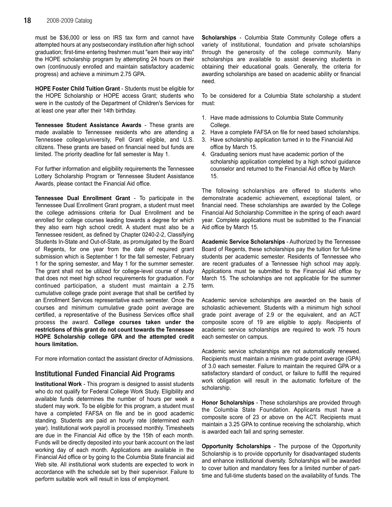must be \$36,000 or less on IRS tax form and cannot have attempted hours at any postsecondary institution after high school graduation; first-time entering freshmen must "earn their way into" the HOPE scholarship program by attempting 24 hours on their own (continuously enrolled and maintain satisfactory academic progress) and achieve a minimum 2.75 GPA.

HOPE Foster Child Tuition Grant - Students must be eligible for the HOPE Scholarship or HOPE access Grant; students who were in the custody of the Department of Children's Services for at least one year after their 14th birthday.

Tennessee Student Assistance Awards - These grants are made available to Tennessee residents who are attending a Tennessee college/university, Pell Grant eligible, and U.S. citizens. These grants are based on financial need but funds are limited. The priority deadline for fall semester is May 1.

For further information and eligibility requirements the Tennessee Lottery Scholarship Program or Tennessee Student Assistance Awards, please contact the Financial Aid office.

Tennessee Dual Enrollment Grant - To participate in the Tennessee Dual Enrollment Grant program, a student must meet the college admissions criteria for Dual Enrollment and be enrolled for college courses leading towards a degree for which they also earn high school credit. A student must also be a Tennessee resident, as defined by Chapter 0240-2-2, Classifying Students In-State and Out-of-State, as promulgated by the Board of Regents, for one year from the date of required grant submission which is September 1 for the fall semester, February 1 for the spring semester, and May 1 for the summer semester. The grant shall not be utilized for college-level course of study that does not meet high school requirements for graduation. For continued participation, a student must maintain a 2.75 cumulative college grade point average that shall be certified by an Enrollment Services representative each semester. Once the courses and minimum cumulative grade point average are certified, a representative of the Business Services office shall process the award. College courses taken under the restrictions of this grant do not count towards the Tennessee HOPE Scholarship college GPA and the attempted credit hours limitation.

For more information contact the assistant director of Admissions.

# Institutional Funded Financial Aid Programs

Institutional Work - This program is designed to assist students who do not qualify for Federal College Work Study. Eligibility and available funds determines the number of hours per week a student may work. To be eligible for this program, a student must have a completed FAFSA on file and be in good academic standing. Students are paid an hourly rate (determined each year). Institutional work payroll is processed monthly. Timesheets are due in the Financial Aid office by the 15th of each month. Funds will be directly deposited into your bank account on the last working day of each month. Applications are available in the Financial Aid office or by going to the Columbia State financial aid Web site. All institutional work students are expected to work in accordance with the schedule set by their supervisor. Failure to perform suitable work will result in loss of employment.

Scholarships - Columbia State Community College offers a variety of institutional, foundation and private scholarships through the generosity of the college community. Many scholarships are available to assist deserving students in obtaining their educational goals. Generally, the criteria for awarding scholarships are based on academic ability or financial need.

To be considered for a Columbia State scholarship a student must:

- 1. Have made admissions to Columbia State Community College.
- 2. Have a complete FAFSA on file for need based scholarships.
- 3. Have scholarship application turned in to the Financial Aid office by March 15.
- 4. Graduating seniors must have academic portion of the scholarship application completed by a high school guidance counselor and returned to the Financial Aid office by March 15.

The following scholarships are offered to students who demonstrate academic achievement, exceptional talent, or financial need. These scholarships are awarded by the College Financial Aid Scholarship Committee in the spring of each award year. Complete applications must be submitted to the Financial Aid office by March 15.

Academic Service Scholarships - Authorized by the Tennessee Board of Regents, these scholarships pay the tuition for full-time students per academic semester. Residents of Tennessee who are recent graduates of a Tennessee high school may apply. Applications must be submitted to the Financial Aid office by March 15. The scholarships are not applicable for the summer term.

Academic service scholarships are awarded on the basis of scholastic achievement. Students with a minimum high school grade point average of 2.9 or the equivalent, and an ACT composite score of 19 are eligible to apply. Recipients of academic service scholarships are required to work 75 hours each semester on campus.

Academic service scholarships are not automatically renewed. Recipients must maintain a minimum grade point average (GPA) of 3.0 each semester. Failure to maintain the required GPA or a satisfactory standard of conduct, or failure to fulfill the required work obligation will result in the automatic forfeiture of the scholarship.

Honor Scholarships - These scholarships are provided through the Columbia State Foundation. Applicants must have a composite score of 23 or above on the ACT. Recipients must maintain a 3.25 GPA to continue receiving the scholarship, which is awarded each fall and spring semester.

Opportunity Scholarships - The purpose of the Opportunity Scholarship is to provide opportunity for disadvantaged students and enhance institutional diversity. Scholarships will be awarded to cover tuition and mandatory fees for a limited number of parttime and full-time students based on the availability of funds. The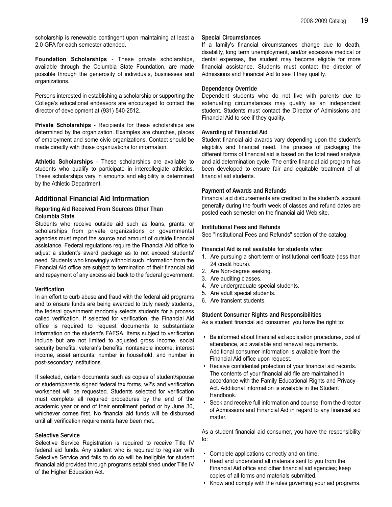scholarship is renewable contingent upon maintaining at least a 2.0 GPA for each semester attended.

Foundation Scholarships - These private scholarships, available through the Columbia State Foundation, are made possible through the generosity of individuals, businesses and organizations.

Persons interested in establishing a scholarship or supporting the College's educational endeavors are encouraged to contact the director of development at (931) 540-2512.

Private Scholarships - Recipients for these scholarships are determined by the organization. Examples are churches, places of employment and some civic organizations. Contact should be made directly with those organizations for information.

Athletic Scholarships - These scholarships are available to students who qualify to participate in intercollegiate athletics. These scholarships vary in amounts and eligibility is determined by the Athletic Department.

# Additional Financial Aid Information

#### Reporting Aid Received From Sources Other Than Columbia State

Students who receive outside aid such as loans, grants, or scholarships from private organizations or governmental agencies must report the source and amount of outside financial assistance. Federal regulations require the Financial Aid office to adjust a student's award package as to not exceed students' need. Students who knowingly withhold such information from the Financial Aid office are subject to termination of their financial aid and repayment of any excess aid back to the federal government.

#### **Verification**

In an effort to curb abuse and fraud with the federal aid programs and to ensure funds are being awarded to truly needy students, the federal government randomly selects students for a process called verification. If selected for verification, the Financial Aid office is required to request documents to substantiate information on the student's FAFSA. Items subject to verification include but are not limited to adjusted gross income, social security benefits, veteran's benefits, nontaxable income, interest income, asset amounts, number in household, and number in post-secondary institutions.

If selected, certain documents such as copies of student/spouse or student/parents signed federal tax forms, w2's and verification worksheet will be requested. Students selected for verification must complete all required procedures by the end of the academic year or end of their enrollment period or by June 30, whichever comes first. No financial aid funds will be disbursed until all verification requirements have been met.

#### Selective Service

Selective Service Registration is required to receive Title IV federal aid funds. Any student who is required to register with Selective Service and fails to do so will be ineligible for student financial aid provided through programs established under Title IV of the Higher Education Act.

#### Special Circumstances

If a family's financial circumstances change due to death, disability, long term unemployment, and/or excessive medical or dental expenses, the student may become eligible for more financial assistance. Students must contact the director of Admissions and Financial Aid to see if they qualify.

#### Dependency Override

Dependent students who do not live with parents due to extenuating circumstances may qualify as an independent student. Students must contact the Director of Admissions and Financial Aid to see if they quality.

#### Awarding of Financial Aid

Student financial aid awards vary depending upon the student's eligibility and financial need. The process of packaging the different forms of financial aid is based on the total need analysis and aid determination cycle. The entire financial aid program has been developed to ensure fair and equitable treatment of all financial aid students.

#### Payment of Awards and Refunds

Financial aid disbursements are credited to the student's account generally during the fourth week of classes and refund dates are posted each semester on the financial aid Web site.

#### Institutional Fees and Refunds

See "Institutional Fees and Refunds" section of the catalog.

#### Financial Aid is not available for students who:

- 1. Are pursuing a short-term or institutional certificate (less than 24 credit hours).
- 2. Are Non-degree seeking.
- 3. Are auditing classes.
- 4. Are undergraduate special students.
- 5. Are adult special students.
- 6. Are transient students.

#### Student Consumer Rights and Responsibilities

As a student financial aid consumer, you have the right to:

- Be informed about financial aid application procedures, cost of attendance, aid available and renewal requirements. Additional consumer information is available from the Financial Aid office upon request.
- Receive confidential protection of your financial aid records. The contents of your financial aid file are maintained in accordance with the Family Educational Rights and Privacy Act. Additional information is available in the Student Handbook.
- Seek and receive full information and counsel from the director of Admissions and Financial Aid in regard to any financial aid matter.

As a student financial aid consumer, you have the responsibility to:

- Complete applications correctly and on time.
- Read and understand all materials sent to you from the Financial Aid office and other financial aid agencies; keep copies of all forms and materials submitted.
- Know and comply with the rules governing your aid programs.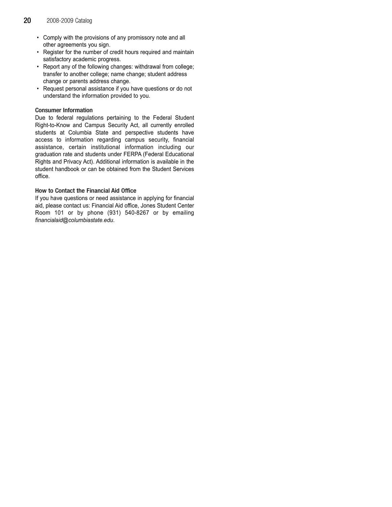- Comply with the provisions of any promissory note and all other agreements you sign.
- Register for the number of credit hours required and maintain satisfactory academic progress.
- Report any of the following changes: withdrawal from college; transfer to another college; name change; student address change or parents address change.
- Request personal assistance if you have questions or do not understand the information provided to you.

#### Consumer Information

Due to federal regulations pertaining to the Federal Student Right-to-Know and Campus Security Act, all currently enrolled students at Columbia State and perspective students have access to information regarding campus security, financial assistance, certain institutional information including our graduation rate and students under FERPA (Federal Educational Rights and Privacy Act). Additional information is available in the student handbook or can be obtained from the Student Services office.

#### How to Contact the Financial Aid Office

If you have questions or need assistance in applying for financial aid, please contact us: Financial Aid office, Jones Student Center Room 101 or by phone (931) 540-8267 or by emailing financialaid@columbiastate.edu.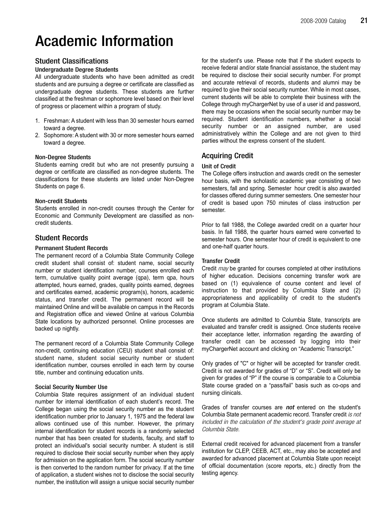# Academic Information

# Student Classifications

#### Undergraduate Degree Students

All undergraduate students who have been admitted as credit students and are pursuing a degree or certificate are classified as undergraduate degree students. These students are further classified at the freshman or sophomore level based on their level of progress or placement within a program of study.

- 1. Freshman: A student with less than 30 semester hours earned toward a degree.
- 2. Sophomore: A student with 30 or more semester hours earned toward a degree.

#### Non-Degree Students

Students earning credit but who are not presently pursuing a degree or certificate are classified as non-degree students. The classifications for these students are listed under Non-Degree Students on page 6.

#### Non-credit Students

Students enrolled in non-credit courses through the Center for Economic and Community Development are classified as noncredit students.

# Student Records

#### Permanent Student Records

The permanent record of a Columbia State Community College credit student shall consist of: student name, social security number or student identification number, courses enrolled each term, cumulative quality point average (qpa), term qpa, hours attempted, hours earned, grades, quality points earned, degrees and certificates earned, academic program(s), honors, academic status, and transfer credit. The permanent record will be maintained Online and will be available on campus in the Records and Registration office and viewed Online at various Columbia State locations by authorized personnel. Online processes are backed up nightly.

The permanent record of a Columbia State Community College non-credit, continuing education (CEU) student shall consist of: student name, student social security number or student identification number, courses enrolled in each term by course title, number and continuing education units.

#### Social Security Number Use

Columbia State requires assignment of an individual student number for internal identification of each student's record. The College began using the social security number as the student identification number prior to January 1, 1975 and the federal law allows continued use of this number. However, the primary internal identification for student records is a randomly selected number that has been created for students, faculty, and staff to protect an individual's social security number. A student is still required to disclose their social security number when they apply for admission on the application form. The social security number is then converted to the random number for privacy. If at the time of application, a student wishes not to disclose the social security number, the institution will assign a unique social security number

for the student's use. Please note that if the student expects to receive federal and/or state financial assistance, the student may be required to disclose their social security number. For prompt and accurate retrieval of records, students and alumni may be required to give their social security number. While in most cases, current students will be able to complete their business with the College through myChargerNet by use of a user id and password, there may be occasions when the social security number may be required. Student identification numbers, whether a social security number or an assigned number, are used administratively within the College and are not given to third parties without the express consent of the student.

# Acquiring Credit

#### Unit of Credit

The College offers instruction and awards credit on the semester hour basis, with the scholastic academic year consisting of two semesters, fall and spring. Semester hour credit is also awarded for classes offered during summer semesters. One semester hour of credit is based upon 750 minutes of class instruction per semester.

Prior to fall 1988, the College awarded credit on a quarter hour basis. In fall 1988, the quarter hours earned were converted to semester hours. One semester hour of credit is equivalent to one and one-half quarter hours.

#### Transfer Credit

Credit *may* be granted for courses completed at other institutions of higher education. Decisions concerning transfer work are based on (1) equivalence of course content and level of instruction to that provided by Columbia State and (2) appropriateness and applicability of credit to the student's program at Columbia State.

Once students are admitted to Columbia State, transcripts are evaluated and transfer credit is assigned. Once students receive their acceptance letter, information regarding the awarding of transfer credit can be accessed by logging into their myChargerNet account and clicking on "Academic Transcript."

Only grades of "C" or higher will be accepted for transfer credit. Credit is not awarded for grades of "D" or "S". Credit will only be given for grades of "P" if the course is comparable to a Columbia State course graded on a "pass/fail" basis such as co-ops and nursing clinicals.

Grades of transfer courses are **not** entered on the student's Columbia State permanent academic record. Transfer credit is not included in the calculation of the student's grade point average at Columbia State.

External credit received for advanced placement from a transfer institution for CLEP, CEEB, ACT, etc., may also be accepted and awarded for advanced placement at Columbia State upon receipt of official documentation (score reports, etc.) directly from the testing agency.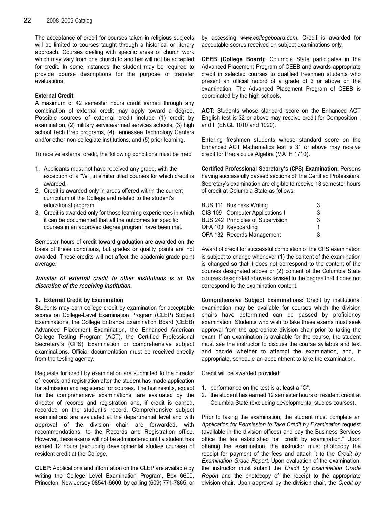The acceptance of credit for courses taken in religious subjects will be limited to courses taught through a historical or literary approach. Courses dealing with specific areas of church work which may vary from one church to another will not be accepted for credit. In some instances the student may be required to provide course descriptions for the purpose of transfer evaluations.

#### External Credit

A maximum of 42 semester hours credit earned through any combination of external credit may apply toward a degree. Possible sources of external credit include (1) credit by examination, (2) military service/armed services schools, (3) high school Tech Prep programs, (4) Tennessee Technology Centers and/or other non-collegiate institutions, and (5) prior learning.

To receive external credit, the following conditions must be met:

- 1. Applicants must not have received any grade, with the exception of a "W", in similar titled courses for which credit is awarded.
- 2. Credit is awarded only in areas offered within the current curriculum of the College and related to the student's educational program.
- 3. Credit is awarded only for those learning experiences in which it can be documented that all the outcomes for specific courses in an approved degree program have been met.

Semester hours of credit toward graduation are awarded on the basis of these conditions, but grades or quality points are not awarded. These credits will not affect the academic grade point average.

Transfer of external credit to other institutions is at the discretion of the receiving institution.

#### 1. External Credit by Examination

Students may earn college credit by examination for acceptable scores on College-Level Examination Program (CLEP) Subject Examinations, the College Entrance Examination Board (CEEB) Advanced Placement Examination, the Enhanced American College Testing Program (ACT), the Certified Professional Secretary's (CPS) Examination or comprehensive subject examinations. Official documentation must be received directly from the testing agency.

Requests for credit by examination are submitted to the director of records and registration after the student has made application for admission and registered for courses. The test results, except for the comprehensive examinations, are evaluated by the director of records and registration and, if credit is earned, recorded on the student's record. Comprehensive subject examinations are evaluated at the departmental level and with approval of the division chair are forwarded, with recommendations, to the Records and Registration office. However, these exams will not be administered until a student has earned 12 hours (excluding developmental studies courses) of resident credit at the College.

CLEP: Applications and information on the CLEP are available by writing the College Level Examination Program, Box 6600, Princeton, New Jersey 08541-6600, by calling (609) 771-7865, or by accessing www.collegeboard.com. Credit is awarded for acceptable scores received on subject examinations only.

CEEB (College Board): Columbia State participates in the Advanced Placement Program of CEEB and awards appropriate credit in selected courses to qualified freshmen students who present an official record of a grade of 3 or above on the examination. The Advanced Placement Program of CEEB is coordinated by the high schools.

ACT: Students whose standard score on the Enhanced ACT English test is 32 or above may receive credit for Composition I and II (ENGL 1010 and 1020).

Entering freshmen students whose standard score on the Enhanced ACT Mathematics test is 31 or above may receive credit for Precalculus Algebra (MATH 1710).

Certified Professional Secretary's (CPS) Examination: Persons having successfully passed sections of the Certified Professional Secretary's examination are eligible to receive 13 semester hours of credit at Columbia State as follows:

| <b>BUS 111 Business Writing</b>          | 3  |
|------------------------------------------|----|
| CIS 109 Computer Applications I          | 3  |
| <b>BUS 242 Principles of Supervision</b> | 3  |
| OFA 103 Keyboarding                      | 1. |
| OFA 132 Records Management               | 3  |

Award of credit for successful completion of the CPS examination is subject to change whenever (1) the content of the examination is changed so that it does not correspond to the content of the courses designated above or (2) content of the Columbia State courses designated above is revised to the degree that it does not correspond to the examination content.

Comprehensive Subject Examinations: Credit by institutional examination may be available for courses which the division chairs have determined can be passed by proficiency examination. Students who wish to take these exams must seek approval from the appropriate division chair prior to taking the exam. If an examination is available for the course, the student must see the instructor to discuss the course syllabus and text and decide whether to attempt the examination, and, if appropriate, schedule an appointment to take the examination.

Credit will be awarded provided:

- 1. performance on the test is at least a "C".
- 2. the student has earned 12 semester hours of resident credit at Columbia State (excluding developmental studies courses).

Prior to taking the examination, the student must complete an Application for Permission to Take Credit by Examination request (available in the division offices) and pay the Business Services office the fee established for "credit by examination." Upon offering the examination, the instructor must photocopy the receipt for payment of the fees and attach it to the Credit by Examination Grade Report. Upon evaluation of the examination, the instructor must submit the Credit by Examination Grade Report and the photocopy of the receipt to the appropriate division chair. Upon approval by the division chair, the Credit by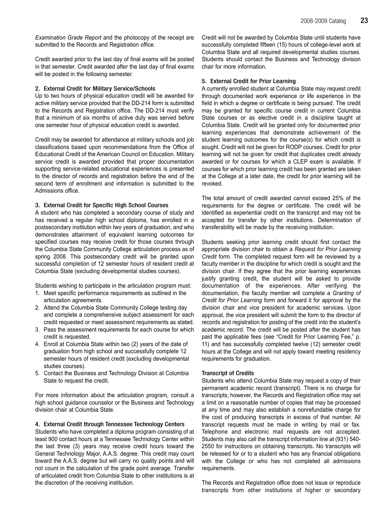Examination Grade Report and the photocopy of the receipt are submitted to the Records and Registration office.

Credit awarded prior to the last day of final exams will be posted in that semester. Credit awarded after the last day of final exams will be posted in the following semester.

#### 2. External Credit for Military Service/Schools

Up to two hours of physical education credit will be awarded for active military service provided that the DD-214 form is submitted to the Records and Registration office. The DD-214 must verify that a minimum of six months of active duty was served before one semester hour of physical education credit is awarded.

Credit may be awarded for attendance at military schools and job classifications based upon recommendations from the Office of Educational Credit of the American Council on Education. Military service credit is awarded provided that proper documentation supporting service-related educational experiences is presented to the director of records and registration before the end of the second term of enrollment and information is submitted to the Admissions office.

#### 3. External Credit for Specific High School Courses

A student who has completed a secondary course of study and has received a regular high school diploma, has enrolled in a postsecondary institution within two years of graduation, and who demonstrates attainment of equivalent learning outcomes for specified courses may receive credit for those courses through the Columbia State Community College articulation process as of spring 2008. This postsecondary credit will be granted upon successful completion of 12 semester hours of resident credit at Columbia State (excluding developmental studies courses).

Students wishing to participate in the articulation program must:

- 1. Meet specific performance requirements as outlined in the articulation agreements.
- 2. Attend the Columbia State Community College testing day and complete a comprehensive subject assessment for each credit requested or meet assessment requirements as stated.
- 3. Pass the assessment requirements for each course for which credit is requested.
- 4. Enroll at Columbia State within two (2) years of the date of graduation from high school and successfully complete 12 semester hours of resident credit (excluding developmental studies courses).
- 5. Contact the Business and Technology Division at Columbia State to request the credit.

For more information about the articulation program, consult a high school guidance counselor or the Business and Technology division chair at Columbia State.

#### 4. External Credit through Tennessee Technology Centers

Students who have completed a diploma program consisting of at least 900 contact hours at a Tennessee Technology Center within the last three (3) years may receive credit hours toward the General Technology Major, A.A.S. degree. This credit may count toward the A.A.S. degree but will carry no quality points and will not count in the calculation of the grade point average. Transfer of articulated credit from Columbia State to other institutions is at the discretion of the receiving institution.

Credit will not be awarded by Columbia State until students have successfully completed fifteen (15) hours of college-level work at Columbia State and all required developmental studies courses. Students should contact the Business and Technology division chair for more information.

#### 5. External Credit for Prior Learning

A currently enrolled student at Columbia State may request credit through documented work experience or life experience in the field in which a degree or certificate is being pursued. The credit may be granted for specific course credit in current Columbia State courses or as elective credit in a discipline taught at Columbia State. Credit will be granted only for documented prior learning experiences that demonstrate achievement of the student learning outcomes for the course(s) for which credit is sought. Credit will not be given for RODP courses. Credit for prior learning will not be given for credit that duplicates credit already awarded or for courses for which a CLEP exam is available. If courses for which prior learning credit has been granted are taken at the College at a later date, the credit for prior learning will be revoked.

The total amount of credit awarded cannot exceed 25% of the requirements for the degree or certificate. The credit will be identified as experiential credit on the transcript and may not be accepted for transfer by other institutions. Determination of transferability will be made by the receiving institution.

Students seeking prior learning credit should first contact the appropriate division chair to obtain a Request for Prior Learning Credit form. The completed request form will be reviewed by a faculty member in the discipline for which credit is sought and the division chair. If they agree that the prior learning experiences justify granting credit, the student will be asked to provide documentation of the experiences. After verifying the documentation, the faculty member will complete a Granting of Credit for Prior Learning form and forward it for approval by the division chair and vice president for academic services. Upon approval, the vice president will submit the form to the director of records and registration for posting of the credit into the student's academic record. The credit will be posted after the student has paid the applicable fees (see "Credit for Prior Learning Fee," p. 11) and has successfully completed twelve (12) semester credit hours at the College and will not apply toward meeting residency requirements for graduation.

#### Transcript of Credits

Students who attend Columbia State may request a copy of their permanent academic record (transcript). There is no charge for transcripts; however, the Records and Registration office may set a limit on a reasonable number of copies that may be processed at any time and may also establish a nonrefundable charge for the cost of producing transcripts in excess of that number. All transcript requests must be made in writing by mail or fax. Telephone and electronic mail requests are not accepted. Students may also call the transcript information line at (931) 540- 2550 for instructions on obtaining transcripts. No transcripts will be released for or to a student who has any financial obligations with the College or who has not completed all admissions requirements.

The Records and Registration office does not issue or reproduce transcripts from other institutions of higher or secondary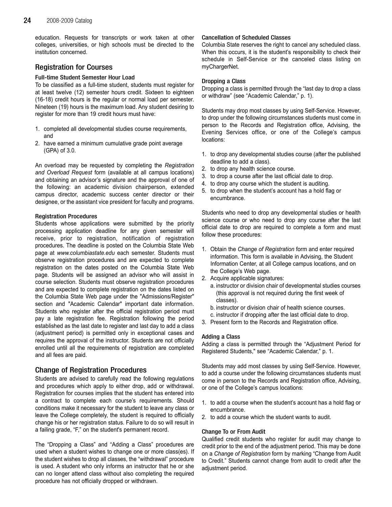education. Requests for transcripts or work taken at other colleges, universities, or high schools must be directed to the institution concerned.

# Registration for Courses

#### Full-time Student Semester Hour Load

To be classified as a full-time student, students must register for at least twelve (12) semester hours credit. Sixteen to eighteen (16-18) credit hours is the regular or normal load per semester. Nineteen (19) hours is the maximum load. Any student desiring to register for more than 19 credit hours must have:

- 1. completed all developmental studies course requirements, and
- 2. have earned a minimum cumulative grade point average (GPA) of 3.0.

An overload may be requested by completing the Registration and Overload Request form (available at all campus locations) and obtaining an advisor's signature and the approval of one of the following: an academic division chairperson, extended campus director, academic success center director or their designee, or the assistant vice president for faculty and programs.

#### Registration Procedures

Students whose applications were submitted by the priority processing application deadline for any given semester will receive, prior to registration, notification of registration procedures. The deadline is posted on the Columbia State Web page at www.columbiastate.edu each semester. Students must observe registration procedures and are expected to complete registration on the dates posted on the Columbia State Web page. Students will be assigned an advisor who will assist in course selection. Students must observe registration procedures and are expected to complete registration on the dates listed on the Columbia State Web page under the "Admissions/Register" section and "Academic Calendar" important date information. Students who register after the official registration period must pay a late registration fee. Registration following the period established as the last date to register and last day to add a class (adjustment period) is permitted only in exceptional cases and requires the approval of the instructor. Students are not officially enrolled until all the requirements of registration are completed and all fees are paid.

# Change of Registration Procedures

Students are advised to carefully read the following regulations and procedures which apply to either drop, add or withdrawal. Registration for courses implies that the student has entered into a contract to complete each course's requirements. Should conditions make it necessary for the student to leave any class or leave the College completely, the student is required to officially change his or her registration status. Failure to do so will result in a failing grade, "F," on the student's permanent record.

The "Dropping a Class" and "Adding a Class" procedures are used when a student wishes to change one or more class(es). If the student wishes to drop all classes, the "withdrawal" procedure is used. A student who only informs an instructor that he or she can no longer attend class without also completing the required procedure has not officially dropped or withdrawn.

#### Cancellation of Scheduled Classes

Columbia State reserves the right to cancel any scheduled class. When this occurs, it is the student's responsibility to check their schedule in Self-Service or the canceled class listing on myChargerNet.

#### Dropping a Class

Dropping a class is permitted through the "last day to drop a class or withdraw" (see "Academic Calendar," p. 1).

Students may drop most classes by using Self-Service. However, to drop under the following circumstances students must come in person to the Records and Registration office, Advising, the Evening Services office, or one of the College's campus locations:

- 1. to drop any developmental studies course (after the published deadline to add a class).
- 2. to drop any health science course.
- 3. to drop a course after the last official date to drop.
- 4. to drop any course which the student is auditing.
- 5. to drop when the student's account has a hold flag or encumbrance.

Students who need to drop any developmental studies or health science course or who need to drop any course after the last official date to drop are required to complete a form and must follow these procedures:

- 1. Obtain the Change of Registration form and enter required information. This form is available in Advising, the Student Information Center, at all College campus locations, and on the College's Web page.
- 2. Acquire applicable signatures:
	- a. instructor or division chair of developmental studies courses (this approval is not required during the first week of classes).
	- b. instructor or division chair of health science courses.
	- c. instructor if dropping after the last official date to drop.
- 3. Present form to the Records and Registration office.

#### Adding a Class

Adding a class is permitted through the "Adjustment Period for Registered Students," see "Academic Calendar," p. 1.

Students may add most classes by using Self-Service. However, to add a course under the following circumstances students must come in person to the Records and Registration office, Advising, or one of the College's campus locations:

- 1. to add a course when the student's account has a hold flag or encumbrance.
- 2. to add a course which the student wants to audit.

#### Change To or From Audit

Qualified credit students who register for audit may change to credit prior to the end of the adjustment period. This may be done on a Change of Registration form by marking "Change from Audit to Credit." Students cannot change from audit to credit after the adjustment period.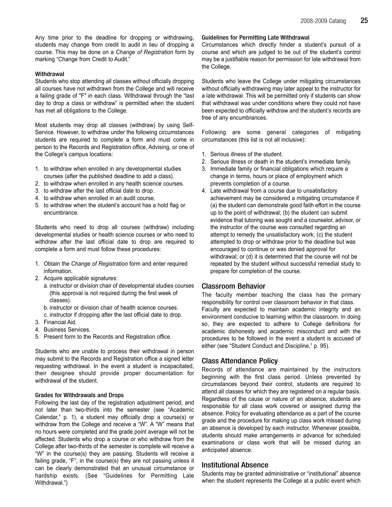Any time prior to the deadline for dropping or withdrawing, students may change from credit to audit in lieu of dropping a course. This may be done on a Change of Registration form by marking "Change from Credit to Audit."

#### **Withdrawal**

Students who stop attending all classes without officially dropping all courses have not withdrawn from the College and will receive a failing grade of "F" in each class. Withdrawal through the "last day to drop a class or withdraw" is permitted when the student has met all obligations to the College.

Most students may drop all classes (withdraw) by using Self-Service. However, to withdraw under the following circumstances students are required to complete a form and must come in person to the Records and Registration office, Advising, or one of the College's campus locations:

- 1. to withdraw when enrolled in any developmental studies courses (after the published deadline to add a class).
- 2. to withdraw when enrolled in any health science courses.
- 3. to withdraw after the last official date to drop.
- 4. to withdraw when enrolled in an audit course.
- 5. to withdraw when the student's account has a hold flag or encumbrance.

Students who need to drop all courses (withdraw) including developmental studies or health science courses or who need to withdraw after the last official date to drop are required to complete a form and must follow these procedures:

- 1. Obtain the Change of Registration form and enter required information.
- 2. Acquire applicable signatures:
	- a. instructor or division chair of developmental studies courses (this approval is not required during the first week of classes).
	- b. instructor or division chair of health science courses.
	- c. instructor if dropping after the last official date to drop.
- 3. Financial Aid.
- 4. Business Services.
- 5. Present form to the Records and Registration office.

Students who are unable to process their withdrawal in person may submit to the Records and Registration office a signed letter requesting withdrawal. In the event a student is incapacitated, their designee should provide proper documentation for withdrawal of the student.

#### Grades for Withdrawals and Drops

Following the last day of the registration adjustment period, and not later than two-thirds into the semester (see "Academic Calendar," p. 1), a student may officially drop a course(s) or withdraw from the College and receive a "W". A "W" means that no hours were completed and the grade point average will not be affected. Students who drop a course or who withdraw from the College after two-thirds of the semester is complete will receive a "W" in the course(s) they are passing. Students will receive a failing grade, "F", in the course(s) they are not passing unless it can be clearly demonstrated that an unusual circumstance or hardship exists. (See "Guidelines for Permitting Late Withdrawal.")

#### Guidelines for Permitting Late Withdrawal

Circumstances which directly hinder a student's pursuit of a course and which are judged to be out of the student's control may be a justifiable reason for permission for late withdrawal from the College.

Students who leave the College under mitigating circumstances without officially withdrawing may later appeal to the instructor for a late withdrawal. This will be permitted only if students can show that withdrawal was under conditions where they could not have been expected to officially withdraw and the student's records are free of any encumbrances.

Following are some general categories of mitigating circumstances (this list is not all inclusive):

- 1. Serious illness of the student.
- 2. Serious illness or death in the student's immediate family.
- 3. Immediate family or financial obligations which require a change in terms, hours or place of employment which prevents completion of a course.
- 4. Late withdrawal from a course due to unsatisfactory achievement may be considered a mitigating circumstance if (a) the student can demonstrate good faith effort in the course up to the point of withdrawal; (b) the student can submit evidence that tutoring was sought and a counselor, advisor, or the instructor of the course was consulted regarding an attempt to remedy the unsatisfactory work; (c) the student attempted to drop or withdraw prior to the deadline but was encouraged to continue or was denied approval for withdrawal; or (d) it is determined that the course will not be repeated by the student without successful remedial study to prepare for completion of the course.

#### Classroom Behavior

The faculty member teaching the class has the primary responsibility for control over classroom behavior in that class. Faculty are expected to maintain academic integrity and an environment conducive to learning within the classroom. In doing so, they are expected to adhere to College definitions for academic dishonesty and academic misconduct and with the procedures to be followed in the event a student is accused of either (see "Student Conduct and Discipline," p. 95).

# Class Attendance Policy

Records of attendance are maintained by the instructors beginning with the first class period. Unless prevented by circumstances beyond their control, students are required to attend all classes for which they are registered on a regular basis. Regardless of the cause or nature of an absence, students are responsible for all class work covered or assigned during the absence. Policy for evaluating attendance as a part of the course grade and the procedure for making up class work missed during an absence is developed by each instructor. Whenever possible, students should make arrangements in advance for scheduled examinations or class work that will be missed during an anticipated absence.

#### Institutional Absence

Students may be granted administrative or "institutional" absence when the student represents the College at a public event which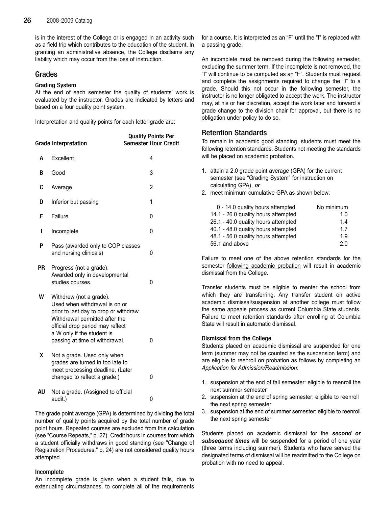is in the interest of the College or is engaged in an activity such as a field trip which contributes to the education of the student. In granting an administrative absence, the College disclaims any liability which may occur from the loss of instruction.

### Grades

#### Grading System

At the end of each semester the quality of students' work is evaluated by the instructor. Grades are indicated by letters and based on a four quality point system.

Interpretation and quality points for each letter grade are:

|           | <b>Grade Interpretation</b>                                                                                                                                                                                                              | <b>Quality Points Per</b><br><b>Semester Hour Credit</b> |
|-----------|------------------------------------------------------------------------------------------------------------------------------------------------------------------------------------------------------------------------------------------|----------------------------------------------------------|
| А         | Excellent                                                                                                                                                                                                                                | 4                                                        |
| В         | Good                                                                                                                                                                                                                                     | 3                                                        |
| C         | Average                                                                                                                                                                                                                                  | 2                                                        |
| D         | Inferior but passing                                                                                                                                                                                                                     | 1                                                        |
| F         | Failure                                                                                                                                                                                                                                  | 0                                                        |
| ı         | Incomplete                                                                                                                                                                                                                               | 0                                                        |
| P         | Pass (awarded only to COP classes<br>and nursing clinicals)                                                                                                                                                                              | 0                                                        |
| <b>PR</b> | Progress (not a grade).<br>Awarded only in developmental<br>studies courses.                                                                                                                                                             | 0                                                        |
| W         | Withdrew (not a grade).<br>Used when withdrawal is on or<br>prior to last day to drop or withdraw.<br>Withdrawal permitted after the<br>official drop period may reflect<br>a W only if the student is<br>passing at time of withdrawal. | 0                                                        |
| X         | Not a grade. Used only when<br>grades are turned in too late to<br>meet processing deadline. (Later<br>changed to reflect a grade.)                                                                                                      | 0                                                        |
| AU        | Not a grade. (Assigned to official<br>audit.)                                                                                                                                                                                            | 0                                                        |

The grade point average (GPA) is determined by dividing the total number of quality points acquired by the total number of grade point hours. Repeated courses are excluded from this calculation (see "Course Repeats," p. 27). Credit hours in courses from which a student officially withdraws in good standing (see "Change of Registration Procedures," p. 24) are not considered quality hours attempted.

#### Incomplete

An incomplete grade is given when a student fails, due to extenuating circumstances, to complete all of the requirements for a course. It is interpreted as an "F" until the "I" is replaced with a passing grade.

An incomplete must be removed during the following semester, excluding the summer term. If the incomplete is not removed, the "I" will continue to be computed as an "F". Students must request and complete the assignments required to change the "I" to a grade. Should this not occur in the following semester, the instructor is no longer obligated to accept the work. The instructor may, at his or her discretion, accept the work later and forward a grade change to the division chair for approval, but there is no obligation under policy to do so.

# Retention Standards

To remain in academic good standing, students must meet the following retention standards. Students not meeting the standards will be placed on academic probation.

- 1. attain a 2.0 grade point average (GPA) for the current semester (see "Grading System" for instruction on calculating GPA), or
- 2. meet minimum cumulative GPA as shown below:

| 0 - 14.0 quality hours attempted    | No minimum |
|-------------------------------------|------------|
| 14.1 - 26.0 quality hours attempted | 1.0        |
| 26.1 - 40.0 quality hours attempted | 14         |
| 40.1 - 48.0 quality hours attempted | 17         |
| 48.1 - 56.0 quality hours attempted | 1.9        |
| 56.1 and above                      | 20         |

Failure to meet one of the above retention standards for the semester following academic probation will result in academic dismissal from the College.

Transfer students must be eligible to reenter the school from which they are transferring. Any transfer student on active academic dismissal/suspension at another college must follow the same appeals process as current Columbia State students. Failure to meet retention standards after enrolling at Columbia State will result in automatic dismissal.

#### Dismissal from the College

Students placed on academic dismissal are suspended for one term (summer may not be counted as the suspension term) and are eligible to reenroll on probation as follows by completing an Application for Admission/Readmission:

- 1. suspension at the end of fall semester: eligible to reenroll the next summer semester
- 2. suspension at the end of spring semester: eligible to reenroll the next spring semester
- 3. suspension at the end of summer semester: eligible to reenroll the next spring semester

Students placed on academic dismissal for the second or subsequent times will be suspended for a period of one year (three terms including summer). Students who have served the designated terms of dismissal will be readmitted to the College on probation with no need to appeal.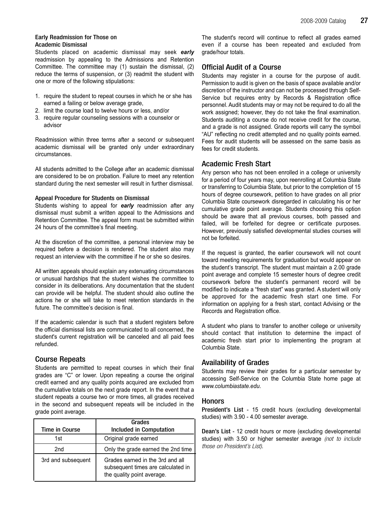#### Early Readmission for Those on Academic Dismissal

Students placed on academic dismissal may seek early readmission by appealing to the Admissions and Retention Committee. The committee may (1) sustain the dismissal, (2) reduce the terms of suspension, or (3) readmit the student with one or more of the following stipulations:

- 1. require the student to repeat courses in which he or she has earned a failing or below average grade,
- 2. limit the course load to twelve hours or less, and/or
- 3. require regular counseling sessions with a counselor or advisor

Readmission within three terms after a second or subsequent academic dismissal will be granted only under extraordinary circumstances.

All students admitted to the College after an academic dismissal are considered to be on probation. Failure to meet any retention standard during the next semester will result in further dismissal.

#### Appeal Procedure for Students on Dismissal

Students wishing to appeal for early readmission after any dismissal must submit a written appeal to the Admissions and Retention Committee. The appeal form must be submitted within 24 hours of the committee's final meeting.

At the discretion of the committee, a personal interview may be required before a decision is rendered. The student also may request an interview with the committee if he or she so desires.

All written appeals should explain any extenuating circumstances or unusual hardships that the student wishes the committee to consider in its deliberations. Any documentation that the student can provide will be helpful. The student should also outline the actions he or she will take to meet retention standards in the future. The committee's decision is final.

If the academic calendar is such that a student registers before the official dismissal lists are communicated to all concerned, the student's current registration will be canceled and all paid fees refunded.

# Course Repeats

Students are permitted to repeat courses in which their final grades are "C" or lower. Upon repeating a course the original credit earned and any quality points acquired are excluded from the cumulative totals on the next grade report. In the event that a student repeats a course two or more times, all grades received in the second and subsequent repeats will be included in the grade point average.

|                       | Grades                                                                                               |
|-----------------------|------------------------------------------------------------------------------------------------------|
| <b>Time in Course</b> | Included in Computation                                                                              |
| 1st                   | Original grade earned                                                                                |
| 2 <sub>nd</sub>       | Only the grade earned the 2nd time                                                                   |
| 3rd and subsequent    | Grades earned in the 3rd and all<br>subsequent times are calculated in<br>the quality point average. |

The student's record will continue to reflect all grades earned even if a course has been repeated and excluded from grade/hour totals.

# Official Audit of a Course

Students may register in a course for the purpose of audit. Permission to audit is given on the basis of space available and/or discretion of the instructor and can not be processed through Self-Service but requires entry by Records & Registration office personnel. Audit students may or may not be required to do all the work assigned; however, they do not take the final examination. Students auditing a course do not receive credit for the course, and a grade is not assigned. Grade reports will carry the symbol "AU" reflecting no credit attempted and no quality points earned. Fees for audit students will be assessed on the same basis as fees for credit students.

# Academic Fresh Start

Any person who has not been enrolled in a college or university for a period of four years may, upon reenrolling at Columbia State or transferring to Columbia State, but prior to the completion of 15 hours of degree coursework, petition to have grades on all prior Columbia State coursework disregarded in calculating his or her cumulative grade point average. Students choosing this option should be aware that all previous courses, both passed and failed, will be forfeited for degree or certificate purposes. However, previously satisfied developmental studies courses will not be forfeited.

If the request is granted, the earlier coursework will not count toward meeting requirements for graduation but would appear on the student's transcript. The student must maintain a 2.00 grade point average and complete 15 semester hours of degree credit coursework before the student's permanent record will be modified to indicate a "fresh start" was granted. A student will only be approved for the academic fresh start one time. For information on applying for a fresh start, contact Advising or the Records and Registration office.

A student who plans to transfer to another college or university should contact that institution to determine the impact of academic fresh start prior to implementing the program at Columbia State.

# Availability of Grades

Students may review their grades for a particular semester by accessing Self-Service on the Columbia State home page at www.columbiastate.edu.

#### **Honors**

President's List - 15 credit hours (excluding developmental studies) with 3.90 - 4.00 semester average.

Dean's List - 12 credit hours or more (excluding developmental studies) with 3.50 or higher semester average (not to include those on President's List).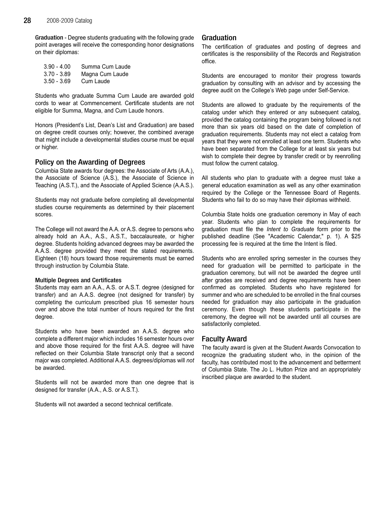Graduation - Degree students graduating with the following grade point averages will receive the corresponding honor designations on their diplomas:

| $3.90 - 4.00$ | Summa Cum Laude |
|---------------|-----------------|
| $3.70 - 3.89$ | Magna Cum Laude |
| $3.50 - 3.69$ | Cum Laude       |

Students who graduate Summa Cum Laude are awarded gold cords to wear at Commencement. Certificate students are not eligible for Summa, Magna, and Cum Laude honors.

Honors (President's List, Dean's List and Graduation) are based on degree credit courses only; however, the combined average that might include a developmental studies course must be equal or higher.

### Policy on the Awarding of Degrees

Columbia State awards four degrees: the Associate of Arts (A.A.), the Associate of Science (A.S.), the Associate of Science in Teaching (A.S.T.), and the Associate of Applied Science (A.A.S.).

Students may not graduate before completing all developmental studies course requirements as determined by their placement scores.

The College will not award the A.A. or A.S. degree to persons who already hold an A.A., A.S., A.S.T., baccalaureate, or higher degree. Students holding advanced degrees may be awarded the A.A.S. degree provided they meet the stated requirements. Eighteen (18) hours toward those requirements must be earned through instruction by Columbia State.

#### Multiple Degrees and Certificates

Students may earn an A.A., A.S. or A.S.T. degree (designed for transfer) and an A.A.S. degree (not designed for transfer) by completing the curriculum prescribed plus 16 semester hours over and above the total number of hours required for the first degree.

Students who have been awarded an A.A.S. degree who complete a different major which includes 16 semester hours over and above those required for the first A.A.S. degree will have reflected on their Columbia State transcript only that a second major was completed. Additional A.A.S. degrees/diplomas will not be awarded.

Students will not be awarded more than one degree that is designed for transfer (A.A., A.S. or A.S.T.).

Students will not awarded a second technical certificate.

#### Graduation

The certification of graduates and posting of degrees and certificates is the responsibility of the Records and Registration office.

Students are encouraged to monitor their progress towards graduation by consulting with an advisor and by accessing the degree audit on the College's Web page under Self-Service.

Students are allowed to graduate by the requirements of the catalog under which they entered or any subsequent catalog, provided the catalog containing the program being followed is not more than six years old based on the date of completion of graduation requirements. Students may not elect a catalog from years that they were not enrolled at least one term. Students who have been separated from the College for at least six years but wish to complete their degree by transfer credit or by reenrolling must follow the current catalog.

All students who plan to graduate with a degree must take a general education examination as well as any other examination required by the College or the Tennessee Board of Regents. Students who fail to do so may have their diplomas withheld.

Columbia State holds one graduation ceremony in May of each year. Students who plan to complete the requirements for graduation must file the Intent to Graduate form prior to the published deadline (See "Academic Calendar," p. 1). A \$25 processing fee is required at the time the Intent is filed.

Students who are enrolled spring semester in the courses they need for graduation will be permitted to participate in the graduation ceremony, but will not be awarded the degree until after grades are received and degree requirements have been confirmed as completed. Students who have registered for summer and who are scheduled to be enrolled in the final courses needed for graduation may also participate in the graduation ceremony. Even though these students participate in the ceremony, the degree will not be awarded until all courses are satisfactorily completed.

#### Faculty Award

The faculty award is given at the Student Awards Convocation to recognize the graduating student who, in the opinion of the faculty, has contributed most to the advancement and betterment of Columbia State. The Jo L. Hutton Prize and an appropriately inscribed plaque are awarded to the student.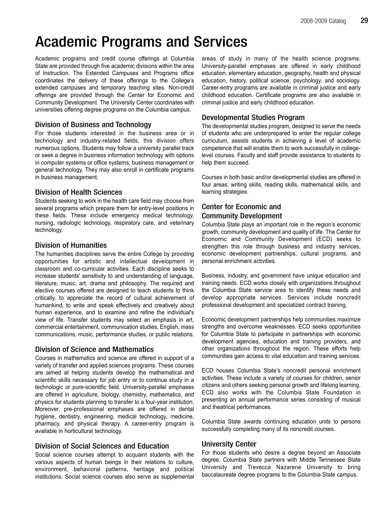# Academic Programs and Services

Academic programs and credit course offerings at Columbia State are provided through five academic divisions within the area of Instruction. The Extended Campuses and Programs office coordinates the delivery of these offerings to the College's extended campuses and temporary teaching sites. Non-credit offerings are provided through the Center for Economic and Community Development. The University Center coordinates with universities offering degree programs on the Columbia campus.

# Division of Business and Technology

For those students interested in the business area or in technology and industry-related fields, this division offers numerous options. Students may follow a university parallel track or seek a degree in business information technology with options in computer systems or office systems; business management or general technology. They may also enroll in certificate programs in business management.

### Division of Health Sciences

Students seeking to work in the health care field may choose from several programs which prepare them for entry-level positions in these fields. These include emergency medical technology, nursing, radiologic technology, respiratory care, and veterinary technology.

# Division of Humanities

The humanities disciplines serve the entire College by providing opportunities for artistic and intellectual development in classroom and co-curricular activities. Each discipline seeks to increase students' sensitivity to and understanding of language, literature, music, art, drama and philosophy. The required and elective courses offered are designed to teach students to think critically, to appreciate the record of cultural achievement of humankind, to write and speak effectively and creatively about human experience, and to examine and refine the individual's view of life. Transfer students may select an emphasis in art, commercial entertainment, communication studies, English, mass communications, music, performance studies, or public relations.

# Division of Science and Mathematics

Courses in mathematics and science are offered in support of a variety of transfer and applied sciences programs. These courses are aimed at helping students develop the mathematical and scientific skills necessary for job entry or to continue study in a technologic or pure-scientific field. University-parallel emphases are offered in agriculture, biology, chemistry, mathematics, and physics for students planning to transfer to a four-year institution. Moreover, pre-professional emphases are offered in dental hygiene, dentistry, engineering, medical technology, medicine, pharmacy, and physical therapy. A career-entry program is available in horticultural technology.

# Division of Social Sciences and Education

Social science courses attempt to acquaint students with the various aspects of human beings in their relations to culture, environment, behavioral patterns, heritage and political institutions. Social science courses also serve as supplemental areas of study in many of the health science programs. University-parallel emphases are offered in early childhood education, elementary education, geography, health and physical education, history, political science, psychology, and sociology. Career-entry programs are available in criminal justice and early childhood education. Certificate programs are also available in criminal justice and early childhood education.

# Developmental Studies Program

The developmental studies program, designed to serve the needs of students who are underprepared to enter the regular college curriculum, assists students in achieving a level of academic competence that will enable them to work successfully in collegelevel courses. Faculty and staff provide assistance to students to help them succeed.

Courses in both basic and/or developmental studies are offered in four areas: writing skills, reading skills, mathematical skills, and learning strategies.

# Center for Economic and Community Development

Columbia State plays an important role in the region's economic growth, community development and quality of life. The Center for Economic and Community Development (ECD) seeks to strengthen this role through business and industry services, economic development partnerships, cultural programs, and personal enrichment activities.

Business, industry, and government have unique education and training needs. ECD works closely with organizations throughout the Columbia State service area to identify these needs and develop appropriate services. Services include noncredit professional development and specialized contract training.

Economic development partnerships help communities maximize strengths and overcome weaknesses. ECD seeks opportunities for Columbia State to participate in partnerships with economic development agencies, education and training providers, and other organizations throughout the region. These efforts help communities gain access to vital education and training services.

ECD houses Columbia State's noncredit personal enrichment activities. These include a variety of courses for children, senior citizens and others seeking personal growth and lifelong learning. ECD also works with the Columbia State Foundation in presenting an annual performance series consisting of musical and theatrical performances.

Columbia State awards continuing education units to persons successfully completing many of its noncredit courses.

# University Center

For those students who desire a degree beyond an Associate degree, Columbia State partners with Middle Tennessee State University and Trevecca Nazarene University to bring baccalaureate degree programs to the Columbia State campus.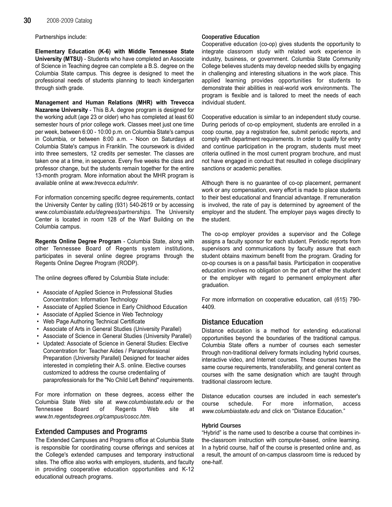Partnerships include:

Elementary Education (K-6) with Middle Tennessee State University (MTSU) - Students who have completed an Associate of Science in Teaching degree can complete a B.S. degree on the Columbia State campus. This degree is designed to meet the professional needs of students planning to teach kindergarten through sixth grade.

Management and Human Relations (MHR) with Trevecca Nazarene University - This B.A. degree program is designed for the working adult (age 23 or older) who has completed at least 60 semester hours of prior college work. Classes meet just one time per week, between 6:00 - 10:00 p.m. on Columbia State's campus in Columbia, or between 8:00 a.m. - Noon on Saturdays at Columbia State's campus in Franklin. The coursework is divided into three semesters, 12 credits per semester. The classes are taken one at a time, in sequence. Every five weeks the class and professor change, but the students remain together for the entire 13-month program. More information about the MHR program is available online at www.trevecca.edu/mhr.

For information concerning specific degree requirements, contact the University Center by calling (931) 540-2619 or by accessing www.columbiastate.edu/degrees/partnerships. The University Center is located in room 128 of the Warf Building on the Columbia campus.

Regents Online Degree Program - Columbia State, along with other Tennessee Board of Regents system institutions, participates in several online degree programs through the Regents Online Degree Program (RODP).

The online degrees offered by Columbia State include:

- Associate of Applied Science in Professional Studies Concentration: Information Technology
- Associate of Applied Science in Early Childhood Education
- Associate of Applied Science in Web Technology
- Web Page Authoring Technical Certificate
- Associate of Arts in General Studies (University Parallel)
- Associate of Science in General Studies (University Parallel)
- Updated: Associate of Science in General Studies: Elective Concentration for: Teacher Aides / Paraprofessional Preparation (University Parallel) Designed for teacher aides interested in completing their A.S. online. Elective courses customized to address the course credentialing of paraprofessionals for the "No Child Left Behind" requirements.

For more information on these degrees, access either the Columbia State Web site at www.columbiastate.edu or the Tennessee Board of Regents Web site at www.tn.regentsdegrees.org/campus/coscc.htm.

#### Extended Campuses and Programs

The Extended Campuses and Programs office at Columbia State is responsible for coordinating course offerings and services at the College's extended campuses and temporary instructional sites. The office also works with employers, students, and faculty in providing cooperative education opportunities and K-12 educational outreach programs.

#### Cooperative Education

Cooperative education (co-op) gives students the opportunity to integrate classroom study with related work experience in industry, business, or government. Columbia State Community College believes students may develop needed skills by engaging in challenging and interesting situations in the work place. This applied learning provides opportunities for students to demonstrate their abilities in real-world work environments. The program is flexible and is tailored to meet the needs of each individual student.

Cooperative education is similar to an independent study course. During periods of co-op employment, students are enrolled in a coop course, pay a registration fee, submit periodic reports, and comply with department requirements. In order to qualify for entry and continue participation in the program, students must meet criteria outlined in the most current program brochure, and must not have engaged in conduct that resulted in college disciplinary sanctions or academic penalties.

Although there is no guarantee of co-op placement, permanent work or any compensation, every effort is made to place students to their best educational and financial advantage. If remuneration is involved, the rate of pay is determined by agreement of the employer and the student. The employer pays wages directly to the student.

The co-op employer provides a supervisor and the College assigns a faculty sponsor for each student. Periodic reports from supervisors and communications by faculty assure that each student obtains maximum benefit from the program. Grading for co-op courses is on a pass/fail basis. Participation in cooperative education involves no obligation on the part of either the student or the employer with regard to permanent employment after graduation.

For more information on cooperative education, call (615) 790- 4409.

# Distance Education

Distance education is a method for extending educational opportunities beyond the boundaries of the traditional campus. Columbia State offers a number of courses each semester through non-traditional delivery formats including hybrid courses, interactive video, and Internet courses. These courses have the same course requirements, transferability, and general content as courses with the same designation which are taught through traditional classroom lecture.

Distance education courses are included in each semester's course schedule. For more information, access www.columbiastate.edu and click on "Distance Education."

#### Hybrid Courses

"Hybrid" is the name used to describe a course that combines inthe-classroom instruction with computer-based, online learning. In a hybrid course, half of the course is presented online and, as a result, the amount of on-campus classroom time is reduced by one-half.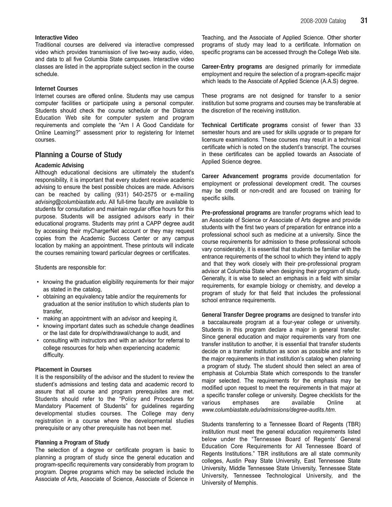# Interactive Video

Traditional courses are delivered via interactive compressed video which provides transmission of live two-way audio, video, and data to all five Columbia State campuses. Interactive video classes are listed in the appropriate subject section in the course schedule.

# Internet Courses

Internet courses are offered online. Students may use campus computer facilities or participate using a personal computer. Students should check the course schedule or the Distance Education Web site for computer system and program requirements and complete the "Am I A Good Candidate for Online Learning?" assessment prior to registering for Internet courses.

# Planning a Course of Study

### Academic Advising

Although educational decisions are ultimately the student's responsibility, it is important that every student receive academic advising to ensure the best possible choices are made. Advisors can be reached by calling (931) 540-2575 or e-mailing advising@columbiastate.edu. All full-time faculty are available to students for consultation and maintain regular office hours for this purpose. Students will be assigned advisors early in their educational programs. Students may print a CAPP degree audit by accessing their myChargerNet account or they may request copies from the Academic Success Center or any campus location by making an appointment. These printouts will indicate the courses remaining toward particular degrees or certificates.

Students are responsible for:

- knowing the graduation eligibility requirements for their major as stated in the catalog,
- obtaining an equivalency table and/or the requirements for graduation at the senior institution to which students plan to transfer,
- making an appointment with an advisor and keeping it,
- knowing important dates such as schedule change deadlines or the last date for drop/withdrawal/change to audit, and
- consulting with instructors and with an advisor for referral to college resources for help when experiencing academic difficulty.

# Placement in Courses

It is the responsibility of the advisor and the student to review the student's admissions and testing data and academic record to assure that all course and program prerequisites are met. Students should refer to the "Policy and Procedures for Mandatory Placement of Students" for guidelines regarding developmental studies courses. The College may deny registration in a course where the developmental studies prerequisite or any other prerequisite has not been met.

### Planning a Program of Study

The selection of a degree or certificate program is basic to planning a program of study since the general education and program-specific requirements vary considerably from program to program. Degree programs which may be selected include the Associate of Arts, Associate of Science, Associate of Science in Teaching, and the Associate of Applied Science. Other shorter programs of study may lead to a certificate. Information on specific programs can be accessed through the College Web site.

Career-Entry programs are designed primarily for immediate employment and require the selection of a program-specific major which leads to the Associate of Applied Science (A.A.S) degree.

These programs are not designed for transfer to a senior institution but some programs and courses may be transferable at the discretion of the receiving institution.

Technical Certificate programs consist of fewer than 33 semester hours and are used for skills upgrade or to prepare for licensure examinations. These courses may result in a technical certificate which is noted on the student's transcript. The courses in these certificates can be applied towards an Associate of Applied Science degree.

Career Advancement programs provide documentation for employment or professional development credit. The courses may be credit or non-credit and are focused on training for specific skills.

Pre-professional programs are transfer programs which lead to an Associate of Science or Associate of Arts degree and provide students with the first two years of preparation for entrance into a professional school such as medicine at a university. Since the course requirements for admission to these professional schools vary considerably, it is essential that students be familiar with the entrance requirements of the school to which they intend to apply and that they work closely with their pre-professional program advisor at Columbia State when designing their program of study. Generally, it is wise to select an emphasis in a field with similar requirements, for example biology or chemistry, and develop a program of study for that field that includes the professional school entrance requirements.

General Transfer Degree programs are designed to transfer into a baccalaureate program at a four-year college or university. Students in this program declare a major in general transfer. Since general education and major requirements vary from one transfer institution to another, it is essential that transfer students decide on a transfer institution as soon as possible and refer to the major requirements in that institution's catalog when planning a program of study. The student should then select an area of emphasis at Columbia State which corresponds to the transfer major selected. The requirements for the emphasis may be modified upon request to meet the requirements in that major at a specific transfer college or university. Degree checklists for the various emphases are available Online at www.columbiastate.edu/admissions/degree-audits.htm.

Students transferring to a Tennessee Board of Regents (TBR) institution must meet the general education requirements listed below under the "Tennessee Board of Regents' General Education Core Requirements for All Tennessee Board of Regents Institutions." TBR institutions are all state community colleges, Austin Peay State University, East Tennessee State University, Middle Tennessee State University, Tennessee State University, Tennessee Technological University, and the University of Memphis.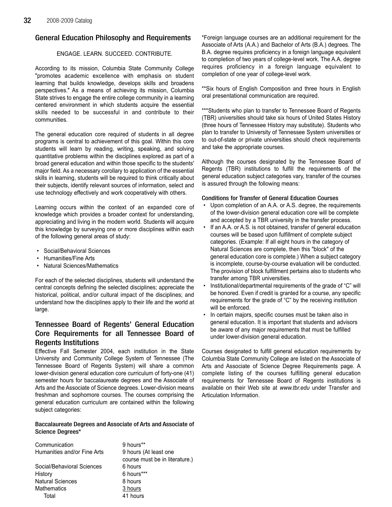# General Education Philosophy and Requirements

# ENGAGE. LEARN. SUCCEED. CONTRIBUTE.

According to its mission, Columbia State Community College "promotes academic excellence with emphasis on student learning that builds knowledge, develops skills and broadens perspectives." As a means of achieving its mission, Columbia State strives to engage the entire college community in a learning centered environment in which students acquire the essential skills needed to be successful in and contribute to their communities.

The general education core required of students in all degree programs is central to achievement of this goal. Within this core students will learn by reading, writing, speaking, and solving quantitative problems within the disciplines explored as part of a broad general education and within those specific to the students' major field. As a necessary corollary to application of the essential skills in learning, students will be required to think critically about their subjects, identify relevant sources of information, select and use technology effectively and work cooperatively with others.

Learning occurs within the context of an expanded core of knowledge which provides a broader context for understanding, appreciating and living in the modern world. Students will acquire this knowledge by surveying one or more disciplines within each of the following general areas of study:

- Social/Behavioral Sciences
- Humanities/Fine Arts
- Natural Sciences/Mathematics

For each of the selected disciplines, students will understand the central concepts defining the selected disciplines; appreciate the historical, political, and/or cultural impact of the disciplines; and understand how the disciplines apply to their life and the world at large.

# Tennessee Board of Regents' General Education Core Requirements for all Tennessee Board of Regents Institutions

Effective Fall Semester 2004, each institution in the State University and Community College System of Tennessee (The Tennessee Board of Regents System) will share a common lower-division general education core curriculum of forty-one (41) semester hours for baccalaureate degrees and the Associate of Arts and the Associate of Science degrees. Lower-division means freshman and sophomore courses. The courses comprising the general education curriculum are contained within the following subject categories:

# Baccalaureate Degrees and Associate of Arts and Associate of Science Degrees\*

| Communication               | 9 hours**                      |
|-----------------------------|--------------------------------|
| Humanities and/or Fine Arts | 9 hours (At least one          |
|                             | course must be in literature.) |
| Social/Behavioral Sciences  | 6 hours                        |
| History                     | 6 hours***                     |
| <b>Natural Sciences</b>     | 8 hours                        |
| Mathematics                 | 3 hours                        |
| Total                       | 41 hours                       |

\*Foreign language courses are an additional requirement for the Associate of Arts (A.A.) and Bachelor of Arts (B.A.) degrees. The B.A. degree requires proficiency in a foreign language equivalent to completion of two years of college-level work. The A.A. degree requires proficiency in a foreign language equivalent to completion of one year of college-level work.

\*\*Six hours of English Composition and three hours in English oral presentational communication are required.

\*\*\*Students who plan to transfer to Tennessee Board of Regents (TBR) universities should take six hours of United States History (three hours of Tennessee History may substitute). Students who plan to transfer to University of Tennessee System universities or to out-of-state or private universities should check requirements and take the appropriate courses.

Although the courses designated by the Tennessee Board of Regents (TBR) institutions to fulfill the requirements of the general education subject categories vary, transfer of the courses is assured through the following means:

# Conditions for Transfer of General Education Courses

- Upon completion of an A.A. or A.S. degree, the requirements of the lower-division general education core will be complete and accepted by a TBR university in the transfer process.
- If an A.A. or A.S. is not obtained, transfer of general education courses will be based upon fulfillment of complete subject categories. (Example: If all eight hours in the category of Natural Sciences are complete, then this "block" of the general education core is complete.) When a subject category is incomplete, course-by-course evaluation will be conducted. The provision of block fulfillment pertains also to students who transfer among TBR universities.
- Institutional/departmental requirements of the grade of "C" will be honored. Even if credit is granted for a course, any specific requirements for the grade of "C" by the receiving institution will be enforced.
- In certain majors, specific courses must be taken also in general education. It is important that students and advisors be aware of any major requirements that must be fulfilled under lower-division general education.

Courses designated to fulfill general education requirements by Columbia State Community College are listed on the Associate of Arts and Associate of Science Degree Requirements page. A complete listing of the courses fulfilling general education requirements for Tennessee Board of Regents institutions is available on their Web site at www.tbr.edu under Transfer and Articulation Information.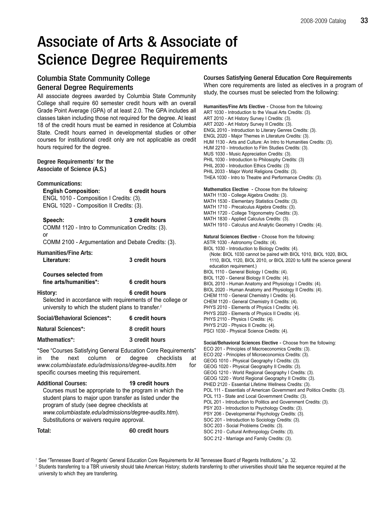# Associate of Arts & Associate of Science Degree Requirements

# Columbia State Community College General Degree Requirements

All associate degrees awarded by Columbia State Community College shall require 60 semester credit hours with an overall Grade Point Average (GPA) of at least 2.0. The GPA includes all classes taken including those not required for the degree. At least 18 of the credit hours must be earned in residence at Columbia State. Credit hours earned in developmental studies or other courses for institutional credit only are not applicable as credit hours required for the degree.

## Degree Requirements<sup>1</sup> for the Associate of Science (A.S.)

Communications:

| <b>English Composition:</b>              | 6 credit hours |
|------------------------------------------|----------------|
| ENGL 1010 - Composition I Credits: (3).  |                |
| ENGL 1020 - Composition II Credits: (3). |                |

| Speech:                                            | 3 credit hours |
|----------------------------------------------------|----------------|
| COMM 1120 - Intro to Communication Credits: (3).   |                |
| . or                                               |                |
| COMM 2100 - Argumentation and Debate Credits: (3). |                |

Humanities/Fine Arts: Literature: 3 credit hours

| <b>Courses selected from</b> |                |
|------------------------------|----------------|
| fine arts/humanities*:       | 6 credit hours |

History: 6 credit hours Selected in accordance with requirements of the college or university to which the student plans to transfer.<sup>2</sup>

| Social/Behavioral Sciences*: | 6 credit hours |
|------------------------------|----------------|
| Natural Sciences*:           | 8 credit hours |
| Mathematics*:                | 3 credit hours |

\*See "Courses Satisfying General Education Core Requirements" in the next column or degree checklists at www.columbiastate.edu/admissions/degree-audits.htm for specific courses meeting this requirement.

# Additional Courses: 19 credit hours Courses must be appropriate to the program in which the student plans to major upon transfer as listed under the program of study (see degree checklists at www.columbiastate.edu/admissions/degree-audits.htm). Substitutions or waivers require approval.

Total: 60 credit hours

# Courses Satisfying General Education Core Requirements

When core requirements are listed as electives in a program of study, the courses must be selected from the following:

Humanities/Fine Arts Elective - Choose from the following: ART 1030 - Introduction to the Visual Arts Credits: (3). ART 2010 - Art History Survey I Credits: (3). ART 2020 - Art History Survey II Credits: (3). ENGL 2010 - Introduction to Literary Genres Credits: (3). ENGL 2020 - Major Themes in Literature Credits: (3). HUM 1130 - Arts and Culture: An Intro to Humanities Credits: (3). HUM 2210 - Introduction to Film Studies Credits: (3). MUS 1030 - Music Appreciation Credits: (3). PHIL 1030 - Introduction to Philosophy Credits: (3) PHIL 2030 - Introduction Ethics Credits: (3) PHIL 2033 - Major World Religions Credits: (3). THEA 1030 - Intro to Theatre and Performance Credits: (3). Mathematics Elective - Choose from the following: MATH 1130 - College Algebra Credits: (3). MATH 1530 - Elementary Statistics Credits: (3). MATH 1710 - Precalculus Algebra Credits: (3). MATH 1720 - College Trigonometry Credits: (3). MATH 1830 - Applied Calculus Credits: (3). MATH 1910 - Calculus and Analytic Geometry I Credits: (4). Natural Sciences Elective - Choose from the following: ASTR 1030 - Astronomy Credits: (4). BIOL 1030 - Introduction to Biology Credits: (4). (Note: BIOL 1030 cannot be paired with BIOL 1010, BIOL 1020, BIOL 1110, BIOL 1120, BIOL 2010, or BIOL 2020 to fulfill the science general education requirement.) BIOL 1110 - General Biology I Credits: (4). BIOL 1120 - General Biology II Credits: (4). BIOL 2010 - Human Anatomy and Physiology I Credits: (4). BIOL 2020 - Human Anatomy and Physiology II Credits: (4). CHEM 1110 - General Chemistry I Credits: (4). CHEM 1120 - General Chemistry II Credits: (4). PHYS 2010 - Elements of Physics I Credits: (4). PHYS 2020 - Elements of Physics II Credits: (4). PHYS 2110 - Physics I Credits: (4). PHYS 2120 - Physics II Credits: (4). PSCI 1030 - Physical Science Credits: (4). Social/Behavioral Sciences Elective - Choose from the following: ECO 201 - Principles of Macroeconomics Credits: (3). ECO 202 - Principles of Microeconomics Credits: (3). GEOG 1010 - Physical Geography I Credits: (3). GEOG 1020 - Physical Geography II Credits: (3). GEOG 1210 - World Regional Geography I Credits: (3). GEOG 1220 - World Regional Geography II Credits: (3). PHED 2120 - Essential Lifetime Wellness Credits: (3). POL 111 - Essentials of American Government and Politics Credits: (3). POL 113 - State and Local Government Credits: (3). POL 201 - Introduction to Politics and Government Credits: (3). PSY 203 - Introduction to Psychology Credits: (3). PSY 206 - Developmental Psychology Credits: (3). SOC 201 - Introduction to Sociology Credits: (3). SOC 203 - Social Problems Credits: (3). SOC 210 - Cultural Anthropology Credits: (3).

SOC 212 - Marriage and Family Credits: (3).

<sup>1</sup> See "Tennessee Board of Regents' General Education Core Requirements for All Tennessee Board of Regents Institutions," p. 32.

<sup>&</sup>lt;sup>2</sup> Students transferring to a TBR university should take American History; students transferring to other universities should take the sequence required at the university to which they are transferring.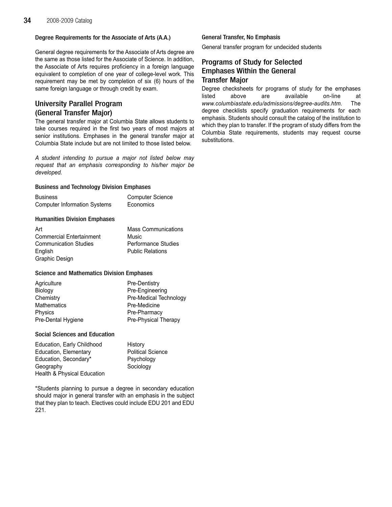# Degree Requirements for the Associate of Arts (A.A.)

General degree requirements for the Associate of Arts degree are the same as those listed for the Associate of Science. In addition, the Associate of Arts requires proficiency in a foreign language equivalent to completion of one year of college-level work. This requirement may be met by completion of six (6) hours of the same foreign language or through credit by exam.

# University Parallel Program (General Transfer Major)

The general transfer major at Columbia State allows students to take courses required in the first two years of most majors at senior institutions. Emphases in the general transfer major at Columbia State include but are not limited to those listed below.

A student intending to pursue a major not listed below may request that an emphasis corresponding to his/her major be developed.

# Business and Technology Division Emphases

| <b>Business</b>                     | <b>Computer Science</b> |
|-------------------------------------|-------------------------|
| <b>Computer Information Systems</b> | Economics               |

# Humanities Division Emphases

| Art                             | <b>Mass Communications</b> |
|---------------------------------|----------------------------|
| <b>Commercial Entertainment</b> | Music                      |
| <b>Communication Studies</b>    | <b>Performance Studies</b> |
| English                         | <b>Public Relations</b>    |
| Graphic Design                  |                            |

# Science and Mathematics Division Emphases

| Agriculture        | Pre-Dentistry          |
|--------------------|------------------------|
| Biology            | Pre-Engineering        |
| Chemistry          | Pre-Medical Technology |
| Mathematics        | Pre-Medicine           |
| Physics            | Pre-Pharmacy           |
| Pre-Dental Hygiene | Pre-Physical Therapy   |
|                    |                        |

# Social Sciences and Education

| Education, Early Childhood  | History                  |
|-----------------------------|--------------------------|
| Education, Elementary       | <b>Political Science</b> |
| Education, Secondary*       | Psychology               |
| Geography                   | Sociology                |
| Health & Physical Education |                          |

\*Students planning to pursue a degree in secondary education should major in general transfer with an emphasis in the subject that they plan to teach. Electives could include EDU 201 and EDU 221.

# General Transfer, No Emphasis

General transfer program for undecided students

# Programs of Study for Selected Emphases Within the General Transfer Major

Degree checksheets for programs of study for the emphases listed above are available on-line at www.columbiastate.edu/admissions/degree-audits.htm. The degree checklists specify graduation requirements for each emphasis. Students should consult the catalog of the institution to which they plan to transfer. If the program of study differs from the Columbia State requirements, students may request course substitutions.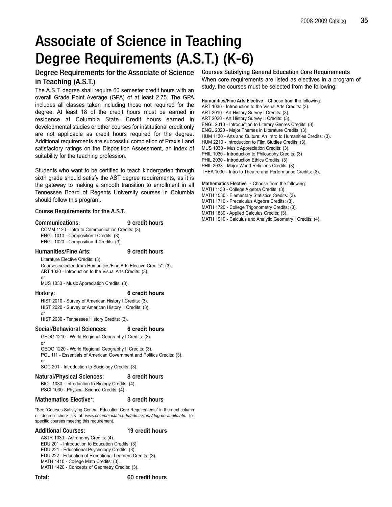# Associate of Science in Teaching Degree Requirements (A.S.T.) (K-6)

# Degree Requirements for the Associate of Science in Teaching (A.S.T.)

The A.S.T. degree shall require 60 semester credit hours with an overall Grade Point Average (GPA) of at least 2.75. The GPA includes all classes taken including those not required for the degree. At least 18 of the credit hours must be earned in residence at Columbia State. Credit hours earned in developmental studies or other courses for institutional credit only are not applicable as credit hours required for the degree. Additional requirements are successful completion of Praxis I and satisfactory ratings on the Disposition Assessment, an index of suitability for the teaching profession.

Students who want to be certified to teach kindergarten through sixth grade should satisfy the AST degree requirements, as it is the gateway to making a smooth transition to enrollment in all Tennessee Board of Regents University courses in Columbia should follow this program.

# Course Requirements for the A.S.T.

#### Communications: 9 credit hours

COMM 1120 - Intro to Communication Credits: (3). ENGL 1010 - Composition I Credits: (3). ENGL 1020 - Composition II Credits: (3).

### Humanities/Fine Arts: 9 credit hours

Literature Elective Credits: (3). Courses selected from Humanities/Fine Arts Elective Credits\*: (3). ART 1030 - Introduction to the Visual Arts Credits: (3). or

MUS 1030 - Music Appreciation Credits: (3).

### History: 6 credit hours

HIST 2010 - Survey of American History I Credits: (3). HIST 2020 - Survey or American History II Credits: (3). or

HIST 2030 - Tennessee History Credits: (3).

# Social/Behavioral Sciences: 6 credit hours

GEOG 1210 - World Regional Geography I Credits: (3). or

GEOG 1220 - World Regional Geography II Credits: (3). POL 111 - Essentials of American Government and Politics Credits: (3). or

SOC 201 - Introduction to Sociology Credits: (3).

# Natural/Physical Sciences: 8 credit hours

BIOL 1030 - Introduction to Biology Credits: (4). PSCI 1030 - Physical Science Credits: (4).

# Mathematics Elective\*: 3 credit hours

\*See "Courses Satisfying General Education Core Requirements" in the next column or degree checklists at www.columbiastate.edu/admissions/degree-audits.htm for specific courses meeting this requirement.

### Additional Courses: 19 credit hours

ASTR 1030 - Astronomy Credits: (4). EDU 201 - Introduction to Education Credits: (3). EDU 221 - Educational Psychology Credits: (3). EDU 222 - Education of Exceptional Learners Credits: (3). MATH 1410 - College Math Credits: (3). MATH 1420 - Concepts of Geometry Credits: (3).

### Total: 60 credit hours

Courses Satisfying General Education Core Requirements When core requirements are listed as electives in a program of study, the courses must be selected from the following:

Humanities/Fine Arts Elective - Choose from the following: ART 1030 - Introduction to the Visual Arts Credits: (3). ART 2010 - Art History Survey I Credits: (3). ART 2020 - Art History Survey II Credits: (3). ENGL 2010 - Introduction to Literary Genres Credits: (3). ENGL 2020 - Major Themes in Literature Credits: (3). HUM 1130 - Arts and Culture: An Intro to Humanities Credits: (3). HUM 2210 - Introduction to Film Studies Credits: (3). MUS 1030 - Music Appreciation Credits: (3). PHIL 1030 - Introduction to Philosophy Credits: (3) PHIL 2030 - Introduction Ethics Credits: (3) PHIL 2033 - Major World Religions Credits: (3). THEA 1030 - Intro to Theatre and Performance Credits: (3).

Mathematics Elective - Choose from the following:

- MATH 1130 College Algebra Credits: (3).
- MATH 1530 Elementary Statistics Credits: (3).
- MATH 1710 Precalculus Algebra Credits: (3).
- MATH 1720 College Trigonometry Credits: (3).
- MATH 1830 Applied Calculus Credits: (3).
- MATH 1910 Calculus and Analytic Geometry I Credits: (4).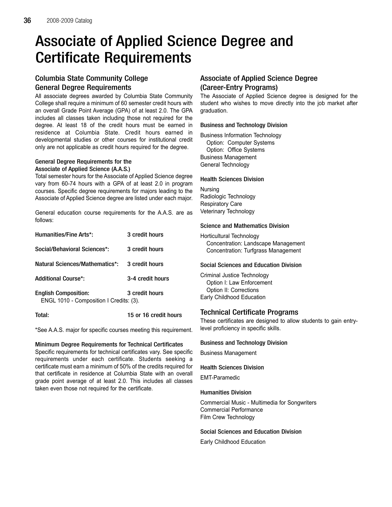# Associate of Applied Science Degree and Certificate Requirements

# Columbia State Community College General Degree Requirements

All associate degrees awarded by Columbia State Community College shall require a minimum of 60 semester credit hours with an overall Grade Point Average (GPA) of at least 2.0. The GPA includes all classes taken including those not required for the degree. At least 18 of the credit hours must be earned in residence at Columbia State. Credit hours earned in developmental studies or other courses for institutional credit only are not applicable as credit hours required for the degree.

# General Degree Requirements for the Associate of Applied Science (A.A.S.)

Total semester hours for the Associate of Applied Science degree vary from 60-74 hours with a GPA of at least 2.0 in program courses. Specific degree requirements for majors leading to the Associate of Applied Science degree are listed under each major.

General education course requirements for the A.A.S. are as follows:

| <b>Humanities/Fine Arts*:</b>                                          | 3 credit hours   |
|------------------------------------------------------------------------|------------------|
| Social/Behavioral Sciences*:                                           | 3 credit hours   |
| Natural Sciences/Mathematics*:                                         | 3 credit hours   |
| <b>Additional Course*:</b>                                             | 3-4 credit hours |
| <b>English Composition:</b><br>ENGL 1010 - Composition I Credits: (3). | 3 credit hours   |

Total: 15 or 16 credit hours

\*See A.A.S. major for specific courses meeting this requirement.

# Minimum Degree Requirements for Technical Certificates

Specific requirements for technical certificates vary. See specific requirements under each certificate. Students seeking a certificate must earn a minimum of 50% of the credits required for that certificate in residence at Columbia State with an overall grade point average of at least 2.0. This includes all classes taken even those not required for the certificate.

# Associate of Applied Science Degree (Career-Entry Programs)

The Associate of Applied Science degree is designed for the student who wishes to move directly into the job market after graduation.

# Business and Technology Division

Business Information Technology Option: Computer Systems Option: Office Systems Business Management General Technology

# Health Sciences Division

Nursing Radiologic Technology Respiratory Care Veterinary Technology

# Science and Mathematics Division

Horticultural Technology Concentration: Landscape Management Concentration: Turfgrass Management

# Social Sciences and Education Division

Criminal Justice Technology Option I: Law Enforcement Option II: Corrections Early Childhood Education

# Technical Certificate Programs

These certificates are designed to allow students to gain entrylevel proficiency in specific skills.

# Business and Technology Division

Business Management

# Health Sciences Division

EMT-Paramedic

# Humanities Division

Commercial Music - Multimedia for Songwriters Commercial Performance Film Crew Technology

Social Sciences and Education Division

Early Childhood Education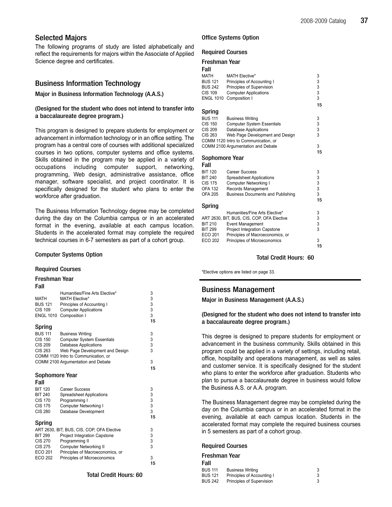# Selected Majors

The following programs of study are listed alphabetically and reflect the requirements for majors within the Associate of Applied Science degree and certificates.

# Business Information Technology

# Major in Business Information Technology (A.A.S.)

(Designed for the student who does not intend to transfer into a baccalaureate degree program.)

This program is designed to prepare students for employment or advancement in information technology or in an office setting. The program has a central core of courses with additional specialized courses in two options, computer systems and office systems. Skills obtained in the program may be applied in a variety of occupations including computer support, networking, programming, Web design, administrative assistance, office manager, software specialist, and project coordinator. It is specifically designed for the student who plans to enter the workforce after graduation.

The Business Information Technology degree may be completed during the day on the Columbia campus or in an accelerated format in the evening, available at each campus location. Students in the accelerated format may complete the required technical courses in 6-7 semesters as part of a cohort group.

# Computer Systems Option

#### Required Courses

#### Freshman Year

Fall

| rall             |                                            |                                       |
|------------------|--------------------------------------------|---------------------------------------|
|                  | Humanities/Fine Arts Elective*             | 3                                     |
| <b>MATH</b>      | <b>MATH Elective*</b>                      | 3                                     |
| <b>BUS 121</b>   | Principles of Accounting I                 | 3                                     |
| <b>CIS 109</b>   | <b>Computer Applications</b>               | 3                                     |
| <b>ENGL 1010</b> | Composition I                              | 3                                     |
|                  |                                            | 15                                    |
| Spring           |                                            |                                       |
| <b>BUS 111</b>   | <b>Business Writing</b>                    | 3                                     |
| <b>CIS 150</b>   | <b>Computer System Essentials</b>          | 3                                     |
| <b>CIS 209</b>   | <b>Database Applications</b>               | 3                                     |
| CIS 263          | Web Page Development and Design            | 3                                     |
|                  | COMM 1120 Intro to Communication, or       |                                       |
|                  | COMM 2100 Argumentation and Debate         | 3                                     |
|                  |                                            | 15                                    |
| Sophomore Year   |                                            |                                       |
| Fall             |                                            |                                       |
|                  |                                            |                                       |
| <b>BIT 120</b>   | Career Success                             | 3                                     |
| <b>BIT 240</b>   | <b>Spreadsheet Applications</b>            | 3                                     |
| <b>CIS 170</b>   | Programming I                              |                                       |
| <b>CIS 175</b>   | Computer Networking I                      | $\begin{array}{c} 3 \\ 3 \end{array}$ |
| <b>CIS 280</b>   | Database Development                       |                                       |
|                  |                                            | 15                                    |
| Spring           |                                            |                                       |
|                  | ART 2630, BIT, BUS, CIS, COP, OFA Elective | 3                                     |
| <b>BIT 299</b>   | <b>Project Integration Capstone</b>        | 3                                     |
| <b>CIS 270</b>   | Programming II                             | 3                                     |
| <b>CIS 275</b>   | <b>Computer Networking II</b>              | 3                                     |
| <b>ECO 201</b>   | Principles of Macroeconomics, or           |                                       |
| <b>ECO 202</b>   | Principles of Microeconomics               | 3                                     |
|                  |                                            | 15                                    |

### Total Credit Hours: 60

# Office Systems Option

#### Required Courses

|  |  | <b>Freshman Year</b> |  |
|--|--|----------------------|--|
|--|--|----------------------|--|

| .    |  |
|------|--|
| Fall |  |

| MATH             | <b>MATH Elective*</b>                      | 3           |
|------------------|--------------------------------------------|-------------|
| <b>BUS 121</b>   | Principles of Accounting I                 | 3           |
| <b>BUS 242</b>   | Principles of Supervision                  |             |
| <b>CIS 109</b>   | <b>Computer Applications</b>               | 3<br>3      |
| <b>ENGL 1010</b> | Composition I                              | 3           |
|                  |                                            |             |
|                  |                                            | 15          |
| Spring           |                                            |             |
| <b>BUS 111</b>   | <b>Business Writing</b>                    | 3           |
| <b>CIS 150</b>   | <b>Computer System Essentials</b>          | 3           |
| <b>CIS 209</b>   | <b>Database Applications</b>               | 3           |
| <b>CIS 263</b>   | Web Page Development and Design            | 3           |
|                  |                                            |             |
|                  | COMM 1120 Intro to Communication, or       |             |
|                  | COMM 2100 Argumentation and Debate         | 3           |
|                  |                                            | 15          |
| Sophomore Year   |                                            |             |
| Fall             |                                            |             |
| <b>BIT 120</b>   | <b>Career Success</b>                      | 3           |
| <b>BIT 240</b>   | <b>Spreadsheet Applications</b>            |             |
| <b>CIS 175</b>   |                                            | 3<br>3<br>3 |
|                  | <b>Computer Networking I</b>               |             |
| <b>OFA 132</b>   | Records Management                         |             |
| <b>OFA 205</b>   | <b>Business Documents and Publishing</b>   | 3           |
|                  |                                            | 15          |
| Spring           |                                            |             |
|                  | Humanities/Fine Arts Elective*             | 3           |
|                  | ART 2630, BIT, BUS, CIS, COP, OFA Elective |             |
| <b>BIT 210</b>   | <b>Event Management</b>                    | 3<br>3      |
| <b>BIT 299</b>   | <b>Project Integration Capstone</b>        | 3           |
| ECO 201          | Principles of Macroeconomics, or           |             |
| <b>ECO 202</b>   | Principles of Microeconomics               | 3           |
|                  |                                            | 15          |
|                  |                                            |             |

Total Credit Hours: 60

\*Elective options are listed on page 33.

# Business Management

Major in Business Management (A.A.S.)

# (Designed for the student who does not intend to transfer into a baccalaureate degree program.)

This degree is designed to prepare students for employment or advancement in the business community. Skills obtained in this program could be applied in a variety of settings, including retail, office, hospitality and operations management, as well as sales and customer service. It is specifically designed for the student who plans to enter the workforce after graduation. Students who plan to pursue a baccalaureate degree in business would follow the Business A.S. or A.A. program.

The Business Management degree may be completed during the day on the Columbia campus or in an accelerated format in the evening, available at each campus location. Students in the accelerated format may complete the required business courses in 5 semesters as part of a cohort group.

#### Required Courses

| Freshman Year  |                            |   |
|----------------|----------------------------|---|
| Fall           |                            |   |
| <b>BUS 111</b> | <b>Business Writing</b>    | 3 |
| <b>BUS 121</b> | Principles of Accounting I | 3 |
| <b>BUS 242</b> | Principles of Supervision  | 3 |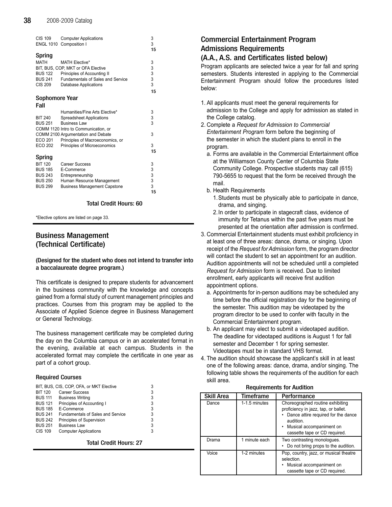| CIS 109<br><b>ENGL 1010</b>                                                                      | <b>Computer Applications</b><br>Composition I                                                                                                                   | 3<br>3<br>15                                          |
|--------------------------------------------------------------------------------------------------|-----------------------------------------------------------------------------------------------------------------------------------------------------------------|-------------------------------------------------------|
| Spring<br>MATH<br><b>BUS 122</b><br><b>BUS 241</b><br><b>CIS 209</b>                             | <b>MATH Elective*</b><br>BIT, BUS, COP, MKT or OFA Elective<br>Principles of Accounting II<br><b>Fundamentals of Sales and Service</b><br>Database Applications | 3<br>$\begin{array}{c} 3 \\ 3 \\ 3 \end{array}$<br>15 |
| Sophomore Year                                                                                   |                                                                                                                                                                 |                                                       |
| Fall                                                                                             |                                                                                                                                                                 |                                                       |
| <b>BIT 240</b><br><b>BUS 251</b>                                                                 | Humanities/Fine Arts Elective*<br><b>Spreadsheet Applications</b><br><b>Business Law</b><br>COMM 1120 Intro to Communication, or                                | 3<br>$\frac{3}{3}$                                    |
| <b>ECO 201</b>                                                                                   | COMM 2100 Argumentation and Debate<br>Principles of Macroeconomics, or                                                                                          | 3                                                     |
| <b>ECO 202</b>                                                                                   | Principles of Microeconomics                                                                                                                                    | 3<br>15                                               |
| Spring<br><b>BIT 120</b><br><b>BUS 185</b><br><b>BUS 243</b><br><b>BUS 250</b><br><b>BUS 299</b> | Career Success<br>E-Commerce<br>Entrepreneurship<br>Human Resource Management<br><b>Business Management Capstone</b>                                            | 3<br>$\begin{array}{c} 3 \\ 3 \\ 3 \end{array}$<br>15 |

# Total Credit Hours: 60

\*Elective options are listed on page 33.

# Business Management (Technical Certificate)

# (Designed for the student who does not intend to transfer into a baccalaureate degree program.)

This certificate is designed to prepare students for advancement in the business community with the knowledge and concepts gained from a formal study of current management principles and practices. Courses from this program may be applied to the Associate of Applied Science degree in Business Management or General Technology.

The business management certificate may be completed during the day on the Columbia campus or in an accelerated format in the evening, available at each campus. Students in the accelerated format may complete the certificate in one year as part of a cohort group.

## Required Courses

|                | BIT, BUS, CIS, COP, OFA, or MKT Elective | 3 |
|----------------|------------------------------------------|---|
| <b>BIT 120</b> | Career Success                           | 3 |
| <b>BUS 111</b> | <b>Business Writing</b>                  | 3 |
| <b>BUS 121</b> | Principles of Accounting I               | 3 |
| <b>BUS 185</b> | E-Commerce                               | 3 |
| <b>BUS 241</b> | <b>Fundamentals of Sales and Service</b> | 3 |
| <b>BUS 242</b> | Principles of Supervision                | 3 |
| <b>BUS 251</b> | <b>Business Law</b>                      | 3 |
| <b>CIS 109</b> | <b>Computer Applications</b>             | 3 |
|                |                                          |   |

Total Credit Hours: 27

# Commercial Entertainment Program Admissions Requirements

# (A.A., A.S. and Certificates listed below)

Program applicants are selected twice a year for fall and spring semesters. Students interested in applying to the Commercial Entertainment Program should follow the procedures listed below:

- 1. All applicants must meet the general requirements for admission to the College and apply for admission as stated in the College catalog.
- 2. Complete a Request for Admission to Commercial Entertainment Program form before the beginning of the semester in which the student plans to enroll in the program.
	- a. Forms are available in the Commercial Entertainment office at the Williamson County Center of Columbia State Community College. Prospective students may call (615) 790-5655 to request that the form be received through the mail.
	- b. Health Requirements
		- 1.Students must be physically able to participate in dance, drama, and singing.
		- 2.In order to participate in stagecraft class, evidence of immunity for Tetanus within the past five years must be presented at the orientation after admission is confirmed.
- 3. Commercial Entertainment students must exhibit proficiency in at least one of three areas: dance, drama, or singing. Upon receipt of the Request for Admission form, the program director will contact the student to set an appointment for an audition. Audition appointments will not be scheduled until a completed Request for Admission form is received. Due to limited enrollment, early applicants will receive first audition appointment options.
	- a. Appointments for in-person auditions may be scheduled any time before the official registration day for the beginning of the semester. This audition may be videotaped by the program director to be used to confer with faculty in the Commercial Entertainment program.
	- b. An applicant may elect to submit a videotaped audition. The deadline for videotaped auditions is August 1 for fall semester and December 1 for spring semester. Videotapes must be in standard VHS format.
- 4. The audition should showcase the applicant's skill in at least one of the following areas: dance, drama, and/or singing. The following table shows the requirements of the audition for each skill area.

| Skill Area | Timeframe     | Performance                                                                                                                                                                                            |
|------------|---------------|--------------------------------------------------------------------------------------------------------------------------------------------------------------------------------------------------------|
| Dance      | 1-1.5 minutes | Choreographed routine exhibiting<br>proficiency in jazz, tap, or ballet.<br>Dance attire required for the dance<br>audition.<br>Musical accompaniment on<br>$\bullet$<br>cassette tape or CD required. |
| Drama      | 1 minute each | Two contrasting monologues.<br>Do not bring props to the audition.                                                                                                                                     |
| Voice      | 1-2 minutes   | Pop, country, jazz, or musical theatre<br>selection.<br>Musical accompaniment on<br>cassette tape or CD required.                                                                                      |

#### Requirements for Audition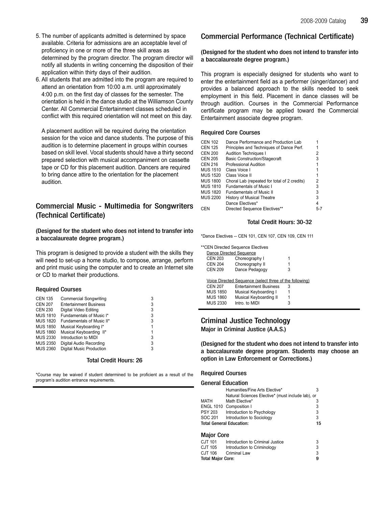- 5. The number of applicants admitted is determined by space available. Criteria for admissions are an acceptable level of proficiency in one or more of the three skill areas as determined by the program director. The program director will notify all students in writing concerning the disposition of their application within thirty days of their audition.
- 6. All students that are admitted into the program are required to attend an orientation from 10:00 a.m. until approximately 4:00 p.m. on the first day of classes for the semester. The orientation is held in the dance studio at the Williamson County Center. All Commercial Entertainment classes scheduled in conflict with this required orientation will not meet on this day.

A placement audition will be required during the orientation session for the voice and dance students. The purpose of this audition is to determine placement in groups within courses based on skill level. Vocal students should have a thirty second prepared selection with musical accompaniment on cassette tape or CD for this placement audition. Dancers are required to bring dance attire to the orientation for the placement audition.

# Commercial Music - Multimedia for Songwriters (Technical Certificate)

(Designed for the student who does not intend to transfer into a baccalaureate degree program.)

This program is designed to provide a student with the skills they will need to set-up a home studio, to compose, arrange, perform and print music using the computer and to create an Internet site or CD to market their productions.

# Required Courses

| <b>CEN 135</b>  | <b>Commercial Songwriting</b>   | 3 |
|-----------------|---------------------------------|---|
| <b>CEN 207</b>  | <b>Entertainment Business</b>   | 3 |
| <b>CEN 230</b>  | Digital Video Editing           | 3 |
| <b>MUS 1810</b> | Fundamentals of Music I*        | 3 |
| <b>MUS 1820</b> | Fundamentals of Music II*       | 3 |
| <b>MUS 1850</b> | Musical Keyboarding I*          |   |
| <b>MUS 1860</b> | Musical Keyboarding II*         |   |
| <b>MUS 2330</b> | Introduction to MIDI            | 3 |
| <b>MUS 2350</b> | Digital Audio Recording         | 3 |
| <b>MUS 2360</b> | <b>Digital Music Production</b> | 3 |
|                 |                                 |   |

### Total Credit Hours: 26

\*Course may be waived if student determined to be proficient as a result of the program's audition entrance requirements.

# Commercial Performance (Technical Certificate)

# (Designed for the student who does not intend to transfer into a baccalaureate degree program.)

This program is especially designed for students who want to enter the entertainment field as a performer (singer/dancer) and provides a balanced approach to the skills needed to seek employment in this field. Placement in dance classes will be through audition. Courses in the Commercial Performance certificate program may be applied toward the Commercial Entertainment associate degree program.

# Required Core Courses

| CEN 102  | Dance Performance and Production Lab         |         |
|----------|----------------------------------------------|---------|
| CEN 125  | Principles and Techniques of Dance Perf.     |         |
| CEN 200  | <b>Audition Techniques I</b>                 | 2       |
| CEN 205  | <b>Basic Construction/Stagecraft</b>         | 3       |
| CEN 216  | Professional Audition                        |         |
| MUS 1510 | Class Voice I                                |         |
| MUS 1520 | Class Voice II                               |         |
| MUS 1800 | Choral Lab (repeated for total of 2 credits) | 2       |
| MUS 1810 | <b>Fundamentals of Music I</b>               | 3       |
| MUS 1820 | <b>Fundamentals of Music II</b>              | 3       |
| MUS 2200 | <b>History of Musical Theatre</b>            | 3       |
|          | Dance Electives*                             | 4       |
| CEN      | Directed Sequence Electives**                | $5 - 7$ |
|          |                                              |         |

# Total Credit Hours: 30-32

\*Dance Electives -- CEN 101, CEN 107, CEN 109, CEN 111

\*\*CEN Directed Sequence Electives

| Dance Directed Sequence |                                                         |   |  |
|-------------------------|---------------------------------------------------------|---|--|
| <b>CEN 203</b>          | Choreography I                                          | 1 |  |
| <b>CEN 204</b>          | Choreography II                                         | 1 |  |
| <b>CEN 209</b>          | Dance Pedagogy                                          | 3 |  |
|                         |                                                         |   |  |
|                         |                                                         |   |  |
|                         | Voice Directed Sequence (select three of the following) |   |  |
| <b>CEN 207</b>          | <b>Entertainment Business</b>                           | 3 |  |
| <b>MUS 1850</b>         | Musical Keyboarding I                                   | 1 |  |
| <b>MUS 1860</b>         | Musical Keyboarding II                                  | 1 |  |
| <b>MUS 2330</b>         | Intro. to MIDI                                          | 3 |  |

# Criminal Justice Technology Major in Criminal Justice (A.A.S.)

(Designed for the student who does not intend to transfer into a baccalaureate degree program. Students may choose an option in Law Enforcement or Corrections.)

### Required Courses

### General Education

|         | Humanities/Fine Arts Elective*                    |    |
|---------|---------------------------------------------------|----|
|         | Natural Sciences Elective* (must include lab), or |    |
| MATH    | Math Elective*                                    | 3  |
|         | ENGL 1010 Composition I                           | 3  |
| PSY 203 | Introduction to Psychology                        | 3  |
| SOC 201 | Introduction to Sociology                         | 3  |
|         | Total General Education:                          | 15 |
|         |                                                   |    |

# Major Core

| Total Major Core: |                                  | g |
|-------------------|----------------------------------|---|
| CJT 106           | <b>Criminal Law</b>              | 3 |
| CJT 105           | Introduction to Criminology      | 3 |
| CJT 101           | Introduction to Criminal Justice | 3 |
|                   |                                  |   |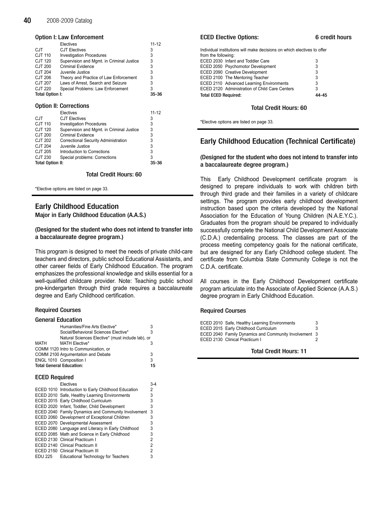#### Option I: Law Enforcement

|                         | Electives                                 | 11-12     |
|-------------------------|-------------------------------------------|-----------|
| CJT.                    | <b>CJT Electives</b>                      | 3         |
| CJT 110                 | <b>Investigation Procedures</b>           | 3         |
| CJT 120                 | Supervision and Mgmt. in Criminal Justice | 3         |
| CJT 200                 | Criminal Evidence                         | 3         |
| CJT 204                 | Juvenile Justice                          | 3         |
| CJT 206                 | Theory and Practice of Law Enforcement    | 3         |
| CJT 207                 | Laws of Arrest, Search and Seizure        | 3         |
| CJT 220                 | Special Problems: Law Enforcement         | 3         |
| Total Option I:         |                                           | 35-36     |
|                         |                                           |           |
|                         | <b>Option II: Corrections</b>             |           |
|                         |                                           |           |
|                         | Electives                                 | $11 - 12$ |
| <b>CJT</b>              | <b>CJT Electives</b>                      | 3         |
| <b>CJT 110</b>          | <b>Investigation Procedures</b>           | 3         |
| CJT 120                 | Supervision and Mgmt. in Criminal Justice | 3         |
| <b>CJT 200</b>          | Criminal Evidence                         | 3         |
| CJT 202                 | Correctional Security Administration      | 3         |
| CJT 204                 | Juvenile Justice                          | 3         |
| CJT 205                 | Introduction to Corrections               | 3         |
| CJT 230                 | Special problems: Corrections             | 3         |
| <b>Total Option II:</b> |                                           | 35-36     |

### Total Credit Hours: 60

\*Elective options are listed on page 33.

# Early Childhood Education

Major in Early Childhood Education (A.A.S.)

# (Designed for the student who does not intend to transfer into a baccalaureate degree program.)

This program is designed to meet the needs of private child-care teachers and directors, public school Educational Assistants, and other career fields of Early Childhood Education. The program emphasizes the professional knowledge and skills essential for a well-qualified childcare provider. Note: Teaching public school pre-kindergarten through third grade requires a baccalaureate degree and Early Childhood certification.

# Required Courses

### General Education

| Humanities/Fine Arts Elective*                    |    |
|---------------------------------------------------|----|
| Social/Behavioral Sciences Elective*              | 3  |
| Natural Sciences Elective* (must include lab), or |    |
| MATH<br><b>MATH Elective*</b>                     |    |
| COMM 1120 Intro to Communication, or              |    |
| COMM 2100 Argumentation and Debate                | 3  |
| ENGL 1010 Composition I                           | 3  |
| <b>Total General Education:</b>                   | 15 |

### ECED Required

|         | Electives                                           | 3-4 |
|---------|-----------------------------------------------------|-----|
|         | ECED 1010 Introduction to Early Childhood Education | 2   |
|         | ECED 2010 Safe, Healthy Learning Environments       | 3   |
|         | ECED 2015 Early Childhood Curriculum                | 3   |
|         | ECED 2020 Infant, Toddler, Child Development        | 3   |
|         | ECED 2040 Family Dynamics and Community Involvement | 3   |
|         | ECED 2060 Development of Exceptional Children       | 3   |
|         | ECED 2070 Developmental Assessment                  | 3   |
|         | ECED 2080 Language and Literacy in Early Childhood  | 3   |
|         | ECED 2085 Math and Science in Early Childhood       | 3   |
|         | ECED 2130 Clinical Practicum I                      | 2   |
|         | ECED 2140 Clinical Practicum II                     | 2   |
|         | <b>ECED 2150 Clinical Practicum III</b>             | 2   |
| EDU 225 | <b>Educational Technology for Teachers</b>          | 3   |

### ECED Elective Options: 6 credit hours

| Individual institutions will make decisions on which electives to offer |   |  |
|-------------------------------------------------------------------------|---|--|
| from the following:                                                     |   |  |
| ECED 2030 Infant and Toddler Care                                       | 3 |  |
| ECED 2050 Psychomotor Development                                       | 3 |  |
| ECED 2090 Creative Development                                          | 3 |  |
| ECED 2100 The Mentoring Teacher                                         | 3 |  |
| ECED 2110 Advanced Learning Environments                                | 3 |  |
| ECED 2120 Administration of Child Care Centers                          | 3 |  |
| <b>Total ECED Required:</b>                                             |   |  |

#### Total Credit Hours: 60

\*Elective options are listed on page 33.

# Early Childhood Education (Technical Certificate)

### (Designed for the student who does not intend to transfer into a baccalaureate degree program.)

This Early Childhood Development certificate program is designed to prepare individuals to work with children birth through third grade and their families in a variety of childcare settings. The program provides early childhood development instruction based upon the criteria developed by the National Association for the Education of Young Children (N.A.E.Y.C.). Graduates from the program should be prepared to individually successfully complete the National Child Development Associate (C.D.A.) credentialing process. The classes are part of the process meeting competency goals for the national certificate, but are designed for any Early Childhood college student. The certificate from Columbia State Community College is not the C.D.A. certificate.

All courses in the Early Childhood Development certificate program articulate into the Associate of Applied Science (A.A.S.) degree program in Early Childhood Education.

### Required Courses

ECED 2010 Safe, Healthy Learning Environments 3 ECED 2015 Early Childhood Curriculum 3 ECED 2040 Family Dynamics and Community Involvement 3 ECED 2130 Clinical Practicum I 2

Total Credit Hours: 11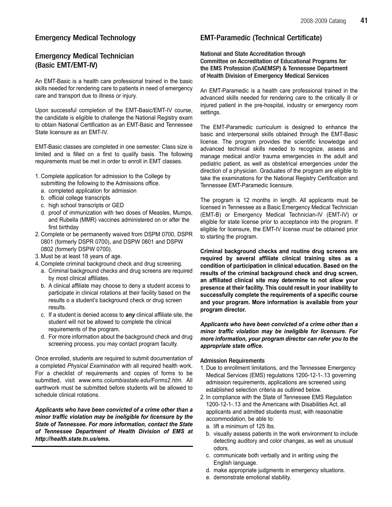# Emergency Medical Technology

# Emergency Medical Technician (Basic EMT/EMT-IV)

An EMT-Basic is a health care professional trained in the basic skills needed for rendering care to patients in need of emergency care and transport due to illness or injury.

Upon successful completion of the EMT-Basic/EMT-IV course, the candidate is eligible to challenge the National Registry exam to obtain National Certification as an EMT-Basic and Tennessee State licensure as an EMT-IV.

EMT-Basic classes are completed in one semester. Class size is limited and is filled on a first to qualify basis. The following requirements must be met in order to enroll in EMT classes.

- 1. Complete application for admission to the College by submitting the following to the Admissions office.
	- a. completed application for admission
	- b. official college transcripts
	- c. high school transcripts or GED
	- d. proof of immunization with two doses of Measles, Mumps, and Rubella (MMR) vaccines administered on or after the first birthday
- 2. Complete or be permanently waived from DSPM 0700, DSPR 0801 (formerly DSPR 0700), and DSPW 0801 and DSPW 0802 (formerly DSPW 0700).
- 3. Must be at least 18 years of age.
- 4. Complete criminal background check and drug screening.
	- a. Criminal background checks and drug screens are required by most clinical affiliates.
	- b. A clinical affiliate may choose to deny a student access to participate in clinical rotations at their facility based on the results o a student's background check or drug screen results.
	- c. If a student is denied access to any clinical affiliate site, the student will not be allowed to complete the clinical requirements of the program.
	- d. For more information about the background check and drug screening process, you may contact program faculty.

Once enrolled, students are required to submit documentation of a completed Physical Examination with all required health work. For a checklist of requirements and copies of forms to be submitted, visit www.ems.columbiastate.edu/Forms2.htm. All earthwork must be submitted before students will be allowed to schedule clinical rotations.

Applicants who have been convicted of a crime other than a minor traffic violation may be ineligible for licensure by the State of Tennessee. For more information, contact the State of Tennessee Department of Health Division of EMS at http://health.state.tn.us/ems.

# EMT-Paramedic (Technical Certificate)

National and State Accreditation through Committee on Accreditation of Educational Programs for the EMS Profession (CoAEMSP) & Tennessee Department of Health Division of Emergency Medical Services

An EMT-Paramedic is a health care professional trained in the advanced skills needed for rendering care to the critically ill or injured patient in the pre-hospital, industry or emergency room settings.

The EMT-Paramedic curriculum is designed to enhance the basic and interpersonal skills obtained through the EMT-Basic license. The program provides the scientific knowledge and advanced technical skills needed to recognize, assess and manage medical and/or trauma emergencies in the adult and pediatric patient, as well as obstetrical emergencies under the direction of a physician. Graduates of the program are eligible to take the examinations for the National Registry Certification and Tennessee EMT-Paramedic licensure.

The program is 12 months in length. All applicants must be licensed in Tennessee as a Basic Emergency Medical Technician (EMT-B) or Emergency Medical Technician-IV (EMT-IV) or eligible for state license prior to acceptance into the program. If eligible for licensure, the EMT-IV license must be obtained prior to starting the program.

Criminal background checks and routine drug screens are required by several affiliate clinical training sites as a condition of participation in clinical education. Based on the results of the criminal background check and drug screen, an affiliated clinical site may determine to not allow your presence at their facility. This could result in your inability to successfully complete the requirements of a specific course and your program. More information is available from your program director.

Applicants who have been convicted of a crime other than a minor traffic violation may be ineligible for licensure. For more information, your program director can refer you to the appropriate state office.

# Admission Requirements

- 1. Due to enrollment limitations, and the Tennessee Emergency Medical Services (EMS) regulations 1200-12-1-.13 governing admission requirements, applications are screened using established selection criteria as outlined below.
- 2. In compliance with the State of Tennessee EMS Regulation 1200-12-1-.13 and the Americans with Disabilities Act, all applicants and admitted students must, with reasonable accommodation, be able to:
	- a. lift a minimum of 125 lbs.
	- b. visually assess patients in the work environment to include detecting auditory and color changes, as well as unusual odors.
	- c. communicate both verbally and in writing using the English language.
	- d. make appropriate judgments in emergency situations.
	- e. demonstrate emotional stability.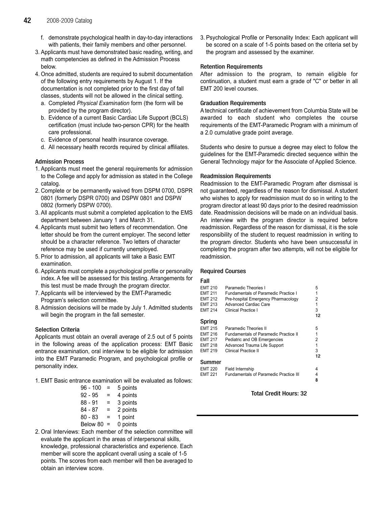- f. demonstrate psychological health in day-to-day interactions with patients, their family members and other personnel.
- 3. Applicants must have demonstrated basic reading, writing, and math competencies as defined in the Admission Process below.
- 4. Once admitted, students are required to submit documentation of the following entry requirements by August 1. If the documentation is not completed prior to the first day of fall classes, students will not be allowed in the clinical setting.
	- a. Completed Physical Examination form (the form will be provided by the program director).
	- b. Evidence of a current Basic Cardiac Life Support (BCLS) certification (must include two-person CPR) for the health care professional.
	- c. Evidence of personal health insurance coverage.
	- d. All necessary health records required by clinical affiliates.

# Admission Process

- 1. Applicants must meet the general requirements for admission to the College and apply for admission as stated in the College catalog.
- 2. Complete or be permanently waived from DSPM 0700, DSPR 0801 (formerly DSPR 0700) and DSPW 0801 and DSPW 0802 (formerly DSPW 0700).
- 3. All applicants must submit a completed application to the EMS department between January 1 and March 31.
- 4. Applicants must submit two letters of recommendation. One letter should be from the current employer. The second letter should be a character reference. Two letters of character reference may be used if currently unemployed.
- 5. Prior to admission, all applicants will take a Basic EMT examination.
- 6. Applicants must complete a psychological profile or personality index. A fee will be assessed for this testing. Arrangements for this test must be made through the program director.
- 7. Applicants will be interviewed by the EMT-Paramedic Program's selection committee.
- 8. Admission decisions will be made by July 1. Admitted students will begin the program in the fall semester.

# Selection Criteria

Applicants must obtain an overall average of 2.5 out of 5 points in the following areas of the application process: EMT Basic entrance examination, oral interview to be eligible for admission into the EMT Paramedic Program, and psychological profile or personality index.

1. EMT Basic entrance examination will be evaluated as follows:

| $96 - 100$ | Ξ   | 5 points |
|------------|-----|----------|
| $92 - 95$  | =   | 4 points |
| $88 - 91$  | =   | 3 points |
| 84 - 87    | =   | 2 points |
| $80 - 83$  | =   | 1 point  |
| Below 80   | $=$ | 0 points |

2. Oral Interviews: Each member of the selection committee will evaluate the applicant in the areas of interpersonal skills, knowledge, professional characteristics and experience. Each member will score the applicant overall using a scale of 1-5 points. The scores from each member will then be averaged to obtain an interview score.

3. Psychological Profile or Personality Index: Each applicant will be scored on a scale of 1-5 points based on the criteria set by the program and assessed by the examiner.

# Retention Requirements

After admission to the program, to remain eligible for continuation, a student must earn a grade of "C" or better in all EMT 200 level courses.

# Graduation Requirements

A technical certificate of achievement from Columbia State will be awarded to each student who completes the course requirements of the EMT-Paramedic Program with a minimum of a 2.0 cumulative grade point average.

Students who desire to pursue a degree may elect to follow the guidelines for the EMT-Paramedic directed sequence within the General Technology major for the Associate of Applied Science.

# Readmission Requirements

Readmission to the EMT-Paramedic Program after dismissal is not guaranteed, regardless of the reason for dismissal. A student who wishes to apply for readmission must do so in writing to the program director at least 90 days prior to the desired readmission date. Readmission decisions will be made on an individual basis. An interview with the program director is required before readmission. Regardless of the reason for dismissal, it is the sole responsibility of the student to request readmission in writing to the program director. Students who have been unsuccessful in completing the program after two attempts, will not be eligible for readmission.

# Required Courses

# Fall

| EMT 210<br>EMT 211<br>EMT 212<br>EMT 213<br>EMT 214 | Paramedic Theories I<br><b>Fundamentals of Paramedic Practice I</b><br>Pre-hospital Emergency Pharmacology<br><b>Advanced Cardiac Care</b><br>Clinical Practice I | 5<br>2<br>1<br>3<br>12 |
|-----------------------------------------------------|-------------------------------------------------------------------------------------------------------------------------------------------------------------------|------------------------|
| Spring                                              |                                                                                                                                                                   |                        |
| <b>EMT 215</b>                                      | Paramedic Theories II                                                                                                                                             | 5                      |
| EMT 216                                             | <b>Fundamentals of Paramedic Practice II</b>                                                                                                                      | 1                      |
| EMT 217                                             | Pediatric and OB Emergencies                                                                                                                                      | 2                      |
| EMT 218                                             | Advanced Trauma Life Support                                                                                                                                      | 1                      |
| EMT 219                                             | <b>Clinical Practice II</b>                                                                                                                                       | 3                      |
|                                                     |                                                                                                                                                                   | 12                     |
| Summer                                              |                                                                                                                                                                   |                        |
| <b>EMT 220</b>                                      | Field Internship                                                                                                                                                  | 4                      |
| EMT 221                                             | <b>Fundamentals of Paramedic Practice III</b>                                                                                                                     | 4                      |
|                                                     |                                                                                                                                                                   | 8                      |

# Total Credit Hours: 32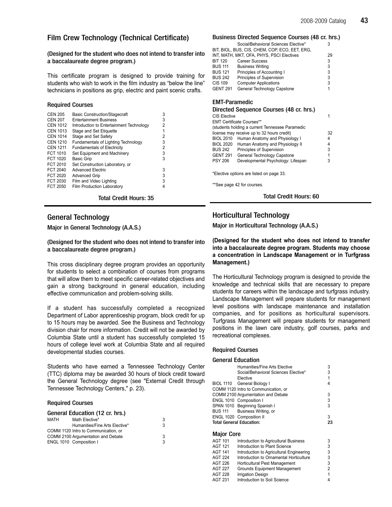# Film Crew Technology (Technical Certificate)

# (Designed for the student who does not intend to transfer into a baccalaureate degree program.)

This certificate program is designed to provide training for students who wish to work in the film industry as "below the line" technicians in positions as grip, electric and paint scenic crafts.

# Required Courses

| <b>CEN 205</b>  | <b>Basic Construction/Stagecraft</b>     | 3 |
|-----------------|------------------------------------------|---|
| <b>CEN 207</b>  | <b>Entertainment Business</b>            | 3 |
| <b>CEN 1012</b> | Introduction to Entertainment Technology | 2 |
| <b>CEN 1013</b> | Stage and Set Etiquette                  | 1 |
| <b>CEN 1014</b> | Stage and Set Safety                     | 2 |
| <b>CEN 1210</b> | Fundamentals of Lighting Technology      | 3 |
| <b>CEN 1211</b> | <b>Fundamentals of Electricity</b>       | 2 |
| FCT 1010        | Set Equipment and Machinery              | 3 |
| FCT 1020        | <b>Basic Grip</b>                        | 3 |
| FCT 2010        | Set Construction Laboratory, or          |   |
| FCT 2040        | <b>Advanced Electric</b>                 | 3 |
| FCT 2020        | <b>Advanced Grip</b>                     | 3 |
| <b>FCT 2030</b> | Film and Video Lighting                  | 3 |
| <b>FCT 2050</b> | Film Production Laboratory               | 4 |
|                 |                                          |   |

Total Credit Hours: 35

# General Technology

Major in General Technology (A.A.S.)

(Designed for the student who does not intend to transfer into a baccalaureate degree program.)

This cross disciplinary degree program provides an opportunity for students to select a combination of courses from programs that will allow them to meet specific career-related objectives and gain a strong background in general education, including effective communication and problem-solving skills.

If a student has successfully completed a recognized Department of Labor apprenticeship program, block credit for up to 15 hours may be awarded. See the Business and Technology division chair for more information. Credit will not be awarded by Columbia State until a student has successfully completed 15 hours of college level work at Columbia State and all required developmental studies courses.

Students who have earned a Tennessee Technology Center (TTC) diploma may be awarded 30 hours of block credit toward the General Technology degree (see "External Credit through Tennessee Technology Centers," p. 23).

### Required Courses

| General Education (12 cr. hrs.) |                                      |   |
|---------------------------------|--------------------------------------|---|
| MATH                            | Math Elective*                       | 3 |
|                                 | Humanities/Fine Arts Elective*       | 3 |
|                                 | COMM 1120 Intro to Communication, or |   |
|                                 | COMM 2100 Argumentation and Debate   | 3 |
|                                 | ENGL 1010 Composition I              | 3 |

### Business Directed Sequence Courses (48 cr. hrs.)

|                                         | Social/Behavioral Sciences Elective*           | 3  |
|-----------------------------------------|------------------------------------------------|----|
|                                         | bit, biol, bus, cis, chem, cop, eco, eet, erg, |    |
|                                         | INT, MATH, MKT, OFA, PHYS, PSCI Electives      | 29 |
| BIT 120                                 | Career Success                                 | 3  |
| BUS 111                                 | <b>Business Writing</b>                        | 3  |
| BUS 121                                 | Principles of Accounting I                     | 3  |
| BUS 242                                 | Principles of Supervision                      | 3  |
| CIS 109                                 | <b>Computer Applications</b>                   | 3  |
| <b>GENT 291</b>                         | General Technology Capstone                    | 1  |
| <b>EMT-Paramedic</b>                    |                                                |    |
| Directed Sequence Courses (48 cr. hrs.) |                                                |    |
| CIS Elective                            |                                                |    |

| UIJ EIEUIVE      |                                                 |    |
|------------------|-------------------------------------------------|----|
|                  | <b>EMT Certificate Courses**</b>                |    |
|                  | (students holding a current Tennessee Paramedic |    |
|                  | license may receive up to 32 hours credit)      | 32 |
| <b>BIOL 2010</b> | Human Anatomy and Physiology I                  | 4  |
| <b>BIOL 2020</b> | Human Anatomy and Physiology II                 | 4  |
| BUS 242          | Principles of Supervision                       | 3  |
| GENT 291         | General Technology Capstone                     | 1  |
| PSY 206          | Developmental Psychology: Lifespan              | 3  |
|                  |                                                 |    |

\*Elective options are listed on page 33.

\*\*See page 42 for courses.

Total Credit Hours: 60

# Horticultural Technology

Major in Horticultural Technology (A.A.S.)

(Designed for the student who does not intend to transfer into a baccalaureate degree program. Students may choose a concentration in Landscape Management or in Turfgrass Management.)

The Horticultural Technology program is designed to provide the knowledge and technical skills that are necessary to prepare students for careers within the landscape and turfgrass industry. Landscape Management will prepare students for management level positions with landscape maintenance and installation companies, and for positions as horticultural supervisors. Turfgrass Management will prepare students for management positions in the lawn care industry, golf courses, parks and recreational complexes.

# Required Courses

### General Education

|                                 | Humanities/Fine Arts Elective            | 3  |
|---------------------------------|------------------------------------------|----|
|                                 | Social/Behavioral Sciences Elective*     | 3  |
|                                 | Elective                                 | 1  |
|                                 | BIOL 1110 General Biology I              | 4  |
|                                 | COMM 1120 Intro to Communication, or     |    |
|                                 | COMM 2100 Argumentation and Debate       | 3  |
|                                 | ENGL 1010 Composition I                  | 3  |
|                                 | SPAN 1010 Beginning Spanish I            | 3  |
| <b>BUS 111</b>                  | Business Writing, or                     |    |
|                                 | ENGL 1020 Composition II                 | 3  |
| <b>Total General Education:</b> |                                          | 23 |
| <b>Major Core</b>               |                                          |    |
| AGT 101                         | Introduction to Agricultural Business    | 3  |
| AGT 121                         | Introduction to Plant Science            | 3  |
| AGT 141                         | Introduction to Agricultural Engineering | 3  |
| AGT 224                         | Introduction to Ornamental Horticulture  | 3  |
| AGT 226                         | Horticultural Pest Management            | 3  |
| AGT 227                         | Grounds Equipment Management             | 2  |
| AGT 228                         | <b>Irrigation Design</b>                 | 1  |
| AGT 231                         | Introduction to Soil Science             | 4  |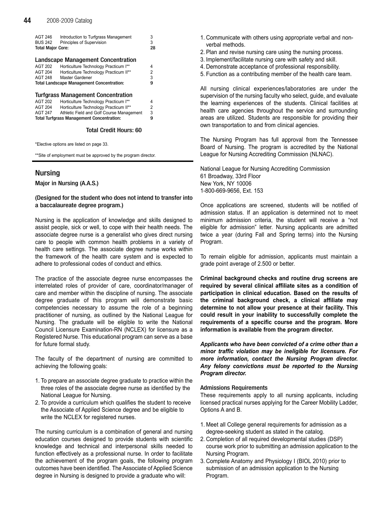| AGT 246<br><b>BUS 242</b>                        | Introduction to Turfgrass Management<br>Principles of Supervision | 3<br>3 |
|--------------------------------------------------|-------------------------------------------------------------------|--------|
| <b>Total Major Core:</b>                         |                                                                   | 28     |
|                                                  | <b>Landscape Management Concentration</b>                         |        |
| <b>AGT 202</b>                                   | Horticulture Technology Practicum I**                             | 4      |
| AGT 204                                          | Horticulture Technology Practicum II**                            | 2      |
| <b>AGT 248</b>                                   | Master Gardener                                                   | 3      |
| <b>Total Landscape Management Concentration:</b> |                                                                   | g      |
|                                                  |                                                                   |        |
|                                                  | Turfgrass Management Concentration                                |        |
| <b>AGT 202</b>                                   | Horticulture Technology Practicum I**                             | 4      |
| <b>AGT 204</b>                                   | Horticulture Technology Practicum II**                            | 2      |
| <b>AGT 247</b>                                   | Athletic Field and Golf Course Management                         | 3      |
| <b>Total Turfgrass Management Concentration:</b> |                                                                   | 9      |
|                                                  |                                                                   |        |

Total Credit Hours: 60

\*Elective options are listed on page 33.

\*\*Site of employment must be approved by the program director.

# Nursing

Major in Nursing (A.A.S.)

# (Designed for the student who does not intend to transfer into a baccalaureate degree program.)

Nursing is the application of knowledge and skills designed to assist people, sick or well, to cope with their health needs. The associate degree nurse is a generalist who gives direct nursing care to people with common health problems in a variety of health care settings. The associate degree nurse works within the framework of the health care system and is expected to adhere to professional codes of conduct and ethics.

The practice of the associate degree nurse encompasses the interrelated roles of provider of care, coordinator/manager of care and member within the discipline of nursing. The associate degree graduate of this program will demonstrate basic competencies necessary to assume the role of a beginning practitioner of nursing, as outlined by the National League for Nursing. The graduate will be eligible to write the National Council Licensure Examination-RN (NCLEX) for licensure as a Registered Nurse. This educational program can serve as a base for future formal study.

The faculty of the department of nursing are committed to achieving the following goals:

- 1. To prepare an associate degree graduate to practice within the three roles of the associate degree nurse as identified by the National League for Nursing.
- 2. To provide a curriculum which qualifies the student to receive the Associate of Applied Science degree and be eligible to write the NCLEX for registered nurses.

The nursing curriculum is a combination of general and nursing education courses designed to provide students with scientific knowledge and technical and interpersonal skills needed to function effectively as a professional nurse. In order to facilitate the achievement of the program goals, the following program outcomes have been identified. The Associate of Applied Science degree in Nursing is designed to provide a graduate who will:

- 1. Communicate with others using appropriate verbal and nonverbal methods.
- 2. Plan and revise nursing care using the nursing process.
- 3. Implement/facilitate nursing care with safety and skill.
- 4. Demonstrate acceptance of professional responsibility.
- 5. Function as a contributing member of the health care team.

All nursing clinical experiences/laboratories are under the supervision of the nursing faculty who select, guide, and evaluate the learning experiences of the students. Clinical facilities at health care agencies throughout the service and surrounding areas are utilized. Students are responsible for providing their own transportation to and from clinical agencies.

The Nursing Program has full approval from the Tennessee Board of Nursing. The program is accredited by the National League for Nursing Accrediting Commission (NLNAC).

National League for Nursing Accrediting Commission 61 Broadway, 33rd Floor New York, NY 10006 1-800-669-9656, Ext. 153

Once applications are screened, students will be notified of admission status. If an application is determined not to meet minimum admission criteria, the student will receive a "not eligible for admission" letter. Nursing applicants are admitted twice a year (during Fall and Spring terms) into the Nursing Program.

To remain eligible for admission, applicants must maintain a grade point average of 2.500 or better.

Criminal background checks and routine drug screens are required by several clinical affiliate sites as a condition of participation in clinical education. Based on the results of the criminal background check, a clinical affiliate may determine to not allow your presence at their facility. This could result in your inability to successfully complete the requirements of a specific course and the program. More information is available from the program director.

Applicants who have been convicted of a crime other than a minor traffic violation may be ineligible for licensure. For more information, contact the Nursing Program director. Any felony convictions must be reported to the Nursing Program director.

### Admissions Requirements

These requirements apply to all nursing applicants, including licensed practical nurses applying for the Career Mobility Ladder, Options A and B.

- 1. Meet all College general requirements for admission as a degree-seeking student as stated in the catalog.
- 2. Completion of all required developmental studies (DSP) course work prior to submitting an admission application to the Nursing Program.
- 3. Complete Anatomy and Physiology I (BIOL 2010) prior to submission of an admission application to the Nursing Program.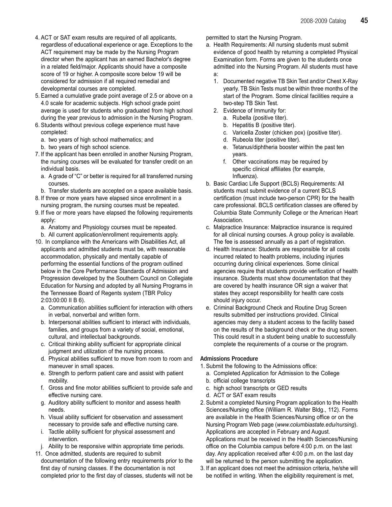- 4. ACT or SAT exam results are required of all applicants, regardless of educational experience or age. Exceptions to the ACT requirement may be made by the Nursing Program director when the applicant has an earned Bachelor's degree in a related field/major. Applicants should have a composite score of 19 or higher. A composite score below 19 will be considered for admission if all required remedial and developmental courses are completed.
- 5. Earned a cumulative grade point average of 2.5 or above on a 4.0 scale for academic subjects. High school grade point average is used for students who graduated from high school during the year previous to admission in the Nursing Program.
- 6. Students without previous college experience must have completed:
	- a. two years of high school mathematics; and
	- b. two years of high school science.
- 7. If the applicant has been enrolled in another Nursing Program, the nursing courses will be evaluated for transfer credit on an individual basis.
	- a. A grade of "C" or better is required for all transferred nursing courses.
- b. Transfer students are accepted on a space available basis.
- 8. If three or more years have elapsed since enrollment in a nursing program, the nursing courses must be repeated.
- 9. If five or more years have elapsed the following requirements apply:
	- a. Anatomy and Physiology courses must be repeated. b. All current application/enrollment requirements apply.
- 10. In compliance with the Americans with Disabilities Act, all applicants and admitted students must be, with reasonable accommodation, physically and mentally capable of performing the essential functions of the program outlined below in the Core Performance Standards of Admission and Progression developed by the Southern Council on Collegiate Education for Nursing and adopted by all Nursing Programs in the Tennessee Board of Regents system (TBR Policy 2:03:00:00 II B 6).
	- a. Communication abilities sufficient for interaction with others in verbal, nonverbal and written form.
	- b. Interpersonal abilities sufficient to interact with individuals, families, and groups from a variety of social, emotional, cultural, and intellectual backgrounds.
	- c. Critical thinking ability sufficient for appropriate clinical judgment and utilization of the nursing process.
	- d. Physical abilities sufficient to move from room to room and maneuver in small spaces.
	- e. Strength to perform patient care and assist with patient mobility.
	- f. Gross and fine motor abilities sufficient to provide safe and effective nursing care.
	- g. Auditory ability sufficient to monitor and assess health needs.
	- h. Visual ability sufficient for observation and assessment necessary to provide safe and effective nursing care.
	- i. Tactile ability sufficient for physical assessment and intervention.
	- j. Ability to be responsive within appropriate time periods.
- 11. Once admitted, students are required to submit documentation of the following entry requirements prior to the first day of nursing classes. If the documentation is not completed prior to the first day of classes, students will not be

permitted to start the Nursing Program.

- a. Health Requirements: All nursing students must submit evidence of good health by returning a completed Physical Examination form. Forms are given to the students once admitted into the Nursing Program. All students must have a:
	- 1. Documented negative TB Skin Test and/or Chest X-Ray yearly. TB Skin Tests must be within three months of the start of the Program. Some clinical facilities require a two-step TB Skin Test.
	- 2. Evidence of Immunity for:
		- a. Rubella (positive titer).
		- b. Hepatitis B (positive titer).
		- c. Varicella Zoster (chicken pox) (positive titer).
		- d. Rubeola titer (positive titer).
		- e. Tetanus/diphtheria booster within the past ten years.
		- f. Other vaccinations may be required by specific clinical affiliates (for example, Influenza).
- b. Basic Cardiac Life Support (BCLS) Requirements: All students must submit evidence of a current BCLS certification (must include two-person CPR) for the health care professional. BCLS certification classes are offered by Columbia State Community College or the American Heart Association.
- c. Malpractice Insurance: Malpractice insurance is required for all clinical nursing courses. A group policy is available. The fee is assessed annually as a part of registration.
- d. Health Insurance: Students are responsible for all costs incurred related to health problems, including injuries occurring during clinical experiences. Some clinical agencies require that students provide verification of health insurance. Students must show documentation that they are covered by health insurance OR sign a waiver that states they accept responsibility for health care costs should injury occur.
- e. Criminal Background Check and Routine Drug Screen results submitted per instructions provided. Clinical agencies may deny a student access to the facility based on the results of the background check or the drug screen. This could result in a student being unable to successfully complete the requirements of a course or the program.

# Admissions Procedure

- 1. Submit the following to the Admissions office:
	- a. Completed Application for Admission to the College
	- b. official college transcripts
	- c. high school transcripts or GED results
	- d. ACT or SAT exam results
- 2. Submit a completed Nursing Program application to the Health Sciences/Nursing office (William R. Walter Bldg., 112). Forms are available in the Health Sciences/Nursing office or on the Nursing Program Web page (www.columbiastate.edu/nursing). Applications are accepted in February and August. Applications must be received in the Health Sciences/Nursing office on the Columbia campus before 4:00 p.m. on the last day. Any application received after 4:00 p.m. on the last day will be returned to the person submitting the application.
- 3. If an applicant does not meet the admission criteria, he/she will be notified in writing. When the eligibility requirement is met,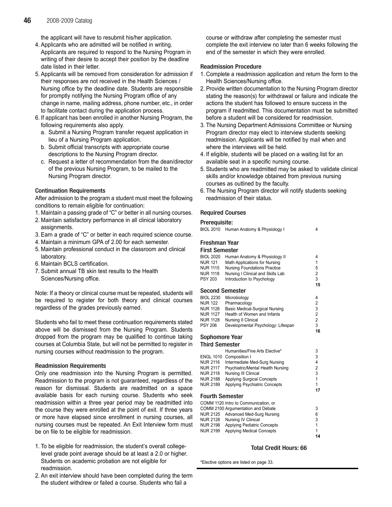the applicant will have to resubmit his/her application.

- 4. Applicants who are admitted will be notified in writing. Applicants are required to respond to the Nursing Program in writing of their desire to accept their position by the deadline date listed in their letter.
- 5. Applicants will be removed from consideration for admission if their responses are not received in the Health Sciences / Nursing office by the deadline date. Students are responsible for promptly notifying the Nursing Program office of any change in name, mailing address, phone number, etc., in order to facilitate contact during the application process.
- 6. If applicant has been enrolled in another Nursing Program, the following requirements also apply.
	- a. Submit a Nursing Program transfer request application in lieu of a Nursing Program application.
	- b. Submit official transcripts with appropriate course descriptions to the Nursing Program director.
	- c. Request a letter of recommendation from the dean/director of the previous Nursing Program, to be mailed to the Nursing Program director.

# Continuation Requirements

After admission to the program a student must meet the following conditions to remain eligible for continuation:

- 1. Maintain a passing grade of "C" or better in all nursing courses.
- 2. Maintain satisfactory performance in all clinical laboratory assignments.
- 3. Earn a grade of "C" or better in each required science course.
- 4. Maintain a minimum GPA of 2.00 for each semester.
- 5. Maintain professional conduct in the classroom and clinical laboratory.
- 6. Maintain BCLS certification.
- 7. Submit annual TB skin test results to the Health Sciences/Nursing office.

Note: If a theory or clinical course must be repeated, students will be required to register for both theory and clinical courses regardless of the grades previously earned.

Students who fail to meet these continuation requirements stated above will be dismissed from the Nursing Program. Students dropped from the program may be qualified to continue taking courses at Columbia State, but will not be permitted to register in nursing courses without readmission to the program.

# Readmission Requirements

Only one readmission into the Nursing Program is permitted. Readmission to the program is not guaranteed, regardless of the reason for dismissal. Students are readmitted on a space available basis for each nursing course. Students who seek readmission within a three year period may be readmitted into the course they were enrolled at the point of exit. If three years or more have elapsed since enrollment in nursing courses, all nursing courses must be repeated. An Exit Interview form must be on file to be eligible for readmission.

- 1. To be eligible for readmission, the student's overall collegelevel grade point average should be at least a 2.0 or higher. Students on academic probation are not eligible for readmission.
- 2. An exit interview should have been completed during the term the student withdrew or failed a course. Students who fail a

course or withdraw after completing the semester must complete the exit interview no later than 6 weeks following the end of the semester in which they were enrolled.

# Readmission Procedure

- 1. Complete a readmission application and return the form to the Health Sciences/Nursing office.
- 2. Provide written documentation to the Nursing Program director stating the reason(s) for withdrawal or failure and indicate the actions the student has followed to ensure success in the program if readmitted. This documentation must be submitted before a student will be considered for readmission.
- 3. The Nursing Department Admissions Committee or Nursing Program director may elect to interview students seeking readmission. Applicants will be notified by mail when and where the interviews will be held.
- 4. If eligible, students will be placed on a waiting list for an available seat in a specific nursing course.
- 5. Students who are readmitted may be asked to validate clinical skills and/or knowledge obtained from previous nursing courses as outlined by the faculty.
- 6. The Nursing Program director will notify students seeking readmission of their status.

# Required Courses

### Prerequisite:

| BIOL 2010        | Human Anatomy & Physiology I        | 4              |
|------------------|-------------------------------------|----------------|
| Freshman Year    |                                     |                |
| First Semester   |                                     |                |
| BIOL 2020        | Human Anatomy & Physiology II       | 4              |
| NUR 121          | Math Applications for Nursing       | 1              |
| NUR 1115         | <b>Nursing Foundations Practice</b> | 5              |
| NUR 1118         | Nursing I Clinical and Skills Lab   | 2              |
| PSY 203          | Introduction to Psychology          | 3              |
|                  |                                     | 15             |
|                  | Second Semester                     |                |
| <b>BIOL 2230</b> | Microbiology                        | 4              |
| NUR 122          | Pharmacology                        | 2              |
| NUR 1126         | Basic Medical-Surgical Nursing      | 3              |
| NUR 1127         | Health of Women and Infants         | 2              |
| NUR 1128         | <b>Nursing II Clinical</b>          | $\overline{2}$ |

PSY 206 Developmental Psychology: Lifespan 3 Sophomore Year

# Third Semester

| тни осново       |                                      |    |
|------------------|--------------------------------------|----|
|                  | Humanities/Fine Arts Elective*       | 3  |
| <b>ENGL 1010</b> | Composition I                        | 3  |
| NUR 2116         | Intermediate Med-Surg Nursing        | 4  |
| NUR 2117         | Psychiatric/Mental Health Nursing    | 2  |
| NUR 2118         | Nursing III Clinical                 | 3  |
| NUR 2188         | <b>Applying Surgical Concepts</b>    | 1  |
| NUR 2189         | Applying Psychiatric Concepts        | 1  |
|                  |                                      | 17 |
| Fourth Semester  |                                      |    |
|                  | COMM 1120 Intro to Communication, or |    |
|                  | COMM 2100 Argumentation and Debate   | 3  |
| NUR 2125         | Advanced Med-Surg Nursing            | 6  |
| NUR 2128         | Nursing IV Clinical                  | 3  |
| NUR 2198         | <b>Applying Pediatric Concepts</b>   |    |
| NUR 2199         | <b>Applying Medical Concepts</b>     |    |

# Total Credit Hours: 66

16

14

\*Elective options are listed on page 33.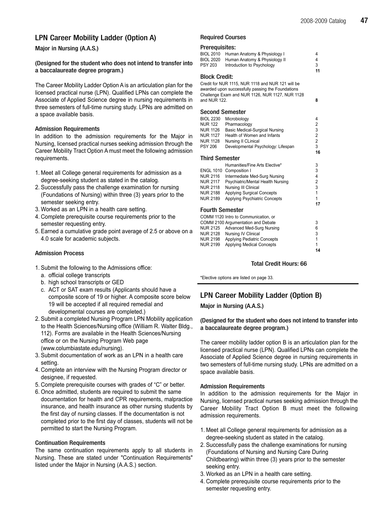# LPN Career Mobility Ladder (Option A)

# Major in Nursing (A.A.S.)

# (Designed for the student who does not intend to transfer into a baccalaureate degree program.)

The Career Mobility Ladder Option A is an articulation plan for the licensed practical nurse (LPN). Qualified LPNs can complete the Associate of Applied Science degree in nursing requirements in three semesters of full-time nursing study. LPNs are admitted on a space available basis.

# Admission Requirements

In addition to the admission requirements for the Major in Nursing, licensed practical nurses seeking admission through the Career Mobility Tract Option Amust meet the following admission requirements.

- 1. Meet all College general requirements for admission as a degree-seeking student as stated in the catalog.
- 2. Successfully pass the challenge examination for nursing (Foundations of Nursing) within three (3) years prior to the semester seeking entry.
- 3. Worked as an LPN in a health care setting.
- 4. Complete prerequisite course requirements prior to the semester requesting entry.
- 5. Earned a cumulative grade point average of 2.5 or above on a 4.0 scale for academic subjects.

# Admission Process

- 1. Submit the following to the Admissions office:
	- a. official college transcripts
	- b. high school transcripts or GED
	- c. ACT or SAT exam results (Applicants should have a composite score of 19 or higher. A composite score below 19 will be accepted if all required remedial and developmental courses are completed.)
- 2. Submit a completed Nursing Program LPN Mobility application to the Health Sciences/Nursing office (William R. Walter Bldg., 112). Forms are available in the Health Sciences/Nursing office or on the Nursing Program Web page (www.columbiastate.edu/nursing).
- 3. Submit documentation of work as an LPN in a health care setting.
- 4. Complete an interview with the Nursing Program director or designee, if requested.
- 5. Complete prerequisite courses with grades of "C" or better.
- 6. Once admitted, students are required to submit the same documentation for health and CPR requirements, malpractice insurance, and health insurance as other nursing students by the first day of nursing classes. If the documentation is not completed prior to the first day of classes, students will not be permitted to start the Nursing Program.

# Continuation Requirements

The same continuation requirements apply to all students in Nursing. These are stated under "Continuation Requirements" listed under the Major in Nursing (A.A.S.) section.

# Required Courses

### Prerequisites:

| BIOL 2010<br>BIOL 2020 | Human Anatomy & Physiology I<br>Human Anatomy & Physiology II                                          | 4<br>4  |
|------------------------|--------------------------------------------------------------------------------------------------------|---------|
| PSY 203                | Introduction to Psychology                                                                             | 3<br>11 |
| Block Credit:          |                                                                                                        |         |
|                        | Credit for NUR 1115, NUR 1118 and NUR 121 will be<br>awarded upon successfully passing the Foundations |         |

awarded upon successfully passing the Foundations Challenge Exam and NUR 1126, NUR 1127, NUR 1128 and NUR 122. Second Semester BIOL 2230 Microbiology 4 NUR 122 Pharmacology<br>NUR 1126 Basic Medical-Surgical Nursing 23 Basic Medical-Surgical Nursing<br>
Health of Women and Infants
2 NUR 1127 Health of Women and Infants 2<br>NUR 1128 Nursing II Clinical 2 NUR 1128 Nursing II CLinical<br>PSY 206 Developmental Ps Developmental Psychology: Lifespan 3 16 Third Semester Humanities/Fine Arts Elective\* 3 ENGL 1010 Composition I<br>NUR 2116 Intermediate Med-Surg Nursing 4 NUR 2116 Intermediate Med-Surg Nursing 4 NUR 2117 Psychiatric/Mental Health Nursing 2 NUR 2118 Nursing III Clinical 3 NUR 2188 Applying Surgical Concepts 1 NUR 2189 Applying Psychiatric Concepts 1 17

# Fourth Semester

|                 | COMM 1120 Intro to Communication, or |   |
|-----------------|--------------------------------------|---|
|                 | COMM 2100 Argumentation and Debate   | 3 |
|                 | NUR 2125 Advanced Med-Surg Nursing   | 6 |
| NUR 2128        | Nursing IV Clinical                  | 3 |
| <b>NUR 2198</b> | <b>Applying Pediatric Concepts</b>   | 1 |
| NUR 2199        | <b>Applying Medical Concepts</b>     | 1 |
|                 |                                      |   |

# Total Credit Hours: 66

14

\*Elective options are listed on page 33.

# LPN Career Mobility Ladder (Option B)

# Major in Nursing (A.A.S.)

# (Designed for the student who does not intend to transfer into a baccalaureate degree program.)

The career mobility ladder option B is an articulation plan for the licensed practical nurse (LPN). Qualified LPNs can complete the Associate of Applied Science degree in nursing requirements in two semesters of full-time nursing study. LPNs are admitted on a space available basis.

# Admission Requirements

In addition to the admission requirements for the Major in Nursing, licensed practical nurses seeking admission through the Career Mobility Tract Option B must meet the following admission requirements.

- 1. Meet all College general requirements for admission as a degree-seeking student as stated in the catalog.
- 2. Successfully pass the challenge examinations for nursing (Foundations of Nursing and Nursing Care During Childbearing) within three (3) years prior to the semester seeking entry.
- 3. Worked as an LPN in a health care setting.
- 4. Complete prerequisite course requirements prior to the semester requesting entry.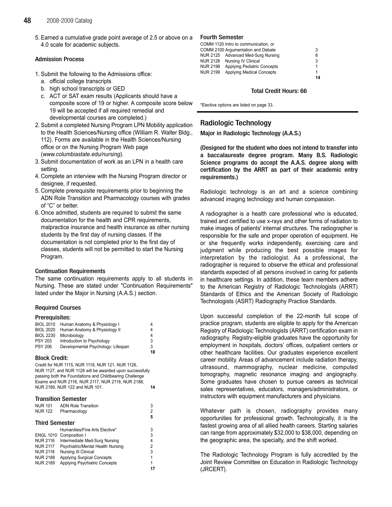5. Earned a cumulative grade point average of 2.5 or above on a Fourth Semester 4.0 scale for academic subjects.

# Admission Process

- 1. Submit the following to the Admissions office:
	- a. official college transcripts
	- b. high school transcripts or GED
	- c. ACT or SAT exam results (Applicants should have a composite score of 19 or higher. A composite score below 19 will be accepted if all required remedial and developmental courses are completed.)
- 2. Submit a completed Nursing Program LPN Mobility application to the Health Sciences/Nursing office (William R. Walter Bldg., 112). Forms are available in the Health Sciences/Nursing office or on the Nursing Program Web page (www.columbiastate.edu/nursing).
- 3. Submit documentation of work as an LPN in a health care setting.
- 4. Complete an interview with the Nursing Program director or designee, if requested.
- 5. Complete prerequisite requirements prior to beginning the ADN Role Transition and Pharmacology courses with grades of "C" or better.
- 6. Once admitted, students are required to submit the same documentation for the health and CPR requirements, malpractice insurance and health insurance as other nursing students by the first day of nursing classes. If the documentation is not completed prior to the first day of classes, students will not be permitted to start the Nursing Program.

# Continuation Requirements

The same continuation requirements apply to all students in Nursing. These are stated under "Continuation Requirements" listed under the Major in Nursing (A.A.S.) section.

# Required Courses

# Prerequisites:

| <b>BIOL 2010</b> | Human Anatomy & Physiology I       |    |
|------------------|------------------------------------|----|
| <b>BIOL 2020</b> | Human Anatomy & Physiology II      | 4  |
| <b>BIOL 2230</b> | Microbiology                       | 4  |
| <b>PSY 203</b>   | Introduction to Psychology         | 3  |
| <b>PSY 206</b>   | Developmental Psychology: Lifespan | 3  |
|                  |                                    | 18 |

# Block Credit:

Credit for NUR 1115, NUR 1118, NUR 121, NUR 1126, NUR 1127, and NUR 1128 will be awarded upon successfully passing both the Foundations and Childbearing Challenge Exams and NUR 2116, NUR 2117, NUR 2118, NUR 2188, NUR 2189, NUR 122 and NUR 101. 14

### Transition Semester

| <b>NUR 101</b>        | <b>ADN Role Transition</b>           | 3 |
|-----------------------|--------------------------------------|---|
| <b>NUR 122</b>        | Pharmacology                         | 2 |
|                       |                                      | 5 |
| <b>Third Semester</b> |                                      |   |
|                       | Humanities/Fine Arts Elective*       | 3 |
|                       | ENGL 1010 Composition I              | 3 |
| <b>NUR 2116</b>       | Intermediate Med-Surg Nursing        | 4 |
| <b>NUR 2117</b>       | Psychiatric/Mental Health Nursing    | 2 |
| <b>NUR 2118</b>       | Nursing III Clinical                 | 3 |
| <b>NUR 2188</b>       | <b>Applying Surgical Concepts</b>    | 1 |
| <b>NUR 2189</b>       | <b>Applying Psychiatric Concepts</b> | 1 |
|                       |                                      |   |

|                 | COMM 1120 Intro to communication, or |    |
|-----------------|--------------------------------------|----|
|                 | COMM 2100 Argumentation and Debate   | 3  |
|                 | NUR 2125 Advanced Med-Surg Nursing   | 6  |
| <b>NUR 2128</b> | Nursing IV Clinical                  | 3  |
| <b>NUR 2198</b> | <b>Applying Pediatric Concepts</b>   | 1  |
| <b>NUR 2199</b> | <b>Applying Medical Concepts</b>     | 1  |
|                 |                                      | 14 |

# Total Credit Hours: 66

\*Elective options are listed on page 33.

# Radiologic Technology

Major in Radiologic Technology (A.A.S.)

(Designed for the student who does not intend to transfer into a baccalaureate degree program. Many B.S. Radiologic Science programs do accept the A.A.S. degree along with certification by the ARRT as part of their academic entry requirements.)

Radiologic technology is an art and a science combining advanced imaging technology and human compassion.

A radiographer is a health care professional who is educated, trained and certified to use x-rays and other forms of radiation to make images of patients' internal structures. The radiographer is responsible for the safe and proper operation of equipment. He or she frequently works independently, exercising care and judgment while producing the best possible images for interpretation by the radiologist. As a professional, the radiographer is required to observe the ethical and professional standards expected of all persons involved in caring for patients in healthcare settings. In addition, these team members adhere to the American Registry of Radiologic Technologists (ARRT) Standards of Ethics and the American Society of Radiologic Technologists (ASRT) Radiography Practice Standards.

Upon successful completion of the 22-month full scope of practice program, students are eligible to apply for the American Registry of Radiologic Technologists (ARRT) certification exam in radiography. Registry-eligible graduates have the opportunity for employment in hospitals, doctors' offices, outpatient centers or other healthcare facilities. Our graduates experience excellent career mobility. Areas of advancement include radiation therapy, ultrasound, mammography, nuclear medicine, computed tomography, magnetic resonance imaging and angiography. Some graduates have chosen to pursue careers as technical sales representatives, educators, managers/administrators, or instructors with equipment manufacturers and physicians.

Whatever path is chosen, radiography provides many opportunities for professional growth. Technologically, it is the fastest growing area of all allied health careers. Starting salaries can range from approximately \$32,000 to \$38,000, depending on the geographic area, the specialty, and the shift worked.

The Radiologic Technology Program is fully accredited by the Joint Review Committee on Education in Radiologic Technology (JRCERT).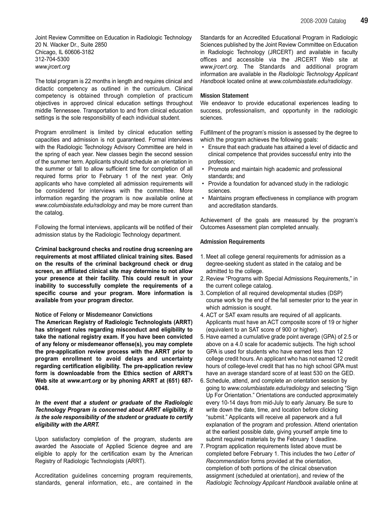Joint Review Committee on Education in Radiologic Technology 20 N. Wacker Dr., Suite 2850 Chicago, IL 60606-3182 312-704-5300 www.jrcert.org

The total program is 22 months in length and requires clinical and didactic competency as outlined in the curriculum. Clinical competency is obtained through completion of practicum objectives in approved clinical education settings throughout middle Tennessee. Transportation to and from clinical education settings is the sole responsibility of each individual student.

Program enrollment is limited by clinical education setting capacities and admission is not guaranteed. Formal interviews with the Radiologic Technology Advisory Committee are held in the spring of each year. New classes begin the second session of the summer term. Applicants should schedule an orientation in the summer or fall to allow sufficient time for completion of all required forms prior to February 1 of the next year. Only applicants who have completed all admission requirements will be considered for interviews with the committee. More information regarding the program is now available online at www.columbiastate.edu/radiology and may be more current than the catalog.

Following the formal interviews, applicants will be notified of their admission status by the Radiologic Technology department.

Criminal background checks and routine drug screening are requirements at most affiliated clinical training sites. Based on the results of the criminal background check or drug screen, an affiliated clinical site may determine to not allow your presence at their facility. This could result in your inability to successfully complete the requirements of a specific course and your program. More information is available from your program director.

### Notice of Felony or Misdemeanor Convictions

The American Registry of Radiologic Technologists (ARRT) has stringent rules regarding misconduct and eligibility to take the national registry exam. If you have been convicted of any felony or misdemeanor offense(s), you may complete the pre-application review process with the ARRT prior to program enrollment to avoid delays and uncertainty regarding certification eligibility. The pre-application review form is downloadable from the Ethics section of ARRT's Web site at www.arrt.org or by phoning ARRT at (651) 687- 0048.

# In the event that a student or graduate of the Radiologic Technology Program is concerned about ARRT eligibility, it is the sole responsibility of the student or graduate to certify eligibility with the ARRT.

Upon satisfactory completion of the program, students are awarded the Associate of Applied Science degree and are eligible to apply for the certification exam by the American Registry of Radiologic Technologists (ARRT).

Accreditation guidelines concerning program requirements, standards, general information, etc., are contained in the Standards for an Accredited Educational Program in Radiologic Sciences published by the Joint Review Committee on Education in Radiologic Technology (JRCERT) and available in faculty offices and accessible via the JRCERT Web site at www.jrcert.org. The Standards and additional program information are available in the Radiologic Technology Applicant Handbook located online at www.columbiastate.edu/radiology.

# Mission Statement

We endeavor to provide educational experiences leading to success, professionalism, and opportunity in the radiologic sciences.

Fulfillment of the program's mission is assessed by the degree to which the program achieves the following goals:

- Ensure that each graduate has attained a level of didactic and clinical competence that provides successful entry into the profession;
- Promote and maintain high academic and professional standards; and
- Provide a foundation for advanced study in the radiologic sciences.
- Maintains program effectiveness in compliance with program and accreditation standards.

Achievement of the goals are measured by the program's Outcomes Assessment plan completed annually.

### Admission Requirements

- 1. Meet all college general requirements for admission as a degree-seeking student as stated in the catalog and be admitted to the college.
- 2. Review "Programs with Special Admissions Requirements," in the current college catalog.
- 3. Completion of all required developmental studies (DSP) course work by the end of the fall semester prior to the year in which admission is sought.
- 4. ACT or SAT exam results are required of all applicants. Applicants must have an ACT composite score of 19 or higher (equivalent to an SAT score of 900 or higher).
- 5. Have earned a cumulative grade point average (GPA) of 2.5 or above on a 4.0 scale for academic subjects. The high school GPA is used for students who have earned less than 12 college credit hours. An applicant who has not earned 12 credit hours of college-level credit that has no high school GPA must have an average standard score of at least 530 on the GED.
- 6. Schedule, attend, and complete an orientation session by going to www.columbiastate.edu/radiology and selecting "Sign Up For Orientation." Orientations are conducted approximately every 10-14 days from mid-July to early January. Be sure to write down the date, time, and location before clicking "submit." Applicants will receive all paperwork and a full explanation of the program and profession. Attend orientation at the earliest possible date, giving yourself ample time to submit required materials by the February 1 deadline.
- 7. Program application requirements listed above must be completed before February 1. This includes the two Letter of Recommendation forms provided at the orientation, completion of both portions of the clinical observation assignment (scheduled at orientation), and review of the Radiologic Technology Applicant Handbook available online at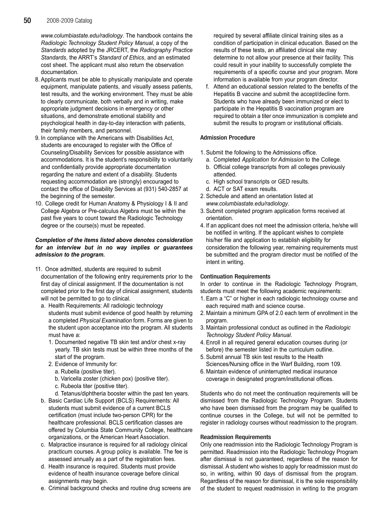# **50** 2008-2009 Catalog

www.columbiastate.edu/radiology. The handbook contains the Radiologic Technology Student Policy Manual, a copy of the Standards adopted by the JRCERT, the Radiography Practice Standards, the ARRT's Standard of Ethics, and an estimated cost sheet. The applicant must also return the observation documentation.

- 8. Applicants must be able to physically manipulate and operate equipment, manipulate patients, and visually assess patients, test results, and the working environment. They must be able to clearly communicate, both verbally and in writing, make appropriate judgment decisions in emergency or other situations, and demonstrate emotional stability and psychological health in day-to-day interaction with patients, their family members, and personnel.
- 9. In compliance with the Americans with Disabilities Act, students are encouraged to register with the Office of Counseling/Disability Services for possible assistance with accommodations. It is the student's responsibility to voluntarily and confidentially provide appropriate documentation regarding the nature and extent of a disability. Students requesting accommodation are (strongly) encouraged to contact the office of Disability Services at (931) 540-2857 at the beginning of the semester.
- 10. College credit for Human Anatomy & Physiology I & II and College Algebra or Pre-calculus Algebra must be within the past five years to count toward the Radiologic Technology degree or the course(s) must be repeated.

# Completion of the items listed above denotes consideration for an interview but in no way implies or guarantees admission to the program.

- 11. Once admitted, students are required to submit documentation of the following entry requirements prior to the first day of clinical assignment. If the documentation is not completed prior to the first day of clinical assignment, students will not be permitted to go to clinical.
	- a. Health Requirements: All radiologic technology students must submit evidence of good health by returning a completed Physical Examination form. Forms are given to the student upon acceptance into the program. All students must have a:
		- 1. Documented negative TB skin test and/or chest x-ray yearly. TB skin tests must be within three months of the start of the program.
		- 2. Evidence of Immunity for:
			- a. Rubella (positive titer).
			- b. Varicella zoster (chicken pox) (positive titer).
			- c. Rubeola titer (positive titer).
			- d. Tetanus/diphtheria booster within the past ten years.
	- b. Basic Cardiac Life Support (BCLS) Requirements: All students must submit evidence of a current BCLS certification (must include two-person CPR) for the healthcare professional. BCLS certification classes are offered by Columbia State Community College, healthcare organizations, or the American Heart Association.
	- c. Malpractice insurance is required for all radiology clinical practicum courses. A group policy is available. The fee is assessed annually as a part of the registration fees.
	- d. Health insurance is required. Students must provide evidence of health insurance coverage before clinical assignments may begin.
	- e. Criminal background checks and routine drug screens are

required by several affiliate clinical training sites as a condition of participation in clinical education. Based on the results of these tests, an affiliated clinical site may determine to not allow your presence at their facility. This could result in your inability to successfully complete the requirements of a specific course and your program. More information is available from your program director.

f. Attend an educational session related to the benefits of the Hepatitis B vaccine and submit the accept/decline form. Students who have already been immunized or elect to participate in the Hepatitis B vaccination program are required to obtain a titer once immunization is complete and submit the results to program or institutional officials.

# Admission Procedure

- 1. Submit the following to the Admissions office.
	- a. Completed Application for Admission to the College.
	- b. Official college transcripts from all colleges previously attended.
	- c. High school transcripts or GED results.
	- d. ACT or SAT exam results.
- 2. Schedule and attend an orientation listed at www.columbiastate.edu/radiology.
- 3. Submit completed program application forms received at orientation.
- 4. If an applicant does not meet the admission criteria, he/she will be notified in writing. If the applicant wishes to complete his/her file and application to establish eligibility for consideration the following year, remaining requirements must be submitted and the program director must be notified of the intent in writing.

# Continuation Requirements

In order to continue in the Radiologic Technology Program, students must meet the following academic requirements:

- 1. Earn a "C" or higher in each radiologic technology course and each required math and science course.
- 2. Maintain a minimum GPA of 2.0 each term of enrollment in the program.
- 3. Maintain professional conduct as outlined in the Radiologic Technology Student Policy Manual.
- 4. Enroll in all required general education courses during (or before) the semester listed in the curriculum outline.
- 5. Submit annual TB skin test results to the Health Sciences/Nursing office in the Warf Building, room 109.
- 6. Maintain evidence of uninterrupted medical insurance
	- coverage in designated program/institutional offices.

Students who do not meet the continuation requirements will be dismissed from the Radiologic Technology Program. Students who have been dismissed from the program may be qualified to continue courses in the College, but will not be permitted to register in radiology courses without readmission to the program.

# Readmission Requirements

Only one readmission into the Radiologic Technology Program is permitted. Readmission into the Radiologic Technology Program after dismissal is not guaranteed, regardless of the reason for dismissal. A student who wishes to apply for readmission must do so, in writing, within 90 days of dismissal from the program. Regardless of the reason for dismissal, it is the sole responsibility of the student to request readmission in writing to the program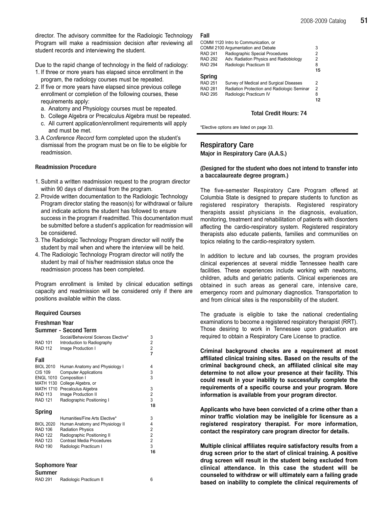director. The advisory committee for the Radiologic Technology Program will make a readmission decision after reviewing all student records and interviewing the student.

Due to the rapid change of technology in the field of radiology:

- 1. If three or more years has elapsed since enrollment in the program, the radiology courses must be repeated.
- 2. If five or more years have elapsed since previous college enrollment or completion of the following courses, these requirements apply:
	- a. Anatomy and Physiology courses must be repeated.
	- b. College Algebra or Precalculus Algebra must be repeated.
	- c. All current application/enrollment requirements will apply and must be met.
- 3. A Conference Record form completed upon the student's dismissal from the program must be on file to be eligible for readmission.

### Readmission Procedure

- 1. Submit a written readmission request to the program director within 90 days of dismissal from the program.
- 2. Provide written documentation to the Radiologic Technology Program director stating the reason(s) for withdrawal or failure and indicate actions the student has followed to ensure success in the program if readmitted. This documentation must be submitted before a student's application for readmission will be considered.
- 3. The Radiologic Technology Program director will notify the student by mail when and where the interview will be held.
- 4. The Radiologic Technology Program director will notify the student by mail of his/her readmission status once the readmission process has been completed.

Program enrollment is limited by clinical education settings capacity and readmission will be considered only if there are positions available within the class.

# Required Courses

| Freshman Year                                                                                                                      |                                                                                                                                                                                            |                                               |  |  |
|------------------------------------------------------------------------------------------------------------------------------------|--------------------------------------------------------------------------------------------------------------------------------------------------------------------------------------------|-----------------------------------------------|--|--|
|                                                                                                                                    | Summer - Second Term                                                                                                                                                                       |                                               |  |  |
| <b>RAD 101</b><br><b>RAD 112</b>                                                                                                   | Social/Behavioral Sciences Elective*<br>Introduction to Radiography<br>Image Production I                                                                                                  | 3<br>$\frac{2}{2}$<br>$\overline{7}$          |  |  |
| Fall                                                                                                                               |                                                                                                                                                                                            |                                               |  |  |
| <b>BIOL 2010</b><br><b>CIS 109</b><br><b>ENGL 1010</b><br><b>MATH 1130</b><br><b>MATH 1710</b><br><b>RAD 113</b><br><b>RAD 121</b> | Human Anatomy and Physiology I<br><b>Computer Applications</b><br>Composition I<br>College Algebra, or<br>Precalculus Algebra<br>Image Production II<br>Radiographic Positioning I         | 4<br>3<br>3<br>3<br>$\overline{c}$<br>3<br>18 |  |  |
| Spring                                                                                                                             |                                                                                                                                                                                            |                                               |  |  |
| <b>BIOL 2020</b><br><b>RAD 106</b><br><b>RAD 122</b><br><b>RAD 123</b><br><b>RAD 190</b>                                           | Humanities/Fine Arts Elective*<br>Human Anatomy and Physiology II<br><b>Radiation Physics</b><br>Radiographic Positioning II<br><b>Contrast Media Procedures</b><br>Radiologic Practicum I | 3<br>4<br>2<br>2<br>$\overline{2}$<br>3<br>16 |  |  |
|                                                                                                                                    |                                                                                                                                                                                            |                                               |  |  |

# Sophomore Year

| Summer         |                         |  |
|----------------|-------------------------|--|
| <b>RAD 291</b> | Radiologic Practicum II |  |

# Fall

|                | COMM 1120 Intro to Communication, or        |    |
|----------------|---------------------------------------------|----|
|                | COMM 2100 Argumentation and Debate          | 3  |
| <b>RAD 241</b> | Radiographic Special Procedures             | 2  |
| <b>RAD 292</b> | Adv. Radiation Physics and Radiobiology     | 2  |
| <b>RAD 294</b> | Radiologic Practicum III                    | 8  |
|                |                                             | 15 |
| <b>Spring</b>  |                                             |    |
| <b>RAD 251</b> | Survey of Medical and Surgical Diseases     | 2  |
| <b>RAD 281</b> | Radiation Protection and Radiologic Seminar | 2  |
| <b>RAD 295</b> | Radiologic Practicum IV                     | 8  |
|                |                                             |    |

### Total Credit Hours: 74

\*Elective options are listed on page 33.

# Respiratory Care

Major in Respiratory Care (A.A.S.)

# (Designed for the student who does not intend to transfer into a baccalaureate degree program.)

The five-semester Respiratory Care Program offered at Columbia State is designed to prepare students to function as registered respiratory therapists. Registered respiratory therapists assist physicians in the diagnosis, evaluation, monitoring, treatment and rehabilitation of patients with disorders affecting the cardio-respiratory system. Registered respiratory therapists also educate patients, families and communities on topics relating to the cardio-respiratory system.

In addition to lecture and lab courses, the program provides clinical experiences at several middle Tennessee health care facilities. These experiences include working with newborns, children, adults and geriatric patients. Clinical experiences are obtained in such areas as general care, intensive care, emergency room and pulmonary diagnostics. Transportation to and from clinical sites is the responsibility of the student.

The graduate is eligible to take the national credentialing examinations to become a registered respiratory therapist (RRT). Those desiring to work in Tennessee upon graduation are required to obtain a Respiratory Care License to practice.

Criminal background checks are a requirement at most affiliated clinical training sites. Based on the results of the criminal background check, an affiliated clinical site may determine to not allow your presence at their facility. This could result in your inability to successfully complete the requirements of a specific course and your program. More information is available from your program director.

Applicants who have been convicted of a crime other than a minor traffic violation may be ineligible for licensure as a registered respiratory therapist. For more information, contact the respiratory care program director for details.

Multiple clinical affiliates require satisfactory results from a drug screen prior to the start of clinical training. A positive drug screen will result in the student being excluded from clinical attendance. In this case the student will be counseled to withdraw or will ultimately earn a failing grade based on inability to complete the clinical requirements of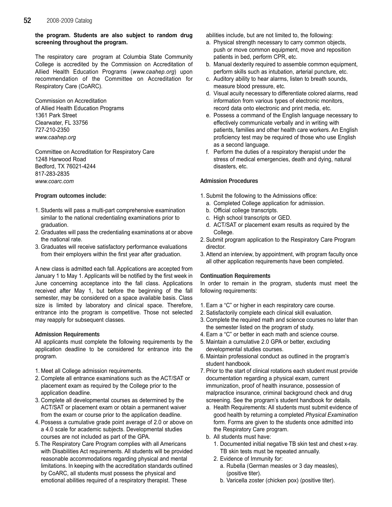# **52** 2008-2009 Catalog

the program. Students are also subject to random drug screening throughout the program.

The respiratory care program at Columbia State Community College is accredited by the Commission on Accreditation of Allied Health Education Programs (www.caahep.org) upon recommendation of the Committee on Accreditation for Respiratory Care (CoARC).

Commission on Accreditation of Allied Health Education Programs 1361 Park Street Clearwater, FL 33756 727-210-2350 www.caahep.org

Committee on Accreditation for Respiratory Care 1248 Harwood Road Bedford, TX 76021-4244 817-283-2835 www.coarc.com

# Program outcomes include:

- 1. Students will pass a multi-part comprehensive examination similar to the national credentialing examinations prior to graduation.
- 2. Graduates will pass the credentialing examinations at or above the national rate.
- 3. Graduates will receive satisfactory performance evaluations from their employers within the first year after graduation.

A new class is admitted each fall. Applications are accepted from January 1 to May 1. Applicants will be notified by the first week in June concerning acceptance into the fall class. Applications received after May 1, but before the beginning of the fall semester, may be considered on a space available basis. Class size is limited by laboratory and clinical space. Therefore, entrance into the program is competitive. Those not selected may reapply for subsequent classes.

# Admission Requirements

All applicants must complete the following requirements by the application deadline to be considered for entrance into the program.

- 1. Meet all College admission requirements.
- 2. Complete all entrance examinations such as the ACT/SAT or placement exam as required by the College prior to the application deadline.
- 3. Complete all developmental courses as determined by the ACT/SAT or placement exam or obtain a permanent waiver from the exam or course prior to the application deadline.
- 4. Possess a cumulative grade point average of 2.0 or above on a 4.0 scale for academic subjects. Developmental studies courses are not included as part of the GPA.
- 5. The Respiratory Care Program complies with all Americans with Disabilities Act requirements. All students will be provided reasonable accommodations regarding physical and mental limitations. In keeping with the accreditation standards outlined by CoARC, all students must possess the physical and emotional abilities required of a respiratory therapist. These

abilities include, but are not limited to, the following:

- a. Physical strength necessary to carry common objects, push or move common equipment, move and reposition patients in bed, perform CPR, etc.
- b. Manual dexterity required to assemble common equipment, perform skills such as intubation, arterial puncture, etc.
- c. Auditory ability to hear alarms, listen to breath sounds, measure blood pressure, etc.
- d. Visual acuity necessary to differentiate colored alarms, read information from various types of electronic monitors, record data onto electronic and print media, etc.
- e. Possess a command of the English language necessary to effectively communicate verbally and in writing with patients, families and other health care workers. An English proficiency test may be required of those who use English as a second language.
- f. Perform the duties of a respiratory therapist under the stress of medical emergencies, death and dying, natural disasters, etc.

# Admission Procedures

- 1. Submit the following to the Admissions office:
	- a. Completed College application for admission.
	- b. Official college transcripts.
	- c. High school transcripts or GED.
	- d. ACT/SAT or placement exam results as required by the College.
- 2. Submit program application to the Respiratory Care Program director.
- 3. Attend an interview, by appointment, with program faculty once all other application requirements have been completed.

# Continuation Requirements

In order to remain in the program, students must meet the following requirements:

- 1. Earn a "C" or higher in each respiratory care course.
- 2. Satisfactorily complete each clinical skill evaluation.
- 3. Complete the required math and science courses no later than the semester listed on the program of study.
- 4. Earn a "C" or better in each math and science course.
- 5. Maintain a cumulative 2.0 GPA or better, excluding developmental studies courses.
- 6. Maintain professional conduct as outlined in the program's student handbook.
- 7. Prior to the start of clinical rotations each student must provide documentation regarding a physical exam, current immunization, proof of health insurance, possession of malpractice insurance, criminal background check and drug screening. See the program's student handbook for details.
	- a. Health Requirements: All students must submit evidence of good health by returning a completed Physical Examination form. Forms are given to the students once admitted into the Respiratory Care program.
	- b. All students must have:
		- 1. Documented initial negative TB skin test and chest x-ray. TB skin tests must be repeated annually.
		- 2. Evidence of Immunity for:
			- a. Rubella (German measles or 3 day measles), (positive titer).
			- b. Varicella zoster (chicken pox) (positive titer).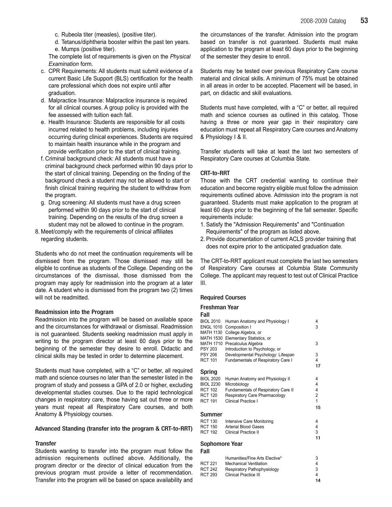- c. Rubeola titer (measles), (positive titer).
- d. Tetanus/diphtheria booster within the past ten years. e. Mumps (positive titer).

The complete list of requirements is given on the Physical Examination form.

- c. CPR Requirements: All students must submit evidence of a current Basic Life Support (BLS) certification for the health care professional which does not expire until after graduation.
- d. Malpractice Insurance: Malpractice insurance is required for all clinical courses. A group policy is provided with the fee assessed with tuition each fall.
- e. Health Insurance: Students are responsible for all costs incurred related to health problems, including injuries occurring during clinical experiences. Students are required to maintain health insurance while in the program and provide verification prior to the start of clinical training.
- f. Criminal background check: All students must have a criminal background check performed within 90 days prior to the start of clinical training. Depending on the finding of the background check a student may not be allowed to start or finish clinical training requiring the student to withdraw from the program.
- g. Drug screening: All students must have a drug screen performed within 90 days prior to the start of clinical training. Depending on the results of the drug screen a student may not be allowed to continue in the program.
- 8. Meet/comply with the requirements of clinical affiliates regarding students.

Students who do not meet the continuation requirements will be dismissed from the program. Those dismissed may still be eligible to continue as students of the College. Depending on the circumstances of the dismissal, those dismissed from the program may apply for readmission into the program at a later date. A student who is dismissed from the program two (2) times will not be readmitted.

### Readmission into the Program

Readmission into the program will be based on available space and the circumstances for withdrawal or dismissal. Readmission is not guaranteed. Students seeking readmission must apply in writing to the program director at least 60 days prior to the beginning of the semester they desire to enroll. Didactic and clinical skills may be tested in order to determine placement.

Students must have completed, with a "C" or better, all required math and science courses no later than the semester listed in the program of study and possess a GPA of 2.0 or higher, excluding developmental studies courses. Due to the rapid technological changes in respiratory care, those having sat out three or more years must repeat all Respiratory Care courses, and both Anatomy & Physiology courses.

### Advanced Standing (transfer into the program & CRT-to-RRT)

# **Transfer**

Students wanting to transfer into the program must follow the admission requirements outlined above. Additionally, the program director or the director of clinical education from the previous program must provide a letter of recommendation. Transfer into the program will be based on space availability and

the circumstances of the transfer. Admission into the program based on transfer is not guaranteed. Students must make application to the program at least 60 days prior to the beginning of the semester they desire to enroll.

Students may be tested over previous Respiratory Care course material and clinical skills. A minimum of 75% must be obtained in all areas in order to be accepted. Placement will be based, in part, on didactic and skill evaluations.

Students must have completed, with a "C" or better, all required math and science courses as outlined in this catalog. Those having a three or more year gap in their respiratory care education must repeat all Respiratory Care courses and Anatomy & Physiology I & II.

Transfer students will take at least the last two semesters of Respiratory Care courses at Columbia State.

# CRT-to-RRT

Those with the CRT credential wanting to continue their education and become registry eligible must follow the admission requirements outlined above. Admission into the program is not guaranteed. Students must make application to the program at least 60 days prior to the beginning of the fall semester. Specific requirements include:

- 1. Satisfy the "Admission Requirements" and "Continuation Requirements" of the program as listed above.
- 2. Provide documentation of current ACLS provider training that does not expire prior to the anticipated graduation date.

The CRT-to-RRT applicant must complete the last two semesters of Respiratory Care courses at Columbia State Community College. The applicant may request to test out of Clinical Practice III.

### Required Courses

#### Freshman Year

| Fall             |                                     |                |
|------------------|-------------------------------------|----------------|
| <b>BIOL 2010</b> | Human Anatomy and Physiology I      | 4              |
| <b>ENGL 1010</b> | Composition I                       | 3              |
| MATH 1130        | College Algebra, or                 |                |
| <b>MATH 1530</b> | Elementary Statistics, or           |                |
| <b>MATH 1710</b> | Precalculus Algebra                 | 3              |
| <b>PSY 203</b>   | Introduction to Psychology, or      |                |
| <b>PSY 206</b>   | Developmental Psychology: Lifespan  | 3              |
| <b>RCT 101</b>   | Fundamentals of Respiratory Care I  | 4              |
|                  |                                     | 17             |
| Spring           |                                     |                |
| <b>BIOL 2020</b> | Human Anatomy and Physiology II     | 4              |
| <b>BIOL 2230</b> | Microbiology                        | 4              |
| <b>RCT 102</b>   | Fundamentals of Respiratory Care II | 4              |
| <b>RCT 120</b>   | Respiratory Care Pharmacology       | 2              |
| <b>RCT 191</b>   | Clinical Practice I                 | $\overline{1}$ |
|                  |                                     | 15             |
| Summer           |                                     |                |
| <b>RCT 130</b>   | Intensive Care Monitoring           | 4              |
| <b>RCT 150</b>   | Arterial Blood Gases                | 4              |
| <b>RCT 192</b>   | Clinical Practice II                | 3              |
|                  |                                     | 11             |
| Sophomore Year   |                                     |                |
| Fall             |                                     |                |

|         | Humanities/Fine Arts Elective* | 3  |
|---------|--------------------------------|----|
| RCT 221 | <b>Mechanical Ventilation</b>  | 4  |
| RCT 242 | Respiratory Pathophysiology    | 3  |
| RCT 293 | <b>Clinical Practice III</b>   | 4  |
|         |                                | 14 |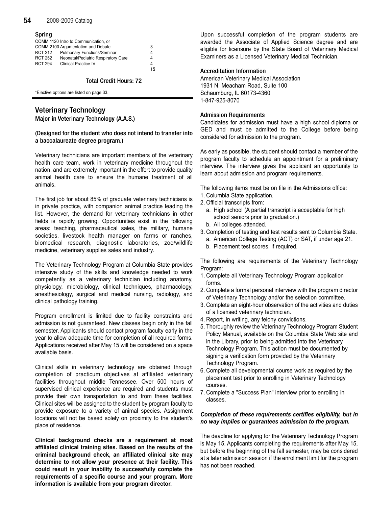# **54** 2008-2009 Catalog

# Spring

|                | COMM 1120 Intro to Communication, or |    |
|----------------|--------------------------------------|----|
|                | COMM 2100 Argumentation and Debate   | 3  |
| RCT 212        | <b>Pulmonary Functions/Seminar</b>   | 4  |
| <b>RCT 252</b> | Neonatal/Pediatric Respiratory Care  | 4  |
| <b>RCT 294</b> | <b>Clinical Practice IV</b>          | 4  |
|                |                                      | 15 |

# Total Credit Hours: 72

\*Elective options are listed on page 33.

# Veterinary Technology

Major in Veterinary Technology (A.A.S.)

# (Designed for the student who does not intend to transfer into a baccalaureate degree program.)

Veterinary technicians are important members of the veterinary health care team, work in veterinary medicine throughout the nation, and are extremely important in the effort to provide quality animal health care to ensure the humane treatment of all animals.

The first job for about 85% of graduate veterinary technicians is in private practice, with companion animal practice leading the list. However, the demand for veterinary technicians in other fields is rapidly growing. Opportunities exist in the following areas: teaching, pharmaceutical sales, the military, humane societies, livestock health manager on farms or ranches, biomedical research, diagnostic laboratories, zoo/wildlife medicine, veterinary supplies sales and industry.

The Veterinary Technology Program at Columbia State provides intensive study of the skills and knowledge needed to work competently as a veterinary technician including anatomy, physiology, microbiology, clinical techniques, pharmacology, anesthesiology, surgical and medical nursing, radiology, and clinical pathology training.

Program enrollment is limited due to facility constraints and admission is not guaranteed. New classes begin only in the fall semester. Applicants should contact program faculty early in the year to allow adequate time for completion of all required forms. Applications received after May 15 will be considered on a space available basis.

Clinical skills in veterinary technology are obtained through completion of practicum objectives at affiliated veterinary facilities throughout middle Tennessee. Over 500 hours of supervised clinical experience are required and students must provide their own transportation to and from these facilities. Clinical sites will be assigned to the student by program faculty to provide exposure to a variety of animal species. Assignment locations will not be based solely on proximity to the student's place of residence.

Clinical background checks are a requirement at most affiliated clinical training sites. Based on the results of the criminal background check, an affiliated clinical site may determine to not allow your presence at their facility. This could result in your inability to successfully complete the requirements of a specific course and your program. More information is available from your program director.

Upon successful completion of the program students are awarded the Associate of Applied Science degree and are eligible for licensure by the State Board of Veterinary Medical Examiners as a Licensed Veterinary Medical Technician.

# Accreditation Information

American Veterinary Medical Association 1931 N. Meacham Road, Suite 100 Schaumburg, IL 60173-4360 1-847-925-8070

# Admission Requirements

Candidates for admission must have a high school diploma or GED and must be admitted to the College before being considered for admission to the program.

As early as possible, the student should contact a member of the program faculty to schedule an appointment for a preliminary interview. The interview gives the applicant an opportunity to learn about admission and program requirements.

The following items must be on file in the Admissions office:

- 1. Columbia State application.
- 2. Official transcripts from:
	- a. High school (A partial transcript is acceptable for high school seniors prior to graduation.)
	- b. All colleges attended.
- 3. Completion of testing and test results sent to Columbia State. a. American College Testing (ACT) or SAT, if under age 21.
	- b. Placement test scores, if required.

The following are requirements of the Veterinary Technology Program:

- 1. Complete all Veterinary Technology Program application forms.
- 2. Complete a formal personal interview with the program director of Veterinary Technology and/or the selection committee.
- 3. Complete an eight-hour observation of the activities and duties of a licensed veterinary technician.
- 4. Report, in writing, any felony convictions.
- 5. Thoroughly review the Veterinary Technology Program Student Policy Manual, available on the Columbia State Web site and in the Library, prior to being admitted into the Veterinary Technology Program. This action must be documented by signing a verification form provided by the Veterinary Technology Program.
- 6. Complete all developmental course work as required by the placement test prior to enrolling in Veterinary Technology courses.
- 7. Complete a "Success Plan" interview prior to enrolling in classes.

# Completion of these requirements certifies eligibility, but in no way implies or guarantees admission to the program.

The deadline for applying for the Veterinary Technology Program is May 15. Applicants completing the requirements after May 15, but before the beginning of the fall semester, may be considered at a later admission session if the enrollment limit for the program has not been reached.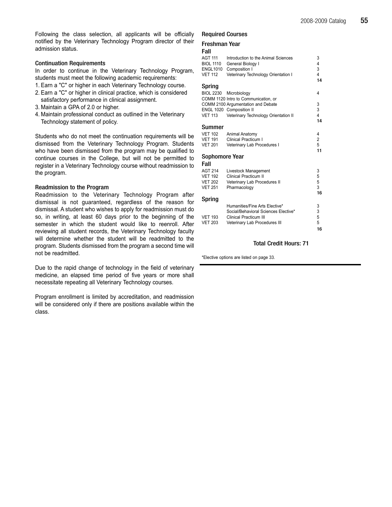Following the class selection, all applicants will be officially notified by the Veterinary Technology Program director of their admission status.

# Continuation Requirements

In order to continue in the Veterinary Technology Program, students must meet the following academic requirements:

- 1. Earn a "C" or higher in each Veterinary Technology course.
- 2. Earn a "C" or higher in clinical practice, which is considered satisfactory performance in clinical assignment.
- 3. Maintain a GPA of 2.0 or higher.
- 4. Maintain professional conduct as outlined in the Veterinary Technology statement of policy.

Students who do not meet the continuation requirements will be dismissed from the Veterinary Technology Program. Students who have been dismissed from the program may be qualified to continue courses in the College, but will not be permitted to register in a Veterinary Technology course without readmission to the program.

# Readmission to the Program

Readmission to the Veterinary Technology Program after dismissal is not guaranteed, regardless of the reason for dismissal. A student who wishes to apply for readmission must do so, in writing, at least 60 days prior to the beginning of the semester in which the student would like to reenroll. After reviewing all student records, the Veterinary Technology faculty will determine whether the student will be readmitted to the program. Students dismissed from the program a second time will not be readmitted.

Due to the rapid change of technology in the field of veterinary medicine, an elapsed time period of five years or more shall necessitate repeating all Veterinary Technology courses.

Program enrollment is limited by accreditation, and readmission will be considered only if there are positions available within the class.

# Required Courses

# Freshman Year

# Fall

| ι αιι            |                                              |                         |
|------------------|----------------------------------------------|-------------------------|
| <b>AGT 111</b>   | Introduction to the Animal Sciences          | 3                       |
| <b>BIOL 1110</b> | General Biology I                            | 4                       |
| <b>ENGL1010</b>  | Composition I                                | 3                       |
| <b>VET 112</b>   | Veterinary Technology Orientation I          | $\overline{\mathbf{4}}$ |
|                  |                                              | 14                      |
| Spring           |                                              |                         |
| <b>BIOL 2230</b> | Microbiology                                 | 4                       |
|                  | COMM 1120 Intro to Communication, or         |                         |
|                  | COMM 2100 Argumentation and Debate           | 3                       |
|                  | ENGL 1020 Composition II                     | 3                       |
| <b>VET 113</b>   | Veterinary Technology Orientation II         | $\overline{4}$          |
|                  |                                              | 14                      |
| Summer           |                                              |                         |
| <b>VET 102</b>   | Animal Anatomy                               | 4                       |
| <b>VET 191</b>   | Clinical Practicum I                         | $\overline{\mathbf{c}}$ |
| <b>VET 201</b>   | Veterinary Lab Procedures I                  | 5                       |
|                  |                                              | 11                      |
| Sophomore Year   |                                              |                         |
| Fall             |                                              |                         |
| <b>AGT 214</b>   | Livestock Management                         | 3                       |
| <b>VET 192</b>   | <b>Clinical Practicum II</b>                 | 5                       |
| <b>VET 202</b>   |                                              | 5                       |
| <b>VET 251</b>   | Veterinary Lab Procedures II<br>Pharmacology | 3                       |
|                  |                                              | 16                      |
|                  |                                              |                         |
| <b>Spring</b>    |                                              |                         |
|                  | Humanities/Fine Arts Elective*               | 3                       |
|                  | Social/Behavioral Sciences Elective*         | 3                       |
| <b>VET 193</b>   | Clinical Practicum III                       | 5                       |
| <b>VET 203</b>   | Veterinary Lab Procedures III                | 5                       |

# Total Credit Hours: 71

16

\*Elective options are listed on page 33.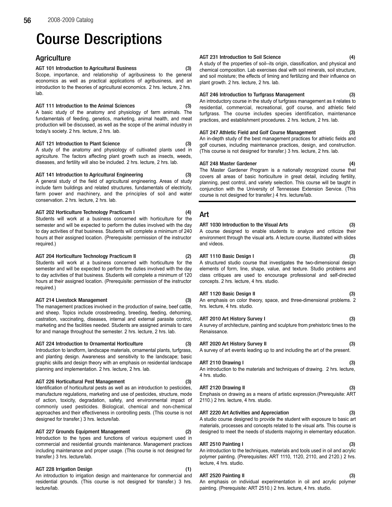# Course Descriptions

# **Agriculture**

# AGT 101 Introduction to Agricultural Business (3)

Scope, importance, and relationship of agribusiness to the general economics as well as practical applications of agribusiness, and an introduction to the theories of agricultural economics. 2 hrs. lecture, 2 hrs. lab.

### AGT 111 Introduction to the Animal Sciences (3)

A basic study of the anatomy and physiology of farm animals. The fundamentals of feeding, genetics, marketing, animal health, and meat production will be discussed, as well as the scope of the animal industry in today's society. 2 hrs. lecture, 2 hrs. lab.

### AGT 121 Introduction to Plant Science (3)

A study of the anatomy and physiology of cultivated plants used in agriculture. The factors affecting plant growth such as insects, weeds, diseases, and fertility will also be included. 2 hrs. lecture, 2 hrs. lab.

#### AGT 141 Introduction to Agricultural Engineering (3)

A general study of the field of agricultural engineering. Areas of study include farm buildings and related structures, fundamentals of electricity, farm power and machinery, and the principles of soil and water conservation. 2 hrs. lecture, 2 hrs. lab.

#### AGT 202 Horticulture Technology Practicum I (4)

Students will work at a business concerned with horticulture for the semester and will be expected to perform the duties involved with the day to day activities of that business. Students will complete a minimum of 240 hours at their assigned location. (Prerequisite: permission of the instructor required.)

#### AGT 204 Horticulture Technology Practicum II (2)

Students will work at a business concerned with horticulture for the semester and will be expected to perform the duties involved with the day to day activities of that business. Students will complete a minimum of 120 hours at their assigned location. (Prerequisite: permission of the instructor required.)

### AGT 214 Livestock Management (3)

The management practices involved in the production of swine, beef cattle, and sheep. Topics include crossbreeding, breeding, feeding, dehorning, castration, vaccinating, diseases, internal and external parasite control, marketing and the facilities needed. Students are assigned animals to care for and manage throughout the semester. 2 hrs. lecture, 2 hrs. lab.

### AGT 224 Introduction to Ornamental Horticulture (3)

Introduction to landform, landscape materials, ornamental plants, turfgrass, and planting design. Awareness and sensitivity to the landscape; basic graphic skills and design theory with an emphasis on residential landscape planning and implementation. 2 hrs. lecture, 2 hrs. lab.

### AGT 226 Horticultural Pest Management (3)

Identification of horticultural pests as well as an introduction to pesticides, manufacture regulations, marketing and use of pesticides, structure, mode of action, toxicity, degradation, safety, and environmental impact of commonly used pesticides. Biological, chemical and non-chemical approaches and their effectiveness in controlling pests. (This course is not designed for transfer.) 3 hrs. lecture/lab.

AGT 227 Grounds Equipment Management (2)

Introduction to the types and functions of various equipment used in commercial and residential grounds maintenance. Management practices including maintenance and proper usage. (This course is not designed for transfer.) 3 hrs. lecture/lab.

### AGT 228 Irrigation Design

An introduction to irrigation design and maintenance for commercial and residential grounds. (This course is not designed for transfer.) 3 hrs. lecture/lab.

#### AGT 231 Introduction to Soil Science

A study of the properties of soil--its origin, classification, and physical and chemical composition. Lab exercises deal with soil minerals, soil structure, and soil moisture; the effects of liming and fertilizing and their influence on plant growth. 2 hrs. lecture, 2 hrs. lab.

### AGT 246 Introduction to Turfgrass Management (3)

An introductory course in the study of turfgrass management as it relates to residential, commercial, recreational, golf course, and athletic field turfgrass. The course includes species identification, maintenance practices, and establishment procedures. 2 hrs. lecture, 2 hrs. lab.

### AGT 247 Athletic Field and Golf Course Management (3)

An in-depth study of the best management practices for athletic fields and golf courses, including maintenance practices, design, and construction. (This course is not designed for transfer.) 3 hrs. lecture, 2 hrs. lab.

### AGT 248 Master Gardener (4)

The Master Gardener Program is a nationally recognized course that covers all areas of basic horticulture in great detail, including fertility, planning, pest control, and variety selection. This course will be taught in conjunction with the University of Tennessee Extension Service. (This course is not designed for transfer.) 4 hrs. lecture/lab.

# Art

# ART 1030 Introduction to the Visual Arts (3)

A course designed to enable students to analyze and criticize their environment through the visual arts. A lecture course, illustrated with slides and videos.

#### ART 1110 Basic Design I (3)

A structured studio course that investigates the two-dimensional design elements of form, line, shape, value, and texture. Studio problems and class critiques are used to encourage professional and self-directed concepts. 2 hrs. lecture, 4 hrs. studio.

### ART 1120 Basic Design II (3)

An emphasis on color theory, space, and three-dimensional problems. 2 hrs. lecture, 4 hrs. studio.

#### ART 2010 Art History Survey I (3)

A survey of architecture, painting and sculpture from prehistoric times to the Renaissance.

### ART 2020 Art History Survey II (3)

A survey of art events leading up to and including the art of the present.

# ART 2110 Drawing I (3)

An introduction to the materials and techniques of drawing. 2 hrs. lecture, 4 hrs. studio.

# ART 2120 Drawing II (3)

Emphasis on drawing as a means of artistic expression.(Prerequisite: ART 2110.) 2 hrs. lecture, 4 hrs. studio.

# ART 2220 Art Activities and Appreciation (3)

A studio course designed to provide the student with exposure to basic art materials, processes and concepts related to the visual arts. This course is designed to meet the needs of students majoring in elementary education.

# ART 2510 Painting I (3)

An introduction to the techniques, materials and tools used in oil and acrylic polymer painting. (Prerequisites: ART 1110, 1120, 2110, and 2120.) 2 hrs. lecture, 4 hrs. studio.

# ART 2520 Painting II (3)

An emphasis on individual experimentation in oil and acrylic polymer painting. (Prerequisite: ART 2510.) 2 hrs. lecture, 4 hrs. studio.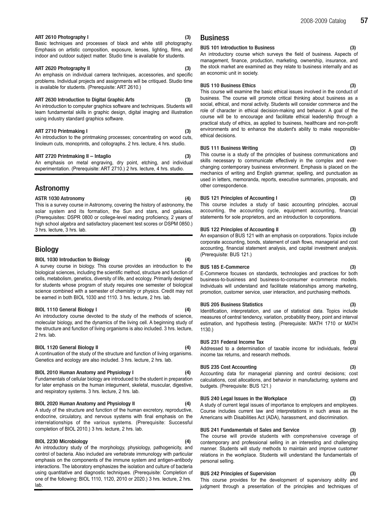#### ART 2610 Photography I (3)

Basic techniques and processes of black and white still photography. Emphasis on artistic composition, exposure, lenses, lighting, films, and indoor and outdoor subject matter. Studio time is available for students.

#### ART 2620 Photography II (3)

An emphasis on individual camera techniques, accessories, and specific problems. Individual projects and assignments will be critiqued. Studio time is available for students. (Prerequisite: ART 2610.)

#### ART 2630 Introduction to Digital Graphic Arts (3)

An introduction to computer graphics software and techniques. Students will learn fundamental skills in graphic design, digital imaging and illustration using industry standard graphics software.

#### ART 2710 Printmaking I (3)

An introduction to the printmaking processes; concentrating on wood cuts, linoleum cuts, monoprints, and collographs. 2 hrs. lecture, 4 hrs. studio.

#### ART 2720 Printmaking II – Intaglio (3)

An emphasis on metal engraving, dry point, etching, and individual experimentation. (Prerequisite: ART 2710.) 2 hrs. lecture, 4 hrs. studio.

# Astronomy

#### ASTR 1030 Astronomy (4)

This is a survey course in Astronomy, covering the history of astronomy, the solar system and its formation, the Sun and stars, and galaxies. (Prerequisites: DSPR 0800 or college-level reading proficiency, 2 years of high school algebra and satisfactory placement test scores or DSPM 0850.) 3 hrs. lecture, 3 hrs. lab.

# Biology

#### BIOL 1030 Introduction to Biology (4)

A survey course in biology. This course provides an introduction to the biological sciences, including the scientific method, structure and function of cells, metabolism, genetics, diversity of life, and ecology. Primarily designed for students whose program of study requires one semester of biological science combined with a semester of chemistry or physics. Credit may not be earned in both BIOL 1030 and 1110. 3 hrs. lecture, 2 hrs. lab.

#### BIOL 1110 General Biology I (4)

An introductory course devoted to the study of the methods of science, molecular biology, and the dynamics of the living cell. A beginning study of the structure and function of living organisms is also included. 3 hrs. lecture, 2 hrs. lab.

#### BIOL 1120 General Biology II (4)

A continuation of the study of the structure and function of living organisms. Genetics and ecology are also included. 3 hrs. lecture, 2 hrs. lab.

### BIOL 2010 Human Anatomy and Physiology I (4)

Fundamentals of cellular biology are introduced to the student in preparation for later emphasis on the human integument, skeletal, muscular, digestive, and respiratory systems. 3 hrs. lecture, 2 hrs. lab.

#### BIOL 2020 Human Anatomy and Physiology II (4)

A study of the structure and function of the human excretory, reproductive, endocrine, circulatory, and nervous systems with final emphasis on the interrelationships of the various systems. (Prerequisite: Successful completion of BIOL 2010.) 3 hrs. lecture, 2 hrs. lab.

#### BIOL 2230 Microbiology (4)

An introductory study of the morphology, physiology, pathogenicity, and control of bacteria. Also included are vertebrate immunology with particular emphasis on the components of the immune system and antigen-antibody interactions. The laboratory emphasizes the isolation and culture of bacteria using quantitative and diagnostic techniques. (Prerequisite: Completion of one of the following: BIOL 1110, 1120, 2010 or 2020.) 3 hrs. lecture, 2 hrs. lab.

# Business

#### BUS 101 Introduction to Business (3)

An introductory course which surveys the field of business. Aspects of management, finance, production, marketing, ownership, insurance, and the stock market are examined as they relate to business internally and as an economic unit in society.

# BUS 110 Business Ethics (3)

This course will examine the basic ethical issues involved in the conduct of business. The course will promote critical thinking about business as a social, ethical, and moral activity. Students will consider commerce and the role of character in ethical decision-making and behavior. A goal of the course will be to encourage and facilitate ethical leadership through a practical study of ethics, as applied to business, healthcare and non-profit environments and to enhance the student's ability to make responsible ethical decisions.

#### BUS 111 Business Writing (3)

This course is a study of the principles of business communications and skills necessary to communicate effectively in the complex and everchanging contemporary business environment. Emphasis is placed on the mechanics of writing and English grammar, spelling, and punctuation as used in letters, memoranda, reports, executive summaries, proposals, and other correspondence.

#### BUS 121 Principles of Accounting I (3)

This course includes a study of basic accounting principles, accrual accounting, the accounting cycle, equipment accounting, financial statements for sole proprietors, and an introduction to corporations.

#### BUS 122 Principles of Accounting II

An expansion of BUS 121 with an emphasis on corporations. Topics include corporate accounting, bonds, statement of cash flows, managerial and cost accounting, financial statement analysis, and capital investment analysis. (Prerequisite: BUS 121.)

### BUS 185 E-Commerce

E-Commerce focuses on standards, technologies and practices for both business-to-business and business-to-consumer e-commerce models. Individuals will understand and facilitate relationships among marketing, promotion, customer service, user interaction, and purchasing methods.

#### BUS 205 Business Statistics (3)

Identification, interpretation, and use of statistical data. Topics include measures of central tendency, variation, probability theory, point and interval estimation, and hypothesis testing. (Prerequisite: MATH 1710 or MATH 1130.)

# BUS 231 Federal Income Tax (3)

Addressed to a determination of taxable income for individuals, federal income tax returns, and research methods.

### BUS 235 Cost Accounting (3)

Accounting data for managerial planning and control decisions; cost calculations, cost allocations, and behavior in manufacturing; systems and budgets. (Prerequisite: BUS 121.)

### BUS 240 Legal Issues in the Workplace (3)

A study of current legal issues of importance to employers and employees. Course includes current law and interpretations in such areas as the Americans with Disabilities Act (ADA), harassment, and discrimination.

### BUS 241 Fundamentals of Sales and Service

The course will provide students with comprehensive coverage of contemporary and professional selling in an interesting and challenging manner. Students will study methods to maintain and improve customer relations in the workplace. Students will understand the fundamentals of personal selling.

### BUS 242 Principles of Supervision (3)

This course provides for the development of supervisory ability and judgment through a presentation of the principles and techniques of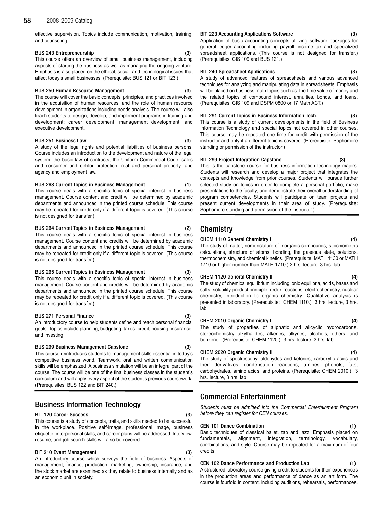effective supervision. Topics include communication, motivation, training, and counseling.

#### BUS 243 Entrepreneurship (3)

This course offers an overview of small business management, including aspects of starting the business as well as managing the ongoing venture. Emphasis is also placed on the ethical, social, and technological issues that affect today's small businesses. (Prerequisite: BUS 121 or BIT 123.)

#### BUS 250 Human Resource Management (3)

The course will cover the basic concepts, principles, and practices involved in the acquisition of human resources, and the role of human resource development in organizations including needs analysis. The course will also teach students to design, develop, and implement programs in training and development; career development; management development; and executive development.

### BUS 251 Business Law (3)

A study of the legal rights and potential liabilities of business persons. Course includes an introduction to the development and nature of the legal system, the basic law of contracts, the Uniform Commercial Code, sales and consumer and debtor protection, real and personal property, and agency and employment law.

#### BUS 263 Current Topics in Business Management (1)

This course deals with a specific topic of special interest in business management. Course content and credit will be determined by academic departments and announced in the printed course schedule. This course may be repeated for credit only if a different topic is covered. (This course is not designed for transfer.)

#### BUS 264 Current Topics in Business Management (2)

This course deals with a specific topic of special interest in business management. Course content and credits will be determined by academic departments and announced in the printed course schedule. This course may be repeated for credit only if a different topic is covered. (This course is not designed for transfer.)

#### BUS 265 Current Topics in Business Management (3)

This course deals with a specific topic of special interest in business management. Course content and credits will be determined by academic departments and announced in the printed course schedule. This course may be repeated for credit only if a different topic is covered. (This course is not designed for transfer.)

#### BUS 271 Personal Finance (3)

An introductory course to help students define and reach personal financial goals. Topics include planning, budgeting, taxes, credit, housing, insurance, and investing.

#### BUS 299 Business Management Capstone

This course reintroduces students to management skills essential in today's competitive business world. Teamwork, oral and written communication skills will be emphasized. A business simulation will be an integral part of the course. The course will be one of the final business classes in the student's curriculum and will apply every aspect of the student's previous coursework. (Prerequisites: BUS 122 and BIT 240.)

# Business Information Technology

#### BIT 120 Career Success (3)

This course is a study of concepts, traits, and skills needed to be successful in the workplace. Positive self-image, professional image, business etiquette, interpersonal skills, and career plans will be addressed. Interview, resume, and job search skills will also be covered.

#### BIT 210 Event Management (3)

An introductory course which surveys the field of business. Aspects of management, finance, production, marketing, ownership, insurance, and the stock market are examined as they relate to business internally and as an economic unit in society.

### BIT 223 Accounting Applications Software (3)

Application of basic accounting concepts utilizing software packages for general ledger accounting including payroll, income tax and specialized spreadsheet applications. (This course is not designed for transfer.) (Prerequisites: CIS 109 and BUS 121.)

BIT 240 Spreadsheet Applications (3)

A study of advanced features of spreadsheets and various advanced techniques for analyzing and manipulating data in spreadsheets. Emphasis will be placed on business math topics such as: the time value of money and the related topics of compound interest, annuities, bonds, and loans. (Prerequisites: CIS 109 and DSPM 0800 or 17 Math ACT.)

#### BIT 291 Current Topics in Business Information Tech. (3)

This course is a study of current developments in the field of Business Information Technology and special topics not covered in other courses. This course may be repeated one time for credit with permission of the instructor and only if a different topic is covered. (Prerequisite: Sophomore standing or permission of the instructor.)

### BIT 299 Project Integration Capstone

This is the capstone course for business information technology majors. Students will research and develop a major project that integrates the concepts and knowledge from prior courses. Students will pursue further selected study on topics in order to complete a personal portfolio, make presentations to the faculty, and demonstrate their overall understanding of program competencies. Students will participate on team projects and present current developments in their area of study. (Prerequisite: Sophomore standing and permission of the instructor.)

# **Chemistry**

#### CHEM 1110 General Chemistry I (4)

The study of matter, nomenclature of inorganic compounds, stoichiometric calculations, structure of atoms, bonding, the gaseous state, solutions, thermochemistry, and chemical kinetics. (Prerequisite: MATH 1130 or MATH 1710 or higher number than MATH 1710.) 3 hrs. lecture, 3 hrs. lab.

#### CHEM 1120 General Chemistry II (4)

The study of chemical equilibrium including ionic equilibria, acids, bases and salts, solubility product principle, redox reactions, electrochemistry, nuclear chemistry, introduction to organic chemistry. Qualitative analysis is presented in laboratory. (Prerequisite: CHEM 1110.) 3 hrs. lecture, 3 hrs. lab.

#### CHEM 2010 Organic Chemistry I (4)

The study of properties of aliphatic and alicyclic hydrocarbons, stereochemistry alkylhalides, alkenes, alkynes, alcohols, ethers, and benzene. (Prerequisite: CHEM 1120.) 3 hrs. lecture, 3 hrs. lab.

#### CHEM 2020 Organic Chemistry II (4)

The study of spectroscopy, aldehydes and ketones, carboxylic acids and their derivatives, condensation reactions, amines, phenols, fats, carbohydrates, amino acids, and proteins. (Prerequisite: CHEM 2010.) 3 hrs. lecture, 3 hrs. lab.

# Commercial Entertainment

Students must be admitted into the Commercial Entertainment Program before they can register for CEN courses.

#### CEN 101 Dance Combination (1)

Basic techniques of classical ballet, tap and jazz. Emphasis placed on fundamentals, alignment, integration, terminology, vocabulary, combinations, and style. Course may be repeated for a maximum of four credits.

### CEN 102 Dance Performance and Production Lab (1)

A structured laboratory course giving credit to students for their experiences in the production areas and performance of dance as an art form. The course is fourfold in content, including auditions, rehearsals, performances,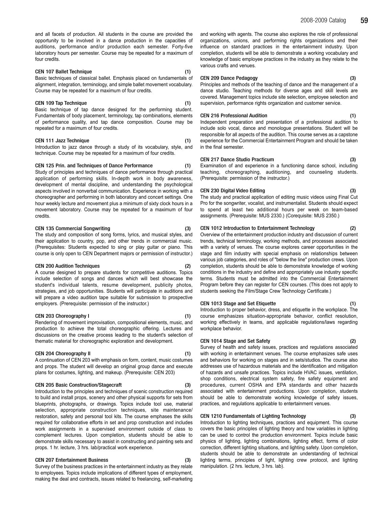and all facets of production. All students in the course are provided the opportunity to be involved in a dance production in the capacities of auditions, performance and/or production each semester. Forty-five laboratory hours per semester. Course may be repeated for a maximum of four credits.

#### CEN 107 Ballet Technique (1)

Basic techniques of classical ballet. Emphasis placed on fundamentals of alignment, integration, terminology, and simple ballet movement vocabulary. Course may be repeated for a maximum of four credits.

#### CEN 109 Tap Technique (1) (1)

Basic technique of tap dance designed for the performing student. Fundamentals of body placement, terminology, tap combinations, elements of performance quality, and tap dance composition. Course may be repeated for a maximum of four credits.

### CEN 111 Jazz Technique (1)

Introduction to jazz dance through a study of its vocabulary, style, and technique. Course may be repeated for a maximum of four credits.

#### CEN 125 Prin. and Techniques of Dance Performance (1)

Study of principles and techniques of dance performance through practical application of performing skills. In-depth work in body awareness, development of mental discipline, and understanding the psychological aspects involved in nonverbal communication. Experience in working with a choreographer and performing in both laboratory and concert settings. One hour weekly lecture and movement plus a minimum of sixty clock hours in a movement laboratory. Course may be repeated for a maximum of four credits.

#### CEN 135 Commercial Songwriting (3)

The study and composition of song forms, lyrics, and musical styles, and their application to country, pop, and other trends in commercial music. (Prerequisites: Students expected to sing or play guitar or piano. This course is only open to CEN Department majors or permission of instructor.)

#### CEN 200 Audition Techniques

A course designed to prepare students for competitive auditions. Topics include selection of songs and dances which will best showcase the student's individual talents, resume development, publicity photos, strategies, and job opportunities. Students will participate in auditions and will prepare a video audition tape suitable for submission to prospective employers. (Prerequisite: permission of the instructor.)

### CEN 203 Choreography I (1)

Rendering of movement improvisation, compositional elements, music, and production to achieve the total choreographic offering. Lectures and discussions on the creative process leading to the student's selection of thematic material for choreographic exploration and development.

### CEN 204 Choreography II (1)

A continuation of CEN 203 with emphasis on form, content, music costumes and props. The student will develop an original group dance and execute plans for costumes, lighting, and makeup. (Prerequisite: CEN 203)

#### CEN 205 Basic Construction/Stagecraft (3)

Introduction to the principles and techniques of scenic construction required to build and install props, scenery and other physical supports for sets from blueprints, photographs, or drawings. Topics include tool use, material selection, appropriate construction techniques, site maintenance/ restoration, safety and personal tool kits. The course emphases the skills required for collaborative efforts in set and prop construction and includes work assignments in a supervised environment outside of class to complement lectures. Upon completion, students should be able to demonstrate skills necessary to assist in constructing and painting sets and props. 1 hr. lecture, 3 hrs. lab/practical work experience.

#### CEN 207 Entertainment Business (3)

Survey of the business practices in the entertainment industry as they relate to employees. Topics include implications of different types of employment, making the deal and contracts, issues related to freelancing, self-marketing and working with agents. The course also explores the role of professional organizations, unions, and performing rights organizations and their influence on standard practices in the entertainment industry. Upon completion, students will be able to demonstrate a working vocabulary and knowledge of basic employee practices in the industry as they relate to the various crafts and venues.

#### CEN 209 Dance Pedagogy (3)

Principles and methods of the teaching of dance and the management of a dance studio. Teaching methods for diverse ages and skill levels are covered. Management topics include site selection, employee selection and supervision, performance rights organization and customer service.

#### CEN 216 Professional Audition (1)

Independent preparation and presentation of a professional audition to include solo vocal, dance and monologue presentations. Student will be responsible for all aspects of the audition. This course serves as a capstone experience for the Commercial Entertainment Program and should be taken in the final semester.

#### CEN 217 Dance Studio Practicum (3)

Examination of and experience in a functioning dance school, including teaching, choreographing, auditioning, and counseling students. (Prerequisite: permission of the instructor.)

#### CEN 230 Digital Video Editing (3)

The study and practical application of editing music videos using Final Cut Pro for the songwriter, vocalist, and instrumentalist. Students should expect to spend at least two additional hours per week on team-based assignments. (Prerequisite: MUS 2330.) (Corequisite: MUS 2350.)

#### CEN 1012 Introduction to Entertainment Technology (2)

Overview of the entertainment production industry and discussion of current trends, technical terminology, working methods, and processes associated with a variety of venues. The course explores career opportunities in the stage and film industry with special emphasis on relationships between various job categories, and roles of "below the line" production crews. Upon completion, students should be able to demonstrate knowledge of working conditions in the industry and define and appropriately use industry specific terms. Students must be admitted into the Commercial Entertainment Program before they can register for CEN courses. (This does not apply to students seeking the Film/Stage Crew Technology Certificate.)

#### CEN 1013 Stage and Set Etiquette (1)

Introduction to proper behavior, dress, and etiquette in the workplace. The course emphasizes situation-appropriate behavior, conflict resolution, working effectively in teams, and applicable regulations/laws regarding workplace behavior.

#### CEN 1014 Stage and Set Safety

Survey of health and safety issues, practices and regulations associated with working in entertainment venues. The course emphasizes safe uses and behaviors for working on stages and in sets/studios. The course also addresses use of hazardous materials and the identification and mitigation of hazards and unsafe practices. Topics include HVAC issues, ventilation, shop conditions, electrical system safety, fire safety equipment and procedures, current OSHA and EPA standards and other hazards associated with entertainment productions. Upon completion, students should be able to demonstrate working knowledge of safety issues, practices, and regulations applicable to entertainment venues.

#### CEN 1210 Fundamentals of Lighting Technology

Introduction to lighting techniques, practices and equipment. This course covers the basic principles of lighting theory and how variables in lighting can be used to control the production environment. Topics include basic physics of lighting, lighting combinations, lighting effect, forms of color correction, different lighting situations, and lighting safety. Upon completion, students should be able to demonstrate an understanding of technical lighting terms, principles of light, lighting crew protocol, and lighting manipulation. (2 hrs. lecture, 3 hrs. lab).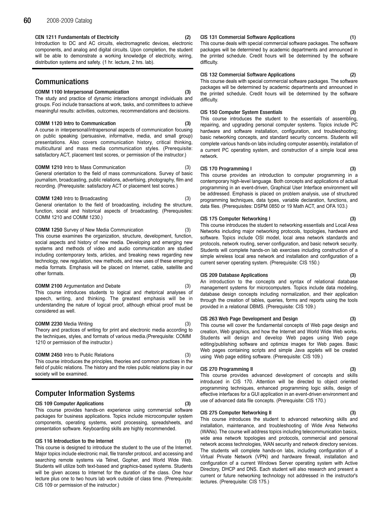#### CEN 1211 Fundamentals of Electricity (2)

Introduction to DC and AC circuits, electromagnetic devices, electronic components, and analog and digital circuits. Upon completion, the student will be able to demonstrate a working knowledge of electricity, wiring, distribution systems and safety. (1 hr. lecture, 2 hrs. lab).

# Communications

# COMM 1100 Interpersonal Communication (3)

The study and practice of dynamic interactions amongst individuals and groups. Foci include transactions at work, tasks, and committees to achieve meaningful results: activities, outcomes, recommendations and decisions.

#### COMM 1120 Intro to Communication (3)

A course in interpersonal/intrapersonal aspects of communication focusing on public speaking (persuasive, informative, media, and small group) presentations. Also covers communication history, critical thinking, multicultural and mass media communication styles. (Prerequisite: satisfactory ACT, placement test scores, or permission of the instructor.)

#### COMM 1210 Intro to Mass Communication (3)

General orientation to the field of mass communications. Survey of basic journalism, broadcasting, public relations, advertising, photography, film and recording. (Prerequisite: satisfactory ACT or placement test scores.)

#### COMM 1240 Intro to Broadcasting (3)

General orientation to the field of broadcasting, including the structure, function, social and historical aspects of broadcasting. (Prerequisites: COMM 1210 and COMM 1230.)

#### COMM 1250 Survey of New Media Communication (3)

This course examines the organization, structure, development, function, social aspects and history of new media. Developing and emerging new systems and methods of video and audio communication are studied including contemporary texts, articles, and breaking news regarding new technology, new regulation, new methods, and new uses of these emerging media formats. Emphasis will be placed on Internet, cable, satellite and other formats.

#### COMM 2100 Argumentation and Debate (3)

This course introduces students to logical and rhetorical analyses of speech, writing, and thinking. The greatest emphasis will be in understanding the nature of logical proof, although ethical proof must be considered as well.

#### COMM 2230 Media Writing (3)

Theory and practices of writing for print and electronic media according to the techniques, styles, and formats of various media.(Prerequisite: COMM 1210 or permission of the instructor.)

#### COMM 2450 Intro to Public Relations (3)

This course introduces the principles, theories and common practices in the field of public relations. The history and the roles public relations play in our society will be examined.

# Computer Information Systems

#### CIS 109 Computer Applications (3)

This course provides hands-on experience using commercial software packages for business applications. Topics include microcomputer system components, operating systems, word processing, spreadsheets, and presentation software. Keyboarding skills are highly recommended.

### CIS 116 Introduction to the Internet (1)

This course is designed to introduce the student to the use of the Internet. Major topics include electronic mail, file transfer protocol, and accessing and searching remote systems via Telnet, Gopher, and World Wide Web. Students will utilize both text-based and graphics-based systems. Students will be given access to Internet for the duration of the class. One hour lecture plus one to two hours lab work outside of class time. (Prerequisite: CIS 109 or permission of the instructor.)

#### CIS 131 Commercial Software Applications (1)

This course deals with special commercial software packages. The software packages will be determined by academic departments and announced in the printed schedule. Credit hours will be determined by the software difficulty.

#### CIS 132 Commercial Software Applications (2)

This course deals with special commercial software packages. The software packages will be determined by academic departments and announced in the printed schedule. Credit hours will be determined by the software difficulty.

#### CIS 150 Computer System Essentials (3)

This course introduces the student to the essentials of assembling, repairing, and upgrading personal computer systems. Topics include PC hardware and software installation, configuration, and troubleshooting; basic networking concepts, and standard security concerns. Students will complete various hands-on labs including computer assembly, installation of a current PC operating system, and construction of a simple local area network.

#### CIS 170 Programming I (3)

This course provides an introduction to computer programming in a contemporary high-level language. Both concepts and applications of actual programming in an event-driven, Graphical User Interface environment will be addressed. Emphasis is placed on problem analysis, use of structured programming techniques, data types, variable declaration, functions, and data files. (Prerequisites: DSPM 0850 or 19 Math ACT, and OFA 103.)

#### CIS 175 Computer Networking I (3)

This course introduces the student to networking essentials and Local Area Networks including major networking protocols, topologies, hardware and software. Topics include OSI model, local area network standards and protocols, network routing, server configuration, and basic network security. Students will complete hands-on lab exercises including construction of a simple wireless local area network and installation and configuration of a current server operating system. (Prerequisite: CIS 150.)

#### CIS 209 Database Applications (3)

An introduction to the concepts and syntax of relational database management systems for microcomputers. Topics include data modeling, database design concepts including normalization, and their application through the creation of tables, queries, forms and reports using the tools provided in a relational DBMS. (Prerequisite: CIS 109.)

#### CIS 263 Web Page Development and Design (3)

This course will cover the fundamental concepts of Web page design and creation, Web graphics, and how the Internet and World Wide Web works. Students will design and develop Web pages using Web page editing/publishing software and optimize images for Web pages. Basic Web pages containing scripts and simple Java applets will be created using Web page editing software. (Prerequisite: CIS 109.)

### CIS 270 Programming II (3)

This course provides advanced development of concepts and skills introduced in CIS 170. Attention will be directed to object oriented programming techniques, enhanced programming logic skills, design of effective interfaces for a GUI application in an event-driven environment and use of advanced data file concepts. (Prerequisite: CIS 170.)

#### CIS 275 Computer Networking II (3)

This course introduces the student to advanced networking skills and installation, maintenance, and troubleshooting of Wide Area Networks (WANs). The course will address topics including telecommunication basics, wide area network topologies and protocols, commercial and personal network access technologies, WAN security and network directory services. The students will complete hands-on labs, including configuration of a Virtual Private Network (VPN) and hardware firewall, installation and configuration of a current Windows Server operating system with Active Directory, DHCP and DNS. Each student will also research and present a current or future networking technology not addressed in the instructor's lectures. (Prerequisite: CIS 175.)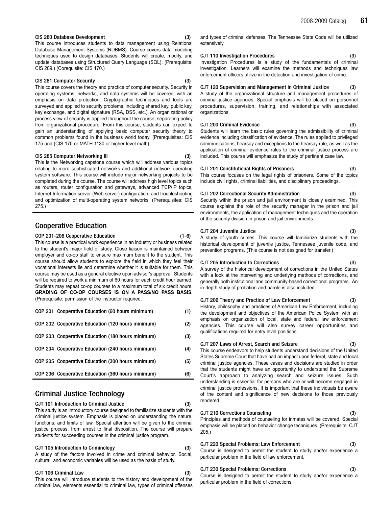#### CIS 280 Database Development

This course introduces students to data management using Relational Database Management Systems (RDBMS). Course covers data modeling techniques used to design databases. Students will create, modify, and update databases using Structured Query Language (SQL). (Prerequisite: CIS 209.) (Corequisite: CIS 170.)

#### CIS 281 Computer Security

This course covers the theory and practice of computer security. Security in operating systems, networks, and data systems will be covered, with an emphasis on data protection. Cryptographic techniques and tools are surveyed and applied to security problems, including shared key, public key, key exchange, and digital signature (RSA, DSS, etc.). An organizational or process view of security is applied throughout the course, separating policy from organizational procedure. From this course, students can expect to gain an understanding of applying basic computer security theory to common problems found in the business world today. (Prerequisites: CIS 175 and (CIS 170 or MATH 1130 or higher level math).

#### CIS 285 Computer Networking III (3)

This is the Networking capstone course which will address various topics relating to more sophisticated networks and additional network operating system software. This course will include major networking projects to be completed during the course. The course will address high level topics such as routers, router configuration and gateways, advanced TCP/IP topics, Internet Information server (Web server) configuration, and troubleshooting and optimization of multi-operating system networks. (Prerequisites: CIS 275.)

# Cooperative Education

#### COP 201-206 Cooperative Education (1-6)

This course is a practical work experience in an industry or business related to the student's major field of study. Close liaison is maintained between employer and co-op staff to ensure maximum benefit to the student. This course should allow students to explore the field in which they feel their vocational interests lie and determine whether it is suitable for them. This course may be used as a general elective upon advisor's approval. Students will be required to work a minimum of 60 hours for each credit hour earned. Students may repeat co-op courses to a maximum total of six credit hours. GRADING OF CO-OP COURSES IS ON A PASS/NO PASS BASIS. (Prerequisite: permission of the instructor required.

| COP 201 Cooperative Education (60 hours minimum)  | (1) |
|---------------------------------------------------|-----|
| COP 202 Cooperative Education (120 hours minimum) | (2) |
| COP 203 Cooperative Education (180 hours minimum) | (3) |
| COP 204 Cooperative Education (240 hours minimum) | (4) |
| COP 205 Cooperative Education (300 hours minimum) | (5) |
| COP 206 Cooperative Education (360 hours minimum) | (6) |

# Criminal Justice Technology

### CJT 101 Introduction to Criminal Justice (3)

This study is an introductory course designed to familiarize students with the criminal justice system. Emphasis is placed on understanding the nature, functions, and limits of law. Special attention will be given to the criminal justice process, from arrest to final disposition. The course will prepare students for succeeding courses in the criminal justice program.

### CJT 105 Introduction to Criminology (3)

A study of the factors involved in crime and criminal behavior. Social, cultural, and economic variables will be used as the basis of study.

#### CJT 106 Criminal Law (3)

This course will introduce students to the history and development of the criminal law, elements essential to criminal law, types of criminal offenses and types of criminal defenses. The Tennessee State Code will be utilized extensively.

#### CJT 110 Investigation Procedures (3)

Investigation Procedures is a study of the fundamentals of criminal investigation. Learners will examine the methods and techniques law enforcement officers utilize in the detection and investigation of crime.

### CJT 120 Supervision and Management in Criminal Justice (3)

A study of the organizational structure and management procedures of criminal justice agencies. Special emphasis will be placed on personnel procedures, supervision, training, and relationships with associated organizations.

#### **CJT 200 Criminal Evidence**

Students will learn the basic rules governing the admissibility of criminal evidence including classification of evidence. The rules applied to privileged communications, hearsay and exceptions to the hearsay rule, as well as the application of criminal evidence rules to the criminal justice process are included. This course will emphasize the study of pertinent case law.

#### CJT 201 Constitutional Rights of Prisoners (3)

This course focuses on the legal rights of prisoners. Some of the topics include civil rights, criminal liabilities, and disciplinary proceedings.

### CJT 202 Correctional Security Administration (3)

Security within the prison and jail environment is closely examined. This course explains the role of the security manager in the prison and jail environments, the application of management techniques and the operation of the security division in prison and jail environments.

#### CJT 204 Juvenile Justice (3)

A study of youth crimes. This course will familiarize students with the historical development of juvenile justice, Tennessee juvenile code, and prevention programs. (This course is not designed for transfer.)

### CJT 205 Introduction to Corrections (3)

A survey of the historical development of corrections in the United States with a look at the intervening and underlying methods of corrections, and generally both institutional and community-based correctional programs. An in-depth study of probation and parole is also included.

### CJT 206 Theory and Practice of Law Enforcement (3)

History, philosophy and practices of American Law Enforcement, including the development and objectives of the American Police System with an emphasis on organization of local, state and federal law enforcement agencies. This course will also survey career opportunities and qualifications required for entry level positions.

### CJT 207 Laws of Arrest, Search and Seizure (3)

This course endeavors to help students understand decisions of the United States Supreme Court that have had an impact upon federal, state and local criminal justice agencies. These cases and decisions are studied in order that the students might have an opportunity to understand the Supreme Court's approach to analyzing search and seizure issues. Such understanding is essential for persons who are or will become engaged in criminal justice professions. It is important that these individuals be aware of the content and significance of new decisions to those previously rendered.

### CJT 210 Corrections Counseling (3)

Principles and methods of counseling for inmates will be covered. Special emphasis will be placed on behavior change techniques. (Prerequisite: CJT 205.)

### CJT 220 Special Problems: Law Enforcement (3)

Course is designed to permit the student to study and/or experience a particular problem in the field of law enforcement.

### CJT 230 Special Problems: Corrections (3)

Course is designed to permit the student to study and/or experience a particular problem in the field of corrections.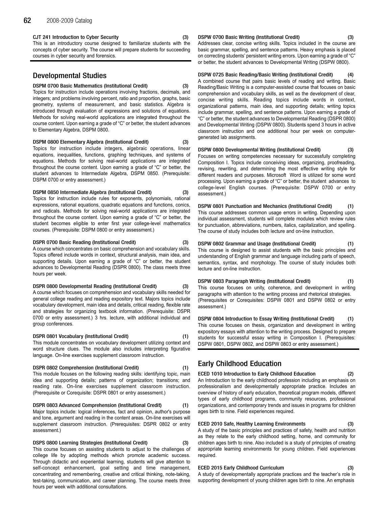#### CJT 241 Introduction to Cyber Security (3)

This is an introductory course designed to familiarize students with the concepts of cyber security. The course will prepare students for succeeding courses in cyber security and forensics.

# Developmental Studies

#### DSPM 0700 Basic Mathematics (Institutional Credit) (3)

Topics for instruction include operations involving fractions, decimals, and integers; and problems involving percent, ratio and proportion, graphs, basic geometry, systems of measurement, and basic statistics. Algebra is introduced through evaluation of expressions and solutions of equations. Methods for solving real-world applications are integrated throughout the course content. Upon earning a grade of "C" or better, the student advances to Elementary Algebra, DSPM 0800.

#### DSPM 0800 Elementary Algebra (Institutional Credit) (3)

Topics for instruction include integers, algebraic operations, linear equations, inequalities, functions, graphing techniques, and systems of equations. Methods for solving real-world applications are integrated throughout the course content. Upon earning a grade of "C" or better, the student advances to Intermediate Algebra, DSPM 0850. (Prerequisite: DSPM 0700 or entry assessment.)

#### DSPM 0850 Intermediate Algebra (Institutional Credit) (3)

Topics for instruction include rules for exponents, polynomials, rational expressions, rational equations, quadratic equations and functions, conics, and radicals. Methods for solving real-world applications are integrated throughout the course content. Upon earning a grade of "C" or better, the student becomes eligible to enter first year college-level mathematics courses. (Prerequisite: DSPM 0800 or entry assessment.)

#### DSPR 0700 Basic Reading (Institutional Credit) (3)

A course which concentrates on basic comprehension and vocabulary skills. Topics offered include words in context, structural analysis, main idea, and supporting details. Upon earning a grade of "C" or better, the student advances to Developmental Reading (DSPR 0800). The class meets three hours per week.

#### DSPR 0800 Developmental Reading (Institutional Credit) (3)

A course which focuses on comprehension and vocabulary skills needed for general college reading and reading expository text. Majors topics include vocabulary development, main idea and details, critical reading, flexible rate and strategies for organizing textbook information. (Prerequisite: DSPR 0700 or entry assessment.) 3 hrs. lecture, with additional individual and group conferences.

### DSPR 0801 Vocabulary (Institutional Credit) (1)

This module concentrates on vocabulary development utilizing context and word structure clues. The module also includes interpreting figurative language. On-line exercises supplement classroom instruction.

### DSPR 0802 Comprehension (Institutional Credit) (1)

This module focuses on the following reading skills: identifying topic, main idea and supporting details; patterns of organization; transitions; and reading rate. On-line exercises supplement classroom instruction. (Prerequisite or Corequisite: DSPR 0801 or entry assessment.)

### DSPR 0803 Advanced Comprehension (Institutional Credit) (1)

Major topics include: logical inferences, fact and opinion, author's purpose and tone, argument and reading in the content areas. On-line exercises will supplement classroom instruction. (Prerequisites: DSPR 0802 or entry assessment.)

# DSPS 0800 Learning Strategies (Institutional Credit)

This course focuses on assisting students to adjust to the challenges of college life by adopting methods which promote academic success. Through didactic and experiential learning, students will give attention to self-concept enhancement, goal setting and time management, concentrating and remembering, creative and critical thinking, note-taking, test-taking, communication, and career planning. The course meets three hours per week with additional consultations.

#### DSPW 0700 Basic Writing (Institutional Credit) (3)

Addresses clear, concise writing skills. Topics included in the course are basic grammar, spelling, and sentence patterns. Heavy emphasis is placed on correcting students' persistent writing errors. Upon earning a grade of "C" or better, the student advances to Developmental Writing (DSPW 0800).

DSPW 0725 Basic Reading/Basic Writing (Institutional Credit) (4) A combined course that pairs basic levels of reading and writing. Basic Reading/Basic Writing is a computer-assisted course that focuses on basic comprehension and vocabulary skills, as well as the development of clear, concise writing skills. Reading topics include words in context, organizational patterns, main idea, and supporting details; writing topics include grammar, spelling, and sentence patterns. Upon earning a grade of "C" or better, the student advances to Developmental Reading (DSPR 0800) and Developmental Writing (DSPW 0800). Students spend 3 hours in active classroom instruction and one additional hour per week on computergenerated lab assignments.

DSPW 0800 Developmental Writing (Institutional Credit) (3) Focuses on writing competencies necessary for successfully completing Composition I. Topics include conceiving ideas, organizing, proofreading, revising, rewriting, and determining the most effective writing style for different readers and purposes. Microsoft Word is utilized for some word processing. Upon earning a grade of "C" or better, the student advances to college-level English courses. (Prerequisite: DSPW 0700 or entry assessment.)

DSPW 0801 Punctuation and Mechanics (Institutional Credit) This course addresses common usage errors in writing. Depending upon individual assessment, students will complete modules which review rules for punctuation, abbreviations, numbers, italics, capitalization, and spelling. The course of study includes both lecture and on-line instruction.

# DSPW 0802 Grammar and Usage (Institutional Credit) (1)

This course is designed to assist students with the basic principles and understanding of English grammar and language including parts of speech, semantics, syntax, and morphology. The course of study includes both lecture and on-line instruction.

DSPW 0803 Paragraph Writing (Institutional Credit) (1) This course focuses on unity, coherence, and development in writing paragraphs with attention to the writing process and rhetorical strategies. (Prerequisites or Corequisites: DSPW 0801 and DSPW 0802 or entry assessment.)

DSPW 0804 Introduction to Essay Writing (Institutional Credit) (1) This course focuses on thesis, organization and development in writing expository essays with attention to the writing process. Designed to prepare students for successful essay writing in Composition I. (Prerequisites: DSPW 0801, DSPW 0802, and DSPW 0803 or entry assessment.)

# Early Childhood Education

# ECED 1010 Introduction to Early Childhood Education (2)

An Introduction to the early childhood profession including an emphasis on professionalism and developmentally appropriate practice. Includes an overview of history of early education, theoretical program models, different types of early childhood programs, community resources, professional organizations, and contemporary trends and issues in programs for children ages birth to nine. Field experiences required.

### ECED 2010 Safe, Healthy Learning Environments (3)

A study of the basic principles and practices of safety, health and nutrition as they relate to the early childhood setting, home, and community for children ages birth to nine. Also included is a study of principles of creating appropriate learning environments for young children. Field experiences required.

### ECED 2015 Early Childhood Curriculum (3)

A study of developmentally appropriate practices and the teacher's role in supporting development of young children ages birth to nine. An emphasis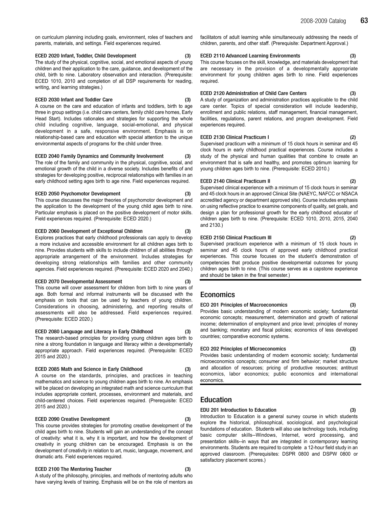on curriculum planning including goals, environment, roles of teachers and parents, materials, and settings. Field experiences required.

### ECED 2020 Infant, Toddler, Child Development (3)

The study of the physical, cognitive, social, and emotional aspects of young children and their application to the care, guidance, and development of the child, birth to nine. Laboratory observation and interaction. (Prerequisite: ECED 1010, 2010 and completion of all DSP requirements for reading, writing, and learning strategies.)

#### ECED 2030 Infant and Toddler Care (3)

A course on the care and education of infants and toddlers, birth to age three in group settings (i.e. child care centers, family child care homes, Early Head Start). Includes rationales and strategies for supporting the whole child including cognitive, language, social-emotional, and physical development in a safe, responsive environment. Emphasis is on relationship-based care and education with special attention to the unique environmental aspects of programs for the child under three.

#### ECED 2040 Family Dynamics and Community Involvement (3)

The role of the family and community in the physical, cognitive, social, and emotional growth of the child in a diverse society. Includes benefits of and strategies for developing positive, reciprocal relationships with families in an early childhood setting ages birth to age nine. Field experiences required.

#### ECED 2050 Psychomotor Development (3)

This course discusses the major theories of psychomotor development and the application to the development of the young child ages birth to nine. Particular emphasis is placed on the positive development of motor skills. Field experiences required. (Prerequisite: ECED 2020.)

#### ECED 2060 Development of Exceptional Children (3)

Explores practices that early childhood professionals can apply to develop a more inclusive and accessible environment for all children ages birth to nine. Provides students with skills to include children of all abilities through appropriate arrangement of the environment. Includes strategies for developing strong relationships with families and other community agencies. Field experiences required. (Prerequisite: ECED 2020 and 2040.)

#### ECED 2070 Developmental Assessment (3)

This course will cover assessment for children from birth to nine years of age. Both formal and informal instruments will be discussed with the emphasis on tools that can be used by teachers of young children. Considerations in choosing, administering, and reporting results of assessments will also be addressed. Field experiences required. (Prerequisite: ECED 2020.)

### ECED 2080 Language and Literacy in Early Childhood (3)

The research-based principles for providing young children ages birth to nine a strong foundation in language and literacy within a developmentally appropriate approach. Field experiences required. (Prerequisite: ECED 2015 and 2020.)

#### ECED 2085 Math and Science in Early Childhood (3)

A course on the standards, principles, and practices in teaching mathematics and science to young children ages birth to nine. An emphasis will be placed on developing an integrated math and science curriculum that includes appropriate content, processes, environment and materials, and child-centered choices. Field experiences required. (Prerequisite: ECED 2015 and 2020.)

#### ECED 2090 Creative Development (3)

This course provides strategies for promoting creative development of the child ages birth to nine. Students will gain an understanding of the concept of creativity: what it is, why it is important, and how the development of creativity in young children can be encouraged. Emphasis is on the development of creativity in relation to art, music, language, movement, and dramatic arts. Field experiences required.

#### ECED 2100 The Mentoring Teacher

A study of the philosophy, principles, and methods of mentoring adults who have varying levels of training. Emphasis will be on the role of mentors as facilitators of adult learning while simultaneously addressing the needs of children, parents, and other staff. (Prerequisite: Department Approval.)

#### ECED 2110 Advanced Learning Environments (3)

This course focuses on the skill, knowledge, and materials development that are necessary in the provision of a developmentally appropriate environment for young children ages birth to nine. Field experiences required.

#### ECED 2120 Administration of Child Care Centers (3)

A study of organization and administration practices applicable to the child care center. Topics of special consideration will include leadership, enrollment and public relations, staff management, financial management, facilities, regulations, parent relations, and program development. Field experiences required.

#### ECED 2130 Clinical Practicum I (2)

Supervised practicum with a minimum of 15 clock hours in seminar and 45 clock hours in early childhood practical experiences. Course includes a study of the physical and human qualities that combine to create an environment that is safe and healthy, and promotes optimum learning for young children ages birth to nine. (Prerequisite: ECED 2010.)

#### ECED 2140 Clinical Practicum II (2)

Supervised clinical experience with a minimum of 15 clock hours in seminar and 45 clock hours in an approved Clinical Site (NAEYC, NAFCC or NSACA accredited agency or department approved site). Course includes emphasis on using reflective practice to examine components of quality, set goals, and design a plan for professional growth for the early childhood educator of children ages birth to nine. (Prerequisite: ECED 1010, 2010, 2015, 2040 and 2130.)

#### ECED 2150 Clinical Practicum III (2)

Supervised practicum experience with a minimum of 15 clock hours in seminar and 45 clock hours of approved early childhood practical experiences. This course focuses on the student's demonstration of competencies that produce positive developmental outcomes for young children ages birth to nine. (This course serves as a capstone experience and should be taken in the final semester.)

# **Economics**

#### ECO 201 Principles of Macroeconomics (3)

Provides basic understanding of modern economic society; fundamental economic concepts; measurement, determination and growth of national income; determination of employment and price level; principles of money and banking; monetary and fiscal policies; economics of less developed countries; comparative economic systems.

#### ECO 202 Principles of Microeconomics

Provides basic understanding of modern economic society; fundamental microeconomics concepts; consumer and firm behavior; market structure and allocation of resources; pricing of productive resources; antitrust economics, labor economics; public economics and international economics.

# Education

#### EDU 201 Introduction to Education (3)

Introduction to Education is a general survey course in which students explore the historical, philosophical, sociological, and psychological foundations of education. Students will also use technology tools, including basic computer skills--Windows, Internet, word processing, and presentation skills--in ways that are integrated in contemporary learning environments. Students are required to complete a 12-hour field study in an approved classroom. (Prerequisites: DSPR 0800 and DSPW 0800 or satisfactory placement scores.)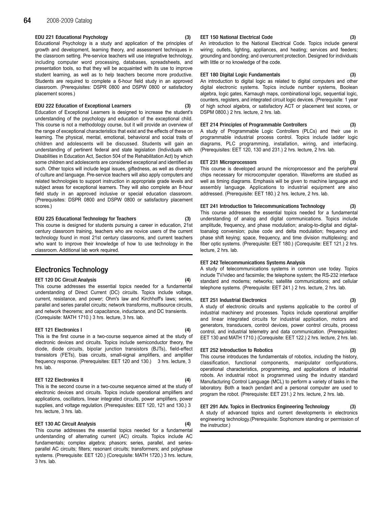#### EDU 221 Educational Psychology (3)

Educational Psychology is a study and application of the principles of growth and development, learning theory, and assessment techniques in the classroom setting. Pre-service teachers will use integrative technology, including computer word processing, databases, spreadsheets, and presentation tools, so that they will be acquainted with its use to improve student learning, as well as to help teachers become more productive. Students are required to complete a 6-hour field study in an approved classroom. (Prerequisites: DSPR 0800 and DSPW 0800 or satisfactory placement scores.)

#### EDU 222 Education of Exceptional Learners (3)

Education of Exceptional Learners is designed to increase the student's understanding of the psychology and education of the exceptional child. This course is not a methodology course, but it will provide an overview of the range of exceptional characteristics that exist and the effects of these on learning. The physical, mental, emotional, behavioral and social traits of children and adolescents will be discussed. Students will gain an understanding of pertinent federal and state legislation (Individuals with Disabilities in Education Act, Section 504 of the Rehabilitation Act) by which some children and adolescents are considered exceptional and identified as such. Other topics will include legal issues, giftedness, as well as diversity of culture and language. Pre-service teachers will also apply computers and related technologies to support instruction in appropriate grade levels and subject areas for exceptional learners. They will also complete an 8-hour field study in an approved inclusive or special education classroom. (Prerequisites: DSPR 0800 and DSPW 0800 or satisfactory placement scores.)

#### EDU 225 Educational Technology for Teachers (3)

This course is designed for students pursuing a career in education, 21st century classroom training, teachers who are novice users of the current technology found in most 21st century classrooms, and current teachers who want to improve their knowledge of how to use technology in the classroom. Additional lab work required.

# Electronics Technology

#### **EET 120 DC Circuit Analysis**

This course addresses the essential topics needed for a fundamental understanding of Direct Current (DC) circuits. Topics include voltage, current, resistance, and power; Ohm's law and Kirchhoff's laws; series, parallel and series parallel circuits; network transforms, multisource circuits, and network theorems; and capacitance, inductance, and DC transients. (Corequisite: MATH 1710.) 3 hrs. lecture, 3 hrs. lab.

#### EET 121 Electronics I (4)

This is the first course in a two-course sequence aimed at the study of electronic devices and circuits. Topics include semiconductor theory, the diode, diode circuits, bipolar junction transistors (BJTs), field-effect transistors (FETs), bias circuits, small-signal amplifiers, and amplifier frequency response. (Prerequisites: EET 120 and 130.) 3 hrs. lecture, 3 hrs. lab.

#### EET 122 Electronics II (4)

This is the second course in a two-course sequence aimed at the study of electronic devices and circuits. Topics include operational amplifiers and applications, oscillators, linear integrated circuits, power amplifiers, power supplies, and voltage regulation. (Prerequisites: EET 120, 121 and 130.) 3 hrs. lecture, 3 hrs. lab.

#### EET 130 AC Circuit Analysis (4)

This course addresses the essential topics needed for a fundamental understanding of alternating current (AC) circuits. Topics include AC fundamentals; complex algebra; phasors; series, parallel, and seriesparallel AC circuits; filters; resonant circuits; transformers; and polyphase systems. (Prerequisite: EET 120.) (Corequisite: MATH 1720.) 3 hrs. lecture, 3 hrs. lab.

#### EET 150 National Electrical Code (3)

An introduction to the National Electrical Code. Topics include general wiring; outlets, lighting, appliances, and heating; services and feeders; grounding and bonding; and overcurrent protection. Designed for individuals with little or no knowledge of the code.

#### EET 180 Digital Logic Fundamentals (3)

An introduction to digital logic as related to digital computers and other digital electronic systems. Topics include number systems, Boolean algebra, logic gates, Karnaugh maps, combinational logic, sequential logic, counters, registers, and integrated circuit logic devices. (Prerequisite: 1 year of high school algebra, or satisfactory ACT or placement test scores, or DSPM 0800.) 2 hrs. lecture, 2 hrs. lab.

## EET 214 Principles of Programmable Controllers (3)

A study of Programmable Logic Controllers (PLCs) and their use in programmable industrial process control. Topics include ladder logic diagrams, PLC programming, installation, wiring, and interfacing. (Prerequisites: EET 120, 130 and 231.) 2 hrs. lecture, 2 hrs. lab.

#### EET 231 Microprocessors (3)

This course is developed around the microprocessor and the peripheral chips necessary for microcomputer operation. Waveforms are studied as well as timing diagrams. Emphasis will be given to machine language and assembly language. Applications to industrial equipment are also addressed. (Prerequisite: EET 180.) 2 hrs. lecture, 2 hrs. lab.

EET 241 Introduction to Telecommunications Technology (3) This course addresses the essential topics needed for a fundamental understanding of analog and digital communications. Topics include amplitude, frequency, and phase modulation; analog-to-digital and digitaltoanalog conversion; pulse code and delta modulation; frequency and phase shift keying; space, frequency, and time division multiplexing; and fiber optic systems. (Prerequisite: EET 180.) (Corequisite: EET 121.) 2 hrs. lecture, 2 hrs. lab.

### EET 242 Telecommunications Systems Analysis

A study of telecommunications systems in common use today. Topics include TV/video and facsimile; the telephone system; the RS-232 interface standard and modems; networks; satellite communications; and cellular telephone systems. (Prerequisite: EET 241.) 2 hrs. lecture, 2 hrs. lab.

#### EET 251 Industrial Electronics (3)

A study of electronic circuits and systems applicable to the control of industrial machinery and processes. Topics include operational amplifier and linear integrated circuits for industrial application, motors and generators, transducers, control devices, power control circuits, process control, and industrial telemetry and data communication. (Prerequisites: EET 130 and MATH 1710.) (Corequisite: EET 122.) 2 hrs. lecture, 2 hrs. lab.

#### EET 252 Introduction to Robotics (3)

This course introduces the fundamentals of robotics, including the history, classification, functional components, manipulator configurations, operational characteristics, programming, and applications of industrial robots. An industrial robot is programmed using the industry standard Manufacturing Control Language (MCL) to perform a variety of tasks in the laboratory. Both a teach pendant and a personal computer are used to program the robot. (Prerequisite: EET 231.) 2 hrs. lecture, 2 hrs. lab.

# EET 291 Adv. Topics in Electronics Engineering Technology (3)

A study of advanced topics and current developments in electronics engineering technology.(Prerequisite: Sophomore standing or permission of the instructor.)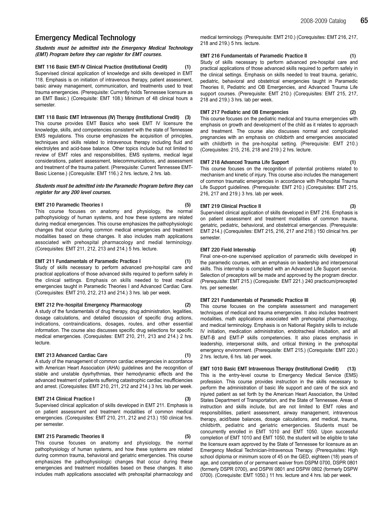# Emergency Medical Technology

Students must be admitted into the Emergency Medical Technology (EMT) Program before they can register for EMT courses.

### EMT 116 Basic EMT-IV Clinical Practice (Institutional Credit) (1)

Supervised clinical application of knowledge and skills developed in EMT 118. Emphasis is on initiation of intravenous therapy, patient assessment, basic airway management, communication, and treatments used to treat trauma emergencies. (Prerequisite: Currently holds Tennessee licensure as an EMT Basic.) (Corequisite: EMT 108.) Minimum of 48 clinical hours a semester.

EMT 118 Basic EMT Intravenous (IV) Therapy (Institutional Credit) (3) This course provides EMT Basics who seek EMT IV licensure the knowledge, skills, and competencies consistent with the state of Tennessee EMS regulations. This course emphasizes the acquisition of principles, techniques and skills related to intravenous therapy including fluid and electrolytes and acid-base balance. Other topics include but not limited to review of EMT roles and responsibilities, EMS systems, medical legal considerations, patient assessment, telecommunications, and assessment and treatment of the trauma patient. (Prerequisite: Current Tennessee EMT-Basic License.) (Corequisite: EMT 116.) 2 hrs. lecture, 2 hrs. lab.

#### Students must be admitted into the Paramedic Program before they can register for any 200 level courses.

#### EMT 210 Paramedic Theories I (5)

This course focuses on anatomy and physiology, the normal pathophysiology of human systems, and how these systems are related during medical emergencies. This course emphasizes the pathophysiologic changes that occur during common medical emergencies and treatment modalities based on these changes. It also includes math applications associated with prehospital pharmacology and medial terminology. (Corequisites: EMT 211, 212, 213 and 214.) 5 hrs. lecture.

#### EMT 211 Fundamentals of Paramedic Practice I (1)

Study of skills necessary to perform advanced pre-hospital care and practical applications of those advanced skills required to perform safely in the clinical settings. Emphasis on skills needed to treat medical emergencies taught in Paramedic Theories I and Advanced Cardiac Care. (Corequisites: EMT 210, 212, 213 and 214.) 3 hrs. lab per week.

#### EMT 212 Pre-hospital Emergency Pharmacology (2)

A study of the fundamentals of drug therapy, drug administration, legalities, dosage calculations, and detailed discussion of specific drug actions, indications, contraindications, dosages, routes, and other essential information. The course also discusses specific drug selections for specific medical emergencies. (Corequisites: EMT 210, 211, 213 and 214.) 2 hrs. lecture.

#### EMT 213 Advanced Cardiac Care (1)

A study of the management of common cardiac emergencies in accordance with American Heart Association (AHA) guidelines and the recognition of stable and unstable dysrhythmias, their hemodynamic effects and the advanced treatment of patients suffering catastrophic cardiac insufficiencies and arrest. (Corequisites: EMT 210, 211, 212 and 214.) 3 hrs. lab per week.

### EMT 214 Clinical Practice I (3)

Supervised clinical application of skills developed in EMT 211. Emphasis is on patient assessment and treatment modalities of common medical emergencies. (Corequisites: EMT 210, 211, 212 and 213.) 150 clinical hrs. per semester.

# **EMT 215 Paramedic Theories II**

This course focuses on anatomy and physiology, the normal pathophysiology of human systems, and how these systems are related during common trauma, behavioral and geriatric emergencies. This course emphasizes the pathophysiologic changes that occur during these emergencies and treatment modalities based on these changes. It also includes math applications associated with prehospital pharmacology and medical terminology. (Prerequisite: EMT 210.) (Corequisites: EMT 216, 217, 218 and 219.) 5 hrs. lecture.

### EMT 216 Fundamentals of Paramedic Practice II (1)

Study of skills necessary to perform advanced pre-hospital care and practical applications of those advanced skills required to perform safely in the clinical settings. Emphasis on skills needed to treat trauma, geriatric, pediatric, behavioral and obstetrical emergencies taught in Paramedic Theories II, Pediatric and OB Emergencies, and Advanced Trauma Life support courses. (Prerequisite: EMT 210.) (Corequisites: EMT 215, 217, 218 and 219.) 3 hrs. lab per week.

#### EMT 217 Pediatric and OB Emergencies (2)

This course focuses on the pediatric medical and trauma emergencies with emphasis on growth and development of the child as it relates to approach and treatment. The course also discusses normal and complicated pregnancies with an emphasis on childbirth and emergencies associated with childbirth in the pre-hospital setting. (Prerequisite: EMT 210.) (Corequisites: 215, 216, 218 and 219.) 2 hrs. lecture.

### EMT 218 Advanced Trauma Life Support (1)

This course focuses on the recognition of potential problems related to mechanism and kinetic of injury. This course also includes the management of common traumatic emergencies in accordance with Prehospital Trauma Life Support guidelines. (Prerequisite: EMT 210.) (Corequisites: EMT 215, 216, 217 and 219.) 3 hrs. lab per week.

#### EMT 219 Clinical Practice II (3)

Supervised clinical application of skills developed in EMT 216. Emphasis is on patient assessment and treatment modalities of common trauma, geriatric, pediatric, behavioral, and obstetrical emergencies. (Prerequisite: EMT 214.) (Corequisites: EMT 215, 216, 217 and 218.) 150 clinical hrs. per semester.

#### EMT 220 Field Internship (4)

Final one-on-one supervised application of paramedic skills developed in the paramedic courses, with an emphasis on leadership and interpersonal skills. This internship is completed with an Advanced Life Support service. Selection of preceptors will be made and approved by the program director. (Prerequisite: EMT 215.) (Corequisite: EMT 221.) 240 practicum/precepted hrs. per semester.

### EMT 221 Fundamentals of Paramedic Practice III (4)

This course focuses on the complete assessment and management techniques of medical and trauma emergencies. It also includes treatment modalities, math applications associated with prehospital pharmacology, and medical terminology. Emphasis is on National Registry skills to include IV initiation, medication administration, endotracheal intubation, and all EMT-B and EMT-P skills competencies. It also places emphasis in leadership, interpersonal skills, and critical thinking in the prehospital emergency environment. (Prerequisite: EMT 215.) (Corequisite: EMT 220.) 2 hrs. lecture, 6 hrs. lab per week.

EMT 1010 Basic EMT Intravenous Therapy (Institutional Credit) (13) This is the entry-level course to Emergency Medical Service (EMS) profession. This course provides instruction in the skills necessary to perform the administration of basic life support and care of the sick and injured patient as set forth by the American Heart Association, the United States Department of Transportation, and the State of Tennessee. Areas of instruction and skills include, but are not limited to EMT roles and responsibilities, patient assessment, airway management, intravenous therapy, acid/base balances, dosage calculations, and medical, trauma, childbirth, pediatric and geriatric emergencies. Students must be concurrently enrolled in EMT 1010 and EMT 1050. Upon successful completion of EMT 1010 and EMT 1050, the student will be eligible to take the licensure exam approved by the State of Tennessee for licensure as an Emergency Medical Technician-Intravenous Therapy. (Prerequisites: High school diploma or minimum score of 45 on the GED, eighteen (18) years of age, and completion of or permanent waiver from DSPM 0700, DSPR 0801 (formerly DSPR 0700), and DSPW 0801 and DSPW 0802 (formerly DSPW 0700). (Corequisite: EMT 1050.) 11 hrs. lecture and 4 hrs. lab per week.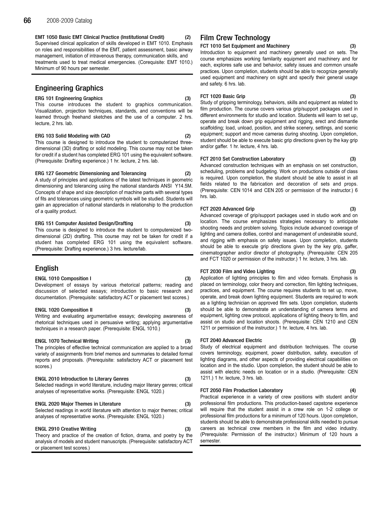EMT 1050 Basic EMT Clinical Practice (Institutional Credit) (2) Supervised clinical application of skills developed in EMT 1010. Emphasis on roles and responsibilities of the EMT, patient assessment, basic airway management, initiation of intravenous therapy, communication skills, and treatments used to treat medical emergencies. (Corequisite: EMT 1010.) Minimum of 90 hours per semester.

# Engineering Graphics

# ERG 101 Engineering Graphics (3)

This course introduces the student to graphics communication. Visualization, projection techniques, standards, and conventions will be learned through freehand sketches and the use of a computer. 2 hrs. lecture, 2 hrs. lab.

### ERG 103 Solid Modeling with CAD (2)

This course is designed to introduce the student to computerized threedimensional (3D) drafting or solid modeling. This course may not be taken for credit if a student has completed ERG 101 using the equivalent software. (Prerequisite: Drafting experience.) 1 hr. lecture, 2 hrs. lab.

### ERG 127 Geometric Dimensioning and Tolerancing (2)

A study of principles and applications of the latest techniques in geometric dimensioning and tolerancing using the national standards ANSI Y14.5M. Concepts of shape and size description of machine parts with several types of fits and tolerances using geometric symbols will be studied. Students will gain an appreciation of national standards in relationship to the production of a quality product.

### ERG 151 Computer Assisted Design/Drafting (3)

This course is designed to introduce the student to computereized twodimensional (2D) drafting. This course may not be taken for credit if a student has completed ERG 101 using the equivalent software. (Prerequisite: Drafting experience.) 3 hrs. lecture/lab.

# English

### ENGL 1010 Composition I (3)

Development of essays by various rhetorical patterns; reading and discussion of selected essays; introduction to basic research and documentation. (Prerequisite: satisfactory ACT or placement test scores.)

### ENGL 1020 Composition II (3)

Writing and evaluating argumentative essays; developing awareness of rhetorical techniques used in persuasive writing; applying argumentative techniques in a research paper. (Prerequisite: ENGL 1010.)

# ENGL 1070 Technical Writing (3)

The principles of effective technical communication are applied to a broad variety of assignments from brief memos and summaries to detailed formal reports and proposals. (Prerequisite: satisfactory ACT or placement test scores.)

# ENGL 2010 Introduction to Literary Genres (3)

Selected readings in world literature, including major literary genres; critical analyses of representative works. (Prerequisite: ENGL 1020.)

### ENGL 2020 Major Themes in Literature (3)

Selected readings in world literature with attention to major themes; critical analyses of representative works. (Prerequisite: ENGL 1020.)

### **ENGL 2910 Creative Writing**

Theory and practice of the creation of fiction, drama, and poetry by the analysis of models and student manuscripts. (Prerequisite: satisfactory ACT or placement test scores.)

# Film Crew Technology

FCT 1010 Set Equipment and Machinery (3)

Introduction to equipment and machinery generally used on sets. The course emphasizes working familarity equipment and machinery and for each, explores safe use and behavior, safety issues and common unsafe practices. Upon completion, students should be able to recognize generally used equipment and machinery on sight and specify their general usage and safety. 6 hrs. lab.

# FCT 1020 Basic Grip (3)

Study of gripping terminology, behaviors, skills and equipment as related to film production. The course covers various grip/support packages used in different environments for studio and location. Students will learn to set up, operate and break down grip equipment and rigging, erect and dismantle scaffolding; load, unload, position, and strike scenery, settings, and scenic equipment; support and move cameras during shooting. Upon completion, student should be able to execute basic grip directions given by the kay grip and/or gaffer. 1 hr. lecture, 4 hrs. lab.

### FCT 2010 Set Construction Laboratory

Advanced construction techniques with an emphasis on set construction, scheduling, problems and budgeting. Work on productions outside of class is required. Upon completion, the student should be able to assist in all fields related to the fabrication and decoration of sets and props. (Prerequisite: CEN 1014 and CEN 205 or permission of the instructor.) 6 hrs. lab.

# FCT 2020 Advanced Grip (3)

Advanced coverage of grip/support packages used in studio work and on location. The course emphasizes strategies necessary to anticipate shooting needs and problem solving. Topics include advanced coverage of lighting and camera dollies, control and management of undesirable sound, and rigging with emphasis on safety issues. Upon completion, students should be able to execute grip directions given by the key grip, gaffer, cinematographer and/or director of photography. (Prerequisite: CEN 205 and FCT 1020 or permission of the instructor.) 1 hr. lecture, 3 hrs. lab.

# FCT 2030 Film and Video Lighting (3)

Application of lighting principles to film and video formats. Emphasis is placed on terminology, color theory and correction, film lighting techniques, practices, and equipment. The course requires students to set up, move, operate, and break down lighting equipment. Students are required to work as a lighting technician on approved film sets. Upon completion, students should be able to demonstrate an understanding of camera terms and equipment, lighting crew protocol, applications of lighting theory to film, and assist on studio and location shoots. (Prerequisite: CEN 1210 and CEN 1211 or permission of the instructor.) 1 hr. lecture, 4 hrs. lab.

# FCT 2040 Advanced Electric (3)

Study of electrical equipment and distribution techniques. The course covers terminology, equipment, power distribution, safety, execution of lighting diagrams, and other aspects of providing electrical capabilities on location and in the studio. Upon completion, the student should be able to assist with electric needs on location or in a studio. (Prerequisite: CEN 1211.) 1 hr. lecture, 3 hrs. lab.

### FCT 2050 Film Production Laboratory (4)

Practical experience in a variety of crew positions with student and/or professional film productions. This production-based capstone experience will require that the student assist in a crew role on 1-2 college or professional film productions for a minimum of 120 hours. Upon completion, students should be able to demonstrate professional skills needed to pursue careers as technical crew members in the film and video industry. (Prerequisite: Permission of the instructor.) Minimum of 120 hours a semester.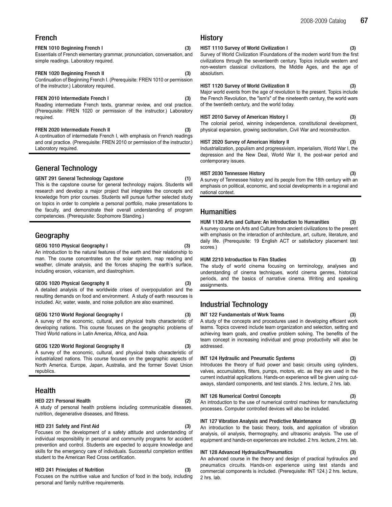# French

#### FREN 1010 Beginning French I (3)

Essentials of French elementary grammar, pronunciation, conversation, and simple readings. Laboratory required.

## FREN 1020 Beginning French II (3)

Continuation of Beginning French I. (Prerequisite: FREN 1010 or permission of the instructor.) Laboratory required.

## FREN 2010 Intermediate French I (3)

Reading intermediate French texts, grammar review, and oral practice. (Prerequisite: FREN 1020 or permission of the instructor.) Laboratory required.

#### FREN 2020 Intermediate French II (3)

A continuation of intermediate French I, with emphasis on French readings and oral practice. (Prerequisite: FREN 2010 or permission of the instructor.) Laboratory required.

# General Technology

#### GENT 291 General Technology Capstone (1)

This is the capstone course for general technology majors. Students will research and develop a major project that integrates the concepts and knowledge from prior courses. Students will pursue further selected study on topics in order to complete a personal portfolio, make presentations to the faculty, and demonstrate their overall understanding of program competencies. (Prerequisite: Sophomore Standing.)

# Geography

#### GEOG 1010 Physical Geography I (3)

An introduction to the natural features of the earth and their relationship to man. The course concentrates on the solar system, map reading and weather, climate analysis, and the forces shaping the earth's surface, including erosion, volcanism, and diastrophism.

#### GEOG 1020 Physical Geography II (3)

A detailed analysis of the worldwide crises of overpopulation and the resulting demands on food and environment. A study of earth resources is included. Air, water, waste, and noise pollution are also examined.

#### GEOG 1210 World Regional Geography I (3)

A survey of the economic, cultural, and physical traits characteristic of developing nations. This course focuses on the geographic problems of Third World nations in Latin America, Africa, and Asia.

#### GEOG 1220 World Regional Geography II (3)

A survey of the economic, cultural, and physical traits characteristic of industrialized nations. This course focuses on the geographic aspects of North America, Europe, Japan, Australia, and the former Soviet Union republics.

# Health

## HED 221 Personal Health (2)

## A study of personal health problems including communicable diseases, nutrition, degenerative diseases, and fitness.

#### HED 231 Safety and First Aid (3)

Focuses on the development of a safety attitude and understanding of individual responsibility in personal and community programs for accident prevention and control. Students are expected to acquire knowledge and skills for the emergency care of individuals. Successful completion entitles student to the American Red Cross certification.

#### HED 241 Principles of Nutrition (3)

Focuses on the nutritive value and function of food in the body, including personal and family nutritive requirements.

# History

HIST 1110 Survey of World Civilization I (3) Survey of World Civilization IFoundations of the modern world from the first civilizations through the seventeenth century. Topics include western and non-western classical civilizations, the Middle Ages, and the age of absolutism.

### HIST 1120 Survey of World Civilization II (3)

Major world events from the age of revolution to the present. Topics include the French Revolution, the "ism's" of the nineteenth century, the world wars of the twentieth century, and the world today.

## HIST 2010 Survey of American History I (3)

The colonial period, winning independence, constitutional development, physical expansion, growing sectionalism, Civil War and reconstruction.

#### HIST 2020 Survey of American History II (3)

Industrialization, populism and progressivism, imperialism, World War I, the depression and the New Deal, World War II, the post-war period and contemporary issues.

#### HIST 2030 Tennessee History (3)

A survey of Tennessee history and its people from the 18th century with an emphasis on political, economic, and social developments in a regional and national context.

# **Humanities**

## HUM 1130 Arts and Culture: An Introduction to Humanities (3)

A survey course on Arts and Culture from ancient civilizations to the present with emphasis on the interaction of architecture, art, culture, literature, and daily life. (Prerequisite: 19 English ACT or satisfactory placement test scores.)

## HUM 2210 Introduction to Film Studies (3)

The study of world cinema focusing on terminology, analyses and understanding of cinema techniques, world cinema genres, historical periods, and the basics of narrative cinema. Writing and speaking assignments.

# Industrial Technology

#### INT 122 Fundamentals of Work Teams (3) A study of the concepts and procedures used in developing efficient work teams. Topics covered include team organization and selection, setting and achieving team goals, and creative problem solving. The benefits of the team concept in increasing individual and group productivity will also be addressed.

## INT 124 Hydraulic and Pneumatic Systems (3)

Introduces the theory of fluid power and basic circuits using cylinders, valves, accumulators, filters, pumps, motors, etc. as they are used in the current industrial applications. Hands-on experience will be given using cutaways, standard components, and test stands. 2 hrs. lecture, 2 hrs. lab.

#### INT 126 Numerical Control Concepts (3)

An introduction to the use of numerical control machines for manufacturing processes. Computer controlled devices will also be included.

## INT 127 Vibration Analysis and Predictive Maintenance (3)

An introduction to the basic theory, tools, and application of vibration analysis, oil analysis, thermography, and ultrasonic analysis. The use of equipment and hands-on experiences are included. 2 hrs. lecture, 2 hrs. lab.

## INT 128 Advanced Hydraulics/Pneumatics (3)

An advanced course in the theory and design of practical hydraulics and pneumatics circuits. Hands-on experience using test stands and commercial components is included. (Prerequisite: INT 124.) 2 hrs. lecture, 2 hrs. lab.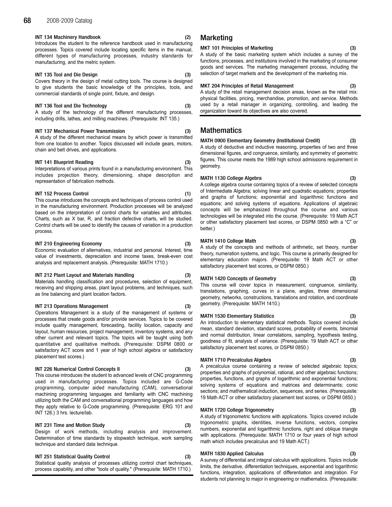## INT 134 Machinery Handbook (2)

Introduces the student to the reference handbook used in manufacturing processes. Topics covered include locating specific items in the manual, different types of manufacturing processes, industry standards for manufacturing, and the metric system.

# INT 135 Tool and Die Design (3)

Covers theory in the design of metal cutting tools. The course is designed to give students the basic knowledge of the principles, tools, and commercial standards of single point, fixture, and design.

# INT 136 Tool and Die Technology (3)

A study of the technology of the different manufacturing processes, including drills, lathes, and milling machines. (Prerequisite: INT 135.)

# INT 137 Mechanical Power Transmission (3)

A study of the different mechanical means by which power is transmitted from one location to another. Topics discussed will include gears, motors, chain and belt drives, and applications.

# INT 141 Blueprint Reading (3)

Interpretations of various prints found in a manufacturing environment. This includes projection theory, dimensioning, shape description and representation of fabrication methods.

# INT 152 Process Control (1)

This course introduces the concepts and techniques of process control used in the manufacturing environment. Production processes will be analyzed based on the interpretation of control charts for variables and attributes. Charts, such as X bar, R, and fraction defective charts, will be studied. Control charts will be used to identify the causes of variation in a production process.

# INT 210 Engineering Economy (3)

Economic evaluation of alternatives, industrial and personal. Interest, time value of investments, depreciation and income taxes, break-even cost analysis and replacement analysis. (Prerequisite: MATH 1710.)

# INT 212 Plant Layout and Materials Handling (3)

Materials handling classification and procedures, selection of equipment, receiving and shipping areas, plant layout problems, and techniques, such as line balancing and plant location factors.

## INT 213 Operations Management (3)

Operations Management is a study of the management of systems or processes that create goods and/or provide services. Topics to be covered include quality management, forecasting, facility location, capacity and layout, human resources, project management, inventory systems, and any other current and relevant topics. The topics will be taught using both quantitative and qualitative methods. (Prerequisite: DSPM 0800 or satisfactory ACT score and 1 year of high school algebra or satisfactory placement test scores.)

# INT 226 Numerical Control Concepts II (3)

This course introduces the student to advanced levels of CNC programming used in manufacturing processes. Topics included are G-Code programming, computer aided manufacturing (CAM), conversational machining programming languages and familiarity with CNC machining utilizing both the CAM and conversational programming languages and how they apply relative to G-Code programming. (Prerequisite: ERG 101 and INT 126.) 3 hrs. lecture/lab.

# INT 231 Time and Motion Study (3)

Design of work methods, including analysis and improvement. Determination of time standards by stopwatch technique, work sampling technique and standard data technique.

# INT 251 Statistical Quality Control

Statistical quality analysis of processes utilizing control chart techniques, process capability, and other "tools of quality." (Prerequisite: MATH 1710.)

# **Marketing**

### MKT 101 Principles of Marketing (3)

A study of the basic marketing system which includes a survey of the functions, processes, and institutions involved in the marketing of consumer goods and services. The marketing management process, including the selection of target markets and the development of the marketing mix.

## MKT 204 Principles of Retail Management (3)

A study of the retail management decision areas, known as the retail mix: physical facilities, pricing, merchandise, promotion, and service. Methods used by a retail manager in organizing, controlling, and leading the organization toward its objectives are also covered.

# **Mathematics**

MATH 0900 Elementary Geometry (Institutional Credit) (3) A study of deductive and inductive reasoning, properties of two and three dimensional figures, and congruence, similarity, and symmetry of geometric figures. This course meets the 1989 high school admissions requirement in geometry.

## MATH 1130 College Algebra (3)

A college algebra course containing topics of a review of selected concepts of Intermediate Algebra; solving linear and quadratic equations; properties and graphs of functions; exponential and logarithmic functions and equations; and solving systems of equations. Applications of algebraic concepts will be emphasized throughout the course and various technologies will be integrated into the course. (Prerequisite: 19 Math ACT or other satisfactory placement test scores, or DSPM 0850 with a "C" or better.)

## MATH 1410 College Math (3)

A study of the concepts and methods of arithmetic, set theory, number theory, numeration systems, and logic. This course is primarily designed for elementary education majors. (Prerequisite: 19 Math ACT or other satisfactory placement test scores, or DSPM 0850.)

## MATH 1420 Concepts of Geometry (3)

This course will cover topics in measurement, congruence, similarity, translations, graphing, curves in a plane, angles, three dimensional geometry, networks, constructions, translations and rotation, and coordinate geometry. (Prerequisite: MATH 1410.)

## MATH 1530 Elementary Statistics (3)

An introduction to elementary statistical methods. Topics covered include mean, standard deviation, standard scores, probability of events, binomial and normal distribution, linear correlations, sampling, hypothesis testing, goodness of fit, analysis of variance. (Prerequisite: 19 Math ACT or other satisfactory placement test scores, or DSPM 0850.)

## MATH 1710 Precalculus Algebra (3)

A precalculus course containing a review of selected algebraic topics; properties and graphs of polynomial, rational, and other algebraic functions; properties, functions, and graphs of logarithmic and exponential functions; solving systems of equations and matrices and determinants; conic sections; and mathematical induction, sequences, and series. (Prerequisite: 19 Math ACT or other satisfactory placement test scores, or DSPM 0850.)

## MATH 1720 College Trigonometry (3)

A study of trigonometric functions with applications. Topics covered include trigonometric graphs, identities, inverse functions, vectors, complex numbers, exponential and logarithmic functions, right and oblique triangle with applications. (Prerequisite: MATH 1710 or four years of high school math which includes precalculus and 19 Math ACT.)

## MATH 1830 Applied Calculus (3)

A survey of differential and integral calculus with applications. Topics include limits, the derivative, differentiation techniques, exponential and logarithmic functions, integration, applications of differentiation and integration. For students not planning to major in engineering or mathematics. (Prerequisite: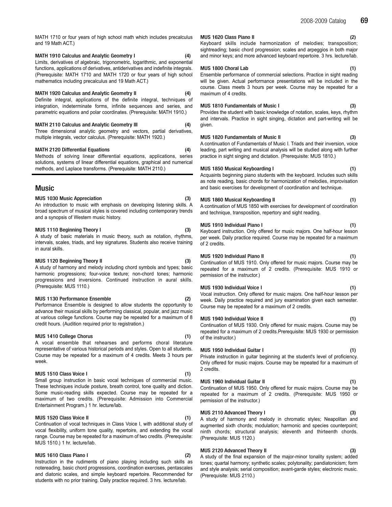## MATH 1910 Calculus and Analytic Geometry I (4)

Limits, derivatives of algebraic, trigonometric, logarithmic, and exponential functions, applications of derivatives, antiderivatives and indefinite integrals. (Prerequisite: MATH 1710 and MATH 1720 or four years of high school mathematics including precalculus and 19 Math ACT.)

## MATH 1920 Calculus and Analytic Geometry II (4)

Definite integral, applications of the definite integral, techniques of integration, indeterminate forms, infinite sequences and series, and parametric equations and polar coordinates. (Prerequisite: MATH 1910.)

# MATH 2110 Calculus and Analytic Geometry III (4)

Three dimensional analytic geometry and vectors, partial derivatives, multiple integrals, vector calculus. (Prerequisite: MATH 1920.)

## MATH 2120 Differential Equations (4)

Methods of solving linear differential equations, applications, series solutions, systems of linear differential equations, graphical and numerical methods, and Laplace transforms. (Prerequisite: MATH 2110.)

# Music

#### MUS 1030 Music Appreciation (3)

An introduction to music with emphasis on developing listening skills. A broad spectrum of musical styles is covered including contemporary trends and a synopsis of Western music history.

#### MUS 1110 Beginning Theory I (3)

A study of basic materials in music theory, such as notation, rhythms, intervals, scales, triads, and key signatures. Students also receive training in aural skills.

#### MUS 1120 Beginning Theory II (3)

A study of harmony and melody including chord symbols and types; basic harmonic progressions; four-voice texture; non-chord tones; harmonic progressions and inversions. Continued instruction in aural skills. (Prerequisite: MUS 1110.)

#### MUS 1130 Performance Ensemble (2)

Performance Ensemble is designed to allow students the opportunity to advance their musical skills by performing classical, popular, and jazz music at various college functions. Course may be repeated for a maximum of 8 credit hours. (Audition required prior to registration.)

#### MUS 1410 College Chorus (1)

A vocal ensemble that rehearses and performs choral literature representative of various historical periods and styles. Open to all students. Course may be repeated for a maximum of 4 credits. Meets 3 hours per week.

### MUS 1510 Class Voice I (1)

Small group instruction in basic vocal techniques of commercial music. These techniques include posture, breath control, tone quality and diction. Some music-reading skills expected. Course may be repeated for a maximum of two credits. (Prerequisite: Admission into Commercial Entertainment Program.) 1 hr. lecture/lab.

#### MUS 1520 Class Voice II (1)

Continuation of vocal techniques in Class Voice I, with additional study of vocal flexibility, uniform tone quality, repertoire, and extending the vocal range. Course may be repeated for a maximum of two credits. (Prerequisite: MUS 1510.) 1 hr. lecture/lab.

#### MUS 1610 Class Piano I (2)

Instruction in the rudiments of piano playing including such skills as notereading, basic chord progressions, coordination exercises, pentascales and diatonic scales, and simple keyboard repertoire. Recommended for students with no prior training. Daily practice required. 3 hrs. lecture/lab.

#### MUS 1620 Class Piano II (2)

Keyboard skills include harmonization of melodies; transposition; sightreading; basic chord progression; scales and arpeggios in both major and minor keys; and more advanced keyboard repertoire. 3 hrs. lecture/lab.

#### MUS 1800 Choral Lab (1)

Ensemble performance of commercial selections. Practice in sight reading will be given. Actual performance presentations will be included in the course. Class meets 3 hours per week. Course may be repeated for a maximum of 4 credits.

#### MUS 1810 Fundamentals of Music I (3)

Provides the student with basic knowledge of notation, scales, keys, rhythm and intervals. Practice in sight singing, dictation and part-writing will be given.

#### MUS 1820 Fundamentals of Music II (3)

A continuation of Fundamentals of Music I. Triads and their inversion, voice leading, part writing and musical analysis will be studied along with further practice in sight singing and dictation. (Prerequisite: MUS 1810.)

#### MUS 1850 Musical Keyboarding I (1)

Acquaints beginning piano students with the keyboard. Includes such skills as note reading, basic chords for harmonization of melodies, improvisation and basic exercises for development of coordination and technique.

#### MUS 1860 Musical Keyboarding II (1)

A continuation of MUS 1850 with exercises for development of coordination and technique, transposition, repertory and sight reading.

#### MUS 1910 Individual Piano I (1)

Keyboard instruction. Only offered for music majors. One half-hour lesson per week. Daily practice required. Course may be repeated for a maximum of 2 credits.

#### MUS 1920 Individual Piano II (1)

Continuation of MUS 1910. Only offered for music majors. Course may be repeated for a maximum of 2 credits. (Prerequisite: MUS 1910 or permission of the instructor.)

#### MUS 1930 Individual Voice I (1)

Vocal instruction. Only offered for music majors. One half-hour lesson per week. Daily practice required and jury examination given each semester. Course may be repeated for a maximum of 2 credits.

#### MUS 1940 Individual Voice II (1)

Continuation of MUS 1930. Only offered for music majors. Course may be repeated for a maximum of 2 credits.Prerequisite: MUS 1930 or permission of the instructor.)

### MUS 1950 Individual Guitar I (1)

Private instruction in guitar beginning at the student's level of proficiency. Only offered for music majors. Course may be repeated for a maximum of 2 credits.

#### MUS 1960 Individual Guitar II (1)

Continuation of MUS 1950. Only offered for music majors. Course may be repeated for a maximum of 2 credits. (Prerequisite: MUS 1950 or permission of the instructor.)

#### MUS 2110 Advanced Theory I (3)

A study of harmony and melody in chromatic styles; Neapolitan and augmented sixth chords; modulation; harmonic and species counterpoint; ninth chords; structural analysis; eleventh and thirteenth chords. (Prerequisite: MUS 1120.)

#### MUS 2120 Advanced Theory II (3)

A study of the final expansion of the major-minor tonality system; added tones; quartal harmony; synthetic scales; polytonality; pandiatonicism; form and style analysis; serial composition; avant-garde styles; electronic music. (Prerequisite: MUS 2110.)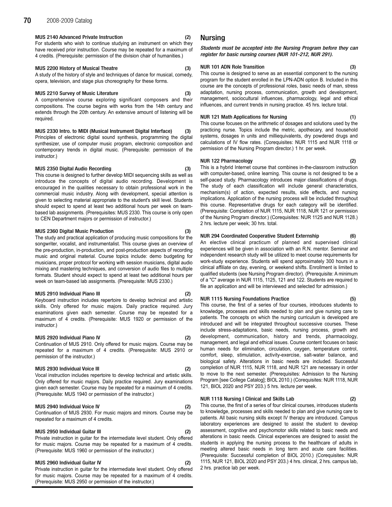#### MUS 2140 Advanced Private Instruction (2)

For students who wish to continue studying an instrument on which they have received prior instruction. Course may be repeated for a maximum of 4 credits. (Prerequisite: permission of the division chair of humanities.)

#### MUS 2200 History of Musical Theatre (3)

A study of the history of style and techniques of dance for musical, comedy, opera, television, and stage plus choreography for these forms.

#### MUS 2210 Survey of Music Literature (3)

A comprehensive course exploring significant composers and their compositions. The course begins with works from the 14th century and extends through the 20th century. An extensive amount of listening will be required.

#### MUS 2330 Intro. to MIDI (Musical Instrument Digital Interface) (3) Principles of electronic digital sound synthesis, programming the digital synthesizer, use of computer music program, electronic composition and contemporary trends in digital music. (Prerequisite: permission of the

#### MUS 2350 Digital Audio Recording (3)

instructor.)

This course is designed to further develop MIDI sequencing skills as well as introduce the concepts of digital audio recording. Development is encouraged in the qualities necessary to obtain professional work in the commercial music industry. Along with development, special attention is given to selecting material appropriate to the student's skill level. Students should expect to spend at least two additional hours per week on teambased lab assignments. (Prerequisites: MUS 2330. This course is only open to CEN Department majors or permission of instructor.)

#### MUS 2360 Digital Music Production (3)

The study and practical application of producing music compositions for the songwriter, vocalist, and instrumentalist. This course gives an overview of the pre-production, in-production, and post-production aspects of recording music and original material. Course topics include: demo budgeting for musicians, proper protocol for working with session musicians, digital audio mixing and mastering techniques, and conversion of audio files to multiple formats. Student should expect to spend at least two additional hours per week on team-based lab assignments. (Prerequisite: MUS 2330.)

#### MUS 2910 Individual Piano III

Keyboard instruction includes repertoire to develop technical and artistic skills. Only offered for music majors. Daily practice required. Jury examinations given each semester. Course may be repeated for a maximum of 4 credits. (Prerequisite: MUS 1920 or permission of the instructor.)

#### MUS 2920 Individual Piano IV

Continuation of MUS 2910. Only offered for music majors. Course may be repeated for a maximum of 4 credits. (Prerequisite: MUS 2910 or permission of the instructor.)

## MUS 2930 Individual Voice III (2)

Vocal instruction includes repertoire to develop technical and artistic skills. Only offered for music majors. Daily practice required. Jury examinations given each semester. Course may be repeated for a maximum of 4 credits. (Prerequisite: MUS 1940 or permission of the instructor.)

## MUS 2940 Individual Voice IV (2)

Continuation of MUS 2930. For music majors and minors. Course may be repeated for a maximum of 4 credits.

## MUS 2950 Individual Guitar III (2)

Private instruction in guitar for the intermediate level student. Only offered for music majors. Course may be repeated for a maximum of 4 credits. (Prerequisite: MUS 1960 or permission of the instructor.)

#### MUS 2960 Individual Guitar IV

Private instruction in guitar for the intermediate level student. Only offered for music majors. Course may be repeated for a maximum of 4 credits. (Prerequisite: MUS 2950 or permission of the instructor.)

# Nursing

Students must be accepted into the Nursing Program before they can register for basic nursing courses (NUR 101-212, NUR 291).

#### NUR 101 ADN Role Transition (3)

This course is designed to serve as an essential component to the nursing program for the student enrolled in the LPN-ADN option B. Included in this course are the concepts of professional roles, basic needs of man, stress adaptation, nursing process, communication, growth and development, management, sociocultural influences, pharmacology, legal and ethical influences, and current trends in nursing practice. 45 hrs. lecture total.

#### NUR 121 Math Applications for Nursing (1)

This course focuses on the arithmetic of dosages and solutions used by the practicing nurse. Topics include the metric, apothecary, and household systems, dosages in units and milliequivalents, dry powdered drugs and calculations of IV flow rates. (Corequisites: NUR 1115 and NUR 1118 or permission of the Nursing Program director.) 1 hr. per week.

#### NUR 122 Pharmacology (2)

This is a hybrid Internet course that combines in-the-classroom instruction with computer-based, online learning. This course is not designed to be a self-paced study. Pharmacology introduces major classifications of drugs. The study of each classification will include general characteristics, mechanism(s) of action, expected results, side effects, and nursing implications. Application of the nursing process will be included throughout this course. Representative drugs for each category will be identified. (Prerequisite: Completion of NUR 1115, NUR 1118, NUR 121 or permission of the Nursing Program director.) (Corequisites: NUR 1125 and NUR 1128.) 2 hrs. lecture per week; 30 hrs. total.

#### NUR 294 Coordinated Cooperative Student Externship (6)

An elective clinical practicum of planned and supervised clinical experiences will be given in association with an R.N. mentor. Seminar and independent research study will be utilized to meet course requirements for work-study experience. Students will spend approximately 300 hours in a clinical affiliate on day, evening, or weekend shifts. Enrollment is limited to qualified students (see Nursing Program director). (Prerequisite: Aminimum of a "C" average in NUR 1115, 1125, 121 and 122. Students are required to file an application and will be interviewed and selected for admission.)

#### NUR 1115 Nursing Foundations Practice (5)

This course, the first of a series of four courses, introduces students to knowledge, processes and skills needed to plan and give nursing care to patients. The concepts on which the nursing curriculum is developed are introduced and will be integrated throughout successive courses. These include stress-adaptations, basic needs, nursing process, growth and development, communication, history and trends, pharmacology, management, and legal and ethical issues. Course content focuses on basic human needs for elimination, circulation, oxygen, temperature control, comfort, sleep, stimulation, activity-exercise, salt-water balance, and biological safety. Alterations in basic needs are included. Successful completion of NUR 1115, NUR 1118, and NUR 121 are necessary in order to move to the next semester. (Prerequisites: Admission to the Nursing Program [see College Catalog]; BIOL 2010.) (Corequisites: NUR 1118, NUR 121, BIOL 2020 and PSY 203.) 5 hrs. lecture per week.

#### NUR 1118 Nursing I Clinical and Skills Lab (2)

This course, the first of a series of four clinical courses, introduces students to knowledge, processes and skills needed to plan and give nursing care to patients. All basic nursing skills except IV therapy are introduced. Campus laboratory experiences are designed to assist the student to develop assessment, cognitive and psychomotor skills related to basic needs and alterations in basic needs. Clinical experiences are designed to assist the students in applying the nursing process to the healthcare of adults in meeting altered basic needs in long term and acute care facilities. (Prerequisite: Successful completion of BIOL 2010.) (Corequisites: NUR 1115, NUR 121, BIOL 2020 and PSY 203.) 4 hrs. clinical, 2 hrs. campus lab, 2 hrs. practice lab per week.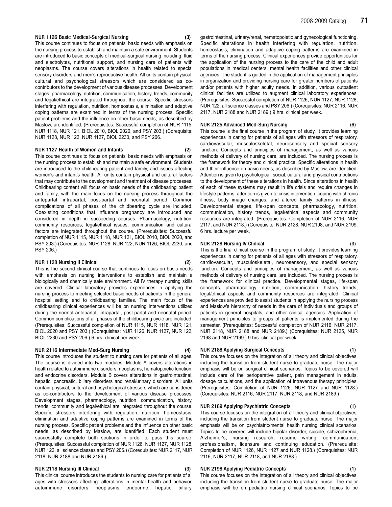#### NUR 1126 Basic Medical-Surgical Nursing (3)

This course continues to focus on patients' basic needs with emphasis on the nursing process to establish and maintain a safe environment. Students are introduced to basic concepts of medical-surgical nursing including: fluid and electrolytes, nutritional support, and nursing care of patients with neoplasms. The course covers alterations in health related to special sensory disorders and men's reproductive health. All units contain physical, cultural and psychological stressors which are considered as cocontributors to the development of various disease processes. Development stages, pharmacology, nutrition, communication, history, trends, community and legal/ethical are integrated throughout the course. Specific stressors interfering with regulation, nutrition, homeostasis, elimination and adaptive coping patterns are examined in terms of the nursing process. Specific patient problems and the influence on other basic needs, as described by Maslow, are identified. (Prerequisites: Successful completion of NUR 1115, NUR 1118, NUR 121, BIOL 2010, BIOL 2020, and PSY 203.) (Corequisite: NUR 1128, NUR 122, NUR 1127, BIOL 2230, and PSY 206.

#### NUR 1127 Health of Women and Infants (2)

This course continues to focus on patients' basic needs with emphasis on the nursing process to establish and maintain a safe environment. Students are introduced to the childbearing patient and family, and issues affecting women's and infant's health. All units contain physical and cultural factors that may contribute to the development and treatment of disease processes. Childbearing content will focus on basic needs of the childbearing patient and family, with the main focus on the nursing process throughout the antepartal, intrapartal, post-partal and neonatal period. Common complications of all phases of the childbearing cycle are included. Coexisting conditions that influence pregnancy are introduced and considered in depth in succeeding courses. Pharmacology, nutrition, community resources, legal/ethical issues, communication and cultural factors are integrated throughout the course. (Prerequisites: Successful completion of NUR 1115, NUR 1118, NUR 121, BIOL 2010, BIOL 2020, and PSY 203.) (Corequisites: NUR 1128, NUR 122, NUR 1126, BIOL 2230, and PSY 206.)

#### NUR 1128 Nursing II Clinical (2)

This is the second clinical course that continues to focus on basic needs with emphasis on nursing interventions to establish and maintain a biologically and chemically safe environment. All IV therapy nursing skills are covered. Clinical laboratory provides experiences in applying the nursing process to meeting selected basic needs of patients in the general hospital setting and to childbearing families. The main focus of the childbearing clinical experiences will be on nursing interventions utilized during the normal antepartal, intrapartal, post-partal and neonatal period. Common complications of all phases of the childbearing cycle are included. (Prerequisites: Successful completion of NUR 1115, NUR 1118, NUR 121, BIOL 2020 and PSY 203.) (Corequisites: NUR 1126, NUR 1127, NUR 122, BIOL 2230 and PSY 206.) 6 hrs. clinical per week.

#### NUR 2116 Intermediate Med-Surg Nursing (4)

This course introduces the student to nursing care for patients of all ages. The course is divided into two modules. Module A covers alterations in health related to autoimmune disorders, neoplasms, hematopoietic function, and endocrine disorders. Module B covers alterations in gastrointestinal, hepatic, pancreatic, biliary disorders and renal/urinary disorders. All units contain physical, cultural and psychological stressors which are considered as co-contributors to the development of various disease processes. Development stages, pharmacology, nutrition, communication, history, trends, community and legal/ethical are integrated throughout the course. Specific stressors interfering with regulation, nutrition, homeostasis, elimination and adaptive coping patterns are examined in terms of the nursing process. Specific patient problems and the influence on other basic needs, as described by Maslow, are identified. Each student must successfully complete both sections in order to pass this course. (Prerequisites: Successful completion of NUR 1126, NUR 1127, NUR 1128, NUR 122, all science classes and PSY 206.) (Corequisites: NUR 2117, NUR 2118, NUR 2188 and NUR 2189.)

#### NUR 2118 Nursing III Clinical (3)

This clinical course introduces the students to nursing care for patients of all ages with stressors affecting: alterations in mental health and behavior, autoimmune disorders, neoplasms, endocrine, hepatic, biliary, gastrointestinal, urinary/renal, hematopoietic and gynecological functioning. Specific alterations in health interfering with regulation, nutrition, homeostasis, elimination and adaptive coping patterns are examined in terms of the nursing process. Clinical experiences provide opportunities for the application of the nursing process to the care of the child and adult populations in medical centers, mental health facilities and other clinical agencies. The student is guided in the application of management principles in organization and providing nursing care for greater numbers of patients and/or patients with higher acuity needs. In addition, various outpatient clinical facilities are utilized to augment clinical laboratory experiences. (Prerequisites: Successful completion of NUR 1126, NUR 1127, NUR 1128, NUR 122, all science classes and PSY 206.) (Corequisites: NUR 2116, NUR 2117, NUR 2188 and NUR 2189.) 9 hrs. clinical per week.

#### NUR 2125 Advanced Med-Surg Nursing (6)

This course is the final course in the program of study. It provides learning experiences in caring for patients of all ages with stressors of respiratory, cardiovascular, musculoskeletal, neurosensory and special sensory function. Concepts and principles of management, as well as various methods of delivery of nursing care, are included. The nursing process is the framework for theory and clinical practice. Specific alterations in health and their influence on basic needs, as described by Maslow, are identified. Attention is given to psychological, social, cultural and physical contributions to the development of these alterations in health. Since alterations in health of each of these systems may result in life crisis and require changes in lifestyle patterns, attention is given to crisis intervention, coping with chronic illness, body image changes, and altered family patterns in illness. Developmental stages, life-span concepts, pharmacology, nutrition, communication, history trends, legal/ethical aspects and community resources are integrated. (Prerequisites: Completion of NUR 2116, NUR 2117, and NUR 2118.) (Corequisite: NUR 2128, NUR 2198, and NUR 2199. 6 hrs. lecture per week.

#### NUR 2128 Nursing IV Clinical (3)

This is the final clinical course in the program of study. It provides learning experiences in caring for patients of all ages with stressors of respiratory, cardiovascular, musculoskeletal, neurosensory, and special sensory function. Concepts and principles of management, as well as various methods of delivery of nursing care, are included. The nursing process is the framework for clinical practice. Developmental stages, life-span concepts, pharmacology, nutrition, communication, history trends, legal/ethical aspects and community resources are integrated. Clinical experiences are provided to assist students in applying the nursing process and Maslow's hierarchy of needs in the care of individuals and groups of patients in general hospitals, and other clinical agencies. Application of management principles to groups of patients is implemented during the semester. (Prerequisites: Successful completion of NUR 2116, NUR 2117, NUR 2118, NUR 2188 and NUR 2189.) (Corequisites: NUR 2125, NUR 2198 and NUR 2199.) 9 hrs. clinical per week.

#### NUR 2188 Applying Surgical Concepts (1)

This course focuses on the integration of all theory and clinical objectives, including the transition from student nurse to graduate nurse. The major emphasis will be on surgical clinical scenarios. Topics to be covered will include care of the perioperative patient, pain management in adults, dosage calculations, and the application of intravenous therapy principles. (Prerequisites: Completion of NUR 1126, NUR 1127 and NUR 1128.) (Corequisites: NUR 2116, NUR 2117, NUR 2118, and NUR 2189.)

#### NUR 2189 Applying Psychiatric Concepts (1)

This course focuses on the integration of all theory and clinical objectives, including the transition from student nurse to graduate nurse. The major emphasis will be on psychiatric/mental health nursing clinical scenarios. Topics to be covered will include bipolar disorder, suicide, schizophrenia, Alzheimer's, nursing research, resume writing, communication, professionalism, licensure and continuing education. (Prerequisite: Completion of NUR 1126, NUR 1127 and NUR 1128.) (Corequisites: NUR 2116, NUR 2117, NUR 2118, and NUR 2188.)

#### NUR 2198 Applying Pediatric Concepts (1)

This course focuses on the integration of all theory and clinical objectives, including the transition from student nurse to graduate nurse. The major emphasis will be on pediatric nursing clinical scenarios. Topics to be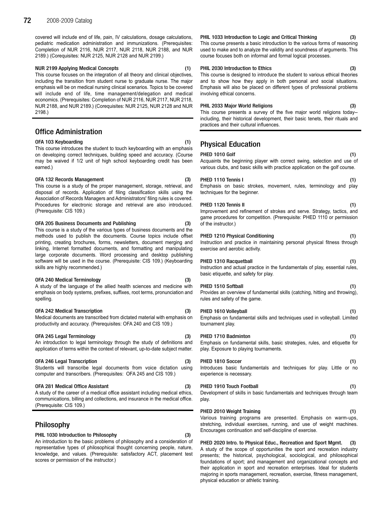covered will include end of life, pain, IV calculations, dosage calculations, pediatric medication administration and immunizations. (Prerequisites: Completion of NUR 2116, NUR 2117, NUR 2118, NUR 2188, and NUR 2189.) (Corequisites: NUR 2125, NUR 2128 and NUR 2199.)

#### NUR 2199 Applying Medical Concepts (1)

This course focuses on the integration of all theory and clinical objectives, including the transition from student nurse to graduate nurse. The major emphasis will be on medical nursing clinical scenarios. Topics to be covered will include end of life, time management/delegation and medical economics. (Prerequisites: Completion of NUR 2116, NUR 2117, NUR 2118, NUR 2188, and NUR 2189.) (Corequisites: NUR 2125, NUR 2128 and NUR 2198.)

# Office Administration

#### OFA 103 Keyboarding (1)

#### This course introduces the student to touch keyboarding with an emphasis on developing correct techniques, building speed and accuracy. (Course may be waived if 1/2 unit of high school keyboarding credit has been earned.)

#### OFA 132 Records Management (3)

This course is a study of the proper management, storage, retrieval, and disposal of records. Application of filing classification skills using the Association of Records Managers and Administrators' filing rules is covered. Procedures for electronic storage and retrieval are also introduced. (Prerequisite: CIS 109.)

#### OFA 205 Business Documents and Publishing (3)

This course is a study of the various types of business documents and the methods used to publish the documents. Course topics include offset printing, creating brochures, forms, newsletters, document merging and linking, Internet formatted documents, and formatting and manipulating large corporate documents. Word processing and desktop publishing software will be used in the course. (Prerequisite: CIS 109.) (Keyboarding skills are highly recommended.)

#### OFA 240 Medical Terminology (3)

A study of the language of the allied health sciences and medicine with emphasis on body systems, prefixes, suffixes, root terms, pronunciation and spelling.

#### OFA 242 Medical Transcription (3)

Medical documents are transcribed from dictated material with emphasis on productivity and accuracy. (Prerequisites: OFA 240 and CIS 109.)

#### OFA 245 Legal Terminology (3)

An introduction to legal terminology through the study of definitions and application of terms within the context of relevant, up-to-date subject matter.

#### OFA 246 Legal Transcription (3)

Students will transcribe legal documents from voice dictation using computer and transcribers. (Prerequisites: OFA 245 and CIS 109.)

#### OFA 281 Medical Office Assistant (3)

A study of the career of a medical office assistant including medical ethics, communications, billing and collections, and insurance in the medical office. (Prerequisite: CIS 109.)

# Philosophy

#### PHIL 1030 Introduction to Philosophy (3)

An introduction to the basic problems of philosophy and a consideration of representative types of philosophical thought concerning people, nature, knowledge, and values. (Prerequisite: satisfactory ACT, placement test scores or permission of the instructor.)

PHIL 1033 Introduction to Logic and Critical Thinking (3)

This course presents a basic introduction to the various forms of reasoning used to make and to analyze the validity and soundness of arguments. This course focuses both on informal and formal logical processes.

#### PHIL 2030 Introduction to Ethics (3)

This course is designed to introduce the student to various ethical theories and to show how they apply in both personal and social situations. Emphasis will also be placed on different types of professional problems involving ethical concerns.

### PHIL 2033 Major World Religions (3)

This course presents a survey of the five major world religions today- including, their historical development, their basic tenets, their rituals and practices and their cultural influences.

# Physical Education

| PHED 1010 Golf                                                                | (1) |
|-------------------------------------------------------------------------------|-----|
| Acquaints the beginning player with correct swing, selection and use of       |     |
| various clubs, and basic skills with practice application on the golf course. |     |

# PHED 1110 Tennis I (1)

Emphasis on basic strokes, movement, rules, terminology and play techniques for the beginner.

#### PHED 1120 Tennis II (1)

Improvement and refinement of strokes and serve. Strategy, tactics, and game procedures for competition. (Prerequisite: PHED 1110 or permission of the instructor.)

#### PHED 1210 Physical Conditioning (1)

Instruction and practice in maintaining personal physical fitness through exercise and aerobic activity.

#### PHED 1310 Racquetball (1)

Instruction and actual practice in the fundamentals of play, essential rules, basic etiquette, and safety for play.

#### PHED 1510 Softball (1) (1)

Provides an overview of fundamental skills (catching, hitting and throwing), rules and safety of the game.

#### PHED 1610 Volleyball (1) (1)

Emphasis on fundamental skills and techniques used in volleyball. Limited tournament play.

## PHED 1710 Badminton (1)

Emphasis on fundamental skills, basic strategies, rules, and etiquette for play. Exposure to playing tournaments.

#### PHED 1810 Soccer (1)

Introduces basic fundamentals and techniques for play. Little or no experience is necessary.

#### PHED 1910 Touch Football (1) (1)

Development of skills in basic fundamentals and techniques through team play.

#### PHED 2010 Weight Training (1) (1)

Various training programs are presented. Emphasis on warm-ups, stretching, individual exercises, running, and use of weight machines. Encourages continuation and self-discipline of exercise.

PHED 2020 Intro. to Physical Educ., Recreation and Sport Mgmt. (3) A study of the scope of opportunities the sport and recreation industry presents; the historical, psychological, sociological, and philosophical foundations of sport; and management and organizational concepts and their application in sport and recreation enterprises. Ideal for students majoring in sports management, recreation, exercise, fitness management, physical education or athletic training.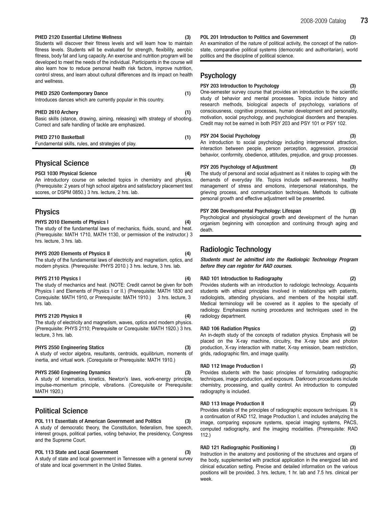#### PHED 2120 Essential Lifetime Wellness (3)

Students will discover their fitness levels and will learn how to maintain fitness levels. Students will be evaluated for strength, flexibility, aerobic fitness, body fat and lung capacity. An exercise and nutrition program will be developed to meet the needs of the individual. Participants in the course will also learn how to reduce personal health risk factors, improve nutrition, control stress, and learn about cultural differences and its impact on health and wellness.

# PHED 2520 Contemporary Dance (1) Introduces dances which are currently popular in this country. PHED 2610 Archery (1) Basic skills (stance, drawing, aiming, releasing) with strategy of shooting. Correct and safe handling of tackle are emphasized. PHED 2710 Basketball (1) (1)

# Fundamental skills, rules, and strategies of play.

Physical Science

PSCI 1030 Physical Science (4) An introductory course on selected topics in chemistry and physics.

(Prerequisite: 2 years of high school algebra and satisfactory placement test scores, or DSPM 0850.) 3 hrs. lecture, 2 hrs. lab.

# Physics

#### PHYS 2010 Elements of Physics I (4)

The study of the fundamental laws of mechanics, fluids, sound, and heat. (Prerequisite: MATH 1710, MATH 1130, or permission of the instructor.) 3 hrs. lecture, 3 hrs. lab.

#### PHYS 2020 Elements of Physics II (4)

The study of the fundamental laws of electricity and magnetism, optics, and modern physics. (Prerequisite: PHYS 2010.) 3 hrs. lecture, 3 hrs. lab.

### PHYS 2110 Physics I (4)

The study of mechanics and heat. (NOTE: Credit cannot be given for both Physics I and Elements of Physics I or II.) (Prerequisite: MATH 1830 and Corequisite: MATH 1910, or Prerequisite: MATH 1910.) 3 hrs. lecture, 3 hrs. lab.

## PHYS 2120 Physics II (4)

The study of electricity and magnetism, waves, optics and modern physics. (Prerequisite: PHYS 2110; Prerequisite or Corequisite: MATH 1920.) 3 hrs. lecture, 3 hrs. lab.

#### PHYS 2550 Engineering Statics (3)

A study of vector algebra, resultants, centroids, equilibrium, moments of inertia, and virtual work. (Corequisite or Prerequisite: MATH 1910.)

#### PHYS 2560 Engineering Dynamics (3)

A study of kinematics, kinetics, Newton's laws, work-energy principle, impulse-momentum principle, vibrations. (Corequisite or Prerequisite: MATH 1920.)

# Political Science

#### POL 111 Essentials of American Government and Politics (3)

A study of democratic theory, the Constitution, federalism, free speech, interest groups, political parties, voting behavior, the presidency, Congress and the Supreme Court.

#### POL 113 State and Local Government (3)

A study of state and local government in Tennessee with a general survey of state and local government in the United States.

POL 201 Introduction to Politics and Government (3) An examination of the nature of political activity, the concept of the nationstate, comparative political systems (democratic and authoritarian), world politics and the discipline of political science.

# Psychology

#### PSY 203 Introduction to Psychology (3)

One-semester survey course that provides an introduction to the scientific study of behavior and mental processes. Topics include history and research methods, biological aspects of psychology, variations of consciousness, cognitive processes, human development and personality, motivation, social psychology, and psychological disorders and therapies. Credit may not be earned in both PSY 203 and PSY 101 or PSY 102.

### PSY 204 Social Psychology (3)

An introduction to social psychology including interpersonal attraction, interaction between people, person perception, aggression, prosocial behavior, conformity, obedience, attitudes, prejudice, and group processes.

#### PSY 205 Psychology of Adjustment (3)

The study of personal and social adjustment as it relates to coping with the demands of everyday life. Topics include self-awareness, healthy management of stress and emotions, interpersonal relationships, the grieving process, and communication techniques. Methods to cultivate personal growth and effective adjustment will be presented.

## PSY 206 Developmental Psychology: Lifespan (3)

Psychological and physiological growth and development of the human organism beginning with conception and continuing through aging and death.

# Radiologic Technology

Students must be admitted into the Radiologic Technology Program before they can register for RAD courses.

## RAD 101 Introduction to Radiography (2)

Provides students with an introduction to radiologic technology. Acquaints students with ethical principles involved in relationships with patients, radiologists, attending physicians, and members of the hospital staff. Medical terminology will be covered as it applies to the specialty of radiology. Emphasizes nursing procedures and techniques used in the radiology department.

#### RAD 106 Radiation Physics (2)

An in-depth study of the concepts of radiation physics. Emphasis will be placed on the X-ray machine, circuitry, the X-ray tube and photon production, X-ray interaction with matter, X-ray emission, beam restriction, grids, radiographic film, and image quality.

#### RAD 112 Image Production I (2)

Provides students with the basic principles of formulating radiographic techniques, image production, and exposure. Darkroom procedures include chemistry, processing, and quality control. An introduction to computed radiography is included.

#### RAD 113 Image Production II (2)

Provides details of the principles of radiographic exposure techniques. It is a continuation of RAD 112, Image Production I, and includes analyzing the image, comparing exposure systems, special imaging systems, PACS, computed radiography, and the imaging modalities. (Prerequisite: RAD 112.)

#### RAD 121 Radiographic Positioning I (3)

Instruction in the anatomy and positioning of the structures and organs of the body, supplemented with practical application in the energized lab and clinical education setting. Precise and detailed information on the various positions will be provided. 3 hrs. lecture, 1 hr. lab and 7.5 hrs. clinical per week.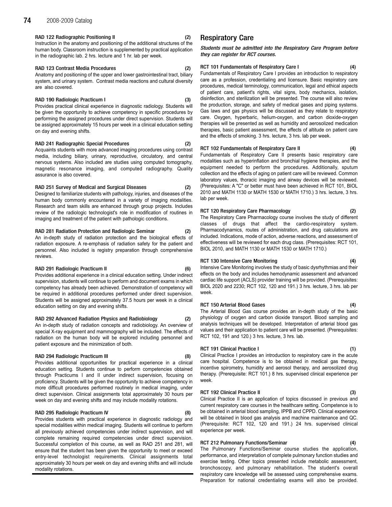# 74 2008-2009 Catalog

#### RAD 122 Radiographic Positioning II (2)

Instruction in the anatomy and positioning of the additional structures of the human body. Classroom instruction is supplemented by practical application in the radiographic lab. 2 hrs. lecture and 1 hr. lab per week.

#### RAD 123 Contrast Media Procedures (2)

Anatomy and positioning of the upper and lower gastrointestinal tract, biliary system, and urinary system. Contrast media reactions and cultural diversity are also covered.

#### RAD 190 Radiologic Practicum I (3)

Provides practical clinical experience in diagnostic radiology. Students will be given the opportunity to achieve competency in specific procedures by performing the assigned procedures under direct supervision. Students will be assigned approximately 15 hours per week in a clinical education setting on day and evening shifts.

#### RAD 241 Radiographic Special Procedures (2)

Acquaints students with more advanced imaging procedures using contrast media, including biliary, urinary, reproductive, circulatory, and central nervous systems. Also included are studies using computed tomography, magnetic resonance imaging, and computed radiography. Quality assurance is also covered.

#### RAD 251 Survey of Medical and Surgical Diseases (2)

Designed to familiarize students with pathology, injuries, and diseases of the human body commonly encountered in a variety of imaging modalities. Research and team skills are enhanced through group projects. Includes review of the radiologic technologist's role in modification of routines in imaging and treatment of the patient with pathologic conditions.

#### RAD 281 Radiation Protection and Radiologic Seminar (2)

An in-depth study of radiation protection and the biological effects of radiation exposure. A re-emphasis of radiation safety for the patient and personnel. Also included is registry preparation through comprehensive reviews.

#### RAD 291 Radiologic Practicum II (6)

Provides additional experience in a clinical education setting. Under indirect supervision, students will continue to perform and document exams in which competency has already been achieved. Demonstration of competency will be required in additional procedures performed under direct supervision. Students will be assigned approximately 37.5 hours per week in a clinical education setting on day and evening shifts.

#### RAD 292 Advanced Radiation Physics and Radiobiology (2)

An in-depth study of radiation concepts and radiobiology. An overview of special X-ray equipment and mammography will be included. The effects of radiation on the human body will be explored including personnel and patient exposure and the minimization of both.

#### RAD 294 Radiologic Practicum III (8)

Provides additional opportunities for practical experience in a clinical education setting. Students continue to perform competencies obtained through Practicums I and II under indirect supervision, focusing on proficiency. Students will be given the opportunity to achieve competency in more difficult procedures performed routinely in medical imaging, under direct supervision. Clinical assignments total approximately 30 hours per week on day and evening shifts and may include modality rotations.

#### RAD 295 Radiologic Practicum IV (8)

Provides students with practical experience in diagnostic radiology and special modalities within medical imaging. Students will continue to perform all previously achieved competencies under indirect supervision, and will complete remaining required competencies under direct supervision. Successful completion of this course, as well as RAD 251 and 281, will ensure that the student has been given the opportunity to meet or exceed entry-level technologist requirements. Clinical assignments total approximately 30 hours per week on day and evening shifts and will include modality rotations.

# Respiratory Care

Students must be admitted into the Respiratory Care Program before they can register for RCT courses.

#### RCT 101 Fundamentals of Respiratory Care I (4)

Fundamentals of Respiratory Care I provides an introduction to respiratory care as a profession, credentialing and licensure. Basic respiratory care procedures, medical terminology, communication, legal and ethical aspects of patient care, patient's rights, vital signs, body mechanics, isolation, disinfection, and sterilization will be presented. The course will also review the production, storage, and safety of medical gases and piping systems. Gas laws and gas physics will be discussed as they relate to respiratory care. Oxygen, hyperbaric, helium-oxygen, and carbon dioxide-oxygen therapies will be presented as well as humidity and aerosolized medication therapies, basic patient assessment, the effects of altitude on patient care and the effects of smoking. 3 hrs. lecture, 3 hrs. lab per week.

#### RCT 102 Fundamentals of Respiratory Care II

Fundamentals of Respiratory Care II presents basic respiratory care modalities such as hyperinflation and bronchial hygiene therapies, and the equipment needed to perform the procedures. Additionally, sputum collection and the effects of aging on patient care will be reviewed. Common laboratory values, thoracic imaging and airway devices will be reviewed. (Prerequisites: A "C" or better must have been achieved in RCT 101, BIOL 2010 and MATH 1130 or MATH 1530 or MATH 1710.) 3 hrs. lecture, 3 hrs. lab per week.

#### RCT 120 Respiratory Care Pharmacology (2)

The Respiratory Care Pharmacology course involves the study of different classes of drugs that affect the cardio-respiratory system. Pharmacodynamics, routes of administration, and drug calculations are included. Indications, mode of action, adverse reactions, and assessment of effectiveness will be reviewed for each drug class. (Prerequisites: RCT 101, BIOL 2010, and MATH 1130 or MATH 1530 or MATH 1710.)

#### RCT 130 Intensive Care Monitoring (4)

Intensive Care Monitoring involves the study of basic dysrhythmias and their effects on the body and includes hemodynamic assessment and advanced cardiac life support (ACLS) provider training will be provided. (Prerequisites: BIOL 2020 and 2230; RCT 102, 120 and 191.) 3 hrs. lecture, 3 hrs. lab per week.

#### RCT 150 Arterial Blood Gases (4)

The Arterial Blood Gas course provides an in-depth study of the basic physiology of oxygen and carbon dioxide transport. Blood sampling and analysis techniques will be developed. Interpretation of arterial blood gas values and their application to patient care will be presented. (Prerequisites: RCT 102, 191 and 120.) 3 hrs. lecture, 3 hrs. lab.

#### RCT 191 Clinical Practice I

Clinical Practice I provides an introduction to respiratory care in the acute care hospital. Competence is to be obtained in medical gas therapy, incentive spirometry, humidity and aerosol therapy, and aerosolized drug therapy. (Prerequisite: RCT 101.) 8 hrs. supervised clinical experience per week.

#### RCT 192 Clinical Practice II (3)

Clinical Practice II is an application of topics discussed in previous and current respiratory care courses in the healthcare setting. Competence is to be obtained in arterial blood sampling, IPPB and CPPD. Clinical experience will be obtained in blood gas analysis and machine maintenance and QC. (Prerequisite: RCT 102, 120 and 191.) 24 hrs. supervised clinical experience per week.

# RCT 212 Pulmonary Functions/Seminar

The Pulmonary Functions/Seminar course studies the application, performance, and interpretation of complete pulmonary function studies and exercise testing. Other topics presented include metabolic assessment, bronchoscopy, and pulmonary rehabilitation. The student's overall respiratory care knowledge will be assessed using comprehensive exams. Preparation for national credentialing exams will also be provided.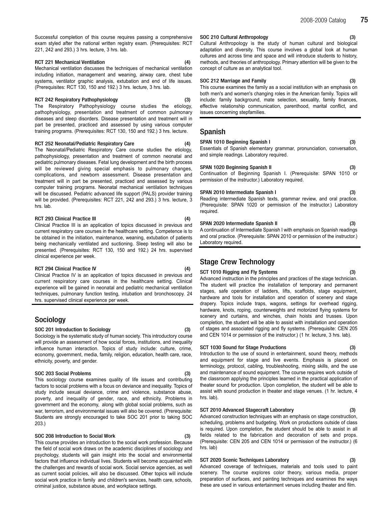Successful completion of this course requires passing a comprehensive exam styled after the national written registry exam. (Prerequisites: RCT 221, 242 and 293.) 3 hrs. lecture, 3 hrs. lab.

#### RCT 221 Mechanical Ventilation (4)

Mechanical ventilation discusses the techniques of mechanical ventilation including initiation, management and weaning, airway care, chest tube systems, ventilator graphic analysis, extubation and end of life issues. (Prerequisites: RCT 130, 150 and 192.) 3 hrs. lecture, 3 hrs. lab.

#### RCT 242 Respiratory Pathophysiology (3)

The Respiratory Pathophysiology course studies the etiology, pathophysiology, presentation and treatment of common pulmonary diseases and sleep disorders. Disease presentation and treatment will in part be presented, practiced and assessed by using various computer training programs. (Prerequisites: RCT 130, 150 and 192.) 3 hrs. lecture.

#### RCT 252 Neonatal/Pediatric Respiratory Care (4)

The Neonatal/Pediatric Respiratory Care course studies the etiology, pathophysiology, presentation and treatment of common neonatal and pediatric pulmonary diseases. Fetal lung development and the birth process will be reviewed giving special emphasis to pulmonary changes, complications, and newborn assessment. Disease presentation and treatment will in part be presented, practiced and assessed by various computer training programs. Neonatal mechanical ventilation techniques will be discussed. Pediatric advanced life support (PALS) provider training will be provided. (Prerequisites: RCT 221, 242 and 293.) 3 hrs. lecture, 3 hrs. lab.

#### RCT 293 Clinical Practice III (4)

Clinical Practice III is an application of topics discussed in previous and current respiratory care courses in the healthcare setting. Competence is to be obtained in the initiation, maintenance, weaning, extubation of patients being mechanically ventilated and suctioning. Sleep testing will also be presented. (Prerequisites: RCT 130, 150 and 192.) 24 hrs. supervised clinical experience per week.

#### RCT 294 Clinical Practice IV (4)

Clinical Practice IV is an application of topics discussed in previous and current respiratory care courses in the healthcare setting. Clinical experience will be gained in neonatal and pediatric mechanical ventilation techniques, pulmonary function testing, intubation and bronchoscopy. 24 hrs. supervised clinical experience per week.

## Sociology

#### SOC 201 Introduction to Sociology (3)

Sociology is the systematic study of human society. This introductory course will provide an assessment of how social forces, institutions, and inequality influence human interaction. Topics of study include: culture, crime, economy, government, media, family, religion, education, health care, race, ethnicity, poverty, and gender.

#### SOC 203 Social Problems (3)

This sociology course examines quality of life issues and contributing factors to social problems with a focus on deviance and inequality. Topics of study include sexual deviance, crime and violence, substance abuse, poverty, and inequality of gender, race, and ethnicity. Problems in government and the economy, along with global social problems, such as war, terrorism, and environmental issues will also be covered. (Prerequisite: Students are strongly encouraged to take SOC 201 prior to taking SOC 203.)

### SOC 208 Introduction to Social Work (3)

This course provides an introduction to the social work profession. Because the field of social work draws on the academic disciplines of sociology and psychology, students will gain insight into the social and environmental factors that influence individual lives. Students will become acquainted with the challenges and rewards of social work. Social service agencies, as well as current social policies, will also be discussed. Other topics will include social work practice in family and children's services, health care, schools, criminal justice, substance abuse, and workplace settings.

#### SOC 210 Cultural Anthropology

Cultural Anthropology is the study of human cultural and biological adaptation and diversity. This course involves a global look at human cultures and across time and space and will introduce students to history, methods, and theories of anthropology. Primary attention will be given to the concept of culture as an analytical tool.

#### SOC 212 Marriage and Family

This course examines the family as a social institution with an emphasis on both men's and women's changing roles in the American family. Topics will include: family background, mate selection, sexuality, family finances, effective relationship communication, parenthood, marital conflict, and issues concerning stepfamilies.

## Spanish

## SPAN 1010 Beginning Spanish I (3)

Essentials of Spanish elementary grammar, pronunciation, conversation, and simple readings. Laboratory required.

#### SPAN 1020 Beginning Spanish II (3)

Continuation of Beginning Spanish I. (Prerequisite: SPAN 1010 or permission of the instructor.) Laboratory required.

#### SPAN 2010 Intermediate Spanish I (3)

Reading intermediate Spanish texts, grammar review, and oral practice. (Prerequisite: SPAN 1020 or permission of the instructor.) Laboratory required.

#### SPAN 2020 Intermediate Spanish II (3)

A continuation of Intermediate Spanish I with emphasis on Spanish readings and oral practice. (Prerequisite: SPAN 2010 or permission of the instructor.) Laboratory required.

# Stage Crew Technology

SCT 1010 Rigging and Fly Systems (3) Advanced instruction in the principles and practices of the stage technician. The student will practice the installation of temporary and permanent stages, safe operation of ladders, lifts, scaffolds, stage equipment, hardware and tools for installation and operation of scenery and stage drapery. Topics include traps, wagons, settings for overhead rigging, hardware, knots, roping, counterweights and motorized flying systems for scenery and curtains, and winches, chain hoists and trusses. Upon completion, the student will be able to assist with installation and operation of stages and associated rigging and fly systems. (Prerequisite: CEN 205 and CEN 1014 or permission of the instructor.) (1 hr. lecture, 3 hrs. lab).

#### SCT 1030 Sound for Stage Productions

Introduction to the use of sound in entertainment, sound theory, methods and equipment for stage and live events. Emphasis is placed on terminology, protocol, cabling, troubleshooting, mixing skills, and the use and maintenance of sound equipment. The course requires work outside of the classroom applying the principles learned in the practical application of theater sound for production. Upon completion, the student will be able to assist with sound production in theater and stage venues. (1 hr. lecture, 4 hrs. lab).

#### SCT 2010 Advanced Stagecraft Laboratory (3)

Advanced construction techniques with an emphasis on stage construction, scheduling, problems and budgeting. Work on productions outside of class is required. Upon completion, the student should be able to assist in all fields related to the fabrication and decoration of sets and props. (Prerequisite: CEN 205 and CEN 1014 or permission of the instructor.) (6 hrs. lab)

these are used in various entertainment venues including theater and film.

### SCT 2020 Scenic Techniques Laboratory (3)

Advanced coverage of techniques, materials and tools used to paint scenery. The course explores color theory, various media, proper preparation of surfaces, and painting techniques and examines the ways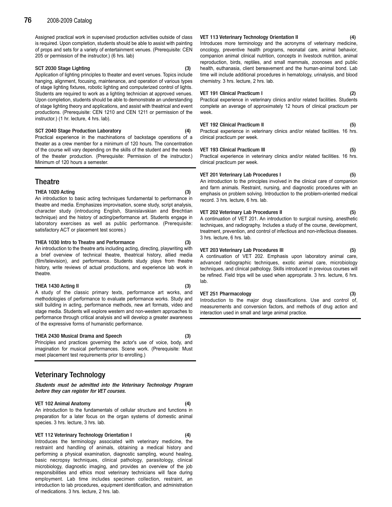Assigned practical work in supervised production activities outside of class is required. Upon completion, students should be able to assist with painting of props and sets for a variety of entertainment venues. (Prerequisite: CEN 205 or permission of the instructor.) (6 hrs. lab)

#### SCT 2030 Stage Lighting (3)

Application of lighting principles to theater and event venues. Topics include hanging, alignment, focusing, maintenance, and operation of various types of stage lighting fixtures, robotic lighting and computerized control of lights. Students are required to work as a lighting technician at approved venues. Upon completion, students should be able to demonstrate an understanding of stage lighting theory and applications, and assist with theatrical and event productions. (Prerequisite: CEN 1210 and CEN 1211 or permission of the instructor.) (1 hr. lecture, 4 hrs. lab).

#### SCT 2040 Stage Production Laboratory (4)

Practical experience in the machinations of backstage operations of a theater as a crew member for a minimum of 120 hours. The concentration of the course will vary depending on the skills of the student and the needs of the theater production. (Prerequisite: Permission of the instructor.) Minimum of 120 hours a semester.

# **Theatre**

#### THEA 1020 Acting (3)

An introduction to basic acting techniques fundamental to performance in theatre and media. Emphasizes improvisation, scene study, script analysis, character study (introducing English, Stanislavskian and Brechtian technique) and the history of acting/performance art. Students engage in laboratory exercises as well as public performance. (Prerequisite: satisfactory ACT or placement test scores.)

#### THEA 1030 Intro to Theatre and Performance (3)

An introduction to the theatre arts including acting, directing, playwriting with a brief overview of technical theatre, theatrical history, allied media (film/television), and performance. Students study plays from theatre history, write reviews of actual productions, and experience lab work in theatre.

#### THEA 1430 Acting II (3)

A study of the classic primary texts, performance art works, and methodologies of performance to evaluate performance works. Study and skill building in acting, performance methods, new art formats, video and stage media. Students will explore western and non-western approaches to performance through critical analysis and will develop a greater awareness of the expressive forms of humanistic performance.

#### THEA 2430 Musical Drama and Speech (3)

Principles and practices governing the actor's use of voice, body, and imagination for musical performances. Scene work. (Prerequisite: Must meet placement test requirements prior to enrolling.)

# Veterinary Technology

Students must be admitted into the Veterinary Technology Program before they can register for VET courses.

#### VET 102 Animal Anatomy (4)

An introduction to the fundamentals of cellular structure and functions in preparation for a later focus on the organ systems of domestic animal species. 3 hrs. lecture, 3 hrs. lab.

VET 112 Veterinary Technology Orientation I (4)

Introduces the terminology associated with veterinary medicine, the restraint and handling of animals, obtaining a medical history and performing a physical examination, diagnostic sampling, wound healing, basic necropsy techniques, clinical pathology, parasitology, clinical microbiology, diagnostic imaging, and provides an overview of the job responsibilities and ethics most veterinary technicians will face during employment. Lab time includes specimen collection, restraint, an introduction to lab procedures, equipment identification, and administration of medications. 3 hrs. lecture, 2 hrs. lab.

#### VET 113 Veterinary Technology Orientation II

Introduces more terminology and the acronyms of veterinary medicine, oncology, preventive health programs, neonatal care, animal behavior, companion animal clinical nutrition, concepts in livestock nutrition, animal reproduction, birds, reptiles, and small mammals, zoonoses and public health, euthanasia, client bereavement and the human-animal bond. Lab time will include additional procedures in hematology, urinalysis, and blood chemistry. 3 hrs. lecture, 2 hrs. lab.

### VET 191 Clinical Practicum I (2)

Practical experience in veterinary clinics and/or related facilities. Students complete an average of approximately 12 hours of clinical practicum per week.

### VET 192 Clinical Practicum II (5)

Practical experience in veterinary clinics and/or related facilities. 16 hrs. clinical practicum per week.

#### VET 193 Clinical Practicum III (5)

Practical experience in veterinary clinics and/or related facilities. 16 hrs. clinical practicum per week.

#### VET 201 Veterinary Lab Procedures I (5)

An introduction to the principles involved in the clinical care of companion and farm animals. Restraint, nursing, and diagnostic procedures with an emphasis on problem solving. Introduction to the problem-oriented medical record. 3 hrs. lecture, 6 hrs. lab.

#### VET 202 Veterinary Lab Procedures II (5)

A continuation of VET 201. An introduction to surgical nursing, anesthetic techniques, and radiography. Includes a study of the course, development, treatment, prevention, and control of infectious and non-infectious diseases. 3 hrs. lecture, 6 hrs. lab.

#### VET 203 Veterinary Lab Procedures III (5)

A continuation of VET 202. Emphasis upon laboratory animal care, advanced radiographic techniques, exotic animal care, microbiology techniques, and clinical pathology. Skills introduced in previous courses will be refined. Field trips will be used when appropriate. 3 hrs. lecture, 6 hrs. lab.

#### VET 251 Pharmacology

Introduction to the major drug classifications. Use and control of, measurements and conversion factors, and methods of drug action and interaction used in small and large animal practice.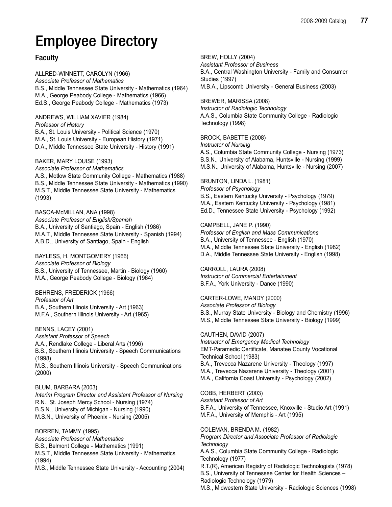# Employee Directory

# Faculty

ALLRED-WINNETT, CAROLYN (1966) Associate Professor of Mathematics B.S., Middle Tennessee State University - Mathematics (1964) M.A., George Peabody College - Mathematics (1966) Ed.S., George Peabody College - Mathematics (1973)

ANDREWS, WILLIAM XAVIER (1984) Professor of History B.A., St. Louis University - Political Science (1970) M.A., St. Louis University - European History (1971) D.A., Middle Tennessee State University - History (1991)

BAKER, MARY LOUISE (1993) Associate Professor of Mathematics A.S., Motlow State Community College - Mathematics (1988) B.S., Middle Tennessee State University - Mathematics (1990) M.S.T., Middle Tennessee State University - Mathematics (1993)

BASOA-McMILLAN, ANA (1998) Associate Professor of English/Spanish B.A., University of Santiago, Spain - English (1986) M.A.T., Middle Tennessee State University - Spanish (1994) A.B.D., University of Santiago, Spain - English

BAYLESS, H. MONTGOMERY (1966) Associate Professor of Biology B.S., University of Tennessee, Martin - Biology (1960) M.A., George Peabody College - Biology (1964)

BEHRENS, FREDERICK (1966) Professor of Art B.A., Southern Illinois University - Art (1963) M.F.A., Southern Illinois University - Art (1965)

BENNS, LACEY (2001) Assistant Professor of Speech A.A., Rendlake College - Liberal Arts (1996) B.S., Southern Illinois University - Speech Communications (1998) M.S., Southern Illinois University - Speech Communications (2000)

BLUM, BARBARA (2003) Interim Program Director and Assistant Professor of Nursing R.N., St. Joseph Mercy School - Nursing (1974) B.S.N., University of Michigan - Nursing (1990) M.S.N., University of Phoenix - Nursing (2005)

BORREN, TAMMY (1995) Associate Professor of Mathematics B.S., Belmont College - Mathematics (1991) M.S.T., Middle Tennessee State University - Mathematics (1994) M.S., Middle Tennessee State University - Accounting (2004) BREW, HOLLY (2004)

Assistant Professor of Business B.A., Central Washington University - Family and Consumer Studies (1997) M.B.A., Lipscomb University - General Business (2003)

BREWER, MARISSA (2008)

Instructor of Radiologic Technology A.A.S., Columbia State Community College - Radiologic Technology (1998)

# BROCK, BABETTE (2008)

Instructor of Nursing

A.S., Columbia State Community College - Nursing (1973) B.S.N., University of Alabama, Huntsville - Nursing (1999) M.S.N., University of Alabama, Huntsville - Nursing (2007)

# BRUNTON, LINDA L. (1981)

Professor of Psychology B.S., Eastern Kentucky University - Psychology (1979) M.A., Eastern Kentucky University - Psychology (1981) Ed.D., Tennessee State University - Psychology (1992)

# CAMPBELL, JANE P. (1990)

Professor of English and Mass Communications B.A., University of Tennessee - English (1970) M.A., Middle Tennessee State University - English (1982) D.A., Middle Tennessee State University - English (1998)

CARROLL, LAURA (2008) Instructor of Commercial Entertainment B.F.A., York University - Dance (1990)

CARTER-LOWE, MANDY (2000) Associate Professor of Biology B.S., Murray State University - Biology and Chemistry (1996) M.S., Middle Tennessee State University - Biology (1999)

# CAUTHEN, DAVID (2007)

Instructor of Emergency Medical Technology EMT-Paramedic Certificate, Manatee County Vocational Technical School (1983) B.A., Trevecca Nazarene University - Theology (1997) M.A., Trevecca Nazarene University - Theology (2001) M.A., California Coast University - Psychology (2002)

COBB, HERBERT (2003)

Assistant Professor of Art B.F.A., University of Tennessee, Knoxville - Studio Art (1991) M.F.A., University of Memphis - Art (1995)

COLEMAN, BRENDA M. (1982)

Program Director and Associate Professor of Radiologic **Technology** 

A.A.S., Columbia State Community College - Radiologic Technology (1977)

R.T.(R), American Registry of Radiologic Technologists (1978) B.S., University of Tennessee Center for Health Sciences – Radiologic Technology (1979)

M.S., Midwestern State University - Radiologic Sciences (1998)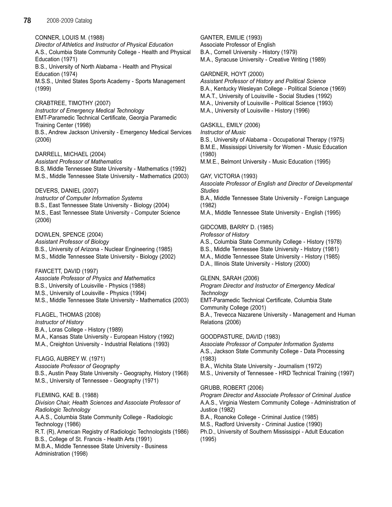CONNER, LOUIS M. (1988)

Director of Athletics and Instructor of Physical Education A.S., Columbia State Community College - Health and Physical Education (1971) B.S., University of North Alabama - Health and Physical Education (1974) M.S.S., United States Sports Academy - Sports Management (1999)

# CRABTREE, TIMOTHY (2007)

Instructor of Emergency Medical Technology EMT-Paramedic Technical Certificate, Georgia Paramedic Training Center (1998) B.S., Andrew Jackson University - Emergency Medical Services (2006)

DARRELL, MICHAEL (2004)

Assistant Professor of Mathematics B.S, Middle Tennessee State University - Mathematics (1992) M.S., Middle Tennessee State University - Mathematics (2003)

# DEVERS, DANIEL (2007)

Instructor of Computer Information Systems B.S., East Tennessee State University - Biology (2004) M.S., East Tennessee State University - Computer Science (2006)

DOWLEN, SPENCE (2004) Assistant Professor of Biology B.S., University of Arizona - Nuclear Engineering (1985)

M.S., Middle Tennessee State University - Biology (2002)

# FAWCETT, DAVID (1997)

Associate Professor of Physics and Mathematics B.S., University of Louisville - Physics (1988) M.S., University of Louisville - Physics (1994) M.S., Middle Tennessee State University - Mathematics (2003)

FLAGEL, THOMAS (2008)

Instructor of History B.A., Loras College - History (1989) M.A., Kansas State University - European History (1992) M.A., Creighton University - Industrial Relations (1993)

FLAGG, AUBREY W. (1971) Associate Professor of Geography B.S., Austin Peay State University - Geography, History (1968) M.S., University of Tennessee - Geography (1971)

# FLEMING, KAE B. (1988)

Division Chair, Health Sciences and Associate Professor of Radiologic Technology A.A.S., Columbia State Community College - Radiologic Technology (1986) R.T. (R), American Registry of Radiologic Technologists (1986) B.S., College of St. Francis - Health Arts (1991) M.B.A., Middle Tennessee State University - Business Administration (1998)

GANTER, EMILIE (1993) Associate Professor of English B.A., Cornell University - History (1979) M.A., Syracuse University - Creative Writing (1989)

# GARDNER, HOYT (2000)

Assistant Professor of History and Political Science B.A., Kentucky Wesleyan College - Political Science (1969) M.A.T., University of Louisville - Social Studies (1992) M.A., University of Louisville - Political Science (1993) M.A., University of Louisville - History (1996)

# GASKILL, EMILY (2006)

Instructor of Music

B.S., University of Alabama - Occupational Therapy (1975)

B.M.E., Mississippi University for Women - Music Education (1980)

M.M.E., Belmont University - Music Education (1995)

# GAY, VICTORIA (1993)

Associate Professor of English and Director of Developmental **Studies** 

B.A., Middle Tennessee State University - Foreign Language (1982)

M.A., Middle Tennessee State University - English (1995)

# GIDCOMB, BARRY D. (1985)

Professor of History

A.S., Columbia State Community College - History (1978)

B.S., Middle Tennessee State University - History (1981)

- M.A., Middle Tennessee State University History (1985)
- D.A., Illinois State University History (2000)

# GLENN, SARAH (2006)

Program Director and Instructor of Emergency Medical **Technology** 

EMT-Paramedic Technical Certificate, Columbia State Community College (2001)

B.A., Trevecca Nazarene University - Management and Human Relations (2006)

GOODPASTURE, DAVID (1983)

Associate Professor of Computer Information Systems A.S., Jackson State Community College - Data Processing (1983)

B.A., Wichita State University - Journalism (1972) M.S., University of Tennessee - HRD Technical Training (1997)

# GRUBB, ROBERT (2006)

Program Director and Associate Professor of Criminal Justice A.A.S., Virginia Western Community College - Administration of Justice (1982)

B.A., Roanoke College - Criminal Justice (1985) M.S., Radford University - Criminal Justice (1990) Ph.D., University of Southern Mississippi - Adult Education (1995)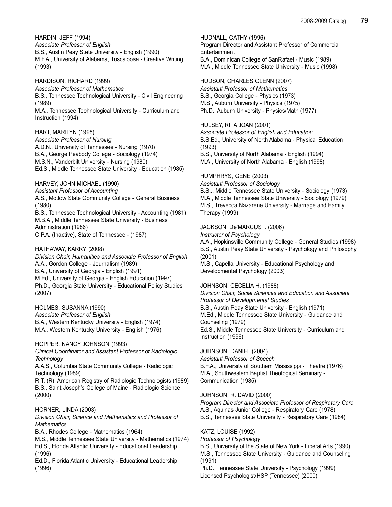HARDIN, JEFF (1994) Associate Professor of English B.S., Austin Peay State University - English (1990) M.F.A., University of Alabama, Tuscaloosa - Creative Writing (1993)

HARDISON, RICHARD (1999) Associate Professor of Mathematics B.S., Tennessee Technological University - Civil Engineering (1989)

M.A., Tennessee Technological University - Curriculum and Instruction (1994)

# HART, MARILYN (1998)

Associate Professor of Nursing A.D.N., University of Tennessee - Nursing (1970) B.A., George Peabody College - Sociology (1974) M.S.N., Vanderbilt University - Nursing (1980) Ed.S., Middle Tennessee State University - Education (1985)

# HARVEY, JOHN MICHAEL (1990)

Assistant Professor of Accounting

A.S., Motlow State Community College - General Business (1980)

B.S., Tennessee Technological University - Accounting (1981) M.B.A., Middle Tennessee State University - Business Administration (1986) C.P.A. (Inactive), State of Tennessee - (1987)

# HATHAWAY, KARRY (2008)

Division Chair, Humanities and Associate Professor of English A.A., Gordon College - Journalism (1989) B.A., University of Georgia - English (1991) M.Ed., University of Georgia - English Education (1997) Ph.D., Georgia State University - Educational Policy Studies (2007)

HOLMES, SUSANNA (1990) Associate Professor of English B.A., Western Kentucky University - English (1974) M.A., Western Kentucky University - English (1976)

HOPPER, NANCY JOHNSON (1993) Clinical Coordinator and Assistant Professor of Radiologic **Technology** 

A.A.S., Columbia State Community College - Radiologic Technology (1989)

R.T. (R), American Registry of Radiologic Technologists (1989) B.S., Saint Joseph's College of Maine - Radiologic Science (2000)

# HORNER, LINDA (2003)

Division Chair, Science and Mathematics and Professor of **Mathematics** 

B.A., Rhodes College - Mathematics (1964)

M.S., Middle Tennessee State University - Mathematics (1974) Ed.S., Florida Atlantic University - Educational Leadership (1996)

Ed.D., Florida Atlantic University - Educational Leadership (1996)

HUDNALL, CATHY (1996)

Program Director and Assistant Professor of Commercial **Entertainment** B.A., Dominican College of SanRafael - Music (1989) M.A., Middle Tennessee State University - Music (1998)

# HUDSON, CHARLES GLENN (2007)

Assistant Professor of Mathematics B.S., Georgia College - Physics (1973) M.S., Auburn University - Physics (1975) Ph.D., Auburn University - Physics/Math (1977)

# HULSEY, RITA JOAN (2001)

Associate Professor of English and Education B.S.Ed., University of North Alabama - Physical Education (1993)

B.S., University of North Alabama - English (1994)

M.A., University of North Alabama - English (1998)

# HUMPHRYS, GENE (2003)

Assistant Professor of Sociology B.S.., Middle Tennessee State University - Sociology (1973) M.A., Middle Tennessee State University - Sociology (1979) M.S., Trevecca Nazarene University - Marriage and Family Therapy (1999)

# JACKSON, De'MARCUS I. (2006)

Instructor of Psychology

A.A., Hopkinsville Community College - General Studies (1998) B.S., Austin Peay State University - Psychology and Philosophy (2001)

M.S., Capella University - Educational Psychology and Developmental Psychology (2003)

# JOHNSON, CECELIA H. (1988)

Division Chair, Social Sciences and Education and Associate Professor of Developmental Studies B.S., Austin Peay State University - English (1971) M.Ed., Middle Tennessee State University - Guidance and Counseling (1979) Ed.S., Middle Tennessee State University - Curriculum and Instruction (1996)

# JOHNSON, DANIEL (2004)

Assistant Professor of Speech B.F.A., University of Southern Mississippi - Theatre (1976) M.A., Southwestern Baptist Theological Seminary - Communication (1985)

# JOHNSON, R. DAVID (2000)

Program Director and Associate Professor of Respiratory Care A.S., Aquinas Junior College - Respiratory Care (1978) B.S., Tennessee State University - Respiratory Care (1984)

# KATZ, LOUISE (1992)

Professor of Psychology

B.S., University of the State of New York - Liberal Arts (1990) M.S., Tennessee State University - Guidance and Counseling (1991)

Ph.D., Tennessee State University - Psychology (1999) Licensed Psychologist/HSP (Tennessee) (2000)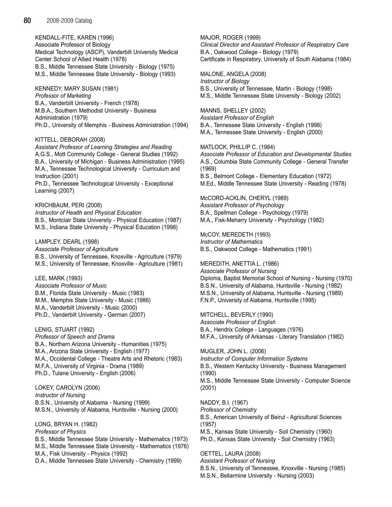KENDALL-FITE, KAREN (1996) Associate Professor of Biology Medical Technology (ASCP), Vanderbilt University Medical Center School of Allied Health (1978) B.S., Middle Tennessee State University - Biology (1975) M.S., Middle Tennessee State University - Biology (1993)

KENNEDY, MARY SUSAN (1981) Professor of Marketing B.A., Vanderbilt University - French (1978) M.B.A., Southern Methodist University - Business Administration (1979) Ph.D., University of Memphis - Business Administration (1994)

## KITTELL, DEBORAH (2008)

Assistant Professor of Learning Strategies and Reading A.G.S., Mott Community College - General Studies (1992) B.A., University of Michigan - Business Administration (1995) M.A., Tennessee Technological University - Curriculum and Instruction (2001)

Ph.D., Tennessee Technological University - Exceptional Learning (2007)

KRICHBAUM, PERI (2008) Instructor of Health and Physical Education B.S., Montclair State University - Physical Education (1987) M.S., Indiana State University - Physical Education (1998)

LAMPLEY, DEARL (1998) Associate Professor of Agriculture B.S., University of Tennessee, Knoxville - Agriculture (1979) M.S., University of Tennessee, Knoxville - Agriculture (1981)

## LEE, MARK (1993)

Associate Professor of Music B.M., Florida State University - Music (1983) M.M., Memphis State University - Music (1986) M.A., Vanderbilt University - Music (2000) Ph.D., Vanderbilt University - German (2007)

LENIG, STUART (1992) Professor of Speech and Drama B.A., Northern Arizona University - Humanities (1975) M.A., Arizona State University - English (1977) M.A., Occidental College - Theatre Arts and Rhetoric (1983) M.F.A., University of Virginia - Drama (1989) Ph.D., Tulane University - English (2006)

LOKEY, CAROLYN (2006) Instructor of Nursing B.S.N., University of Alabama - Nursing (1999) M.S.N., University of Alabama, Huntsville - Nursing (2000)

LONG, BRYAN H. (1982) Professor of Physics B.S., Middle Tennessee State University - Mathematics (1973) M.S., Middle Tennessee State University - Mathematics (1976) M.A., Fisk University - Physics (1992) D.A., Middle Tennessee State University - Chemistry (1999)

MAJOR, ROGER (1999) Clinical Director and Assistant Professor of Respiratory Care B.A., Oakwood College - Biology (1979) Certificate in Respiratory, University of South Alabama (1984)

MALONE, ANGELA (2008) Instructor of Biology B.S., University of Tennessee, Martin - Biology (1998) M.S., Middle Tennessee State University - Biology (2002)

MANNS, SHELLEY (2002) Assistant Professor of English B.A., Tennessee State University - English (1998) M.A., Tennessee State University - English (2000)

MATLOCK, PHILLIP C. (1984) Associate Professor of Education and Developmental Studies A.S., Columbia State Community College - General Transfer (1969) B.S., Belmont College - Elementary Education (1972) M.Ed., Middle Tennessee State University - Reading (1978)

McCORD-ACKLIN, CHERYL (1989) Assistant Professor of Psychology B.A., Spellman College - Psychology (1979) M.A., Fisk-Meharry University - Psychology (1982)

McCOY, MEREDETH (1993) Instructor of Mathematics B.S., Oakwood College - Mathematics (1991)

MEREDITH, ANETTIA L. (1986) Associate Professor of Nursing Diploma, Baptist Memorial School of Nursing - Nursing (1970) B.S.N., University of Alabama, Huntsville - Nursing (1982) M.S.N., University of Alabama, Huntsville - Nursing (1989) F.N.P., University of Alabama, Huntsville (1995)

MITCHELL, BEVERLY (1990) Associate Professor of English B.A., Hendrix College - Languages (1976) M.F.A., University of Arkansas - Literary Translation (1982)

MUGLER, JOHN L. (2006) Instructor of Computer Information Systems B.S., Western Kentucky University - Business Management (1990) M.S., Middle Tennessee State University - Computer Science (2001)

NADDY, B.I. (1967) Professor of Chemistry B.S., American University of Beirut - Agricultural Sciences (1957) M.S., Kansas State University - Soil Chemistry (1960) Ph.D., Kansas State University - Soil Chemistry (1963)

OETTEL, LAURA (2008) Assistant Professor of Nursing

B.S.N., University of Tennessee, Knoxville - Nursing (1985) M.S.N., Bellarmine University - Nursing (2003)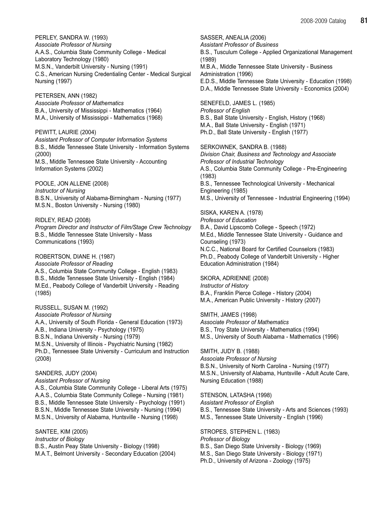PERLEY, SANDRA W. (1993) Associate Professor of Nursing A.A.S., Columbia State Community College - Medical Laboratory Technology (1980) M.S.N., Vanderbilt University - Nursing (1991) C.S., American Nursing Credentialing Center - Medical Surgical Nursing (1997)

PETERSEN, ANN (1982) Associate Professor of Mathematics B.A., University of Mississippi - Mathematics (1964) M.A., University of Mississippi - Mathematics (1968)

PEWITT, LAURIE (2004) Assistant Professor of Computer Information Systems B.S., Middle Tennessee State University - Information Systems (2000) M.S., Middle Tennessee State University - Accounting Information Systems (2002)

POOLE, JON ALLENE (2008) Instructor of Nursing B.S.N., University of Alabama-Birmingham - Nursing (1977) M.S.N., Boston University - Nursing (1980)

RIDLEY, READ (2008) Program Director and Instructor of Film/Stage Crew Technology B.S., Middle Tennessee State University - Mass Communications (1993)

ROBERTSON, DIANE H. (1987) Associate Professor of Reading A.S., Columbia State Community College - English (1983) B.S., Middle Tennessee State University - English (1984) M.Ed., Peabody College of Vanderbilt University - Reading (1985)

RUSSELL, SUSAN M. (1992) Associate Professor of Nursing A.A., University of South Florida - General Education (1973) A.B., Indiana University - Psychology (1975) B.S.N., Indiana University - Nursing (1979) M.S.N., University of Illinois - Psychiatric Nursing (1982) Ph.D., Tennessee State University - Curriculum and Instruction (2008)

## SANDERS, JUDY (2004)

Assistant Professor of Nursing A.S., Columbia State Community College - Liberal Arts (1975) A.A.S., Columbia State Community College - Nursing (1981) B.S., Middle Tennessee State University - Psychology (1991) B.S.N., Middle Tennessee State University - Nursing (1994) M.S.N., University of Alabama, Huntsville - Nursing (1998)

SANTEE, KIM (2005) Instructor of Biology B.S., Austin Peay State University - Biology (1998) M.A.T., Belmont University - Secondary Education (2004) SASSER, ANEALIA (2006) Assistant Professor of Business B.S., Tusculum College - Applied Organizational Management (1989) M.B.A., Middle Tennessee State University - Business Administration (1996) E.D.S., Middle Tennessee State University - Education (1998) D.A., Middle Tennessee State University - Economics (2004)

SENEFELD, JAMES L. (1985) Professor of English B.S., Ball State University - English, History (1968) M.A., Ball State University - English (1971) Ph.D., Ball State University - English (1977)

SERKOWNEK, SANDRA B. (1988) Division Chair, Business and Technology and Associate Professor of Industrial Technology A.S., Columbia State Community College - Pre-Engineering (1983) B.S., Tennessee Technological University - Mechanical Engineering (1985) M.S., University of Tennessee - Industrial Engineering (1994)

# SISKA, KAREN A. (1978)

Professor of Education B.A., David Lipscomb College - Speech (1972) M.Ed., Middle Tennessee State University - Guidance and Counseling (1973) N.C.C., National Board for Certified Counselors (1983) Ph.D., Peabody College of Vanderbilt University - Higher Education Administration (1984)

## SKORA, ADRIENNE (2008)

Instructor of History B.A., Franklin Pierce College - History (2004) M.A., American Public University - History (2007)

SMITH, JAMES (1998) Associate Professor of Mathematics B.S., Troy State University - Mathematics (1994) M.S., University of South Alabama - Mathematics (1996)

SMITH, JUDY B. (1988) Associate Professor of Nursing B.S.N., University of North Carolina - Nursing (1977) M.S.N., University of Alabama, Huntsville - Adult Acute Care, Nursing Education (1988)

STENSON, LATASHA (1998)

Assistant Professor of English B.S., Tennessee State University - Arts and Sciences (1993) M.S., Tennessee State University - English (1996)

STROPES, STEPHEN L. (1983) Professor of Biology B.S., San Diego State University - Biology (1969) M.S., San Diego State University - Biology (1971) Ph.D., University of Arizona - Zoology (1975)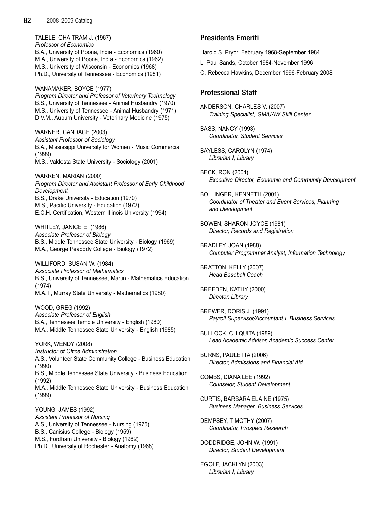TALELE, CHAITRAM J. (1967) Professor of Economics B.A., University of Poona, India - Economics (1960) M.A., University of Poona, India - Economics (1962) M.S., University of Wisconsin - Economics (1968) Ph.D., University of Tennessee - Economics (1981)

WANAMAKER, BOYCE (1977) Program Director and Professor of Veterinary Technology B.S., University of Tennessee - Animal Husbandry (1970) M.S., University of Tennessee - Animal Husbandry (1971) D.V.M., Auburn University - Veterinary Medicine (1975)

WARNER, CANDACE (2003) Assistant Professor of Sociology B.A., Mississippi University for Women - Music Commercial (1999) M.S., Valdosta State University - Sociology (2001)

WARREN, MARIAN (2000) Program Director and Assistant Professor of Early Childhood Development B.S., Drake University - Education (1970) M.S., Pacific University - Education (1972) E.C.H. Certification, Western Illinois University (1994)

WHITLEY, JANICE E. (1986) Associate Professor of Biology B.S., Middle Tennessee State University - Biology (1969) M.A., George Peabody College - Biology (1972)

WILLIFORD, SUSAN W. (1984) Associate Professor of Mathematics B.S., University of Tennessee, Martin - Mathematics Education (1974) M.A.T., Murray State University - Mathematics (1980)

WOOD, GREG (1992) Associate Professor of English B.A., Tennessee Temple University - English (1980) M.A., Middle Tennessee State University - English (1985)

YORK, WENDY (2008) Instructor of Office Administration A.S., Volunteer State Community College - Business Education (1990) B.S., Middle Tennessee State University - Business Education (1992) M.A., Middle Tennessee State University - Business Education (1999)

YOUNG, JAMES (1992) Assistant Professor of Nursing A.S., University of Tennessee - Nursing (1975) B.S., Canisius College - Biology (1959) M.S., Fordham University - Biology (1962) Ph.D., University of Rochester - Anatomy (1968)

# Presidents Emeriti

Harold S. Pryor, February 1968-September 1984

- L. Paul Sands, October 1984-November 1996
- O. Rebecca Hawkins, December 1996-February 2008

# Professional Staff

ANDERSON, CHARLES V. (2007) Training Specialist, GM/UAW Skill Center

BASS, NANCY (1993) Coordinator, Student Services

BAYLESS, CAROLYN (1974) Librarian I, Library

BECK, RON (2004) Executive Director, Economic and Community Development

BOLLINGER, KENNETH (2001) Coordinator of Theater and Event Services, Planning and Development

BOWEN, SHARON JOYCE (1981) Director, Records and Registration

BRADLEY, JOAN (1988) Computer Programmer Analyst, Information Technology

BRATTON, KELLY (2007) Head Baseball Coach

BREEDEN, KATHY (2000) Director, Library

BREWER, DORIS J. (1991) Payroll Supervisor/Accountant I, Business Services

BULLOCK, CHIQUITA (1989) Lead Academic Advisor, Academic Success Center

BURNS, PAULETTA (2006) Director, Admissions and Financial Aid

COMBS, DIANA LEE (1992) Counselor, Student Development

CURTIS, BARBARA ELAINE (1975) Business Manager, Business Services

DEMPSEY, TIMOTHY (2007) Coordinator, Prospect Research

DODDRIDGE, JOHN W. (1991) Director, Student Development

EGOLF, JACKLYN (2003) Librarian I, Library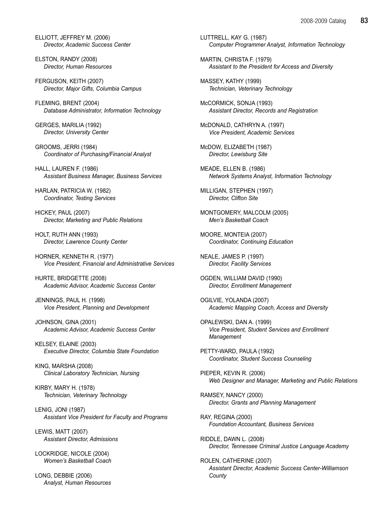ELLIOTT, JEFFREY M. (2006) Director, Academic Success Center

ELSTON, RANDY (2008) Director, Human Resources

FERGUSON, KEITH (2007) Director, Major Gifts, Columbia Campus

FLEMING, BRENT (2004) Database Administrator, Information Technology

GERGES, MARILIA (1992) Director, University Center

GROOMS, JERRI (1984) Coordinator of Purchasing/Financial Analyst

HALL, LAUREN F. (1986) Assistant Business Manager, Business Services

HARLAN, PATRICIA W. (1982) Coordinator, Testing Services

HICKEY, PAUL (2007) Director, Marketing and Public Relations

HOLT, RUTH ANN (1993) Director, Lawrence County Center

HORNER, KENNETH R. (1977) Vice President, Financial and Administrative Services

HURTE, BRIDGETTE (2008) Academic Advisor, Academic Success Center

JENNINGS, PAUL H. (1998) Vice President, Planning and Development

JOHNSON, GINA (2001) Academic Advisor, Academic Success Center

KELSEY, ELAINE (2003) Executive Director, Columbia State Foundation

KING, MARSHA (2008) Clinical Laboratory Technician, Nursing

KIRBY, MARY H. (1978) Technician, Veterinary Technology

LENIG, JONI (1987) Assistant Vice President for Faculty and Programs

LEWIS, MATT (2007) Assistant Director, Admissions

LOCKRIDGE, NICOLE (2004) Women's Basketball Coach

LONG, DEBBIE (2006) Analyst, Human Resources LUTTRELL, KAY G. (1987) Computer Programmer Analyst, Information Technology

MARTIN, CHRISTA F. (1979) Assistant to the President for Access and Diversity

MASSEY, KATHY (1999) Technician, Veterinary Technology

McCORMICK, SONJA (1993) Assistant Director, Records and Registration

McDONALD, CATHRYN A. (1997) Vice President, Academic Services

McDOW, ELIZABETH (1987) Director, Lewisburg Site

MEADE, ELLEN B. (1986) Network Systems Analyst, Information Technology

MILLIGAN, STEPHEN (1997) Director, Clifton Site

MONTGOMERY, MALCOLM (2005) Men's Basketball Coach

MOORE, MONTEIA (2007) Coordinator, Continuing Education

NEALE, JAMES P. (1997) Director, Facility Services

OGDEN, WILLIAM DAVID (1990) Director, Enrollment Management

OGILVIE, YOLANDA (2007) Academic Mapping Coach, Access and Diversity

OPALEWSKI, DAN A. (1999) Vice President, Student Services and Enrollment **Management** 

PETTY-WARD, PAULA (1992) Coordinator, Student Success Counseling

PIEPER, KEVIN R. (2006) Web Designer and Manager, Marketing and Public Relations

RAMSEY, NANCY (2000) Director, Grants and Planning Management

RAY, REGINA (2000) Foundation Accountant, Business Services

RIDDLE, DAWN L. (2008) Director, Tennessee Criminal Justice Language Academy

ROLEN, CATHERINE (2007) Assistant Director, Academic Success Center-Williamson **County**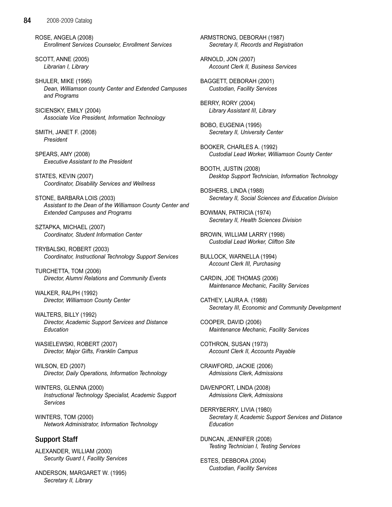ROSE, ANGELA (2008) Enrollment Services Counselor, Enrollment Services

SCOTT, ANNE (2005) Librarian I, Library

SHULER, MIKE (1995) Dean, Williamson county Center and Extended Campuses and Programs

SICIENSKY, EMILY (2004) Associate Vice President, Information Technology

SMITH, JANET F. (2008) President

SPEARS, AMY (2008) Executive Assistant to the President

STATES, KEVIN (2007) Coordinator, Disability Services and Wellness

STONE, BARBARA LOIS (2003) Assistant to the Dean of the Williamson County Center and Extended Campuses and Programs

SZTAPKA, MICHAEL (2007) Coordinator, Student Information Center

TRYBALSKI, ROBERT (2003) Coordinator, Instructional Technology Support Services

TURCHETTA, TOM (2006) Director, Alumni Relations and Community Events

WALKER, RALPH (1992) Director, Williamson County Center

WALTERS, BILLY (1992) Director, Academic Support Services and Distance Education

WASIELEWSKI, ROBERT (2007) Director, Major Gifts, Franklin Campus

WILSON, ED (2007) Director, Daily Operations, Information Technology

WINTERS, GLENNA (2000) Instructional Technology Specialist, Academic Support Services

WINTERS, TOM (2000) Network Administrator, Information Technology

# Support Staff

ALEXANDER, WILLIAM (2000) Security Guard I, Facility Services

ANDERSON, MARGARET W. (1995) Secretary II, Library

ARMSTRONG, DEBORAH (1987) Secretary II, Records and Registration

ARNOLD, JON (2007) Account Clerk II, Business Services

BAGGETT, DEBORAH (2001) Custodian, Facility Services

BERRY, RORY (2004) Library Assistant III, Library

BOBO, EUGENIA (1995) Secretary II, University Center

BOOKER, CHARLES A. (1992) Custodial Lead Worker, Williamson County Center

BOOTH, JUSTIN (2008) Desktop Support Technician, Information Technology

BOSHERS, LINDA (1988) Secretary II, Social Sciences and Education Division

BOWMAN, PATRICIA (1974) Secretary II, Health Sciences Division

BROWN, WILLIAM LARRY (1998) Custodial Lead Worker, Clifton Site

BULLOCK, WARNELLA (1994) Account Clerk III, Purchasing

CARDIN, JOE THOMAS (2006) Maintenance Mechanic, Facility Services

CATHEY, LAURA A. (1988) Secretary III, Economic and Community Development

COOPER, DAVID (2006) Maintenance Mechanic, Facility Services

COTHRON, SUSAN (1973) Account Clerk II, Accounts Payable

CRAWFORD, JACKIE (2006) Admissions Clerk, Admissions

DAVENPORT, LINDA (2008) Admissions Clerk, Admissions

DERRYBERRY, LIVIA (1980) Secretary II, Academic Support Services and Distance Education

DUNCAN, JENNIFER (2008) Testing Technician I, Testing Services

ESTES, DEBBORA (2004) Custodian, Facility Services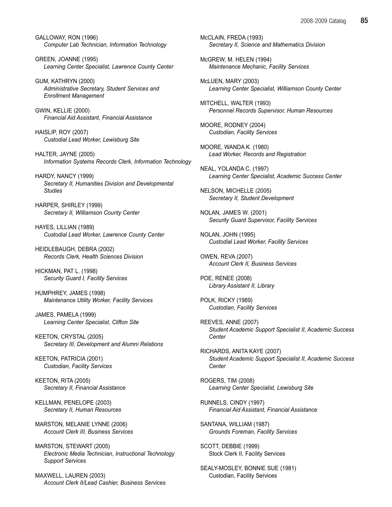GALLOWAY, RON (1996) Computer Lab Technician, Information Technology

GREEN, JOANNE (1995) Learning Center Specialist, Lawrence County Center

GUM, KATHRYN (2000) Administrative Secretary, Student Services and Enrollment Management

GWIN, KELLIE (2000) Financial Aid Assistant, Financial Assistance

HAISLIP, ROY (2007) Custodial Lead Worker, Lewisburg Site

HALTER, JAYNE (2005) Information Systems Records Clerk, Information Technology

HARDY, NANCY (1999) Secretary II, Humanities Division and Developmental **Studies** 

HARPER, SHIRLEY (1999) Secretary II, Williamson County Center

HAYES, LILLIAN (1989) Custodial Lead Worker, Lawrence County Center

HEIDLEBAUGH, DEBRA (2002) Records Clerk, Health Sciences Division

HICKMAN, PAT L. (1998) Security Guard I, Facility Services

HUMPHREY, JAMES (1998) Maintenance Utility Worker, Facility Services

JAMES, PAMELA (1999) Learning Center Specialist, Clifton Site

KEETON, CRYSTAL (2005) Secretary III, Development and Alumni Relations

KEETON, PATRICIA (2001) Custodian, Facility Services

KEETON, RITA (2005) Secretary II, Financial Assistance

KELLMAN, PENELOPE (2003) Secretary II, Human Resources

MARSTON, MELANIE LYNNE (2006) Account Clerk III, Business Services

MARSTON, STEWART (2005) Electronic Media Technician, Instructional Technology Support Services

MAXWELL, LAUREN (2003) Account Clerk II/Lead Cashier, Business Services McCLAIN, FREDA (1993) Secretary II, Science and Mathematics Division

McGREW, M. HELEN (1994) Maintenance Mechanic, Facility Services

McLUEN, MARY (2003) Learning Center Specialist, Williamson County Center

MITCHELL, WALTER (1993) Personnel Records Supervisor, Human Resources

MOORE, RODNEY (2004) Custodian, Facility Services

MOORE, WANDA K. (1980) Lead Worker, Records and Registration

NEAL, YOLANDA C. (1997) Learning Center Specialist, Academic Success Center

NELSON, MICHELLE (2005) Secretary II, Student Development

NOLAN, JAMES W. (2001) Security Guard Supervisor, Facility Services

NOLAN, JOHN (1995) Custodial Lead Worker, Facility Services

OWEN, REVA (2007) Account Clerk II, Business Services

POE, RENEE (2008) Library Assistant II, Library

POLK, RICKY (1989) Custodian, Facility Services

REEVES, ANNE (2007) Student Academic Support Specialist II, Academic Success **Center** 

RICHARDS, ANITA KAYE (2007) Student Academic Support Specialist II, Academic Success **Center** 

ROGERS, TIM (2008) Learning Center Specialist, Lewisburg Site

RUNNELS, CINDY (1997) Financial Aid Assistant, Financial Assistance

SANTANA, WILLIAM (1987) Grounds Foreman, Facility Services

SCOTT, DEBBIE (1999) Stock Clerk II, Facility Services

SEALY-MOSLEY, BONNIE SUE (1981) Custodian, Facility Services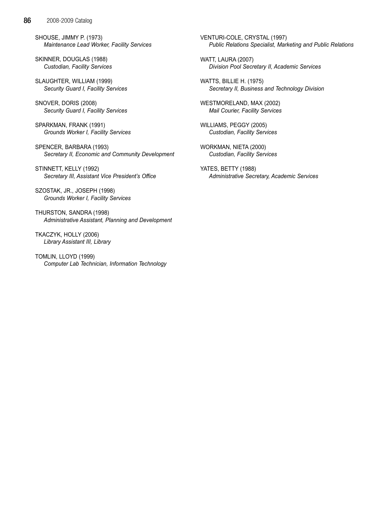SHOUSE, JIMMY P. (1973) Maintenance Lead Worker, Facility Services

SKINNER, DOUGLAS (1988) Custodian, Facility Services

SLAUGHTER, WILLIAM (1999) Security Guard I, Facility Services

SNOVER, DORIS (2008) Security Guard I, Facility Services

SPARKMAN, FRANK (1991) Grounds Worker I, Facility Services

SPENCER, BARBARA (1993) Secretary II, Economic and Community Development

STINNETT, KELLY (1992) Secretary III, Assistant Vice President's Office

SZOSTAK, JR., JOSEPH (1998) Grounds Worker I, Facility Services

THURSTON, SANDRA (1998) Administrative Assistant, Planning and Development

TKACZYK, HOLLY (2006) Library Assistant III, Library

TOMLIN, LLOYD (1999) Computer Lab Technician, Information Technology VENTURI-COLE, CRYSTAL (1997) Public Relations Specialist, Marketing and Public Relations

WATT, LAURA (2007) Division Pool Secretary II, Academic Services

WATTS, BILLIE H. (1975) Secretary II, Business and Technology Division

WESTMORELAND, MAX (2002) Mail Courier, Facility Services

WILLIAMS, PEGGY (2005) Custodian, Facility Services

WORKMAN, NIETA (2000) Custodian, Facility Services

YATES, BETTY (1988) Administrative Secretary, Academic Services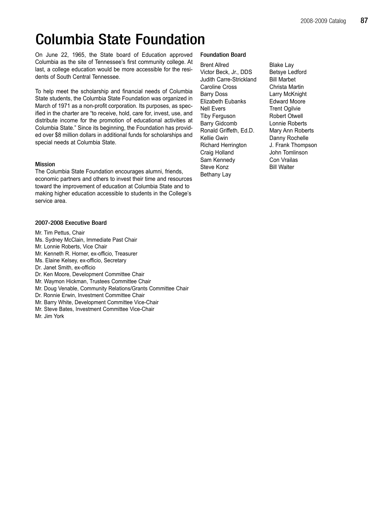# Columbia State Foundation

On June 22, 1965, the State board of Education approved Columbia as the site of Tennessee's first community college. At last, a college education would be more accessible for the residents of South Central Tennessee.

To help meet the scholarship and financial needs of Columbia State students, the Columbia State Foundation was organized in March of 1971 as a non-profit corporation. Its purposes, as specified in the charter are "to receive, hold, care for, invest, use, and distribute income for the promotion of educational activities at Columbia State." Since its beginning, the Foundation has provided over \$8 million dollars in additional funds for scholarships and special needs at Columbia State.

# Mission

The Columbia State Foundation encourages alumni, friends, economic partners and others to invest their time and resources toward the improvement of education at Columbia State and to making higher education accessible to students in the College's service area.

# 2007-2008 Executive Board

- Mr. Tim Pettus, Chair
- Ms. Sydney McClain, Immediate Past Chair
- Mr. Lonnie Roberts, Vice Chair
- Mr. Kenneth R. Horner, ex-officio, Treasurer
- Ms. Elaine Kelsey, ex-officio, Secretary
- Dr. Janet Smith, ex-officio
- Dr. Ken Moore, Development Committee Chair
- Mr. Waymon Hickman, Trustees Committee Chair
- Mr. Doug Venable, Community Relations/Grants Committee Chair
- Dr. Ronnie Erwin, Investment Committee Chair
- Mr. Barry White, Development Committee Vice-Chair
- Mr. Steve Bates, Investment Committee Vice-Chair

# Mr. Jim York

# Foundation Board

Brent Allred Blake Lay Victor Beck, Jr., DDS Betsye Ledford Judith Carre-Strickland Bill Marbet Caroline Cross Christa Martin Barry Doss Larry McKnight Elizabeth Eubanks Edward Moore Nell Evers Trent Ogilvie Tiby Ferguson Robert Otwell Barry Gidcomb Lonnie Roberts Ronald Griffeth, Ed.D. Mary Ann Roberts Kellie Gwin Danny Rochelle Richard Herrington J. Frank Thompson Craig Holland **John Tomlinson**<br>
Sam Kennedy **Con Vrailas** Sam Kennedy Steve Konz Bill Walter Bethany Lay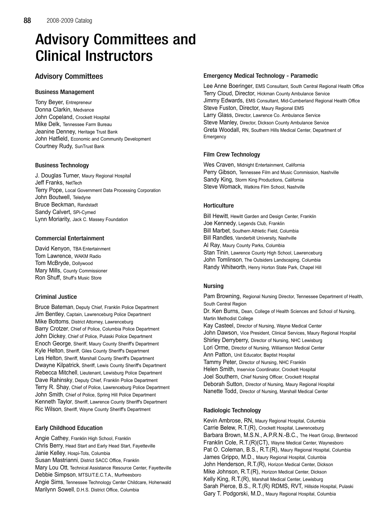# Advisory Committees and Clinical Instructors

# Advisory Committees

# Business Management

Tony Beyer, Entrepreneur Donna Clarkin, Medvance John Copeland, Crockett Hospital Mike Delk, Tennessee Farm Bureau Jeanine Denney, Heritage Trust Bank John Hatfield, Economic and Community Development Courtney Rudy, SunTrust Bank

# Business Technology

J. Douglas Turner, Maury Regional Hospital Jeff Franks, NetTech Terry Pope, Local Government Data Processing Corporation John Boutwell, Teledyne Bruce Beckman, Randstadt Sandy Calvert, SPi-Cymed Lynn Moriarity, Jack C. Massey Foundation

# Commercial Entertainment

David Kenyon, TBA Entertainment Tom Lawrence, WAKM Radio Tom McBryde, Dollywood Mary Mills, County Commissioner Ron Shuff, Shuff's Music Store

# Criminal Justice

Bruce Bateman, Deputy Chief, Franklin Police Department Jim Bentley, Captain, Lawrenceburg Police Department Mike Bottoms, District Attorney, Lawrenceburg Barry Crotzer, Chief of Police, Columbia Police Department John Dickey, Chief of Police, Pulaski Police Department Enoch George, Sheriff, Maury County Sheriff's Department Kyle Helton, Sheriff, Giles County Sheriff's Department Les Helton, Sheriff, Marshall County Sheriff's Department Dwayne Kilpatrick, Sheriff, Lewis County Sheriff's Department Rebecca Mitchell, Lieutenant, Lewisburg Police Department Dave Rahinsky, Deputy Chief, Franklin Police Department Terry R. Shay, Chief of Police, Lawrenceburg Police Department John Smith, Chief of Police, Spring Hill Police Department Kenneth Taylor, Sheriff, Lawrence County Sheriff's Department Ric Wilson, Sheriff, Wayne County Sheriff's Department

# Early Childhood Education

Angie Cathey, Franklin High School, Franklin Chris Berry, Head Start and Early Head Start, Fayetteville Janie Kelley, Hospi-Tots, Columbia Susan Mastrianni, District SACC Office, Franklin Mary Lou Ott, Technical Assistance Resource Center, Fayetteville Debbie Simpson, MTSU/T.E.C.T.A., Murfreesboro Angie Sims, Tennessee Technology Center Childcare, Hohenwald Marilynn Sowell, D.H.S. District Office, Columbia

# Emergency Medical Technology - Paramedic

Lee Anne Boeringer, EMS Consultant, South Central Regional Health Office Terry Cloud, Director, Hickman County Ambulance Service Jimmy Edwards, EMS Consultant, Mid-Cumberland Regional Health Office Steve Fuston, Director, Maury Regional EMS Larry Glass, Director, Lawrence Co. Ambulance Service Steve Manley, Director, Dickson County Ambulance Service Greta Woodall, RN, Southern Hills Medical Center, Department of Emergency

# Film Crew Technology

Wes Craven, Midnight Entertainment, California Perry Gibson, Tennessee Film and Music Commission, Nashville Sandy King, Storm King Productions, California Steve Womack, Watkins Film School, Nashville

# **Horticulture**

Bill Hewitt, Hewitt Garden and Design Center, Franklin Joe Kennedy, Legends Club, Franklin Bill Marbet, Southern Athletic Field, Columbia Bill Randles, Vanderbilt University, Nashville Al Ray, Maury County Parks, Columbia Stan Tinin, Lawrence County High School, Lawrenceburg John Tomlinson, The Outsiders Landscaping, Columbia Randy Whitworth, Henry Horton State Park, Chapel Hill

# Nursing

Pam Browning, Regional Nursing Director, Tennessee Department of Health, South Central Region Dr. Ken Burns, Dean, College of Health Sciences and School of Nursing, Martin Methodist College Kay Casteel, Director of Nursing, Wayne Medical Center John Dawson, Vice President, Clinical Services, Maury Regional Hospital Shirley Derryberry, Director of Nursing, NHC Lewisburg Lori Orme, Director of Nursing, Williamson Medical Center Ann Patton, Unit Educator, Baptist Hospital Tammy Peter, Director of Nursing, NHC Franklin Helen Smith, Inservice Coordinator, Crockett Hospital Joel Southern, Chief Nursing Officer, Crockett Hospital Deborah Sutton, Director of Nursing, Maury Regional Hospital Nanette Todd, Director of Nursing, Marshall Medical Center

# Radiologic Technology

Kevin Ambrose, RN, Maury Regional Hospital, Columbia Carrie Belew, R.T.(R), Crockett Hospital, Lawrenceburg Barbara Brown, M.S.N., A.P.R.N.-B.C., The Heart Group, Brentwood Franklin Cole, R.T.(R)(CT), Wayne Medical Center, Waynesboro Pat O. Coleman, B.S., R.T.(R), Maury Regional Hospital, Columbia James Grippo, M.D., Maury Regional Hospital, Columbia John Henderson, R.T.(R), Horizon Medical Center, Dickson Mike Johnson, R.T.(R), Horizon Medical Center, Dickson Kelly King, R.T.(R), Marshall Medical Center, Lewisburg Sarah Pierce, B.S., R.T.(R) RDMS, RVT, Hillside Hospital, Pulaski Gary T. Podgorski, M.D., Maury Regional Hospital, Columbia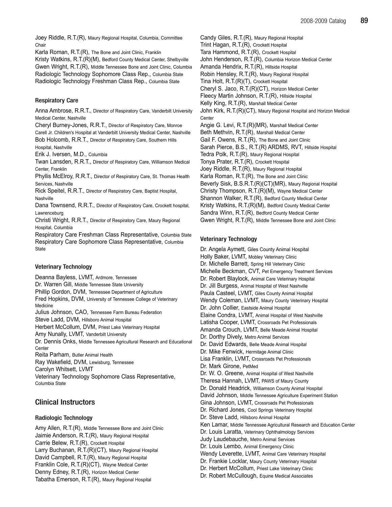Joey Riddle, R.T.(R), Maury Regional Hospital, Columbia, Committee Chair

Karla Roman, R.T.(R), The Bone and Joint Clinic, Franklin

Kristy Watkins, R.T.(R)(M), Bedford County Medical Center, Shelbyville Gwen Wright, R.T.(R), Middle Tennessee Bone and Joint Clinic, Columbia Radiologic Technology Sophomore Class Rep., Columbia State Radiologic Technology Freshman Class Rep., Columbia State

# Respiratory Care

Anna Ambrose, R.R.T., Director of Respiratory Care, Vanderbilt University Medical Center, Nashville

Cheryl Burney-Jones, R.R.T., Director of Respiratory Care, Monroe Carell Jr. Children's Hospital at Vanderbilt University Medical Center, Nashville Bob Holcomb, R.R.T., Director of Respiratory Care, Southern Hills Hospital, Nashville

Erik J. Iversen, M.D., Columbia

Twan Lansden, R.R.T., Director of Respiratory Care, Williamson Medical Center, Franklin

Phyllis McElroy, R.R.T., Director of Respiratory Care, St. Thomas Health Services, Nashville

Rick Speitel, R.R.T., Director of Respiratory Care, Baptist Hospital, Nashville

Dana Townsend, R.R.T., Director of Respiratory Care, Crockett hospital, Lawrenceburg

Christi Wright, R.R.T., Director of Respiratory Care, Maury Regional Hospital, Columbia

Respiratory Care Freshman Class Representative, Columbia State Respiratory Care Sophomore Class Representative, Columbia **State** 

## Veterinary Technology

Deanna Bayless, LVMT, Ardmore, Tennessee Dr. Warren Gill, Middle Tennessee State University Phillip Gordon, DVM, Tennessee Department of Agriculture Fred Hopkins, DVM, University of Tennessee College of Veterinary Medicine Julius Johnson, CAO, Tennessee Farm Bureau Federation Steve Ladd, DVM, Hillsboro Animal Hospital Herbert McCollum, DVM, Priest Lake Veterinary Hospital Amy Nunally, LVMT, Vanderbilt University Dr. Dennis Onks, Middle Tennessee Agricultural Research and Educational **Center** Reita Parham, Butler Animal Health Ray Wakefield, DVM, Lewisburg, Tennessee Carolyn Whitsett, LVMT

Veterinary Technology Sophomore Class Representative, Columbia State

# Clinical Instructors

# Radiologic Technology

Amy Allen, R.T.(R), Middle Tennessee Bone and Joint Clinic Jaimie Anderson, R.T.(R), Maury Regional Hospital Carrie Belew, R.T.(R), Crockett Hospital Larry Buchanan, R.T.(R)(CT), Maury Regional Hospital David Campbell, R.T.(R), Maury Regional Hospital Franklin Cole, R.T.(R)(CT), Wayne Medical Center Denny Edney, R.T.(R), Horizon Medical Center Tabatha Emerson, R.T.(R), Maury Regional Hospital

Candy Giles, R.T.(R), Maury Regional Hospital Trint Hagan, R.T.(R), Crockett Hospital Tara Hammond, R.T.(R), Crockett Hospital John Henderson, R.T.(R), Columbia Horizon Medical Center Amanda Hendrix, R.T.(R), Hillside Hospital Robin Hensley, R.T.(R), Maury Regional Hospital Tina Holt, R.T.(R)(T), Crockett Hospital Cheryl S. Jaco, R.T.(R)(CT), Horizon Medical Center Fleecy Martin Johnson, R.T.(R), Hillside Hospital Kelly King, R.T.(R), Marshall Medical Center John Kirk, R.T.(R)(CT), Maury Regional Hospital and Horizon Medical **Center** Angie G. Levi, R.T.(R)(MR), Marshall Medical Center Beth Methvin, R.T.(R), Marshall Medical Center Gail F. Owens, R.T.(R), The Bone and Joint Clinic Sarah Pierce, B.S., R.T.(R) ARDMS, RVT, Hillside Hospital Tedra Polk, R.T.(R), Maury Regional Hospital Tonya Prater, R.T.(R), Crockett Hospital Joey Riddle, R.T.(R), Maury Regional Hospital Karla Roman, R.T.(R), The Bone and Joint Clinic Beverly Sisk, B.S.R.T.(R)(CT)(MR), Maury Regional Hospital Christy Thompson, R.T.(R)(M), Wayne Medical Center Shannon Walker, R.T.(R), Bedford County Medical Center Kristy Watkins, R.T.(R)(M), Bedford County Medical Center Sandra Winn, R.T.(R), Bedford County Medical Center Gwen Wright, R.T.(R), Middle Tennessee Bone and Joint Clinic

# Veterinary Technology

Dr. Angela Aymett, Giles County Animal Hospital Holly Baker, LVMT, Mobley Veterinary Clinic Dr. Michelle Barrett, Spring Hill Veterinary Clinic Michelle Beckman, CVT, Pet Emergency Treatment Services Dr. Robert Blaylock, Animal Care Veterinary Hospital Dr. Jill Burgess, Animal Hospital of West Nashville Paula Casteel, LVMT, Giles County Animal Hospital Wendy Coleman, LVMT, Maury County Veterinary Hospital Dr. John Collier, Eastside Animal Hospital Elaine Condra, LVMT, Animal Hospital of West Nashville Latisha Cooper, LVMT, Crossroads Pet Professionals Amanda Crouch, LVMT, Belle Meade Animal Hospital Dr. Dorthy Dively, Metro Animal Services Dr. David Edwards, Belle Meade Animal Hospital Dr. Mike Fenwick, Hermitage Animal Clinic Lisa Franklin, LVMT, Crossroads Pet Professionals Dr. Mark Girone, PetMed Dr. W. O. Greene, Animal Hospital of West Nashville Theresa Hannah, LVMT, PAWS of Maury County Dr. Donald Headrick, Williamson County Animal Hospital David Johnson, Middle Tennessee Agriculture Experiment Station Gina Johnson, LVMT, Crossroads Pet Professionals Dr. Richard Jones, Cool Springs Veterinary Hospital Dr. Steve Ladd, Hillsboro Animal Hospital Ken Lamar, Middle Tennessee Agricultural Research and Education Center Dr. Louis Laratta, Veterinary Ophthalmology Services Judy Laudebauche, Metro Animal Services Dr. Louis Lembo, Animal Emergency Clinic Wendy Leverette, LVMT, Animal Care Veterinary Hospital Dr. Frankie Locklar, Maury County Veterinary Hospital Dr. Herbert McCollum, Priest Lake Veterinary Clinic Dr. Robert McCullough, Equine Medical Associates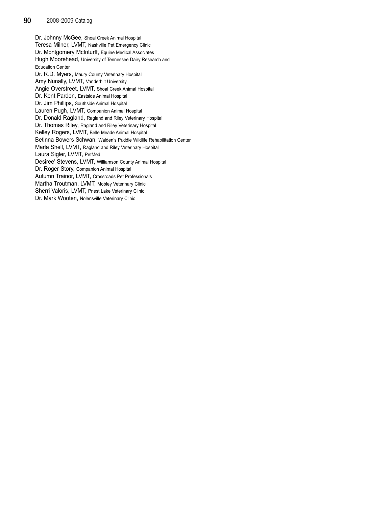Dr. Johnny McGee, Shoal Creek Animal Hospital Teresa Milner, LVMT, Nashville Pet Emergency Clinic Dr. Montgomery McInturff, Equine Medical Associates Hugh Moorehead, University of Tennessee Dairy Research and Education Center Dr. R.D. Myers, Maury County Veterinary Hospital Amy Nunally, LVMT, Vanderbilt University Angie Overstreet, LVMT, Shoal Creek Animal Hospital Dr. Kent Pardon, Eastside Animal Hospital Dr. Jim Phillips, Southside Animal Hospital Lauren Pugh, LVMT, Companion Animal Hospital Dr. Donald Ragland, Ragland and Riley Veterinary Hospital Dr. Thomas Riley, Ragland and Riley Veterinary Hospital Kelley Rogers, LVMT, Belle Meade Animal Hospital Betinna Bowers Schwan, Walden's Puddle Wildlife Rehabilitation Center Marla Shell, LVMT, Ragland and Riley Veterinary Hospital Laura Sigler, LVMT, PetMed Desiree' Stevens, LVMT, Williamson County Animal Hospital Dr. Roger Story, Companion Animal Hospital Autumn Trainor, LVMT, Crossroads Pet Professionals Martha Troutman, LVMT, Mobley Veterinary Clinic Sherri Valoris, LVMT, Priest Lake Veterinary Clinic Dr. Mark Wooten, Nolensville Veterinary Clinic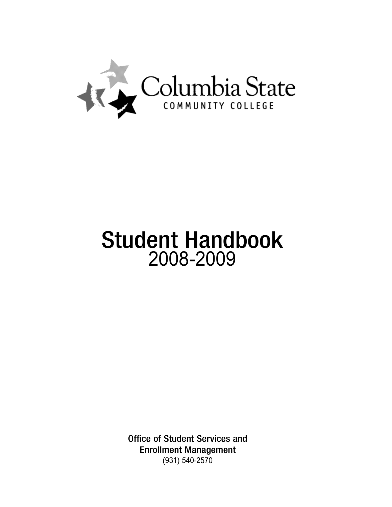

# Student Handbook 2008-2009

Office of Student Services and Enrollment Management (931) 540-2570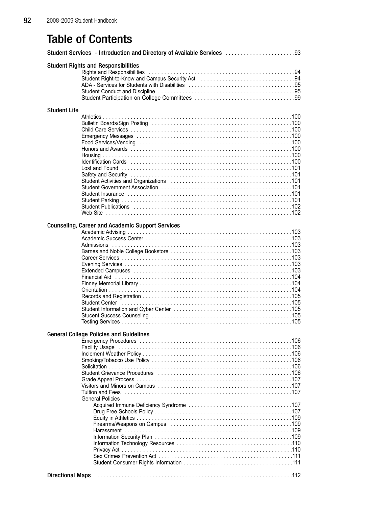# Table of Contents

| Student Services - Introduction and Directory of Available Services  93                                                                                                          |
|----------------------------------------------------------------------------------------------------------------------------------------------------------------------------------|
| <b>Student Rights and Responsibilities</b><br>Student Right-to-Know and Campus Security Act (etc.) contain a control of the Student Right-to-Know and Campus Security Act (etc.) |
|                                                                                                                                                                                  |
| <b>Student Life</b>                                                                                                                                                              |
|                                                                                                                                                                                  |
|                                                                                                                                                                                  |
| <b>Counseling, Career and Academic Support Services</b>                                                                                                                          |
| <b>General College Policies and Guidelines</b>                                                                                                                                   |
| <b>General Policies</b><br><b>Directional Maps</b>                                                                                                                               |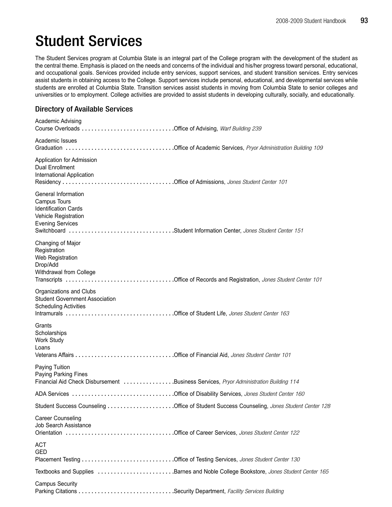# Student Services

The Student Services program at Columbia State is an integral part of the College program with the development of the student as the central theme. Emphasis is placed on the needs and concerns of the individual and his/her progress toward personal, educational, and occupational goals. Services provided include entry services, support services, and student transition services. Entry services assist students in obtaining access to the College. Support services include personal, educational, and developmental services while students are enrolled at Columbia State. Transition services assist students in moving from Columbia State to senior colleges and universities or to employment. College activities are provided to assist students in developing culturally, socially, and educationally.

# Directory of Available Services

| Academic Advising                                                                                                               |  |
|---------------------------------------------------------------------------------------------------------------------------------|--|
| Academic Issues                                                                                                                 |  |
| Application for Admission<br><b>Dual Enrollment</b><br>International Application                                                |  |
| General Information<br>Campus Tours<br><b>Identification Cards</b><br>Vehicle Registration<br><b>Evening Services</b>           |  |
| Changing of Major<br>Registration<br>Web Registration<br>Drop/Add<br>Withdrawal from College                                    |  |
| Organizations and Clubs<br><b>Student Government Association</b><br><b>Scheduling Activities</b>                                |  |
| Grants<br>Scholarships<br>Work Study<br>Loans                                                                                   |  |
| Paying Tuition<br>Paying Parking Fines<br>Financial Aid Check Disbursement Business Services, Pryor Administration Building 114 |  |
|                                                                                                                                 |  |
|                                                                                                                                 |  |
| <b>Career Counseling</b><br>Job Search Assistance                                                                               |  |
| <b>ACT</b><br><b>GED</b>                                                                                                        |  |
| Textbooks and Supplies Barnes and Noble College Bookstore, Jones Student Center 165                                             |  |
| <b>Campus Security</b>                                                                                                          |  |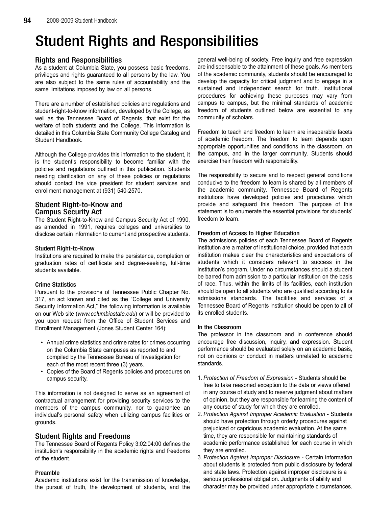# Student Rights and Responsibilities

# Rights and Responsibilities

As a student at Columbia State, you possess basic freedoms, privileges and rights guaranteed to all persons by the law. You are also subject to the same rules of accountability and the same limitations imposed by law on all persons.

There are a number of established policies and regulations and student-right-to-know information, developed by the College, as well as the Tennessee Board of Regents, that exist for the welfare of both students and the College. This information is detailed in this Columbia State Community College Catalog and Student Handbook.

Although the College provides this information to the student, it is the student's responsibility to become familiar with the policies and regulations outlined in this publication. Students needing clarification on any of these policies or regulations should contact the vice president for student services and enrollment management at (931) 540-2570.

# Student Right-to-Know and Campus Security Act

The Student Right-to-Know and Campus Security Act of 1990, as amended in 1991, requires colleges and universities to disclose certain information to current and prospective students.

# Student Right-to-Know

Institutions are required to make the persistence, completion or graduation rates of certificate and degree-seeking, full-time students available.

# Crime Statistics

Pursuant to the provisions of Tennessee Public Chapter No. 317, an act known and cited as the "College and University Security Information Act," the following information is available on our Web site (www.columbiastate.edu) or will be provided to you upon request from the Office of Student Services and Enrollment Management (Jones Student Center 164):

- Annual crime statistics and crime rates for crimes occurring on the Columbia State campuses as reported to and compiled by the Tennessee Bureau of Investigation for each of the most recent three (3) years.
- Copies of the Board of Regents policies and procedures on campus security.

This information is not designed to serve as an agreement of contractual arrangement for providing security services to the members of the campus community, nor to guarantee an individual's personal safety when utilizing campus facilities or grounds.

# Student Rights and Freedoms

The Tennessee Board of Regents Policy 3:02:04:00 defines the institution's responsibility in the academic rights and freedoms of the student.

# Preamble

Academic institutions exist for the transmission of knowledge, the pursuit of truth, the development of students, and the general well-being of society. Free inquiry and free expression are indispensable to the attainment of these goals. As members of the academic community, students should be encouraged to develop the capacity for critical judgment and to engage in a sustained and independent search for truth. Institutional procedures for achieving these purposes may vary from campus to campus, but the minimal standards of academic freedom of students outlined below are essential to any community of scholars.

Freedom to teach and freedom to learn are inseparable facets of academic freedom. The freedom to learn depends upon appropriate opportunities and conditions in the classroom, on the campus, and in the larger community. Students should exercise their freedom with responsibility.

The responsibility to secure and to respect general conditions conducive to the freedom to learn is shared by all members of the academic community. Tennessee Board of Regents institutions have developed policies and procedures which provide and safeguard this freedom. The purpose of this statement is to enumerate the essential provisions for students' freedom to learn.

# Freedom of Access to Higher Education

The admissions policies of each Tennessee Board of Regents institution are a matter of institutional choice, provided that each institution makes clear the characteristics and expectations of students which it considers relevant to success in the institution's program. Under no circumstances should a student be barred from admission to a particular institution on the basis of race. Thus, within the limits of its facilities, each institution should be open to all students who are qualified according to its admissions standards. The facilities and services of a Tennessee Board of Regents institution should be open to all of its enrolled students.

# In the Classroom

The professor in the classroom and in conference should encourage free discussion, inquiry, and expression. Student performance should be evaluated solely on an academic basis, not on opinions or conduct in matters unrelated to academic standards.

- 1. Protection of Freedom of Expression Students should be free to take reasoned exception to the data or views offered in any course of study and to reserve judgment about matters of opinion, but they are responsible for learning the content of any course of study for which they are enrolled.
- 2. Protection Against Improper Academic Evaluation Students should have protection through orderly procedures against prejudiced or capricious academic evaluation. At the same time, they are responsible for maintaining standards of academic performance established for each course in which they are enrolled.
- 3. Protection Against Improper Disclosure Certain information about students is protected from public disclosure by federal and state laws. Protection against improper disclosure is a serious professional obligation. Judgments of ability and character may be provided under appropriate circumstances.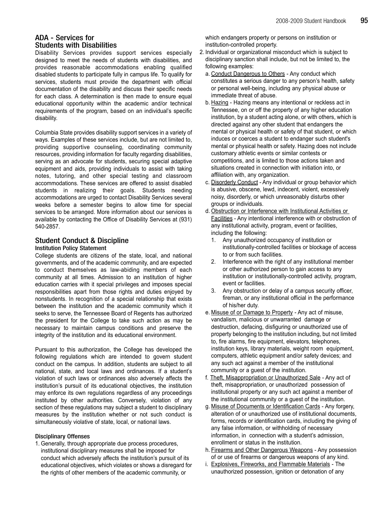# ADA - Services for Students with Disabilities

Disability Services provides support services especially designed to meet the needs of students with disabilities, and provides reasonable accommodations enabling qualified disabled students to participate fully in campus life. To qualify for services, students must provide the department with official documentation of the disability and discuss their specific needs for each class. A determination is then made to ensure equal educational opportunity within the academic and/or technical requirements of the program, based on an individual's specific disability.

Columbia State provides disability support services in a variety of ways. Examples of these services include, but are not limited to, providing supportive counseling, coordinating community resources, providing information for faculty regarding disabilities, serving as an advocate for students, securing special adaptive equipment and aids, providing individuals to assist with taking notes, tutoring, and other special testing and classroom accommodations. These services are offered to assist disabled students in realizing their goals. Students needing accommodations are urged to contact Disability Services several weeks before a semester begins to allow time for special services to be arranged. More information about our services is available by contacting the Office of Disability Services at (931) 540-2857.

# Student Conduct & Discipline

## Institution Policy Statement

College students are citizens of the state, local, and national governments, and of the academic community, and are expected to conduct themselves as law-abiding members of each community at all times. Admission to an institution of higher education carries with it special privileges and imposes special responsibilities apart from those rights and duties enjoyed by nonstudents. In recognition of a special relationship that exists between the institution and the academic community which it seeks to serve, the Tennessee Board of Regents has authorized the president for the College to take such action as may be necessary to maintain campus conditions and preserve the integrity of the institution and its educational environment.

Pursuant to this authorization, the College has developed the following regulations which are intended to govern student conduct on the campus. In addition, students are subject to all national, state, and local laws and ordinances. If a student's violation of such laws or ordinances also adversely affects the institution's pursuit of its educational objectives, the institution may enforce its own regulations regardless of any proceedings instituted by other authorities. Conversely, violation of any section of these regulations may subject a student to disciplinary measures by the institution whether or not such conduct is simultaneously violative of state, local, or national laws.

## Disciplinary Offenses

1. Generally, through appropriate due process procedures, institutional disciplinary measures shall be imposed for conduct which adversely affects the institution's pursuit of its educational objectives, which violates or shows a disregard for the rights of other members of the academic community, or

which endangers property or persons on institution or institution-controlled property.

- 2. Individual or organizational misconduct which is subject to disciplinary sanction shall include, but not be limited to, the following examples:
	- a. Conduct Dangerous to Others Any conduct which constitutes a serious danger to any person's health, safety or personal well-being, including any physical abuse or immediate threat of abuse.
	- b. Hazing Hazing means any intentional or reckless act in Tennessee, on or off the property of any higher education institution, by a student acting alone, or with others, which is directed against any other student that endangers the mental or physical health or safety of that student, or which induces or coerces a student to endanger such student's mental or physical health or safety. Hazing does not include customary athletic events or similar contests or competitions, and is limited to those actions taken and situations created in connection with initiation into, or affiliation with, any organization.
	- c. Disorderly Conduct Any individual or group behavior which is abusive, obscene, lewd, indecent, violent, excessively noisy, disorderly, or which unreasonably disturbs other groups or individuals.
	- d. Obstruction or Interference with Institutional Activities or Facilities - Any intentional interference with or obstruction of any institutional activity, program, event or facilities, including the following:
		- 1. Any unauthorized occupancy of institution or institutionally-controlled facilities or blockage of access to or from such facilities.
		- 2. Interference with the right of any institutional member or other authorized person to gain access to any institution or institutionally-controlled activity, program, event or facilities.
		- 3. Any obstruction or delay of a campus security officer, fireman, or any institutional official in the performance of his/her duty.
	- e. Misuse of or Damage to Property Any act of misuse, vandalism, malicious or unwarranted damage or destruction, defacing, disfiguring or unauthorized use of property belonging to the institution including, but not limited to, fire alarms, fire equipment, elevators, telephones, institution keys, library materials, weight room equipment, computers, athletic equipment and/or safety devices; and any such act against a member of the institutional community or a guest of the institution.
	- f. Theft, Misappropriation or Unauthorized Sale Any act of theft, misappropriation, or unauthorized possession of institutional property or any such act against a member of the institutional community or a guest of the institution.
	- g. Misuse of Documents or Identification Cards Any forgery, alteration of or unauthorized use of institutional documents, forms, records or identification cards, including the giving of any false information, or withholding of necessary information, in connection with a student's admission, enrollment or status in the institution.
	- h. Firearms and Other Dangerous Weapons Any possession of or use of firearms or dangerous weapons of any kind.
	- i. Explosives, Fireworks, and Flammable Materials The unauthorized possession, ignition or detonation of any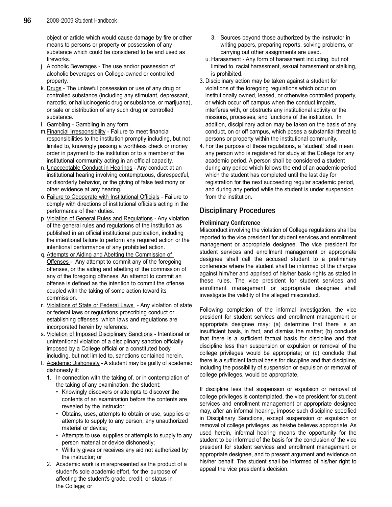object or article which would cause damage by fire or other means to persons or property or possession of any substance which could be considered to be and used as fireworks.

- j. Alcoholic Beverages The use and/or possession of alcoholic beverages on College-owned or controlled property.
- k. Drugs The unlawful possession or use of any drug or controlled substance (including any stimulant, depressant, narcotic, or hallucinogenic drug or substance, or marijuana), or sale or distribution of any such drug or controlled substance.
- l. Gambling Gambling in any form.
- m.Financial Irresponsibility Failure to meet financial responsibilities to the institution promptly including, but not limited to, knowingly passing a worthless check or money order in payment to the institution or to a member of the institutional community acting in an official capacity.
- n. Unacceptable Conduct in Hearings Any conduct at an institutional hearing involving contemptuous, disrespectful, or disorderly behavior, or the giving of false testimony or other evidence at any hearing.
- o. Failure to Cooperate with Institutional Officials Failure to comply with directions of institutional officials acting in the performance of their duties.
- p. Violation of General Rules and Regulations Any violation of the general rules and regulations of the institution as published in an official institutional publication, including the intentional failure to perform any required action or the intentional performance of any prohibited action.
- q. Attempts or Aiding and Abetting the Commission of Offenses - Any attempt to commit any of the foregoing offenses, or the aiding and abetting of the commission of any of the foregoing offenses. An attempt to commit an offense is defined as the intention to commit the offense coupled with the taking of some action toward its commission.
- r. Violations of State or Federal Laws Any violation of state or federal laws or regulations proscribing conduct or establishing offenses, which laws and regulations are incorporated herein by reference.
- s. Violation of Imposed Disciplinary Sanctions Intentional or unintentional violation of a disciplinary sanction officially imposed by a College official or a constituted body including, but not limited to, sanctions contained herein.
- t. Academic Dishonesty A student may be guilty of academic dishonesty if:
	- 1. In connection with the taking of, or in contemplation of the taking of any examination, the student:
		- Knowingly discovers or attempts to discover the contents of an examination before the contents are revealed by the instructor;
		- Obtains, uses, attempts to obtain or use, supplies or attempts to supply to any person, any unauthorized material or device;
		- Attempts to use, supplies or attempts to supply to any person material or device dishonestly;
		- Willfully gives or receives any aid not authorized by the instructor; or
	- 2. Academic work is misrepresented as the product of a student's sole academic effort, for the purpose of affecting the student's grade, credit, or status in the College; or
- 3. Sources beyond those authorized by the instructor in writing papers, preparing reports, solving problems, or carrying out other assignments are used.
- u. Harassment Any form of harassment including, but not limited to, racial harassment, sexual harassment or stalking, is prohibited.
- 3. Disciplinary action may be taken against a student for violations of the foregoing regulations which occur on institutionally owned, leased, or otherwise controlled property, or which occur off campus when the conduct impairs, interferes with, or obstructs any institutional activity or the missions, processes, and functions of the institution. In addition, disciplinary action may be taken on the basis of any conduct, on or off campus, which poses a substantial threat to persons or property within the institutional community.
- 4. For the purpose of these regulations, a "student" shall mean any person who is registered for study at the College for any academic period. A person shall be considered a student during any period which follows the end of an academic period which the student has completed until the last day for registration for the next succeeding regular academic period, and during any period while the student is under suspension from the institution.

# Disciplinary Procedures

# Preliminary Conference

Misconduct involving the violation of College regulations shall be reported to the vice president for student services and enrollment management or appropriate designee. The vice president for student services and enrollment management or appropriate designee shall call the accused student to a preliminary conference where the student shall be informed of the charges against him/her and apprised of his/her basic rights as stated in these rules. The vice president for student services and enrollment management or appropriate designee shall investigate the validity of the alleged misconduct.

Following completion of the informal investigation, the vice president for student services and enrollment management or appropriate designee may: (a) determine that there is an insufficient basis, in fact, and dismiss the matter; (b) conclude that there is a sufficient factual basis for discipline and that discipline less than suspension or expulsion or removal of the college privileges would be appropriate; or (c) conclude that there is a sufficient factual basis for discipline and that discipline, including the possibility of suspension or expulsion or removal of college privileges, would be appropriate.

If discipline less that suspension or expulsion or removal of college privileges is contemplated, the vice president for student services and enrollment management or appropriate designee may, after an informal hearing, impose such discipline specified in Disciplinary Sanctions, except suspension or expulsion or removal of college privileges, as he/she believes appropriate. As used herein, informal hearing means the opportunity for the student to be informed of the basis for the conclusion of the vice president for student services and enrollment management or appropriate designee, and to present argument and evidence on his/her behalf. The student shall be informed of his/her right to appeal the vice president's decision.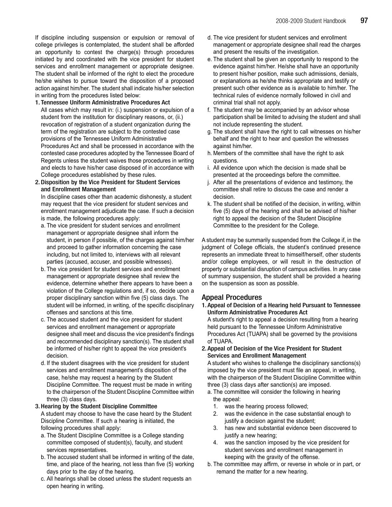If discipline including suspension or expulsion or removal of college privileges is contemplated, the student shall be afforded an opportunity to contest the charge(s) through procedures initiated by and coordinated with the vice president for student services and enrollment management or appropriate designee. The student shall be informed of the right to elect the procedure he/she wishes to pursue toward the disposition of a proposed action against him/her. The student shall indicate his/her selection in writing from the procedures listed below:

- 1. Tennessee Uniform Administrative Procedures Act All cases which may result in: (i.) suspension or expulsion of a student from the institution for disciplinary reasons, or, (ii.) revocation of registration of a student organization during the term of the registration are subject to the contested case provisions of the Tennessee Uniform Administrative Procedures Act and shall be processed in accordance with the contested case procedures adopted by the Tennessee Board of Regents unless the student waives those procedures in writing and elects to have his/her case disposed of in accordance with College procedures established by these rules.
- 2.Disposition by the Vice President for Student Services and Enrollment Management

In discipline cases other than academic dishonesty, a student may request that the vice president for student services and enrollment management adjudicate the case. If such a decision is made, the following procedures apply:

- a. The vice president for student services and enrollment management or appropriate designee shall inform the student, in person if possible, of the charges against him/her and proceed to gather information concerning the case including, but not limited to, interviews with all relevant parties (accused, accuser, and possible witnesses).
- b. The vice president for student services and enrollment management or appropriate designee shall review the evidence, determine whether there appears to have been a violation of the College regulations and, if so, decide upon a proper disciplinary sanction within five (5) class days. The student will be informed, in writing, of the specific disciplinary offenses and sanctions at this time.
- c. The accused student and the vice president for student services and enrollment management or appropriate designee shall meet and discuss the vice president's findings and recommended disciplinary sanction(s). The student shall be informed of his/her right to appeal the vice president's decision.
- d. If the student disagrees with the vice president for student services and enrollment management's disposition of the case, he/she may request a hearing by the Student Discipline Committee. The request must be made in writing to the chairperson of the Student Discipline Committee within three (3) class days.

## 3.Hearing by the Student Discipline Committee

A student may choose to have the case heard by the Student Discipline Committee. If such a hearing is initiated, the following procedures shall apply:

- a. The Student Discipline Committee is a College standing committee composed of student(s), faculty, and student services representatives.
- b. The accused student shall be informed in writing of the date, time, and place of the hearing, not less than five (5) working days prior to the day of the hearing.
- c. All hearings shall be closed unless the student requests an open hearing in writing.
- d. The vice president for student services and enrollment management or appropriate designee shall read the charges and present the results of the investigation.
- e. The student shall be given an opportunity to respond to the evidence against him/her. He/she shall have an opportunity to present his/her position, make such admissions, denials, or explanations as he/she thinks appropriate and testify or present such other evidence as is available to him/her. The technical rules of evidence normally followed in civil and criminal trial shall not apply.
- f. The student may be accompanied by an advisor whose participation shall be limited to advising the student and shall not include representing the student.
- g. The student shall have the right to call witnesses on his/her behalf and the right to hear and question the witnesses against him/her.
- h. Members of the committee shall have the right to ask questions.
- i. All evidence upon which the decision is made shall be presented at the proceedings before the committee.
- j. After all the presentations of evidence and testimony, the committee shall retire to discuss the case and render a decision.
- k. The student shall be notified of the decision, in writing, within five (5) days of the hearing and shall be advised of his/her right to appeal the decision of the Student Discipline Committee to the president for the College.

A student may be summarily suspended from the College if, in the judgment of College officials, the student's continued presence represents an immediate threat to himself/herself, other students and/or college employees, or will result in the destruction of property or substantial disruption of campus activities. In any case of summary suspension, the student shall be provided a hearing on the suspension as soon as possible.

# Appeal Procedures

1. Appeal of Decision of a Hearing held Pursuant to Tennessee Uniform Administrative Procedures Act

A student's right to appeal a decision resulting from a hearing held pursuant to the Tennessee Uniform Administrative Procedures Act (TUAPA) shall be governed by the provisions of TUAPA.

2. Appeal of Decision of the Vice President for Student Services and Enrollment Management

A student who wishes to challenge the disciplinary sanctions(s) imposed by the vice president must file an appeal, in writing, with the chairperson of the Student Discipline Committee within three (3) class days after sanction(s) are imposed.

- a. The committee will consider the following in hearing the appeal:
	- 1. was the hearing process followed;
	- 2. was the evidence in the case substantial enough to justify a decision against the student;
	- 3. has new and substantial evidence been discovered to justify a new hearing;
	- 4. was the sanction imposed by the vice president for student services and enrollment management in keeping with the gravity of the offense.
- b. The committee may affirm, or reverse in whole or in part, or remand the matter for a new hearing.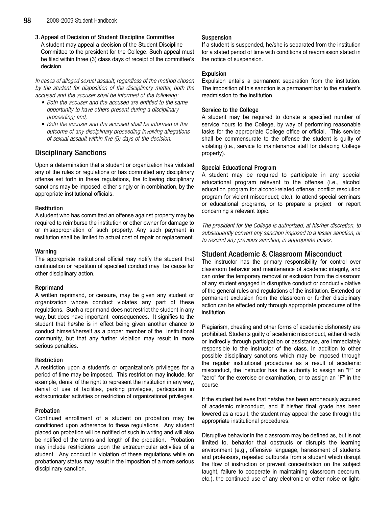3. Appeal of Decision of Student Discipline Committee A student may appeal a decision of the Student Discipline Committee to the president for the College. Such appeal must be filed within three (3) class days of receipt of the committee's decision.

In cases of alleged sexual assault, regardless of the method chosen by the student for disposition of the disciplinary matter, both the accused and the accuser shall be informed of the following:

- Both the accuser and the accused are entitled to the same opportunity to have others present during a disciplinary proceeding; and,
- Both the accuser and the accused shall be informed of the outcome of any disciplinary proceeding involving allegations of sexual assault within five (5) days of the decision.

# Disciplinary Sanctions

Upon a determination that a student or organization has violated any of the rules or regulations or has committed any disciplinary offense set forth in these regulations, the following disciplinary sanctions may be imposed, either singly or in combination, by the appropriate institutional officials.

# **Restitution**

A student who has committed an offense against property may be required to reimburse the institution or other owner for damage to or misappropriation of such property. Any such payment in restitution shall be limited to actual cost of repair or replacement.

# Warning

The appropriate institutional official may notify the student that continuation or repetition of specified conduct may be cause for other disciplinary action.

## Reprimand

A written reprimand, or censure, may be given any student or organization whose conduct violates any part of these regulations. Such a reprimand does not restrict the student in any way, but does have important consequences. It signifies to the student that he/she is in effect being given another chance to conduct himself/herself as a proper member of the institutional community, but that any further violation may result in more serious penalties.

# Restriction

A restriction upon a student's or organization's privileges for a period of time may be imposed. This restriction may include, for example, denial of the right to represent the institution in any way, denial of use of facilities, parking privileges, participation in extracurricular activities or restriction of organizational privileges.

## Probation

Continued enrollment of a student on probation may be conditioned upon adherence to these regulations. Any student placed on probation will be notified of such in writing and will also be notified of the terms and length of the probation. Probation may include restrictions upon the extracurricular activities of a student. Any conduct in violation of these regulations while on probationary status may result in the imposition of a more serious disciplinary sanction.

# Suspension

If a student is suspended, he/she is separated from the institution for a stated period of time with conditions of readmission stated in the notice of suspension.

# Expulsion

Expulsion entails a permanent separation from the institution. The imposition of this sanction is a permanent bar to the student's readmission to the institution.

# Service to the College

A student may be required to donate a specified number of service hours to the College, by way of performing reasonable tasks for the appropriate College office or official. This service shall be commensurate to the offense the student is guilty of violating (i.e., service to maintenance staff for defacing College property).

# Special Educational Program

A student may be required to participate in any special educational program relevant to the offense (i.e., alcohol education program for alcohol-related offense; conflict resolution program for violent misconduct; etc.), to attend special seminars or educational programs, or to prepare a project or report concerning a relevant topic.

The president for the College is authorized, at his/her discretion, to subsequently convert any sanction imposed to a lesser sanction, or to rescind any previous sanction, in appropriate cases.

# Student Academic & Classroom Misconduct

The instructor has the primary responsibility for control over classroom behavior and maintenance of academic integrity, and can order the temporary removal or exclusion from the classroom of any student engaged in disruptive conduct or conduct violative of the general rules and regulations of the institution. Extended or permanent exclusion from the classroom or further disciplinary action can be effected only through appropriate procedures of the institution.

Plagiarism, cheating and other forms of academic dishonesty are prohibited. Students guilty of academic misconduct, either directly or indirectly through participation or assistance, are immediately responsible to the instructor of the class. In addition to other possible disciplinary sanctions which may be imposed through the regular institutional procedures as a result of academic misconduct, the instructor has the authority to assign an "F" or "zero" for the exercise or examination, or to assign an "F" in the course.

If the student believes that he/she has been erroneously accused of academic misconduct, and if his/her final grade has been lowered as a result, the student may appeal the case through the appropriate institutional procedures.

Disruptive behavior in the classroom may be defined as, but is not limited to, behavior that obstructs or disrupts the learning environment (e.g., offensive language, harassment of students and professors, repeated outbursts from a student which disrupt the flow of instruction or prevent concentration on the subject taught, failure to cooperate in maintaining classroom decorum, etc.), the continued use of any electronic or other noise or light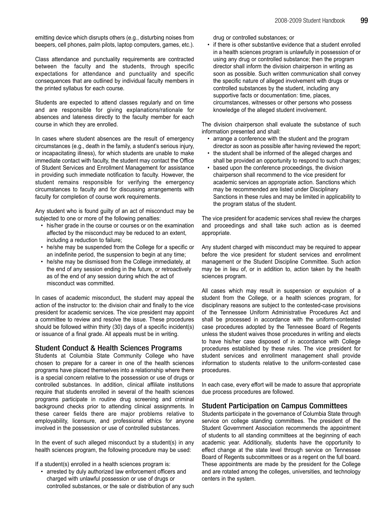emitting device which disrupts others (e.g., disturbing noises from beepers, cell phones, palm pilots, laptop computers, games, etc.).

Class attendance and punctuality requirements are contracted between the faculty and the students, through specific expectations for attendance and punctuality and specific consequences that are outlined by individual faculty members in the printed syllabus for each course.

Students are expected to attend classes regularly and on time and are responsible for giving explanations/rationale for absences and lateness directly to the faculty member for each course in which they are enrolled.

In cases where student absences are the result of emergency circumstances (e.g., death in the family, a student's serious injury, or incapacitating illness), for which students are unable to make immediate contact with faculty, the student may contact the Office of Student Services and Enrollment Management for assistance in providing such immediate notification to faculty. However, the student remains responsible for verifying the emergency circumstances to faculty and for discussing arrangements with faculty for completion of course work requirements.

Any student who is found guilty of an act of misconduct may be subjected to one or more of the following penalties:

- his/her grade in the course or courses or on the examination affected by the misconduct may be reduced to an extent, including a reduction to failure;
- he/she may be suspended from the College for a specific or an indefinite period, the suspension to begin at any time;
- he/she may be dismissed from the College immediately, at the end of any session ending in the future, or retroactively as of the end of any session during which the act of misconduct was committed.

In cases of academic misconduct, the student may appeal the action of the instructor to: the division chair and finally to the vice president for academic services. The vice president may appoint a committee to review and resolve the issue. These procedures should be followed within thirty (30) days of a specific incident(s) or issuance of a final grade. All appeals must be in writing.

# Student Conduct & Health Sciences Programs

Students at Columbia State Community College who have chosen to prepare for a career in one of the health sciences programs have placed themselves into a relationship where there is a special concern relative to the possession or use of drugs or controlled substances. In addition, clinical affiliate institutions require that students enrolled in several of the health sciences programs participate in routine drug screening and criminal background checks prior to attending clinical assignments. In these career fields there are major problems relative to employability, licensure, and professional ethics for anyone involved in the possession or use of controlled substances.

In the event of such alleged misconduct by a student(s) in any health sciences program, the following procedure may be used:

If a student(s) enrolled in a health sciences program is:

• arrested by duly authorized law enforcement officers and charged with unlawful possession or use of drugs or controlled substances, or the sale or distribution of any such drug or controlled substances; or

• if there is other substantive evidence that a student enrolled in a health sciences program is unlawfully in possession of or using any drug or controlled substance; then the program director shall inform the division chairperson in writing as soon as possible. Such written communication shall convey the specific nature of alleged involvement with drugs or controlled substances by the student, including any supportive facts or documentation: time, places, circumstances, witnesses or other persons who possess knowledge of the alleged student involvement.

The division chairperson shall evaluate the substance of such information presented and shall:

- arrange a conference with the student and the program director as soon as possible after having reviewed the report;
- the student shall be informed of the alleged charges and shall be provided an opportunity to respond to such charges;
- based upon the conference proceedings, the division chairperson shall recommend to the vice president for academic services an appropriate action. Sanctions which may be recommended are listed under Disciplinary Sanctions in these rules and may be limited in applicability to the program status of the student.

The vice president for academic services shall review the charges and proceedings and shall take such action as is deemed appropriate.

Any student charged with misconduct may be required to appear before the vice president for student services and enrollment management or the Student Discipline Committee. Such action may be in lieu of, or in addition to, action taken by the health sciences program.

All cases which may result in suspension or expulsion of a student from the College, or a health sciences program, for disciplinary reasons are subject to the contested-case provisions of the Tennessee Uniform Administrative Procedures Act and shall be processed in accordance with the uniform-contested case procedures adopted by the Tennessee Board of Regents unless the student waives those procedures in writing and elects to have his/her case disposed of in accordance with College procedures established by these rules. The vice president for student services and enrollment management shall provide information to students relative to the uniform-contested case procedures.

In each case, every effort will be made to assure that appropriate due process procedures are followed.

# Student Participation on Campus Committees

Students participate in the governance of Columbia State through service on college standing committees. The president of the Student Government Association recommends the appointment of students to all standing committees at the beginning of each academic year. Additionally, students have the opportunity to effect change at the state level through service on Tennessee Board of Regents subcommittees or as a regent on the full board. These appointments are made by the president for the College and are rotated among the colleges, universities, and technology centers in the system.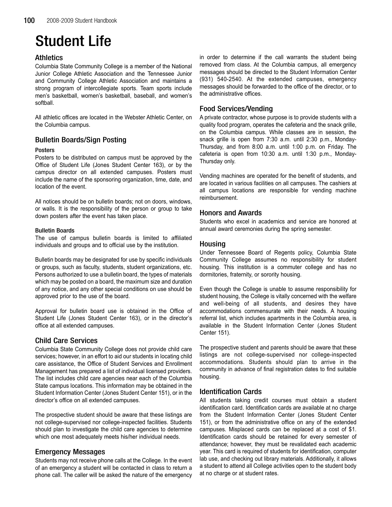# Student Life

# Athletics

Columbia State Community College is a member of the National Junior College Athletic Association and the Tennessee Junior and Community College Athletic Association and maintains a strong program of intercollegiate sports. Team sports include men's basketball, women's basketball, baseball, and women's softball.

All athletic offices are located in the Webster Athletic Center, on the Columbia campus.

# Bulletin Boards/Sign Posting

# Posters

Posters to be distributed on campus must be approved by the Office of Student Life (Jones Student Center 163), or by the campus director on all extended campuses. Posters must include the name of the sponsoring organization, time, date, and location of the event.

All notices should be on bulletin boards; not on doors, windows, or walls. It is the responsibility of the person or group to take down posters after the event has taken place.

# Bulletin Boards

The use of campus bulletin boards is limited to affiliated individuals and groups and to official use by the institution.

Bulletin boards may be designated for use by specific individuals or groups, such as faculty, students, student organizations, etc. Persons authorized to use a bulletin board, the types of materials which may be posted on a board, the maximum size and duration of any notice, and any other special conditions on use should be approved prior to the use of the board.

Approval for bulletin board use is obtained in the Office of Student Life (Jones Student Center 163), or in the director's office at all extended campuses.

# Child Care Services

Columbia State Community College does not provide child care services; however, in an effort to aid our students in locating child care assistance, the Office of Student Services and Enrollment Management has prepared a list of individual licensed providers. The list includes child care agencies near each of the Columbia State campus locations. This information may be obtained in the Student Information Center (Jones Student Center 151), or in the director's office on all extended campuses.

The prospective student should be aware that these listings are not college-supervised nor college-inspected facilities. Students should plan to investigate the child care agencies to determine which one most adequately meets his/her individual needs.

# Emergency Messages

Students may not receive phone calls at the College. In the event of an emergency a student will be contacted in class to return a phone call. The caller will be asked the nature of the emergency in order to determine if the call warrants the student being removed from class. At the Columbia campus, all emergency messages should be directed to the Student Information Center (931) 540-2540. At the extended campuses, emergency messages should be forwarded to the office of the director, or to the administrative offices.

# Food Services/Vending

A private contractor, whose purpose is to provide students with a quality food program, operates the cafeteria and the snack grille, on the Columbia campus. While classes are in session, the snack grille is open from 7:30 a.m. until 2:30 p.m., Monday-Thursday, and from 8:00 a.m. until 1:00 p.m. on Friday. The cafeteria is open from 10:30 a.m. until 1:30 p.m., Monday-Thursday only.

Vending machines are operated for the benefit of students, and are located in various facilities on all campuses. The cashiers at all campus locations are responsible for vending machine reimbursement.

# Honors and Awards

Students who excel in academics and service are honored at annual award ceremonies during the spring semester.

# Housing

Under Tennessee Board of Regents policy, Columbia State Community College assumes no responsibility for student housing. This institution is a commuter college and has no dormitories, fraternity, or sorority housing.

Even though the College is unable to assume responsibility for student housing, the College is vitally concerned with the welfare and well-being of all students, and desires they have accommodations commensurate with their needs. A housing referral list, which includes apartments in the Columbia area, is available in the Student Information Center (Jones Student Center 151).

The prospective student and parents should be aware that these listings are not college-supervised nor college-inspected accommodations. Students should plan to arrive in the community in advance of final registration dates to find suitable housing.

# Identification Cards

All students taking credit courses must obtain a student identification card. Identification cards are available at no charge from the Student Information Center (Jones Student Center 151), or from the administrative office on any of the extended campuses. Misplaced cards can be replaced at a cost of \$1. Identification cards should be retained for every semester of attendance; however, they must be revalidated each academic year. This card is required of students for identification, computer lab use, and checking out library materials. Additionally, it allows a student to attend all College activities open to the student body at no charge or at student rates.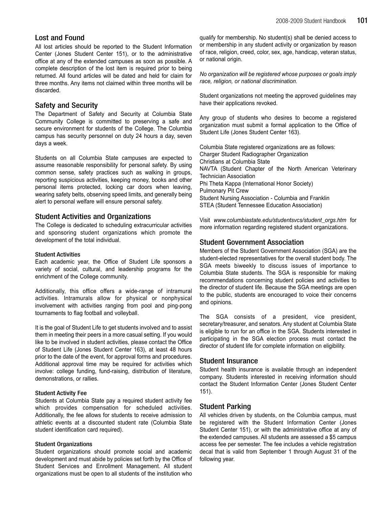# Lost and Found

All lost articles should be reported to the Student Information Center (Jones Student Center 151), or to the administrative office at any of the extended campuses as soon as possible. A complete description of the lost item is required prior to being returned. All found articles will be dated and held for claim for three months. Any items not claimed within three months will be discarded.

# Safety and Security

The Department of Safety and Security at Columbia State Community College is committed to preserving a safe and secure environment for students of the College. The Columbia campus has security personnel on duty 24 hours a day, seven days a week.

Students on all Columbia State campuses are expected to assume reasonable responsibility for personal safety. By using common sense, safety practices such as walking in groups, reporting suspicious activities, keeping money, books and other personal items protected, locking car doors when leaving, wearing safety belts, observing speed limits, and generally being alert to personal welfare will ensure personal safety.

# Student Activities and Organizations

The College is dedicated to scheduling extracurricular activities and sponsoring student organizations which promote the development of the total individual.

## Student Activities

Each academic year, the Office of Student Life sponsors a variety of social, cultural, and leadership programs for the enrichment of the College community.

Additionally, this office offers a wide-range of intramural activities. Intramurals allow for physical or nonphysical involvement with activities ranging from pool and ping-pong tournaments to flag football and volleyball.

It is the goal of Student Life to get students involved and to assist them in meeting their peers in a more casual setting. If you would like to be involved in student activities, please contact the Office of Student Life (Jones Student Center 163), at least 48 hours prior to the date of the event, for approval forms and procedures. Additional approval time may be required for activities which involve: college funding, fund-raising, distribution of literature, demonstrations, or rallies.

## Student Activity Fee

Students at Columbia State pay a required student activity fee which provides compensation for scheduled activities. Additionally, the fee allows for students to receive admission to athletic events at a discounted student rate (Columbia State student identification card required).

# Student Organizations

Student organizations should promote social and academic development and must abide by policies set forth by the Office of Student Services and Enrollment Management. All student organizations must be open to all students of the institution who

qualify for membership. No student(s) shall be denied access to or membership in any student activity or organization by reason of race, religion, creed, color, sex, age, handicap, veteran status, or national origin.

No organization will be registered whose purposes or goals imply race, religion, or national discrimination.

Student organizations not meeting the approved guidelines may have their applications revoked.

Any group of students who desires to become a registered organization must submit a formal application to the Office of Student Life (Jones Student Center 163).

Columbia State registered organizations are as follows: Charger Student Radiographer Organization Christians at Columbia State NAVTA (Student Chapter of the North American Veterinary Technician Association Phi Theta Kappa (International Honor Society) Pulmonary Pit Crew Student Nursing Association - Columbia and Franklin STEA (Student Tennessee Education Association)

Visit www.columbiastate.edu/studentsvcs/student\_orgs.htm for more information regarding registered student organizations.

# Student Government Association

Members of the Student Government Association (SGA) are the student-elected representatives for the overall student body. The SGA meets biweekly to discuss issues of importance to Columbia State students. The SGA is responsible for making recommendations concerning student policies and activities to the director of student life. Because the SGA meetings are open to the public, students are encouraged to voice their concerns and opinions.

The SGA consists of a president, vice president, secretary/treasurer, and senators. Any student at Columbia State is eligible to run for an office in the SGA. Students interested in participating in the SGA election process must contact the director of student life for complete information on eligibility.

# Student Insurance

Student health insurance is available through an independent company. Students interested in receiving information should contact the Student Information Center (Jones Student Center 151).

# Student Parking

All vehicles driven by students, on the Columbia campus, must be registered with the Student Information Center (Jones Student Center 151), or with the administrative office at any of the extended campuses. All students are assessed a \$5 campus access fee per semester. The fee includes a vehicle registration decal that is valid from September 1 through August 31 of the following year.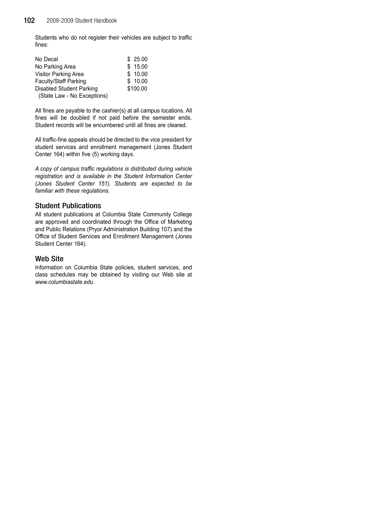Students who do not register their vehicles are subject to traffic fines:

| No Decal                     | \$25.00  |
|------------------------------|----------|
| No Parking Area              | \$15.00  |
| <b>Visitor Parking Area</b>  | \$10.00  |
| <b>Faculty/Staff Parking</b> | \$10.00  |
| Disabled Student Parking     | \$100.00 |
| (State Law - No Exceptions)  |          |

All fines are payable to the cashier(s) at all campus locations. All fines will be doubled if not paid before the semester ends. Student records will be encumbered until all fines are cleared.

All traffic-fine appeals should be directed to the vice president for student services and enrollment management (Jones Student Center 164) within five (5) working days.

A copy of campus traffic regulations is distributed during vehicle registration and is available in the Student Information Center (Jones Student Center 151). Students are expected to be familiar with these regulations.

# Student Publications

All student publications at Columbia State Community College are approved and coordinated through the Office of Marketing and Public Relations (Pryor Administration Building 107) and the Office of Student Services and Enrollment Management (Jones Student Center 164).

# Web Site

Information on Columbia State policies, student services, and class schedules may be obtained by visiting our Web site at www.columbiastate.edu.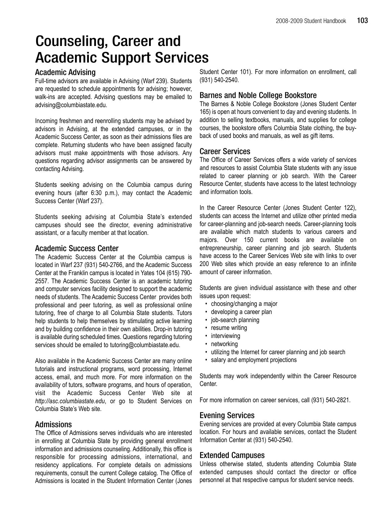# Counseling, Career and Academic Support Services

# Academic Advising

Full-time advisors are available in Advising (Warf 239). Students are requested to schedule appointments for advising; however, walk-ins are accepted. Advising questions may be emailed to advising@columbiastate.edu.

Incoming freshmen and reenrolling students may be advised by advisors in Advising, at the extended campuses, or in the Academic Success Center, as soon as their admissions files are complete. Returning students who have been assigned faculty advisors must make appointments with those advisors. Any questions regarding advisor assignments can be answered by contacting Advising.

Students seeking advising on the Columbia campus during evening hours (after 6:30 p.m.), may contact the Academic Success Center (Warf 237).

Students seeking advising at Columbia State's extended campuses should see the director, evening administrative assistant, or a faculty member at that location.

# Academic Success Center

The Academic Success Center at the Columbia campus is located in Warf 237 (931) 540-2766, and the Academic Success Center at the Franklin campus is located in Yates 104 (615) 790- 2557. The Academic Success Center is an academic tutoring and computer services facility designed to support the academic needs of students. The Academic Success Center provides both professional and peer tutoring, as well as professional online tutoring, free of charge to all Columbia State students. Tutors help students to help themselves by stimulating active learning and by building confidence in their own abilities. Drop-in tutoring is available during scheduled times. Questions regarding tutoring services should be emailed to tutoring@columbiastate.edu.

Also available in the Academic Success Center are many online tutorials and instructional programs, word processing, Internet access, email, and much more. For more information on the availability of tutors, software programs, and hours of operation, visit the Academic Success Center Web site at http://asc.columbiastate.edu, or go to Student Services on Columbia State's Web site.

# Admissions

The Office of Admissions serves individuals who are interested in enrolling at Columbia State by providing general enrollment information and admissions counseling. Additionally, this office is responsible for processing admissions, international, and residency applications. For complete details on admissions requirements, consult the current College catalog. The Office of Admissions is located in the Student Information Center (Jones

Student Center 101). For more information on enrollment, call (931) 540-2540.

# Barnes and Noble College Bookstore

The Barnes & Noble College Bookstore (Jones Student Center 165) is open at hours convenient to day and evening students. In addition to selling textbooks, manuals, and supplies for college courses, the bookstore offers Columbia State clothing, the buyback of used books and manuals, as well as gift items.

# Career Services

The Office of Career Services offers a wide variety of services and resources to assist Columbia State students with any issue related to career planning or job search. With the Career Resource Center, students have access to the latest technology and information tools.

In the Career Resource Center (Jones Student Center 122), students can access the Internet and utilize other printed media for career-planning and job-search needs. Career-planning tools are available which match students to various careers and majors. Over 150 current books are available on entrepreneurship, career planning and job search. Students have access to the Career Services Web site with links to over 200 Web sites which provide an easy reference to an infinite amount of career information.

Students are given individual assistance with these and other issues upon request:

- choosing/changing a major
- developing a career plan
- job-search planning
- resume writing
- interviewing
- networking
- utilizing the Internet for career planning and job search
- salary and employment projections

Students may work independently within the Career Resource Center.

For more information on career services, call (931) 540-2821.

# Evening Services

Evening services are provided at every Columbia State campus location. For hours and available services, contact the Student Information Center at (931) 540-2540.

# Extended Campuses

Unless otherwise stated, students attending Columbia State extended campuses should contact the director or office personnel at that respective campus for student service needs.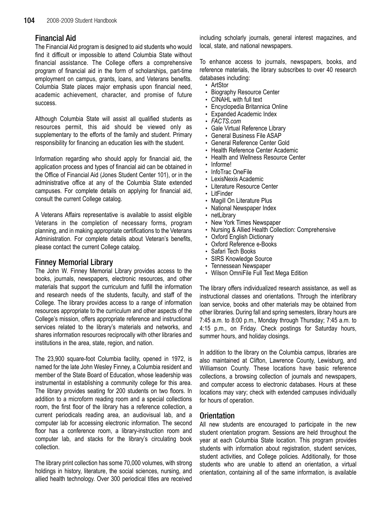# Financial Aid

The Financial Aid program is designed to aid students who would find it difficult or impossible to attend Columbia State without financial assistance. The College offers a comprehensive program of financial aid in the form of scholarships, part-time employment on campus, grants, loans, and Veterans benefits. Columbia State places major emphasis upon financial need, academic achievement, character, and promise of future success.

Although Columbia State will assist all qualified students as resources permit, this aid should be viewed only as supplementary to the efforts of the family and student. Primary responsibility for financing an education lies with the student.

Information regarding who should apply for financial aid, the application process and types of financial aid can be obtained in the Office of Financial Aid (Jones Student Center 101), or in the administrative office at any of the Columbia State extended campuses. For complete details on applying for financial aid, consult the current College catalog.

A Veterans Affairs representative is available to assist eligible Veterans in the completion of necessary forms, program planning, and in making appropriate certifications to the Veterans Administration. For complete details about Veteran's benefits, please contact the current College catalog.

# Finney Memorial Library

The John W. Finney Memorial Library provides access to the books, journals, newspapers, electronic resources, and other materials that support the curriculum and fulfill the information and research needs of the students, faculty, and staff of the College. The library provides access to a range of information resources appropriate to the curriculum and other aspects of the College's mission, offers appropriate reference and instructional services related to the library's materials and networks, and shares information resources reciprocally with other libraries and institutions in the area, state, region, and nation.

The 23,900 square-foot Columbia facility, opened in 1972, is named for the late John Wesley Finney, a Columbia resident and member of the State Board of Education, whose leadership was instrumental in establishing a community college for this area. The library provides seating for 200 students on two floors. In addition to a microform reading room and a special collections room, the first floor of the library has a reference collection, a current periodicals reading area, an audiovisual lab, and a computer lab for accessing electronic information. The second floor has a conference room, a library-instruction room and computer lab, and stacks for the library's circulating book collection.

The library print collection has some 70,000 volumes, with strong holdings in history, literature, the social sciences, nursing, and allied health technology. Over 300 periodical titles are received

including scholarly journals, general interest magazines, and local, state, and national newspapers.

To enhance access to journals, newspapers, books, and reference materials, the library subscribes to over 40 research databases including:

- ArtStor
- Biography Resource Center
- CINAHL with full text
- Encyclopedia Britannica Online
- Expanded Academic Index
- FACTS.com
- Gale Virtual Reference Library
- General Business File ASAP
- General Reference Center Gold
- Health Reference Center Academic
- Health and Wellness Resource Center
- Informe!
- InfoTrac OneFile
- LexisNexis Academic
- Literature Resource Center
- LitFinder
- Magill On Literature Plus
- National Newspaper Index
- netLibrary
- New York Times Newspaper
- Nursing & Allied Health Collection: Comprehensive
- Oxford English Dictionary
- Oxford Reference e-Books
- Safari Tech Books
- SIRS Knowledge Source
- Tennessean Newspaper
- Wilson OmniFile Full Text Mega Edition

The library offers individualized research assistance, as well as instructional classes and orientations. Through the interlibrary loan service, books and other materials may be obtained from other libraries. During fall and spring semesters, library hours are 7:45 a.m. to 8:00 p.m., Monday through Thursday; 7:45 a.m. to 4:15 p.m., on Friday. Check postings for Saturday hours, summer hours, and holiday closings.

In addition to the library on the Columbia campus, libraries are also maintained at Clifton, Lawrence County, Lewisburg, and Williamson County. These locations have basic reference collections, a browsing collection of journals and newspapers, and computer access to electronic databases. Hours at these locations may vary; check with extended campuses individually for hours of operation.

# Orientation

All new students are encouraged to participate in the new student orientation program. Sessions are held throughout the year at each Columbia State location. This program provides students with information about registration, student services, student activities, and College policies. Additionally, for those students who are unable to attend an orientation, a virtual orientation, containing all of the same information, is available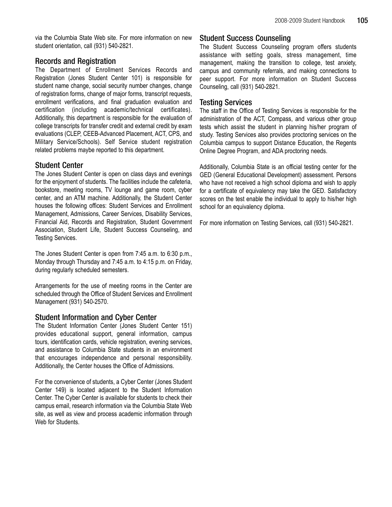via the Columbia State Web site. For more information on new student orientation, call (931) 540-2821.

## Records and Registration

The Department of Enrollment Services Records and Registration (Jones Student Center 101) is responsible for student name change, social security number changes, change of registration forms, change of major forms, transcript requests, enrollment verifications, and final graduation evaluation and certification (including academic/technical certificates). Additionally, this department is responsible for the evaluation of college transcripts for transfer credit and external credit by exam evaluations (CLEP, CEEB-Advanced Placement, ACT, CPS, and Military Service/Schools). Self Service student registration related problems maybe reported to this department.

# Student Center

The Jones Student Center is open on class days and evenings for the enjoyment of students. The facilities include the cafeteria, bookstore, meeting rooms, TV lounge and game room, cyber center, and an ATM machine. Additionally, the Student Center houses the following offices: Student Services and Enrollment Management, Admissions, Career Services, Disability Services, Financial Aid, Records and Registration, Student Government Association, Student Life, Student Success Counseling, and Testing Services.

The Jones Student Center is open from 7:45 a.m. to 6:30 p.m., Monday through Thursday and 7:45 a.m. to 4:15 p.m. on Friday, during regularly scheduled semesters.

Arrangements for the use of meeting rooms in the Center are scheduled through the Office of Student Services and Enrollment Management (931) 540-2570.

# Student Information and Cyber Center

The Student Information Center (Jones Student Center 151) provides educational support, general information, campus tours, identification cards, vehicle registration, evening services, and assistance to Columbia State students in an environment that encourages independence and personal responsibility. Additionally, the Center houses the Office of Admissions.

For the convenience of students, a Cyber Center (Jones Student Center 149) is located adjacent to the Student Information Center. The Cyber Center is available for students to check their campus email, research information via the Columbia State Web site, as well as view and process academic information through Web for Students.

## Student Success Counseling

The Student Success Counseling program offers students assistance with setting goals, stress management, time management, making the transition to college, test anxiety, campus and community referrals, and making connections to peer support. For more information on Student Success Counseling, call (931) 540-2821.

# Testing Services

The staff in the Office of Testing Services is responsible for the administration of the ACT, Compass, and various other group tests which assist the student in planning his/her program of study. Testing Services also provides proctoring services on the Columbia campus to support Distance Education, the Regents Online Degree Program, and ADA proctoring needs.

Additionally, Columbia State is an official testing center for the GED (General Educational Development) assessment. Persons who have not received a high school diploma and wish to apply for a certificate of equivalency may take the GED. Satisfactory scores on the test enable the individual to apply to his/her high school for an equivalency diploma.

For more information on Testing Services, call (931) 540-2821.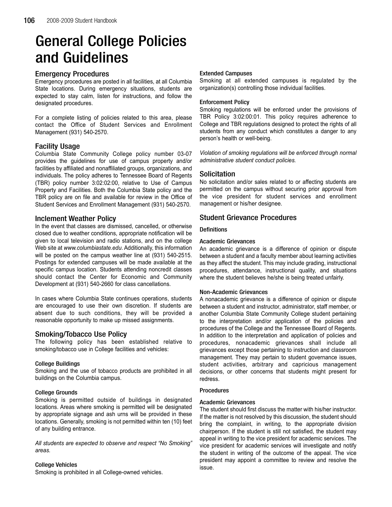# General College Policies and Guidelines

## Emergency Procedures

Emergency procedures are posted in all facilities, at all Columbia State locations. During emergency situations, students are expected to stay calm, listen for instructions, and follow the designated procedures.

For a complete listing of policies related to this area, please contact the Office of Student Services and Enrollment Management (931) 540-2570.

## Facility Usage

Columbia State Community College policy number 03-07 provides the guidelines for use of campus property and/or facilities by affiliated and nonaffiliated groups, organizations, and individuals. The policy adheres to Tennessee Board of Regents (TBR) policy number 3:02:02:00, relative to Use of Campus Property and Facilities. Both the Columbia State policy and the TBR policy are on file and available for review in the Office of Student Services and Enrollment Management (931) 540-2570.

## Inclement Weather Policy

In the event that classes are dismissed, cancelled, or otherwise closed due to weather conditions, appropriate notification will be given to local television and radio stations, and on the college Web site at www.columbiastate.edu. Additionally, this information will be posted on the campus weather line at (931) 540-2515. Postings for extended campuses will be made available at the specific campus location. Students attending noncredit classes should contact the Center for Economic and Community Development at (931) 540-2660 for class cancellations.

In cases where Columbia State continues operations, students are encouraged to use their own discretion. If students are absent due to such conditions, they will be provided a reasonable opportunity to make up missed assignments.

# Smoking/Tobacco Use Policy

The following policy has been established relative to smoking/tobacco use in College facilities and vehicles:

## College Buildings

Smoking and the use of tobacco products are prohibited in all buildings on the Columbia campus.

## College Grounds

Smoking is permitted outside of buildings in designated locations. Areas where smoking is permitted will be designated by appropriate signage and ash urns will be provided in these locations. Generally, smoking is not permitted within ten (10) feet of any building entrance.

All students are expected to observe and respect "No Smoking" areas.

## College Vehicles

Smoking is prohibited in all College-owned vehicles.

## Extended Campuses

Smoking at all extended campuses is regulated by the organization(s) controlling those individual facilities.

### Enforcement Policy

Smoking regulations will be enforced under the provisions of TBR Policy 3:02:00:01. This policy requires adherence to College and TBR regulations designed to protect the rights of all students from any conduct which constitutes a danger to any person's health or well-being.

Violation of smoking regulations will be enforced through normal administrative student conduct policies.

## Solicitation

No solicitation and/or sales related to or affecting students are permitted on the campus without securing prior approval from the vice president for student services and enrollment management or his/her designee.

## Student Grievance Procedures

## **Definitions**

## Academic Grievances

An academic grievance is a difference of opinion or dispute between a student and a faculty member about learning activities as they affect the student. This may include grading, instructional procedures, attendance, instructional quality, and situations where the student believes he/she is being treated unfairly.

## Non-Academic Grievances

A nonacademic grievance is a difference of opinion or dispute between a student and instructor, administrator, staff member, or another Columbia State Community College student pertaining to the interpretation and/or application of the policies and procedures of the College and the Tennessee Board of Regents. In addition to the interpretation and application of policies and procedures, nonacademic grievances shall include all grievances except those pertaining to instruction and classroom management. They may pertain to student governance issues, student activities, arbitrary and capricious management decisions, or other concerns that students might present for redress.

## Procedures

### Academic Grievances

The student should first discuss the matter with his/her instructor. If the matter is not resolved by this discussion, the student should bring the complaint, in writing, to the appropriate division chairperson. If the student is still not satisfied, the student may appeal in writing to the vice president for academic services. The vice president for academic services will investigate and notify the student in writing of the outcome of the appeal. The vice president may appoint a committee to review and resolve the issue.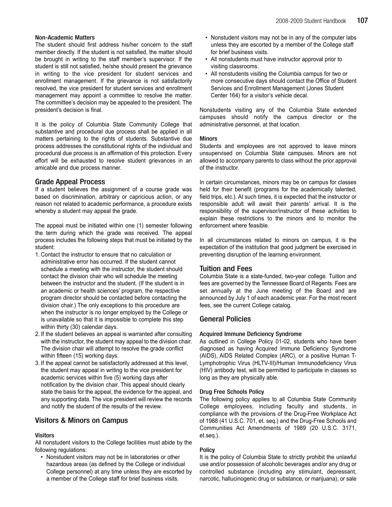### Non-Academic Matters

The student should first address his/her concern to the staff member directly. If the student is not satisfied, the matter should be brought in writing to the staff member's supervisor. If the student is still not satisfied, he/she should present the grievance in writing to the vice president for student services and enrollment management. If the grievance is not satisfactorily resolved, the vice president for student services and enrollment management may appoint a committee to resolve the matter. The committee's decision may be appealed to the president. The president's decision is final.

It is the policy of Columbia State Community College that substantive and procedural due process shall be applied in all matters pertaining to the rights of students. Substantive due process addresses the constitutional rights of the individual and procedural due process is an affirmation of this protection. Every effort will be exhausted to resolve student grievances in an amicable and due process manner.

## Grade Appeal Process

If a student believes the assignment of a course grade was based on discrimination, arbitrary or capricious action, or any reason not related to academic performance, a procedure exists whereby a student may appeal the grade.

The appeal must be initiated within one (1) semester following the term during which the grade was received. The appeal process includes the following steps that must be initiated by the student:

- 1. Contact the instructor to ensure that no calculation or administrative error has occurred. If the student cannot schedule a meeting with the instructor, the student should contact the division chair who will schedule the meeting between the instructor and the student. (If the student is in an academic or health sciences' program, the respective program director should be contacted before contacting the division chair.) The only exceptions to this procedure are when the instructor is no longer employed by the College or is unavailable so that it is impossible to complete this step within thirty (30) calendar days.
- 2. If the student believes an appeal is warranted after consulting with the instructor, the student may appeal to the division chair. The division chair will attempt to resolve the grade conflict within fifteen (15) working days.
- 3. If the appeal cannot be satisfactorily addressed at this level, the student may appeal in writing to the vice president for academic services within five (5) working days after notification by the division chair. This appeal should clearly state the basis for the appeal, the evidence for the appeal, and any supporting data. The vice president will review the records and notify the student of the results of the review.

# Visitors & Minors on Campus

## **Visitors**

All nonstudent visitors to the College facilities must abide by the following regulations:

• Nonstudent visitors may not be in laboratories or other hazardous areas (as defined by the College or individual College personnel) at any time unless they are escorted by a member of the College staff for brief business visits.

- Nonstudent visitors may not be in any of the computer labs unless they are escorted by a member of the College staff for brief business visits.
- All nonstudents must have instructor approval prior to visiting classrooms.
- All nonstudents visiting the Columbia campus for two or more consecutive days should contact the Office of Student Services and Enrollment Management (Jones Student Center 164) for a visitor's vehicle decal.

Nonstudents visiting any of the Columbia State extended campuses should notify the campus director or the administrative personnel, at that location.

### Minors

Students and employees are not approved to leave minors unsupervised on Columbia State campuses. Minors are not allowed to accompany parents to class without the prior approval of the instructor.

In certain circumstances, minors may be on campus for classes held for their benefit (programs for the academically talented, field trips, etc.). At such times, it is expected that the instructor or responsible adult will await their parents' arrival. It is the responsibility of the supervisor/instructor of these activities to explain these restrictions to the minors and to monitor the enforcement where feasible.

In all circumstances related to minors on campus, it is the expectation of the institution that good judgment be exercised in preventing disruption of the learning environment.

## Tuition and Fees

Columbia State is a state-funded, two-year college. Tuition and fees are governed by the Tennessee Board of Regents. Fees are set annually at the June meeting of the Board and are announced by July 1 of each academic year. For the most recent fees, see the current College catalog.

## General Policies

### Acquired Immune Deficiency Syndrome

As outlined in College Policy 01-02, students who have been diagnosed as having Acquired Immune Deficiency Syndrome (AIDS), AIDS Related Complex (ARC), or a positive Human T-Lymphotrophic Virus (HLTV-III)/Human Immunodeficiency Virus (HIV) antibody test, will be permitted to participate in classes so long as they are physically able.

### Drug Free Schools Policy

The following policy applies to all Columbia State Community College employees, including faculty and students, in compliance with the provisions of the Drug-Free Workplace Act of 1988 (41 U.S.C. 701, et. seq.) and the Drug-Free Schools and Communities Act Amendments of 1989 (20 U.S.C. 3171, et.seq.).

## **Policy**

It is the policy of Columbia State to strictly prohibit the unlawful use and/or possession of alcoholic beverages and/or any drug or controlled substance (including any stimulant, depressant, narcotic, hallucinogenic drug or substance, or marijuana), or sale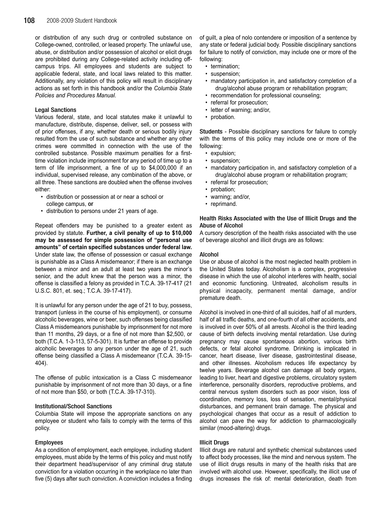or distribution of any such drug or controlled substance on College-owned, controlled, or leased property. The unlawful use, abuse, or distribution and/or possession of alcohol or elicit drugs are prohibited during any College-related activity including offcampus trips. All employees and students are subject to applicable federal, state, and local laws related to this matter. Additionally, any violation of this policy will result in disciplinary actions as set forth in this handbook and/or the Columbia State Policies and Procedures Manual.

#### Legal Sanctions

Various federal, state, and local statutes make it unlawful to manufacture, distribute, dispense, deliver, sell, or possess with of prior offenses, if any, whether death or serious bodily injury resulted from the use of such substance and whether any other crimes were committed in connection with the use of the controlled substance. Possible maximum penalties for a firsttime violation include imprisonment for any period of time up to a term of life imprisonment, a fine of up to \$4,000,000 if an individual, supervised release, any combination of the above, or all three. These sanctions are doubled when the offense involves either:

- distribution or possession at or near a school or college campus, or
- distribution to persons under 21 years of age.

Repeat offenders may be punished to a greater extent as provided by statute. Further, a civil penalty of up to \$10,000 may be assessed for simple possession of "personal use amounts" of certain specified substances under federal law. Under state law, the offense of possession or casual exchange is punishable as a Class A misdemeanor; if there is an exchange between a minor and an adult at least two years the minor's senior, and the adult knew that the person was a minor, the offense is classified a felony as provided in T.C.A. 39-17-417 (21 U.S.C. 801, et. seq.; T.C.A. 39-17-417).

It is unlawful for any person under the age of 21 to buy, possess, transport (unless in the course of his employment), or consume alcoholic beverages, wine or beer, such offenses being classified Class Amisdemeanors punishable by imprisonment for not more than 11 months, 29 days, or a fine of not more than \$2,500, or both (T.C.A. 1-3-113, 57-5-301). It is further an offense to provide alcoholic beverages to any person under the age of 21, such offense being classified a Class A misdemeanor (T.C.A. 39-15- 404).

The offense of public intoxication is a Class C misdemeanor punishable by imprisonment of not more than 30 days, or a fine of not more than \$50, or both (T.C.A. 39-17-310).

#### Institutional/School Sanctions

Columbia State will impose the appropriate sanctions on any employee or student who fails to comply with the terms of this policy.

#### Employees

As a condition of employment, each employee, including student employees, must abide by the terms of this policy and must notify their department head/supervisor of any criminal drug statute conviction for a violation occurring in the workplace no later than five (5) days after such conviction. A conviction includes a finding

of guilt, a plea of nolo contendere or imposition of a sentence by any state or federal judicial body. Possible disciplinary sanctions for failure to notify of conviction, may include one or more of the following:

- termination;
- suspension;
- mandatory participation in, and satisfactory completion of a drug/alcohol abuse program or rehabilitation program;
- recommendation for professional counseling;
- referral for prosecution;
- letter of warning; and/or,
- probation.

Students - Possible disciplinary sanctions for failure to comply with the terms of this policy may include one or more of the following:

- expulsion;
- suspension;
- mandatory participation in, and satisfactory completion of a drug/alcohol abuse program or rehabilitation program;
- referral for prosecution;
- probation;
- warning; and/or,
- reprimand.

### Health Risks Associated with the Use of Illicit Drugs and the Abuse of Alcohol

A cursory description of the health risks associated with the use of beverage alcohol and illicit drugs are as follows:

#### Alcohol

Use or abuse of alcohol is the most neglected health problem in the United States today. Alcoholism is a complex, progressive disease in which the use of alcohol interferes with health, social and economic functioning. Untreated, alcoholism results in physical incapacity, permanent mental damage, and/or premature death.

Alcohol is involved in one-third of all suicides, half of all murders, half of all traffic deaths, and one-fourth of all other accidents, and is involved in over 50% of all arrests. Alcohol is the third leading cause of birth defects involving mental retardation. Use during pregnancy may cause spontaneous abortion, various birth defects, or fetal alcohol syndrome. Drinking is implicated in cancer, heart disease, liver disease, gastrointestinal disease, and other illnesses. Alcoholism reduces life expectancy by twelve years. Beverage alcohol can damage all body organs, leading to liver, heart and digestive problems, circulatory system interference, personality disorders, reproductive problems, and central nervous system disorders such as poor vision, loss of coordination, memory loss, loss of sensation, mental/physical disturbances, and permanent brain damage. The physical and psychological changes that occur as a result of addiction to alcohol can pave the way for addiction to pharmacologically similar (mood-altering) drugs.

#### Illicit Drugs

Illicit drugs are natural and synthetic chemical substances used to affect body processes, like the mind and nervous system. The use of illicit drugs results in many of the health risks that are involved with alcohol use. However, specifically, the illicit use of drugs increases the risk of: mental deterioration, death from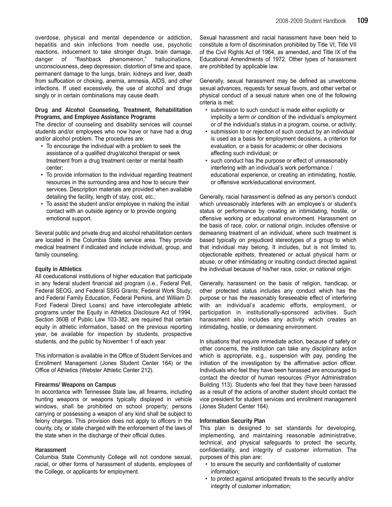overdose, physical and mental dependence or addiction, hepatitis and skin infections from needle use, psychotic reactions, inducement to take stronger drugs, brain damage, danger of "flashback phenomenon," hallucinations, unconsciousness, deep depression, distortion of time and space, permanent damage to the lungs, brain, kidneys and liver, death from suffocation or choking, anemia, amnesia, AIDS, and other infections. If used excessively, the use of alcohol and drugs singly or in certain combinations may cause death.

### Drug and Alcohol Counseling, Treatment, Rehabilitation Programs, and Employee Assistance Programs

The director of counseling and disability services will counsel students and/or employees who now have or have had a drug and/or alcohol problem. The procedures are:

- To encourage the individual with a problem to seek the assistance of a qualified drug/alcohol therapist or seek treatment from a drug treatment center or mental health center;
- To provide information to the individual regarding treatment resources in the surrounding area and how to secure their services. Description materials are provided when available detailing the facility, length of stay, cost, etc.;
- To assist the student and/or employee in making the initial contact with an outside agency or to provide ongoing emotional support.

Several public and private drug and alcohol rehabilitation centers are located in the Columbia State service area. They provide medical treatment if indicated and include individual, group, and family counseling.

### Equity in Athletics

All coeducational institutions of higher education that participate in any federal student financial aid program (i.e., Federal Pell, Federal SEOG, and Federal SSIG Grants; Federal Work Study; and Federal Family Education, Federal Perkins, and William D. Ford Federal Direct Loans) and have intercollegiate athletic programs under the Equity in Athletics Disclosure Act of 1994, Section 360B of Public Law 103-382, are required that certain equity in athletic information, based on the previous reporting year, be available for inspection by students, prospective students, and the public by November 1 of each year.

This information is available in the Office of Student Services and Enrollment Management (Jones Student Center 164) or the Office of Athletics (Webster Athletic Center 212).

### Firearms/ Weapons on Campus

In accordance with Tennessee State law, all firearms, including hunting weapons or weapons typically displayed in vehicle windows, shall be prohibited on school property; persons carrying or possessing a weapon of any kind shall be subject to felony charges. This provision does not apply to officers in the county, city, or state charged with the enforcement of the laws of the state when in the discharge of their official duties.

### Harassment

Columbia State Community College will not condone sexual, racial, or other forms of harassment of students, employees of the College, or applicants for employment.

Sexual harassment and racial harassment have been held to constitute a form of discrimination prohibited by Title VI, Title VII of the Civil Rights Act of 1964, as amended, and Title IX of the Educational Amendments of 1972. Other types of harassment are prohibited by applicable law.

Generally, sexual harassment may be defined as unwelcome sexual advances, requests for sexual favors, and other verbal or physical conduct of a sexual nature when one of the following criteria is met:

- submission to such conduct is made either explicitly or implicitly a term or condition of the individual's employment or of the individual's status in a program, course, or activity;
- submission to or rejection of such conduct by an individual is used as a basis for employment decisions, a criterion for evaluation, or a basis for academic or other decisions affecting such individual; or
- such conduct has the purpose or effect of unreasonably interfering with an individual's work performance / educational experience, or creating an intimidating, hostile, or offensive work/educational environment.

Generally, racial harassment is defined as any person's conduct which unreasonably interferes with an employee's or student's status or performance by creating an intimidating, hostile, or offensive working or educational environment. Harassment on the basis of race, color, or national origin, includes offensive or demeaning treatment of an individual, where such treatment is based typically on prejudiced stereotypes of a group to which that individual may belong. It includes, but is not limited to, objectionable epithets, threatened or actual physical harm or abuse, or other intimidating or insulting conduct directed against the individual because of his/her race, color, or national origin.

Generally, harassment on the basis of religion, handicap, or other protected status includes any conduct which has the purpose or has the reasonably foreseeable effect of interfering with an individual's academic efforts, employment, or participation in institutionally-sponsored activities. Such harassment also includes any activity which creates an intimidating, hostile, or demeaning environment.

In situations that require immediate action, because of safety or other concerns, the institution can take any disciplinary action which is appropriate, e.g., suspension with pay, pending the initiation of the investigation by the affirmative action officer. Individuals who feel they have been harassed are encouraged to contact the director of human resources (Pryor Administration Building 113). Students who feel that they have been harassed as a result of the actions of another student should contact the vice president for student services and enrollment management (Jones Student Center 164).

### Information Security Plan

This plan is designed to set standards for developing, implementing, and maintaining reasonable administrative, technical, and physical safeguards to protect the security, confidentiality, and integrity of customer information. The purposes of this plan are:

- to ensure the security and confidentiality of customer information;
- to protect against anticipated threats to the security and/or integrity of customer information;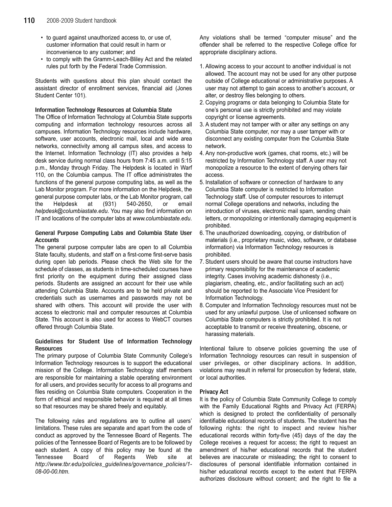- to guard against unauthorized access to, or use of, customer information that could result in harm or inconvenience to any customer; and
- to comply with the Gramm-Leach-Bliley Act and the related rules put forth by the Federal Trade Commission.

Students with questions about this plan should contact the assistant director of enrollment services, financial aid (Jones Student Center 101).

#### Information Technology Resources at Columbia State

The Office of Information Technology at Columbia State supports computing and information technology resources across all campuses. Information Technology resources include hardware, software, user accounts, electronic mail, local and wide area networks, connectivity among all campus sites, and access to the Internet. Information Technology (IT) also provides a help desk service during normal class hours from 7:45 a.m. until 5:15 p.m., Monday through Friday. The Helpdesk is located in Warf 110, on the Columbia campus. The IT office administrates the functions of the general purpose computing labs, as well as the Lab Monitor program. For more information on the Helpdesk, the general purpose computer labs, or the Lab Monitor program, call the Helpdesk at (931) 540-2650, or email helpdesk@columbiastate.edu. You may also find information on IT and locations of the computer labs at www.columbiastate.edu.

### General Purpose Computing Labs and Columbia State User **Accounts**

The general purpose computer labs are open to all Columbia State faculty, students, and staff on a first-come first-serve basis during open lab periods. Please check the Web site for the schedule of classes, as students in time-scheduled courses have first priority on the equipment during their assigned class periods. Students are assigned an account for their use while attending Columbia State. Accounts are to be held private and credentials such as usernames and passwords may not be shared with others. This account will provide the user with access to electronic mail and computer resources at Columbia State. This account is also used for access to WebCT courses offered through Columbia State.

### Guidelines for Student Use of Information Technology **Resources**

The primary purpose of Columbia State Community College's Information Technology resources is to support the educational mission of the College. Information Technology staff members are responsible for maintaining a stable operating environment for all users, and provides security for access to all programs and files residing on Columbia State computers. Cooperation in the form of ethical and responsible behavior is required at all times so that resources may be shared freely and equitably.

The following rules and regulations are to outline all users' limitations. These rules are separate and apart from the code of conduct as approved by the Tennessee Board of Regents. The policies of the Tennessee Board of Regents are to be followed by each student. A copy of this policy may be found at the Tennessee Board of Regents Web site at http://www.tbr.edu/policies\_guidelines/governance\_policies/1- 08-00-00.htm.

Any violations shall be termed "computer misuse" and the offender shall be referred to the respective College office for appropriate disciplinary actions.

- 1. Allowing access to your account to another individual is not allowed. The account may not be used for any other purpose outside of College educational or administrative purposes. A user may not attempt to gain access to another's account, or alter, or destroy files belonging to others.
- 2. Copying programs or data belonging to Columbia State for one's personal use is strictly prohibited and may violate copyright or license agreements.
- 3. A student may not tamper with or alter any settings on any Columbia State computer, nor may a user tamper with or disconnect any existing computer from the Columbia State network.
- 4. Any non-productive work (games, chat rooms, etc.) will be restricted by Information Technology staff. A user may not monopolize a resource to the extent of denying others fair access.
- 5. Installation of software or connection of hardware to any Columbia State computer is restricted to Information Technology staff. Use of computer resources to interrupt normal College operations and networks, including the introduction of viruses, electronic mail spam, sending chain letters, or monopolizing or intentionally damaging equipment is prohibited.
- 6. The unauthorized downloading, copying, or distribution of materials (i.e., proprietary music, video, software, or database information) via Information Technology resources is prohibited.
- 7. Student users should be aware that course instructors have primary responsibility for the maintenance of academic integrity. Cases involving academic dishonesty (i.e., plagiarism, cheating, etc., and/or facilitating such an act) should be reported to the Associate Vice President for Information Technology.
- 8. Computer and Information Technology resources must not be used for any unlawful purpose. Use of unlicensed software on Columbia State computers is strictly prohibited. It is not acceptable to transmit or receive threatening, obscene, or harassing materials.

Intentional failure to observe policies governing the use of Information Technology resources can result in suspension of user privileges, or other disciplinary actions. In addition, violations may result in referral for prosecution by federal, state, or local authorities.

### Privacy Act

It is the policy of Columbia State Community College to comply with the Family Educational Rights and Privacy Act (FERPA) which is designed to protect the confidentiality of personally identifiable educational records of students. The student has the following rights: the right to inspect and review his/her educational records within forty-five (45) days of the day the College receives a request for access; the right to request an amendment of his/her educational records that the student believes are inaccurate or misleading; the right to consent to disclosures of personal identifiable information contained in his/her educational records except to the extent that FERPA authorizes disclosure without consent; and the right to file a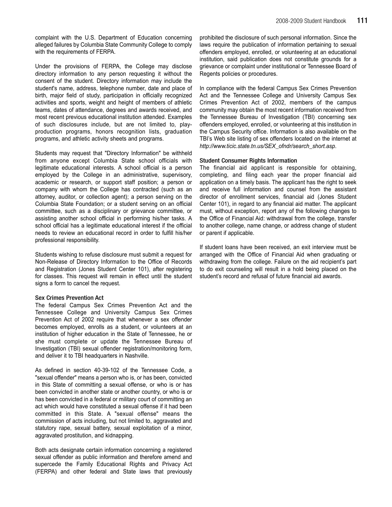complaint with the U.S. Department of Education concerning alleged failures by Columbia State Community College to comply with the requirements of FERPA.

Under the provisions of FERPA, the College may disclose directory information to any person requesting it without the consent of the student. Directory information may include the student's name, address, telephone number, date and place of birth, major field of study, participation in officially recognized activities and sports, weight and height of members of athletic teams, dates of attendance, degrees and awards received, and most recent previous educational institution attended. Examples of such disclosures include, but are not limited to, playproduction programs, honors recognition lists, graduation programs, and athletic activity sheets and programs.

Students may request that "Directory Information" be withheld from anyone except Columbia State school officials with legitimate educational interests. A school official is a person employed by the College in an administrative, supervisory, academic or research, or support staff position; a person or company with whom the College has contracted (such as an attorney, auditor, or collection agent); a person serving on the Columbia State Foundation; or a student serving on an official committee, such as a disciplinary or grievance committee, or assisting another school official in performing his/her tasks. A school official has a legitimate educational interest if the official needs to review an educational record in order to fulfill his/her professional responsibility.

Students wishing to refuse disclosure must submit a request for Non-Release of Directory Information to the Office of Records and Registration (Jones Student Center 101), after registering for classes. This request will remain in effect until the student signs a form to cancel the request.

#### Sex Crimes Prevention Act

The federal Campus Sex Crimes Prevention Act and the Tennessee College and University Campus Sex Crimes Prevention Act of 2002 require that whenever a sex offender becomes employed, enrolls as a student, or volunteers at an institution of higher education in the State of Tennessee, he or she must complete or update the Tennessee Bureau of Investigation (TBI) sexual offender registration/monitoring form, and deliver it to TBI headquarters in Nashville.

As defined in section 40-39-102 of the Tennessee Code, a "sexual offender" means a person who is, or has been, convicted in this State of committing a sexual offense, or who is or has been convicted in another state or another country, or who is or has been convicted in a federal or military court of committing an act which would have constituted a sexual offense if it had been committed in this State. A "sexual offense" means the commission of acts including, but not limited to, aggravated and statutory rape, sexual battery, sexual exploitation of a minor, aggravated prostitution, and kidnapping.

Both acts designate certain information concerning a registered sexual offender as public information and therefore amend and supercede the Family Educational Rights and Privacy Act (FERPA) and other federal and State laws that previously

prohibited the disclosure of such personal information. Since the laws require the publication of information pertaining to sexual offenders employed, enrolled, or volunteering at an educational institution, said publication does not constitute grounds for a grievance or complaint under institutional or Tennessee Board of Regents policies or procedures.

In compliance with the federal Campus Sex Crimes Prevention Act and the Tennessee College and University Campus Sex Crimes Prevention Act of 2002, members of the campus community may obtain the most recent information received from the Tennessee Bureau of Investigation (TBI) concerning sex offenders employed, enrolled, or volunteering at this institution in the Campus Security office. Information is also available on the TBI's Web site listing of sex offenders located on the internet at http://www.ticic.state.tn.us/SEX\_ofndr/search\_short.asp.

#### Student Consumer Rights Information

The financial aid applicant is responsible for obtaining, completing, and filing each year the proper financial aid application on a timely basis. The applicant has the right to seek and receive full information and counsel from the assistant director of enrollment services, financial aid (Jones Student Center 101), in regard to any financial aid matter. The applicant must, without exception, report any of the following changes to the Office of Financial Aid: withdrawal from the college, transfer to another college, name change, or address change of student or parent if applicable.

If student loans have been received, an exit interview must be arranged with the Office of Financial Aid when graduating or withdrawing from the college. Failure on the aid recipient's part to do exit counseling will result in a hold being placed on the student's record and refusal of future financial aid awards.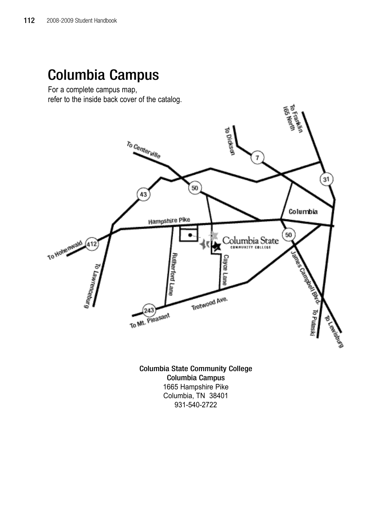# Columbia Campus

For a complete campus map, refer to the inside back cover of the catalog.



Columbia State Community College Columbia Campus 1665 Hampshire Pike Columbia, TN 38401 931-540-2722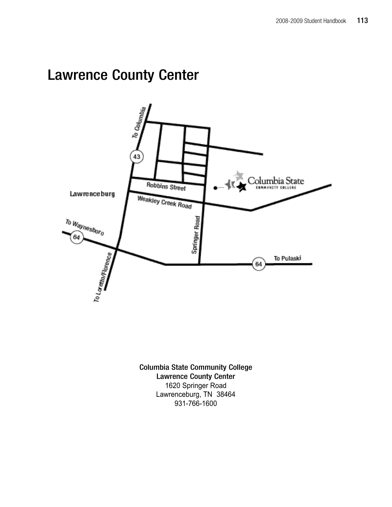# Lawrence County Center



Columbia State Community College Lawrence County Center 1620 Springer Road Lawrenceburg, TN 38464 931-766-1600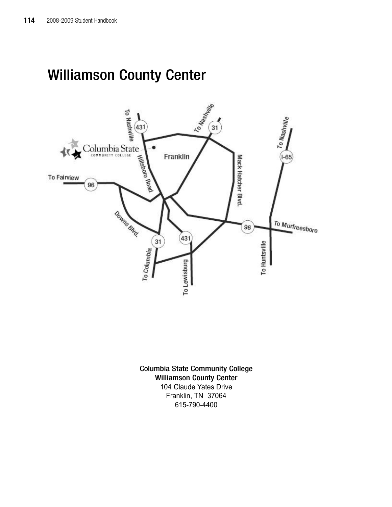# Williamson County Center



Columbia State Community College Williamson County Center 104 Claude Yates Drive Franklin, TN 37064 615-790-4400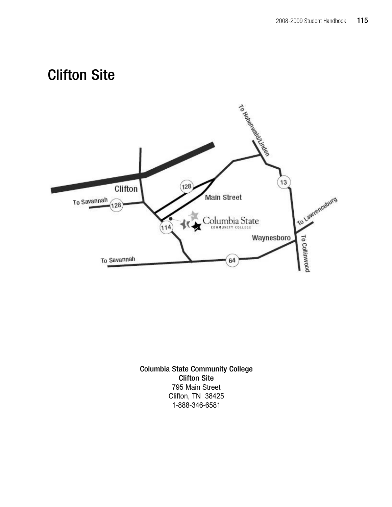# Clifton Site



Columbia State Community College Clifton Site 795 Main Street Clifton, TN 38425 1-888-346-6581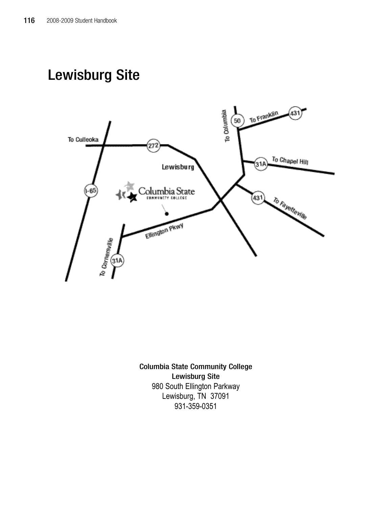# Lewisburg Site



Columbia State Community College Lewisburg Site 980 South Ellington Parkway Lewisburg, TN 37091 931-359-0351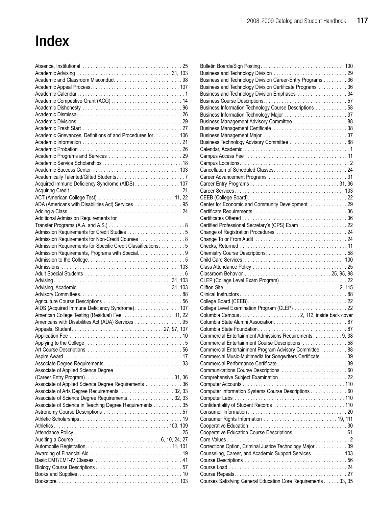# Index

| Academic and Classroom Misconduct 98                         |  |
|--------------------------------------------------------------|--|
|                                                              |  |
|                                                              |  |
|                                                              |  |
|                                                              |  |
|                                                              |  |
|                                                              |  |
|                                                              |  |
| Academic Grievances, Definitions of and Procedures for 106   |  |
|                                                              |  |
|                                                              |  |
|                                                              |  |
|                                                              |  |
|                                                              |  |
|                                                              |  |
|                                                              |  |
| Acquired Immune Deficiency Syndrome (AIDS) 107               |  |
|                                                              |  |
| ACT (American College Test)  11, 22                          |  |
| ADA (Americans with Disabilities Act) Services  95           |  |
|                                                              |  |
| Additional Admission Requirements for                        |  |
|                                                              |  |
|                                                              |  |
| Admission Requirements for Non-Credit Courses  8             |  |
| Admission Requirements for Specific Credit Classifications 5 |  |
| Admission Requirements, Programs with Special. 9             |  |
|                                                              |  |
|                                                              |  |
|                                                              |  |
|                                                              |  |
|                                                              |  |
|                                                              |  |
|                                                              |  |
|                                                              |  |
|                                                              |  |
| AIDS (Acquired Immune Deficiency Syndrome) 107               |  |
| American College Testing (Residual) Fee 11, 22               |  |
| Americans with Disabilities Act (ADA) Services  95           |  |
|                                                              |  |
|                                                              |  |
|                                                              |  |
|                                                              |  |
|                                                              |  |
|                                                              |  |
| Associate of Applied Science Degree                          |  |
|                                                              |  |
|                                                              |  |
| Associate of Applied Science Degree Requirements 36          |  |
|                                                              |  |
| Associate of Science Degree Requirements. 32, 33             |  |
| Associate of Science in Teaching Degree Requirements 35      |  |
|                                                              |  |
|                                                              |  |
|                                                              |  |
|                                                              |  |
|                                                              |  |
|                                                              |  |
|                                                              |  |
|                                                              |  |
|                                                              |  |
|                                                              |  |

| Business and Technology Division Career-Entry Programs 36     |  |
|---------------------------------------------------------------|--|
| Business and Technology Division Certificate Programs  36     |  |
| Business and Technology Division Emphases 34                  |  |
|                                                               |  |
| Business Information Technology Course Descriptions  58       |  |
| Business Information Technology Major 37                      |  |
|                                                               |  |
|                                                               |  |
|                                                               |  |
| Business Technology Advisory Committee  88                    |  |
|                                                               |  |
|                                                               |  |
|                                                               |  |
|                                                               |  |
|                                                               |  |
|                                                               |  |
|                                                               |  |
|                                                               |  |
| Center for Economic and Community Development  29             |  |
|                                                               |  |
|                                                               |  |
| Certified Professional Secretary's (CPS) Exam  22             |  |
|                                                               |  |
|                                                               |  |
|                                                               |  |
|                                                               |  |
|                                                               |  |
|                                                               |  |
|                                                               |  |
|                                                               |  |
|                                                               |  |
|                                                               |  |
|                                                               |  |
|                                                               |  |
| College Level Examination Program (CLEP)  22                  |  |
|                                                               |  |
|                                                               |  |
|                                                               |  |
| Commercial Entertainment Admissions Requirements 9, 38        |  |
| Commercial Entertainment Course Descriptions  58              |  |
| Commercial Entertainment Program Advisory Committee  88       |  |
| Commercial Music-Multimedia for Songwriters Certificate 39    |  |
|                                                               |  |
|                                                               |  |
|                                                               |  |
|                                                               |  |
| Computer Information Systems Course Descriptions 60           |  |
|                                                               |  |
|                                                               |  |
|                                                               |  |
|                                                               |  |
|                                                               |  |
|                                                               |  |
|                                                               |  |
| Corrections Option, Criminal Justice Technology Major 39      |  |
| Counseling, Career, and Academic Support Services  103        |  |
|                                                               |  |
|                                                               |  |
| Courses Satisfying General Education Core Requirements 33, 35 |  |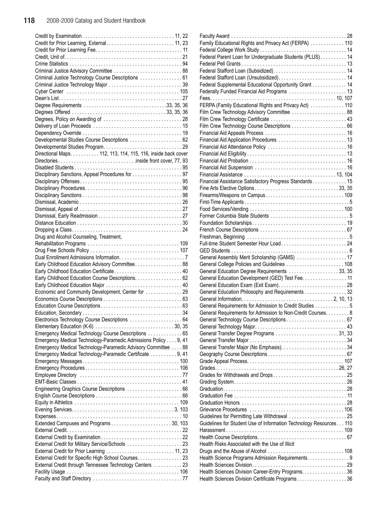| Criminal Justice Technology Course Descriptions  61            |
|----------------------------------------------------------------|
| Criminal Justice Technology Major 39                           |
|                                                                |
|                                                                |
|                                                                |
|                                                                |
|                                                                |
|                                                                |
|                                                                |
| Developmental Studies Course Descriptions  62                  |
|                                                                |
| Directional Maps. 112, 113, 114, 115, 116, inside back cover   |
|                                                                |
|                                                                |
| Disciplinary Sanctions, Appeal Procedures for 97               |
|                                                                |
|                                                                |
|                                                                |
|                                                                |
|                                                                |
|                                                                |
|                                                                |
|                                                                |
|                                                                |
| Drug and Alcohol Counseling, Treatment,                        |
|                                                                |
|                                                                |
|                                                                |
| Early Childhood Education Advisory Committee 88                |
| Early Childhood Education Certificate 40                       |
| Early Childhood Education Course Descriptions. 62              |
|                                                                |
| Early Childhood Education Major  40                            |
| Economic and Community Development, Center for  29             |
|                                                                |
|                                                                |
|                                                                |
| Electronics Technology Course Descriptions  64                 |
|                                                                |
| Emergency Medical Technology Course Descriptions  65           |
|                                                                |
| Emergency Medical Technology-Paramedic Admissions Policy 9, 41 |
| Emergency Medical Technology-Paramedic Advisory Committee 88   |
| Emergency Medical Technology-Paramedic Certificate  9, 41      |
|                                                                |
|                                                                |
|                                                                |
|                                                                |
| Engineering Graphics Course Descriptions  66                   |
|                                                                |
|                                                                |
|                                                                |
|                                                                |
|                                                                |
|                                                                |
|                                                                |
| External Credit for Military Service/Schools  23               |
| External Credit for Prior Learning  11, 23                     |
| External Credit for Specific High School Courses. 23           |
| External Credit through Tennessee Technology Centers  23       |
|                                                                |

| Family Educational Rights and Privacy Act (FERPA)  110                                                |  |
|-------------------------------------------------------------------------------------------------------|--|
|                                                                                                       |  |
| Federal Parent Loan for Undergraduate Students (PLUS) 14                                              |  |
|                                                                                                       |  |
|                                                                                                       |  |
|                                                                                                       |  |
|                                                                                                       |  |
| Federal Supplemental Educational Opportunity Grant 14                                                 |  |
| Federally Funded Financial Aid Programs  13                                                           |  |
|                                                                                                       |  |
| FERPA (Family Educational Rights and Privacy Act) 110                                                 |  |
|                                                                                                       |  |
| Film Crew Technology Advisory Committee  88                                                           |  |
| Film Crew Technology Certificate  43                                                                  |  |
|                                                                                                       |  |
|                                                                                                       |  |
|                                                                                                       |  |
| Financial Aid Application Procedures  13                                                              |  |
|                                                                                                       |  |
|                                                                                                       |  |
|                                                                                                       |  |
|                                                                                                       |  |
|                                                                                                       |  |
|                                                                                                       |  |
| Financial Assistance Satisfactory Progress Standards 15                                               |  |
|                                                                                                       |  |
|                                                                                                       |  |
|                                                                                                       |  |
|                                                                                                       |  |
|                                                                                                       |  |
|                                                                                                       |  |
|                                                                                                       |  |
|                                                                                                       |  |
|                                                                                                       |  |
|                                                                                                       |  |
|                                                                                                       |  |
| General Assembly Merit Scholarship (GAMS)  17                                                         |  |
| General College Policies and Guidelines  108                                                          |  |
|                                                                                                       |  |
| General Education Degree Requirements 33, 35                                                          |  |
| General Education Development (GED) Test Fee. 11                                                      |  |
|                                                                                                       |  |
|                                                                                                       |  |
|                                                                                                       |  |
| General Education Philosophy and Requirements 32                                                      |  |
|                                                                                                       |  |
| General Requirements for Admission to Credit Studies 5                                                |  |
| General Requirements for Admission to Non-Credit Courses. 8                                           |  |
| General Technology Course Descriptions 67                                                             |  |
|                                                                                                       |  |
| General Transfer Degree Programs  31, 33                                                              |  |
|                                                                                                       |  |
|                                                                                                       |  |
|                                                                                                       |  |
|                                                                                                       |  |
|                                                                                                       |  |
|                                                                                                       |  |
|                                                                                                       |  |
|                                                                                                       |  |
|                                                                                                       |  |
|                                                                                                       |  |
|                                                                                                       |  |
|                                                                                                       |  |
|                                                                                                       |  |
|                                                                                                       |  |
| Guidelines for Student Use of Information Technology Resources 110                                    |  |
|                                                                                                       |  |
|                                                                                                       |  |
| Health Risks Associated with the Use of Illicit                                                       |  |
|                                                                                                       |  |
|                                                                                                       |  |
| Health Science Programs Admission Requirements. 9                                                     |  |
|                                                                                                       |  |
| Health Sciences Division Career-Entry Programs. 36<br>Health Sciences Division Certificate Programs36 |  |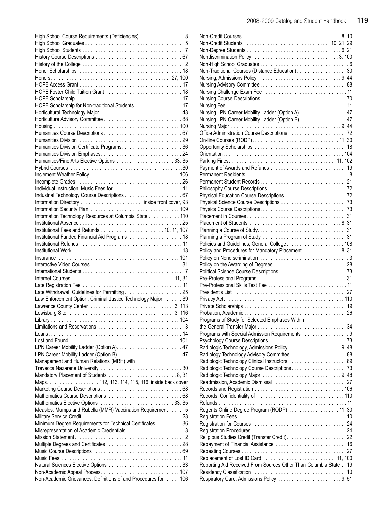| High School Course Requirements (Deficiencies)  8              |
|----------------------------------------------------------------|
|                                                                |
|                                                                |
|                                                                |
|                                                                |
|                                                                |
|                                                                |
|                                                                |
| HOPE Foster Child Tuition Grant  18                            |
|                                                                |
| HOPE Scholarship for Non-traditional Students 17               |
|                                                                |
|                                                                |
|                                                                |
|                                                                |
| Humanities Division Certificate Programs36                     |
|                                                                |
| Humanities/Fine Arts Elective Options  33, 35                  |
|                                                                |
|                                                                |
|                                                                |
|                                                                |
|                                                                |
|                                                                |
|                                                                |
| Information Technology Resources at Columbia State 110         |
|                                                                |
|                                                                |
|                                                                |
|                                                                |
|                                                                |
|                                                                |
|                                                                |
|                                                                |
|                                                                |
|                                                                |
|                                                                |
| Law Enforcement Option, Criminal Justice Technology Major 39   |
|                                                                |
|                                                                |
|                                                                |
|                                                                |
|                                                                |
|                                                                |
|                                                                |
|                                                                |
| Management and Human Relations (MRH) with                      |
|                                                                |
|                                                                |
|                                                                |
|                                                                |
|                                                                |
|                                                                |
| Measles, Mumps and Rubella (MMR) Vaccination Requirement 5     |
| Minimum Degree Requirements for Technical Certificates 36      |
|                                                                |
|                                                                |
|                                                                |
|                                                                |
|                                                                |
|                                                                |
|                                                                |
|                                                                |
| Non-Academic Grievances, Definitions of and Procedures for 106 |

| Non-Traditional Courses (Distance Education)30                   |  |
|------------------------------------------------------------------|--|
|                                                                  |  |
|                                                                  |  |
|                                                                  |  |
|                                                                  |  |
|                                                                  |  |
| Nursing LPN Career Mobility Ladder (Option A) 47                 |  |
| Nursing LPN Career Mobility Ladder (Option B) 47                 |  |
|                                                                  |  |
|                                                                  |  |
|                                                                  |  |
|                                                                  |  |
|                                                                  |  |
|                                                                  |  |
|                                                                  |  |
|                                                                  |  |
|                                                                  |  |
|                                                                  |  |
|                                                                  |  |
|                                                                  |  |
|                                                                  |  |
|                                                                  |  |
|                                                                  |  |
|                                                                  |  |
|                                                                  |  |
| Policies and Guidelines, General College 108                     |  |
| Policy and Procedures for Mandatory Placement8, 31               |  |
|                                                                  |  |
|                                                                  |  |
|                                                                  |  |
| Pre-Professional Skills Test Fee  11                             |  |
|                                                                  |  |
|                                                                  |  |
|                                                                  |  |
|                                                                  |  |
| Programs of Study for Selected Emphases Within                   |  |
|                                                                  |  |
| Programs with Special Admission Requirements 9                   |  |
|                                                                  |  |
| Radiologic Technology, Admissions Policy 9, 48                   |  |
|                                                                  |  |
| Radiologic Technology Clinical Instructors  89                   |  |
|                                                                  |  |
|                                                                  |  |
|                                                                  |  |
|                                                                  |  |
|                                                                  |  |
|                                                                  |  |
| Regents Online Degree Program (RODP)  11, 30                     |  |
|                                                                  |  |
|                                                                  |  |
|                                                                  |  |
|                                                                  |  |
|                                                                  |  |
|                                                                  |  |
|                                                                  |  |
| Reporting Aid Received From Sources Other Than Columbia State 19 |  |
|                                                                  |  |
| Respiratory Care, Admissions Policy 9, 51                        |  |